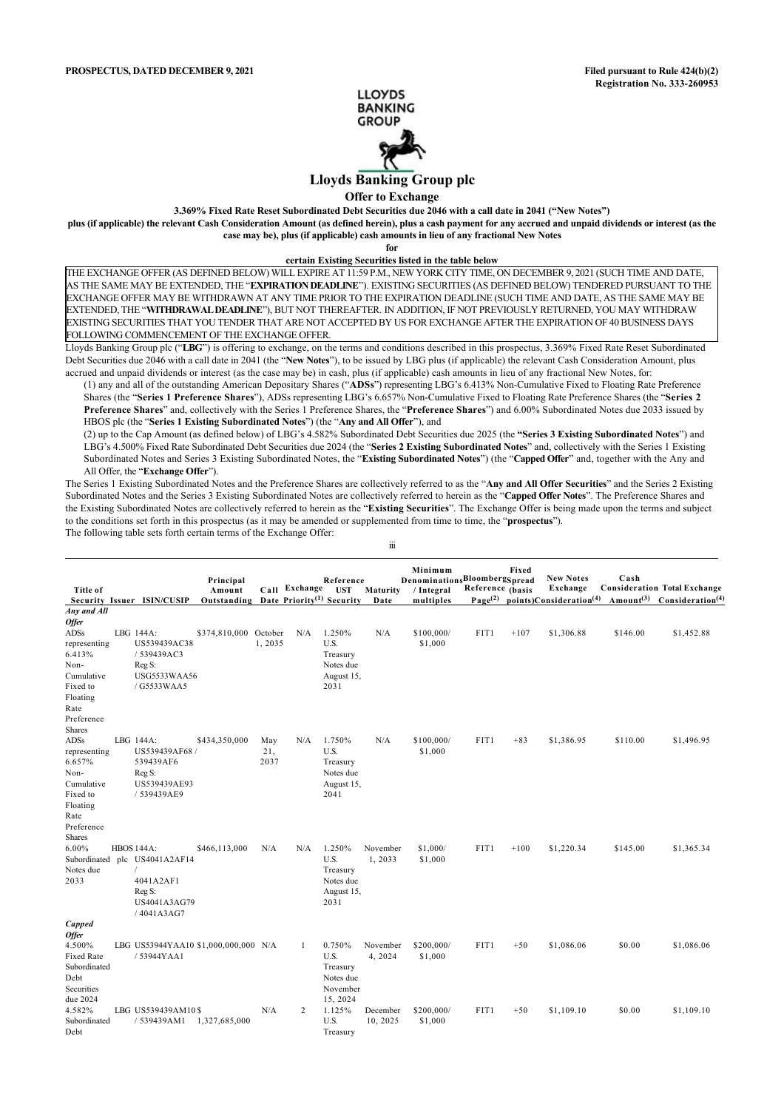

# **Lloyds Banking Group plc**

**Offer to Exchange**

**3.369% Fixed Rate Reset Subordinated Debt Securities due 2046 with a call date in 2041 ("New Notes")**

**plus (if applicable) the relevant Cash Consideration Amount (as defined herein), plus a cash payment for any accrued and unpaid dividends or interest (as the case may be), plus (if applicable) cash amounts in lieu of any fractional New Notes**

**for**

## **certain Existing Securities listed in the table below**

THE EXCHANGE OFFER (AS DEFINED BELOW) WILL EXPIRE AT 11:59 P.M., NEW YORK CITY TIME, ON DECEMBER 9, 2021 (SUCH TIME AND DATE, AS THE SAME MAY BE EXTENDED, THE "**EXPIRATION DEADLINE**"). EXISTING SECURITIES (AS DEFINED BELOW) TENDERED PURSUANT TO THE EXCHANGE OFFER MAY BE WITHDRAWN AT ANY TIME PRIOR TO THE EXPIRATION DEADLINE (SUCH TIME AND DATE, AS THE SAME MAY BE EXTENDED, THE "**WITHDRAWAL DEADLINE**"), BUT NOT THEREAFTER. IN ADDITION, IF NOT PREVIOUSLY RETURNED, YOU MAY WITHDRAW EXISTING SECURITIES THAT YOU TENDER THAT ARE NOT ACCEPTED BY US FOR EXCHANGE AFTER THE EXPIRATION OF 40 BUSINESS DAYS FOLLOWING COMMENCEMENT OF THE EXCHANGE OFFER.

Lloyds Banking Group plc ("**LBG**") is offering to exchange, on the terms and conditions described in this prospectus, 3.369% Fixed Rate Reset Subordinated Debt Securities due 2046 with a call date in 2041 (the "**New Notes**"), to be issued by LBG plus (if applicable) the relevant Cash Consideration Amount, plus accrued and unpaid dividends or interest (as the case may be) in cash, plus (if applicable) cash amounts in lieu of any fractional New Notes, for:

(1) any and all of the outstanding American Depositary Shares ("**ADSs**") representing LBG's 6.413% Non-Cumulative Fixed to Floating Rate Preference Shares (the "**Series 1 Preference Shares**"), ADSs representing LBG's 6.657% Non-Cumulative Fixed to Floating Rate Preference Shares (the "**Series 2 Preference Shares**" and, collectively with the Series 1 Preference Shares, the "**Preference Shares**") and 6.00% Subordinated Notes due 2033 issued by HBOS plc (the "**Series 1 Existing Subordinated Notes**") (the "**Any and All Offer**"), and

(2) up to the Cap Amount (as defined below) of LBG's 4.582% Subordinated Debt Securities due 2025 (the **"Series 3 Existing Subordinated Notes**") and LBG's 4.500% Fixed Rate Subordinated Debt Securities due 2024 (the "**Series 2 Existing Subordinated Notes**" and, collectively with the Series 1 Existing Subordinated Notes and Series 3 Existing Subordinated Notes, the "**Existing Subordinated Notes**") (the "**Capped Offer**" and, together with the Any and All Offer, the "**Exchange Offer**").

The Series 1 Existing Subordinated Notes and the Preference Shares are collectively referred to as the "**Any and All Offer Securities**" and the Series 2 Existing Subordinated Notes and the Series 3 Existing Subordinated Notes are collectively referred to herein as the "**Capped Offer Notes**". The Preference Shares and the Existing Subordinated Notes are collectively referred to herein as the "**Existing Securities**". The Exchange Offer is being made upon the terms and subject to the conditions set forth in this prospectus (as it may be amended or supplemented from time to time, the "**prospectus**"). The following table sets forth certain terms of the Exchange Offer:

iii

| <b>Title of</b>                                                   | Security Issuer ISIN/CUSIP                                                                                             | Principal<br>Amount<br>Outstanding |                    | Call Exchange | Reference<br><b>UST</b><br>Date Priority <sup>(1)</sup> Security | Maturity<br>Date     | Minimum<br>DenominationsBloombergSpread<br>/ Integral<br>multiples | Reference (basis<br>$Page^{(2)}$ | Fixed  | <b>New Notes</b><br>Exchange<br>points)Consideration <sup>(4)</sup> | Cash     | <b>Consideration Total Exchange</b><br>Amount <sup>(3)</sup> Consideration <sup>(4)</sup> |
|-------------------------------------------------------------------|------------------------------------------------------------------------------------------------------------------------|------------------------------------|--------------------|---------------|------------------------------------------------------------------|----------------------|--------------------------------------------------------------------|----------------------------------|--------|---------------------------------------------------------------------|----------|-------------------------------------------------------------------------------------------|
| Any and All                                                       |                                                                                                                        |                                    |                    |               |                                                                  |                      |                                                                    |                                  |        |                                                                     |          |                                                                                           |
| <b>Offer</b>                                                      |                                                                                                                        |                                    |                    |               |                                                                  |                      |                                                                    |                                  |        |                                                                     |          |                                                                                           |
| ADSs<br>representing<br>6.413%<br>Non-                            | LBG 144A:<br>US539439AC38<br>/ 539439AC3<br>Reg S:                                                                     | \$374,810,000 October              | 1,2035             | N/A           | 1.250%<br>U.S.<br>Treasury<br>Notes due                          | N/A                  | \$100,000/<br>\$1,000                                              | FIT1                             | $+107$ | \$1,306.88                                                          | \$146.00 | \$1,452.88                                                                                |
| Cumulative<br>Fixed to<br>Floating                                | <b>USG5533WAA56</b><br>/ G5533WAA5                                                                                     |                                    |                    |               | August 15,<br>2031                                               |                      |                                                                    |                                  |        |                                                                     |          |                                                                                           |
| Rate<br>Preference<br>Shares<br><b>ADSs</b>                       | LBG 144A:                                                                                                              |                                    |                    |               |                                                                  | N/A                  |                                                                    | FIT1                             |        |                                                                     |          |                                                                                           |
| representing<br>6.657%<br>Non-<br>Cumulative                      | US539439AF68/<br>539439AF6<br>Reg S:<br>US539439AE93                                                                   | \$434,350,000                      | May<br>21,<br>2037 | N/A           | 1.750%<br>U.S.<br>Treasury<br>Notes due<br>August 15,            |                      | \$100,000/<br>\$1,000                                              |                                  | $+83$  | \$1,386.95                                                          | \$110.00 | \$1,496.95                                                                                |
| Fixed to<br>Floating<br>Rate<br>Preference<br>Shares              | / 539439AE9                                                                                                            |                                    |                    |               | 2041                                                             |                      |                                                                    |                                  |        |                                                                     |          |                                                                                           |
| 6.00%<br>Notes due<br>2033                                        | <b>HBOS 144A:</b><br>Subordinated plc US4041A2AF14<br>$\sqrt{ }$<br>4041A2AF1<br>Reg S:<br>US4041A3AG79<br>/ 4041A3AG7 | \$466,113,000                      | N/A                | N/A           | 1.250%<br>U.S.<br>Treasury<br>Notes due<br>August 15,<br>2031    | November<br>1,2033   | \$1,000/<br>\$1,000                                                | FIT1                             | $+100$ | \$1,220.34                                                          | \$145.00 | \$1,365.34                                                                                |
| Capped<br><b>Offer</b>                                            |                                                                                                                        |                                    |                    |               |                                                                  |                      |                                                                    |                                  |        |                                                                     |          |                                                                                           |
| 4.500%<br><b>Fixed Rate</b><br>Subordinated<br>Debt<br>Securities | LBG US53944YAA10 \$1,000,000,000 N/A<br>/53944YAA1                                                                     |                                    |                    | -1            | 0.750%<br>U.S.<br>Treasury<br>Notes due<br>November              | November<br>4, 2024  | \$200,000/<br>\$1,000                                              | FIT1                             | $+50$  | \$1,086.06                                                          | \$0.00   | \$1,086.06                                                                                |
| due 2024<br>4.582%<br>Subordinated<br>Debt                        | LBG US539439AM10\$<br>/ 539439AM1                                                                                      | 1,327,685,000                      | N/A                | 2             | 15, 2024<br>1.125%<br>U.S.<br>Treasury                           | December<br>10, 2025 | \$200,000/<br>\$1,000                                              | FIT1                             | $+50$  | \$1,109.10                                                          | \$0.00   | \$1,109.10                                                                                |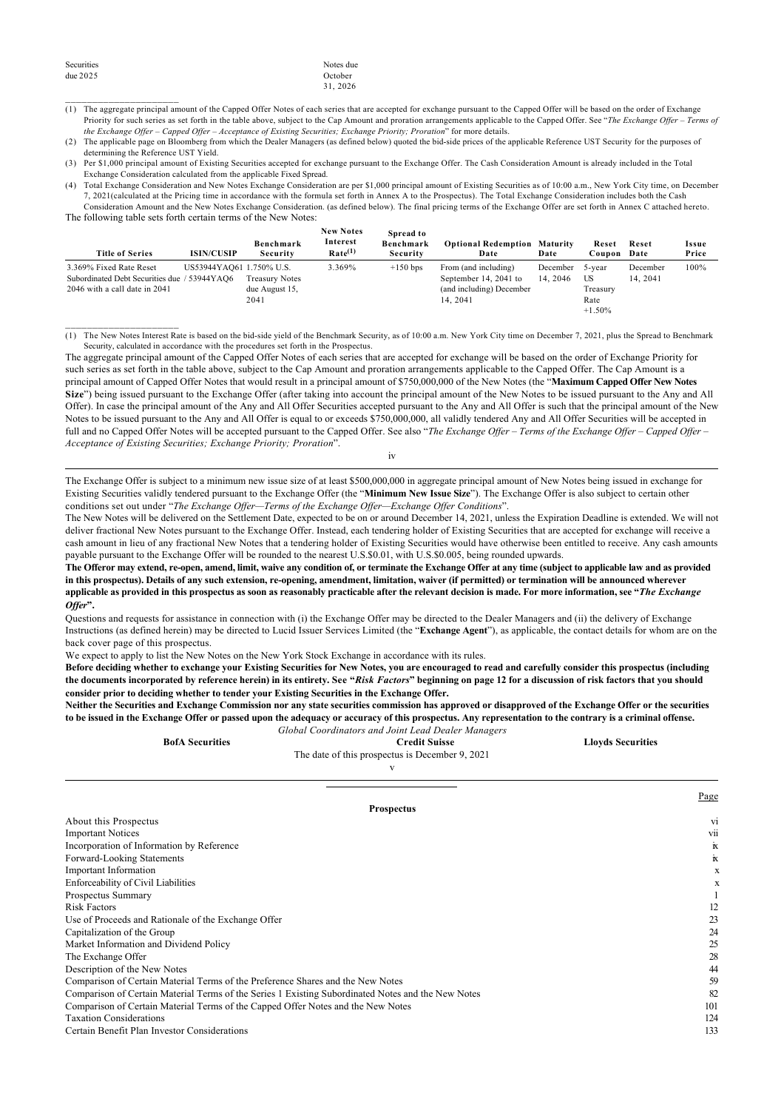$\overline{\phantom{a}}$  ,  $\overline{\phantom{a}}$  ,  $\overline{\phantom{a}}$  ,  $\overline{\phantom{a}}$  ,  $\overline{\phantom{a}}$  ,  $\overline{\phantom{a}}$  ,  $\overline{\phantom{a}}$  ,  $\overline{\phantom{a}}$  ,  $\overline{\phantom{a}}$  ,  $\overline{\phantom{a}}$  ,  $\overline{\phantom{a}}$  ,  $\overline{\phantom{a}}$  ,  $\overline{\phantom{a}}$  ,  $\overline{\phantom{a}}$  ,  $\overline{\phantom{a}}$  ,  $\overline{\phantom{a}}$ 

 $\overline{\phantom{a}}$  ,  $\overline{\phantom{a}}$  ,  $\overline{\phantom{a}}$  ,  $\overline{\phantom{a}}$  ,  $\overline{\phantom{a}}$  ,  $\overline{\phantom{a}}$  ,  $\overline{\phantom{a}}$  ,  $\overline{\phantom{a}}$  ,  $\overline{\phantom{a}}$  ,  $\overline{\phantom{a}}$  ,  $\overline{\phantom{a}}$  ,  $\overline{\phantom{a}}$  ,  $\overline{\phantom{a}}$  ,  $\overline{\phantom{a}}$  ,  $\overline{\phantom{a}}$  ,  $\overline{\phantom{a}}$ 

#### Notes due October 31, 2026

- (1) The aggregate principal amount of the Capped Offer Notes of each series that are accepted for exchange pursuant to the Capped Offer will be based on the order of Exchange Priority for such series as set forth in the table above, subject to the Cap Amount and proration arrangements applicable to the Capped Offer. See "*The Exchange Offer – Terms of the Exchange Offer – Capped Offer – Acceptance of Existing Securities; Exchange Priority; Proration*" for more details.
- (2) The applicable page on Bloomberg from which the Dealer Managers (as defined below) quoted the bid-side prices of the applicable Reference UST Security for the purposes of determining the Reference UST Yield.
- (3) Per \$1,000 principal amount of Existing Securities accepted for exchange pursuant to the Exchange Offer. The Cash Consideration Amount is already included in the Total Exchange Consideration calculated from the applicable Fixed Spread.
- (4) Total Exchange Consideration and New Notes Exchange Consideration are per \$1,000 principal amount of Existing Securities as of 10:00 a.m., New York City time, on December 7, 2021(calculated at the Pricing time in accordance with the formula set forth in Annex A to the Prospectus). The Total Exchange Consideration includes both the Cash Consideration Amount and the New Notes Exchange Consideration. (as defined below). The final pricing terms of the Exchange Offer are set forth in Annex C attached hereto.

The following table sets forth certain terms of the New Notes:

| <b>Title of Series</b>                       | <b>ISIN/CUSIP</b>        | Benchmark<br>Security | <b>New Notes</b><br>Interest<br>Rate <sup>(1)</sup> | Spread to<br>Benchmark<br>Security | <b>Optional Redemption Maturity</b><br>Date | Date            | Reset<br>Coupon | Reset<br>Date | Issue<br>Price |
|----------------------------------------------|--------------------------|-----------------------|-----------------------------------------------------|------------------------------------|---------------------------------------------|-----------------|-----------------|---------------|----------------|
| 3.369% Fixed Rate Reset                      | US53944YAQ61 1.750% U.S. |                       | 3.369%                                              | $+150$ bps                         | From (and including)                        | December 5-year |                 | December      | 100%           |
| Subordinated Debt Securities due / 53944YAQ6 |                          | <b>Treasury Notes</b> |                                                     |                                    | September 14, 2041 to                       | 14.2046         | US              | 14, 2041      |                |
| 2046 with a call date in 2041                |                          | due August 15,        |                                                     |                                    | (and including) December                    |                 | Treasury        |               |                |
|                                              |                          | 2041                  |                                                     |                                    | 14.2041                                     |                 | Rate            |               |                |
|                                              |                          |                       |                                                     |                                    |                                             |                 | $+1.50%$        |               |                |

(1) The New Notes Interest Rate is based on the bid-side yield of the Benchmark Security, as of 10:00 a.m. New York City time on December 7, 2021, plus the Spread to Benchmark Security, calculated in accordance with the procedures set forth in the Prospectus.

The aggregate principal amount of the Capped Offer Notes of each series that are accepted for exchange will be based on the order of Exchange Priority for such series as set forth in the table above, subject to the Cap Amount and proration arrangements applicable to the Capped Offer. The Cap Amount is a principal amount of Capped Offer Notes that would result in a principal amount of \$750,000,000 of the New Notes (the "**Maximum Capped Offer New Notes Size**") being issued pursuant to the Exchange Offer (after taking into account the principal amount of the New Notes to be issued pursuant to the Any and All Offer). In case the principal amount of the Any and All Offer Securities accepted pursuant to the Any and All Offer is such that the principal amount of the New Notes to be issued pursuant to the Any and All Offer is equal to or exceeds \$750,000,000, all validly tendered Any and All Offer Securities will be accepted in full and no Capped Offer Notes will be accepted pursuant to the Capped Offer. See also "The Exchange Offer – Terms of the Exchange Offer – Capped Offer – *Acceptance of Existing Securities; Exchange Priority; Proration*".

iv

The Exchange Offer is subject to a minimum new issue size of at least \$500,000,000 in aggregate principal amount of New Notes being issued in exchange for Existing Securities validly tendered pursuant to the Exchange Offer (the "**Minimum New Issue Size**"). The Exchange Offer is also subject to certain other conditions set out under "*The Exchange Offer—Terms of the Exchange Offer—Exchange Offer Conditions*".

The New Notes will be delivered on the Settlement Date, expected to be on or around December 14, 2021, unless the Expiration Deadline is extended. We will not deliver fractional New Notes pursuant to the Exchange Offer. Instead, each tendering holder of Existing Securities that are accepted for exchange will receive a cash amount in lieu of any fractional New Notes that a tendering holder of Existing Securities would have otherwise been entitled to receive. Any cash amounts payable pursuant to the Exchange Offer will be rounded to the nearest U.S.\$0.01, with U.S.\$0.005, being rounded upwards.

**The Offeror may extend, re-open, amend, limit, waive any condition of, or terminate the Exchange Offer at any time (subject to applicable law and as provided in this prospectus). Details of any such extension, re-opening, amendment, limitation, waiver (if permitted) or termination will be announced wherever applicable as provided in this prospectus as soon as reasonably practicable after the relevant decision is made. For more information, see "***The Exchange Offer***".**

Questions and requests for assistance in connection with (i) the Exchange Offer may be directed to the Dealer Managers and (ii) the delivery of Exchange Instructions (as defined herein) may be directed to Lucid Issuer Services Limited (the "**Exchange Agent**"), as applicable, the contact details for whom are on the back cover page of this prospectus.

We expect to apply to list the New Notes on the New York Stock Exchange in accordance with its rules.

**Before deciding whether to exchange your Existing Securities for New Notes, you are encouraged to read and carefully consider this prospectus (including the documents incorporated by reference herein) in its entirety. See "***Risk Factors***" beginning on page 12 for a discussion of risk factors that you should consider prior to deciding whether to tender your Existing Securities in the Exchange Offer.**

**Neither the Securities and Exchange Commission nor any state securities commission has approved or disapproved of the Exchange Offer or the securities to be issued in the Exchange Offer or passed upon the adequacy or accuracy of this prospectus. Any representation to the contrary is a criminal offense.** *Global Coordinators and Joint Lead Dealer Managers*

| <b>BofA Securities</b> | <b>Credit Suisse</b>                            | <b>Lloyds Securities</b> |
|------------------------|-------------------------------------------------|--------------------------|
|                        | The date of this prospectus is December 9, 2021 |                          |
|                        |                                                 |                          |
|                        |                                                 |                          |

Page

| <b>Prospectus</b>                                                                                  |                    |
|----------------------------------------------------------------------------------------------------|--------------------|
| About this Prospectus                                                                              | V1                 |
| <b>Important Notices</b>                                                                           | VII.               |
| Incorporation of Information by Reference                                                          | $\mathbf{\bar{N}}$ |
| Forward-Looking Statements                                                                         | $\mathbb{K}$       |
| <b>Important Information</b>                                                                       | x                  |
| Enforceability of Civil Liabilities                                                                | x                  |
| Prospectus Summary                                                                                 |                    |
| <b>Risk Factors</b>                                                                                | 12                 |
| Use of Proceeds and Rationale of the Exchange Offer                                                | 23                 |
| Capitalization of the Group                                                                        | 24                 |
| Market Information and Dividend Policy                                                             | 25                 |
| The Exchange Offer                                                                                 | 28                 |
| Description of the New Notes                                                                       | 44                 |
| Comparison of Certain Material Terms of the Preference Shares and the New Notes                    | 59                 |
| Comparison of Certain Material Terms of the Series 1 Existing Subordinated Notes and the New Notes | 82                 |
| Comparison of Certain Material Terms of the Capped Offer Notes and the New Notes                   | 101                |
| <b>Taxation Considerations</b>                                                                     | 124                |
| Certain Benefit Plan Investor Considerations                                                       | 133                |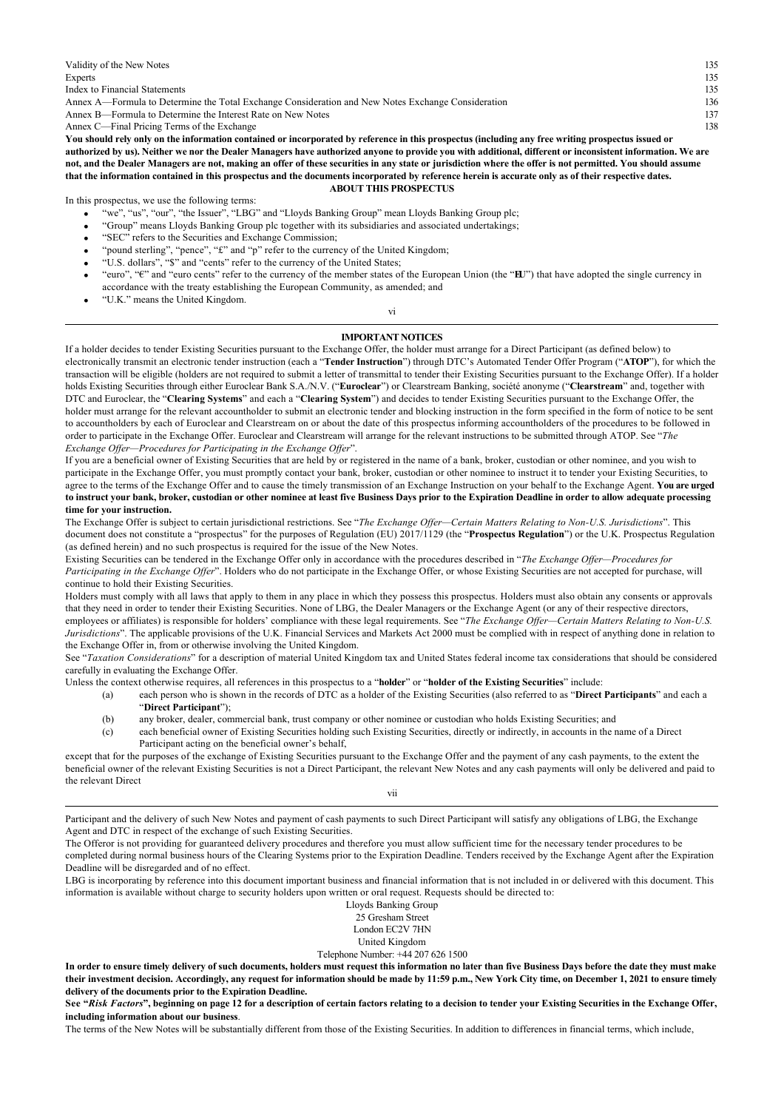| Validity of the New Notes                                                                                                                                  | 135 |
|------------------------------------------------------------------------------------------------------------------------------------------------------------|-----|
| Experts                                                                                                                                                    | 135 |
| Index to Financial Statements                                                                                                                              | 135 |
| Annex A—Formula to Determine the Total Exchange Consideration and New Notes Exchange Consideration                                                         | 136 |
| Annex B—Formula to Determine the Interest Rate on New Notes                                                                                                | 137 |
| Annex C—Final Pricing Terms of the Exchange                                                                                                                | 138 |
| You should rely only on the information contained or incorporated by reference in this prospectus (including any free writing prospectus issued or         |     |
| authorized by us). Neither we nor the Dealer Managers have authorized anyone to provide you with additional, different or inconsistent information. We are |     |
| not, and the Dealer Managers are not, making an offer of these securities in any state or jurisdiction where the offer is not permitted. You should assume |     |
| that the information contained in this prospectus and the documents incorporated by reference herein is accurate only as of their respective dates.        |     |

#### **ABOUT THIS PROSPECTUS**

In this prospectus, we use the following terms:

- · "we", "us", "our", "the Issuer", "LBG" and "Lloyds Banking Group" mean Lloyds Banking Group plc;
- · "Group" means Lloyds Banking Group plc together with its subsidiaries and associated undertakings;
- · "SEC" refers to the Securities and Exchange Commission;
- · "pound sterling", "pence", "£" and "p" refer to the currency of the United Kingdom;
- · "U.S. dollars", "\$" and "cents" refer to the currency of the United States;
- · "euro", "€" and "euro cents" refer to the currency of the member states of the European Union (the "**EU**") that have adopted the single currency in accordance with the treaty establishing the European Community, as amended; and
- · "U.K." means the United Kingdom.

vi

## **IMPORTANT NOTICES**

If a holder decides to tender Existing Securities pursuant to the Exchange Offer, the holder must arrange for a Direct Participant (as defined below) to electronically transmit an electronic tender instruction (each a "**Tender Instruction**") through DTC's Automated Tender Offer Program ("**ATOP**"), for which the transaction will be eligible (holders are not required to submit a letter of transmittal to tender their Existing Securities pursuant to the Exchange Offer). If a holder holds Existing Securities through either Euroclear Bank S.A./N.V. ("**Euroclear**") or Clearstream Banking, société anonyme ("**Clearstream**" and, together with DTC and Euroclear, the "**Clearing Systems**" and each a "**Clearing System**") and decides to tender Existing Securities pursuant to the Exchange Offer, the holder must arrange for the relevant accountholder to submit an electronic tender and blocking instruction in the form specified in the form of notice to be sent to accountholders by each of Euroclear and Clearstream on or about the date of this prospectus informing accountholders of the procedures to be followed in order to participate in the Exchange Offer. Euroclear and Clearstream will arrange for the relevant instructions to be submitted through ATOP. See "*The Exchange Offer—Procedures for Participating in the Exchange Offer*".

If you are a beneficial owner of Existing Securities that are held by or registered in the name of a bank, broker, custodian or other nominee, and you wish to participate in the Exchange Offer, you must promptly contact your bank, broker, custodian or other nominee to instruct it to tender your Existing Securities, to agree to the terms of the Exchange Offer and to cause the timely transmission of an Exchange Instruction on your behalf to the Exchange Agent. **You are urged to instruct your bank, broker, custodian or other nominee at least five Business Days prior to the Expiration Deadline in order to allow adequate processing time for your instruction.**

The Exchange Offer is subject to certain jurisdictional restrictions. See "*The Exchange Offer—Certain Matters Relating to Non-U.S. Jurisdictions*". This document does not constitute a "prospectus" for the purposes of Regulation (EU) 2017/1129 (the "**Prospectus Regulation**") or the U.K. Prospectus Regulation (as defined herein) and no such prospectus is required for the issue of the New Notes.

Existing Securities can be tendered in the Exchange Offer only in accordance with the procedures described in "*The Exchange Offer—Procedures for Participating in the Exchange Offer*". Holders who do not participate in the Exchange Offer, or whose Existing Securities are not accepted for purchase, will continue to hold their Existing Securities.

Holders must comply with all laws that apply to them in any place in which they possess this prospectus. Holders must also obtain any consents or approvals that they need in order to tender their Existing Securities. None of LBG, the Dealer Managers or the Exchange Agent (or any of their respective directors, employees or affiliates) is responsible for holders' compliance with these legal requirements. See "*The Exchange Offer—Certain Matters Relating to Non-U.S. Jurisdictions*". The applicable provisions of the U.K. Financial Services and Markets Act 2000 must be complied with in respect of anything done in relation to the Exchange Offer in, from or otherwise involving the United Kingdom.

See "*Taxation Considerations*" for a description of material United Kingdom tax and United States federal income tax considerations that should be considered carefully in evaluating the Exchange Offer.

Unless the context otherwise requires, all references in this prospectus to a "**holder**" or "**holder of the Existing Securities**" include:

(a) each person who is shown in the records of DTC as a holder of the Existing Securities (also referred to as "**Direct Participants**" and each a "**Direct Participant**");

- (b) any broker, dealer, commercial bank, trust company or other nominee or custodian who holds Existing Securities; and
- (c) each beneficial owner of Existing Securities holding such Existing Securities, directly or indirectly, in accounts in the name of a Direct Participant acting on the beneficial owner's behalf,

except that for the purposes of the exchange of Existing Securities pursuant to the Exchange Offer and the payment of any cash payments, to the extent the beneficial owner of the relevant Existing Securities is not a Direct Participant, the relevant New Notes and any cash payments will only be delivered and paid to the relevant Direct

vii

Participant and the delivery of such New Notes and payment of cash payments to such Direct Participant will satisfy any obligations of LBG, the Exchange Agent and DTC in respect of the exchange of such Existing Securities.

The Offeror is not providing for guaranteed delivery procedures and therefore you must allow sufficient time for the necessary tender procedures to be

completed during normal business hours of the Clearing Systems prior to the Expiration Deadline. Tenders received by the Exchange Agent after the Expiration Deadline will be disregarded and of no effect.

LBG is incorporating by reference into this document important business and financial information that is not included in or delivered with this document. This information is available without charge to security holders upon written or oral request. Requests should be directed to:

> Lloyds Banking Group 25 Gresham Street London EC2V 7HN

United Kingdom

Telephone Number: +44 207 626 1500

**In order to ensure timely delivery of such documents, holders must request this information no later than five Business Days before the date they must make their investment decision. Accordingly, any request for information should be made by 11:59 p.m., New York City time, on December 1, 2021 to ensure timely delivery of the documents prior to the Expiration Deadline.**

**See "***Risk Factors***", beginning on page 12 for a description of certain factors relating to a decision to tender your Existing Securities in the Exchange Offer, including information about our business**.

The terms of the New Notes will be substantially different from those of the Existing Securities. In addition to differences in financial terms, which include,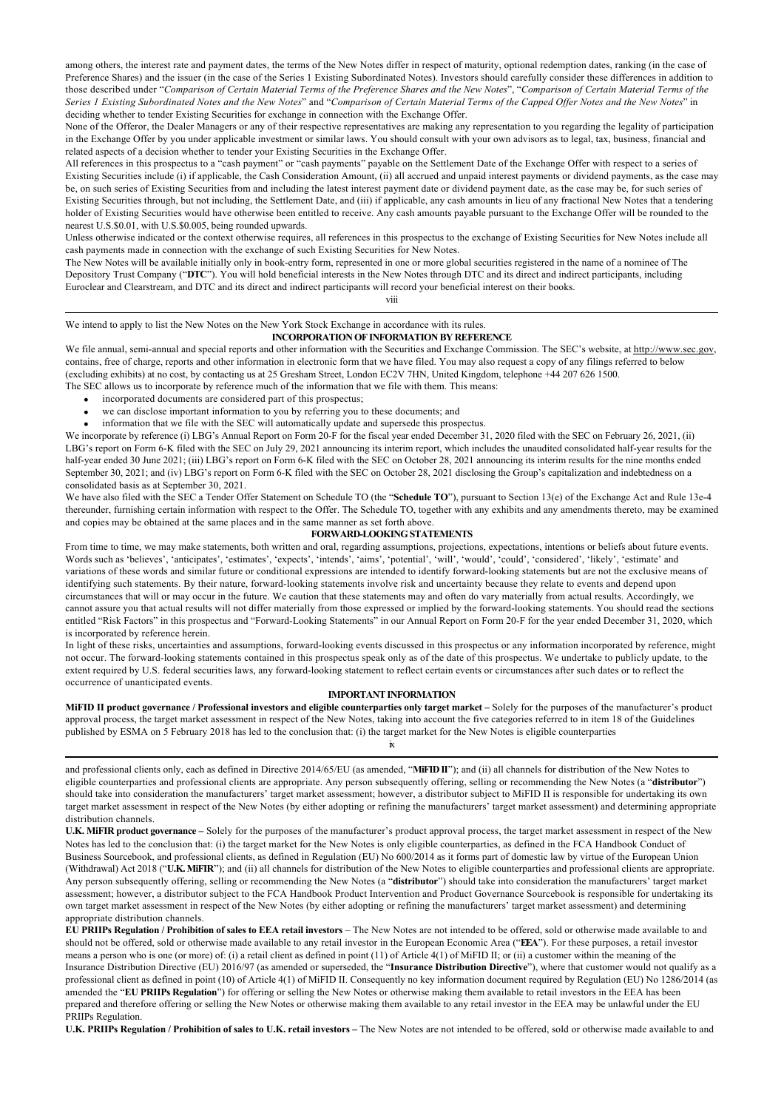among others, the interest rate and payment dates, the terms of the New Notes differ in respect of maturity, optional redemption dates, ranking (in the case of Preference Shares) and the issuer (in the case of the Series 1 Existing Subordinated Notes). Investors should carefully consider these differences in addition to those described under "*Comparison of Certain Material Terms of the Preference Shares and the New Notes*", "*Comparison of Certain Material Terms of the Series 1 Existing Subordinated Notes and the New Notes*" and "*Comparison of Certain Material Terms of the Capped Offer Notes and the New Notes*" in deciding whether to tender Existing Securities for exchange in connection with the Exchange Offer.

None of the Offeror, the Dealer Managers or any of their respective representatives are making any representation to you regarding the legality of participation in the Exchange Offer by you under applicable investment or similar laws. You should consult with your own advisors as to legal, tax, business, financial and related aspects of a decision whether to tender your Existing Securities in the Exchange Offer.

All references in this prospectus to a "cash payment" or "cash payments" payable on the Settlement Date of the Exchange Offer with respect to a series of Existing Securities include (i) if applicable, the Cash Consideration Amount, (ii) all accrued and unpaid interest payments or dividend payments, as the case may be, on such series of Existing Securities from and including the latest interest payment date or dividend payment date, as the case may be, for such series of Existing Securities through, but not including, the Settlement Date, and (iii) if applicable, any cash amounts in lieu of any fractional New Notes that a tendering holder of Existing Securities would have otherwise been entitled to receive. Any cash amounts payable pursuant to the Exchange Offer will be rounded to the nearest U.S.\$0.01, with U.S.\$0.005, being rounded upwards.

Unless otherwise indicated or the context otherwise requires, all references in this prospectus to the exchange of Existing Securities for New Notes include all cash payments made in connection with the exchange of such Existing Securities for New Notes.

The New Notes will be available initially only in book-entry form, represented in one or more global securities registered in the name of a nominee of The Depository Trust Company ("**DTC**"). You will hold beneficial interests in the New Notes through DTC and its direct and indirect participants, including Euroclear and Clearstream, and DTC and its direct and indirect participants will record your beneficial interest on their books.

viii

# We intend to apply to list the New Notes on the New York Stock Exchange in accordance with its rules.

# **INCORPORATION OF INFORMATION BY REFERENCE**

We file annual, semi-annual and special reports and other information with the Securities and Exchange Commission. The SEC's website, at http://www.sec.gov, contains, free of charge, reports and other information in electronic form that we have filed. You may also request a copy of any filings referred to below (excluding exhibits) at no cost, by contacting us at 25 Gresham Street, London EC2V 7HN, United Kingdom, telephone +44 207 626 1500. The SEC allows us to incorporate by reference much of the information that we file with them. This means:

- incorporated documents are considered part of this prospectus;
- we can disclose important information to you by referring you to these documents; and
- · information that we file with the SEC will automatically update and supersede this prospectus.

We incorporate by reference (i) LBG's Annual Report on Form 20-F for the fiscal year ended December 31, 2020 filed with the SEC on February 26, 2021, (ii) LBG's report on Form 6-K filed with the SEC on July 29, 2021 announcing its interim report, which includes the unaudited consolidated half-year results for the half-year ended 30 June 2021; (iii) LBG's report on Form 6-K filed with the SEC on October 28, 2021 announcing its interim results for the nine months ended September 30, 2021; and (iv) LBG's report on Form 6-K filed with the SEC on October 28, 2021 disclosing the Group's capitalization and indebtedness on a consolidated basis as at September 30, 2021.

We have also filed with the SEC a Tender Offer Statement on Schedule TO (the "**Schedule TO**"), pursuant to Section 13(e) of the Exchange Act and Rule 13e-4 thereunder, furnishing certain information with respect to the Offer. The Schedule TO, together with any exhibits and any amendments thereto, may be examined and copies may be obtained at the same places and in the same manner as set forth above.

## **FORWARD-LOOKING STATEMENTS**

From time to time, we may make statements, both written and oral, regarding assumptions, projections, expectations, intentions or beliefs about future events. Words such as 'believes', 'anticipates', 'estimates', 'expects', 'intends', 'aims', 'potential', 'will', 'would', 'could', 'considered', 'likely', 'estimate' and variations of these words and similar future or conditional expressions are intended to identify forward-looking statements but are not the exclusive means of identifying such statements. By their nature, forward-looking statements involve risk and uncertainty because they relate to events and depend upon circumstances that will or may occur in the future. We caution that these statements may and often do vary materially from actual results. Accordingly, we cannot assure you that actual results will not differ materially from those expressed or implied by the forward-looking statements. You should read the sections entitled "Risk Factors" in this prospectus and "Forward-Looking Statements" in our Annual Report on Form 20-F for the year ended December 31, 2020, which is incorporated by reference herein.

In light of these risks, uncertainties and assumptions, forward-looking events discussed in this prospectus or any information incorporated by reference, might not occur. The forward-looking statements contained in this prospectus speak only as of the date of this prospectus. We undertake to publicly update, to the extent required by U.S. federal securities laws, any forward-looking statement to reflect certain events or circumstances after such dates or to reflect the occurrence of unanticipated events.

### **IMPORTANT INFORMATION**

**MiFID II product governance / Professional investors and eligible counterparties only target market –** Solely for the purposes of the manufacturer's product approval process, the target market assessment in respect of the New Notes, taking into account the five categories referred to in item 18 of the Guidelines published by ESMA on 5 February 2018 has led to the conclusion that: (i) the target market for the New Notes is eligible counterparties ix

and professional clients only, each as defined in Directive 2014/65/EU (as amended, "**MiFID II**"); and (ii) all channels for distribution of the New Notes to eligible counterparties and professional clients are appropriate. Any person subsequently offering, selling or recommending the New Notes (a "**distributor**") should take into consideration the manufacturers' target market assessment; however, a distributor subject to MiFID II is responsible for undertaking its own target market assessment in respect of the New Notes (by either adopting or refining the manufacturers' target market assessment) and determining appropriate distribution channels.

**U.K. MiFIR product governance** *–* Solely for the purposes of the manufacturer's product approval process, the target market assessment in respect of the New Notes has led to the conclusion that: (i) the target market for the New Notes is only eligible counterparties, as defined in the FCA Handbook Conduct of Business Sourcebook, and professional clients, as defined in Regulation (EU) No 600/2014 as it forms part of domestic law by virtue of the European Union (Withdrawal) Act 2018 ("**U.K. MiFIR**"); and (ii) all channels for distribution of the New Notes to eligible counterparties and professional clients are appropriate. Any person subsequently offering, selling or recommending the New Notes (a "**distributor**") should take into consideration the manufacturers' target market assessment; however, a distributor subject to the FCA Handbook Product Intervention and Product Governance Sourcebook is responsible for undertaking its own target market assessment in respect of the New Notes (by either adopting or refining the manufacturers' target market assessment) and determining appropriate distribution channels.

**EU PRIIPs Regulation / Prohibition of sales to EEA retail investors** – The New Notes are not intended to be offered, sold or otherwise made available to and should not be offered, sold or otherwise made available to any retail investor in the European Economic Area ("**EEA**"). For these purposes, a retail investor means a person who is one (or more) of: (i) a retail client as defined in point (11) of Article 4(1) of MiFID II; or (ii) a customer within the meaning of the Insurance Distribution Directive (EU) 2016/97 (as amended or superseded, the "**Insurance Distribution Directive**"), where that customer would not qualify as a professional client as defined in point (10) of Article 4(1) of MiFID II. Consequently no key information document required by Regulation (EU) No 1286/2014 (as amended the "**EU PRIIPs Regulation**") for offering or selling the New Notes or otherwise making them available to retail investors in the EEA has been prepared and therefore offering or selling the New Notes or otherwise making them available to any retail investor in the EEA may be unlawful under the EU PRIIPs Regulation.

**U.K. PRIIPs Regulation / Prohibition of sales to U.K. retail investors –** The New Notes are not intended to be offered, sold or otherwise made available to and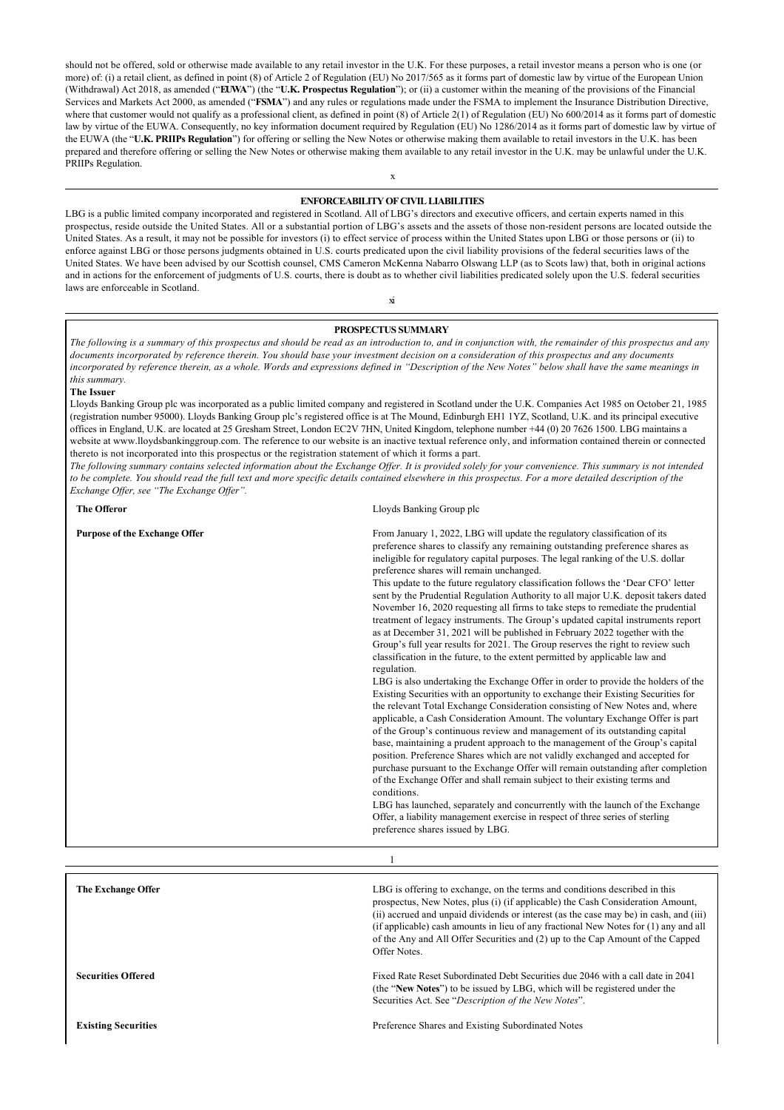should not be offered, sold or otherwise made available to any retail investor in the U.K. For these purposes, a retail investor means a person who is one (or more) of: (i) a retail client, as defined in point (8) of Article 2 of Regulation (EU) No 2017/565 as it forms part of domestic law by virtue of the European Union (Withdrawal) Act 2018, as amended ("**EUWA**") (the "**U.K. Prospectus Regulation**"); or (ii) a customer within the meaning of the provisions of the Financial Services and Markets Act 2000, as amended ("**FSMA**") and any rules or regulations made under the FSMA to implement the Insurance Distribution Directive, where that customer would not qualify as a professional client, as defined in point (8) of Article 2(1) of Regulation (EU) No 600/2014 as it forms part of domestic law by virtue of the EUWA. Consequently, no key information document required by Regulation (EU) No 1286/2014 as it forms part of domestic law by virtue of the EUWA (the "U.K. PRIIPs Regulation") for offering or selling the New Notes or otherwise making them available to retail investors in the U.K. has been prepared and therefore offering or selling the New Notes or otherwise making them available to any retail investor in the U.K. may be unlawful under the U.K. PRIIPs Regulation.

## **ENFORCEABILITY OF CIVIL LIABILITIES**

LBG is a public limited company incorporated and registered in Scotland. All of LBG's directors and executive officers, and certain experts named in this prospectus, reside outside the United States. All or a substantial portion of LBG's assets and the assets of those non-resident persons are located outside the United States. As a result, it may not be possible for investors (i) to effect service of process within the United States upon LBG or those persons or (ii) to enforce against LBG or those persons judgments obtained in U.S. courts predicated upon the civil liability provisions of the federal securities laws of the United States. We have been advised by our Scottish counsel, CMS Cameron McKenna Nabarro Olswang LLP (as to Scots law) that, both in original actions and in actions for the enforcement of judgments of U.S. courts, there is doubt as to whether civil liabilities predicated solely upon the U.S. federal securities laws are enforceable in Scotland.

#### **PROSPECTUS SUMMARY**

xi

*The following is a summary of this prospectus and should be read as an introduction to, and in conjunction with, the remainder of this prospectus and any documents incorporated by reference therein. You should base your investment decision on a consideration of this prospectus and any documents incorporated by reference therein, as a whole. Words and expressions defined in "Description of the New Notes" below shall have the same meanings in this summary.*

#### **The Issuer**

Lloyds Banking Group plc was incorporated as a public limited company and registered in Scotland under the U.K. Companies Act 1985 on October 21, 1985 (registration number 95000). Lloyds Banking Group plc's registered office is at The Mound, Edinburgh EH1 1YZ, Scotland, U.K. and its principal executive offices in England, U.K. are located at 25 Gresham Street, London EC2V 7HN, United Kingdom, telephone number +44 (0) 20 7626 1500. LBG maintains a website at www.lloydsbankinggroup.com. The reference to our website is an inactive textual reference only, and information contained therein or connected thereto is not incorporated into this prospectus or the registration statement of which it forms a part.

*The following summary contains selected information about the Exchange Offer. It is provided solely for your convenience. This summary is not intended to be complete. You should read the full text and more specific details contained elsewhere in this prospectus. For a more detailed description of the Exchange Offer, see "The Exchange Offer".*

**The Offeror** Lloyds Banking Group plc

| <b>Purpose of the Exchange Offer</b> | From January 1, 2022, LBG will update the regulatory classification of its<br>preference shares to classify any remaining outstanding preference shares as<br>ineligible for regulatory capital purposes. The legal ranking of the U.S. dollar<br>preference shares will remain unchanged.<br>This update to the future regulatory classification follows the 'Dear CFO' letter<br>sent by the Prudential Regulation Authority to all major U.K. deposit takers dated<br>November 16, 2020 requesting all firms to take steps to remediate the prudential<br>treatment of legacy instruments. The Group's updated capital instruments report<br>as at December 31, 2021 will be published in February 2022 together with the<br>Group's full year results for 2021. The Group reserves the right to review such<br>classification in the future, to the extent permitted by applicable law and<br>regulation.<br>LBG is also undertaking the Exchange Offer in order to provide the holders of the<br>Existing Securities with an opportunity to exchange their Existing Securities for<br>the relevant Total Exchange Consideration consisting of New Notes and, where<br>applicable, a Cash Consideration Amount. The voluntary Exchange Offer is part<br>of the Group's continuous review and management of its outstanding capital<br>base, maintaining a prudent approach to the management of the Group's capital<br>position. Preference Shares which are not validly exchanged and accepted for<br>purchase pursuant to the Exchange Offer will remain outstanding after completion<br>of the Exchange Offer and shall remain subject to their existing terms and<br>conditions.<br>LBG has launched, separately and concurrently with the launch of the Exchange<br>Offer, a liability management exercise in respect of three series of sterling<br>preference shares issued by LBG. |
|--------------------------------------|------------------------------------------------------------------------------------------------------------------------------------------------------------------------------------------------------------------------------------------------------------------------------------------------------------------------------------------------------------------------------------------------------------------------------------------------------------------------------------------------------------------------------------------------------------------------------------------------------------------------------------------------------------------------------------------------------------------------------------------------------------------------------------------------------------------------------------------------------------------------------------------------------------------------------------------------------------------------------------------------------------------------------------------------------------------------------------------------------------------------------------------------------------------------------------------------------------------------------------------------------------------------------------------------------------------------------------------------------------------------------------------------------------------------------------------------------------------------------------------------------------------------------------------------------------------------------------------------------------------------------------------------------------------------------------------------------------------------------------------------------------------------------------------------------------------------------------------------------------------------------------------------|
|                                      |                                                                                                                                                                                                                                                                                                                                                                                                                                                                                                                                                                                                                                                                                                                                                                                                                                                                                                                                                                                                                                                                                                                                                                                                                                                                                                                                                                                                                                                                                                                                                                                                                                                                                                                                                                                                                                                                                                |
| <b>The Exchange Offer</b>            | LBG is offering to exchange, on the terms and conditions described in this<br>prospectus, New Notes, plus (i) (if applicable) the Cash Consideration Amount,<br>(ii) accrued and unpaid dividends or interest (as the case may be) in cash, and (iii)<br>(if applicable) cash amounts in lieu of any fractional New Notes for (1) any and all                                                                                                                                                                                                                                                                                                                                                                                                                                                                                                                                                                                                                                                                                                                                                                                                                                                                                                                                                                                                                                                                                                                                                                                                                                                                                                                                                                                                                                                                                                                                                  |

Offer Notes.

**Securities Offered** Fixed Rate Reset Subordinated Debt Securities due 2046 with a call date in 2041 (the "**New Notes**") to be issued by LBG, which will be registered under the Securities Act. See "*Description of the New Notes*".

of the Any and All Offer Securities and (2) up to the Cap Amount of the Capped

**Existing Securities Existing Securities Preference Shares and Existing Subordinated Notes** 

x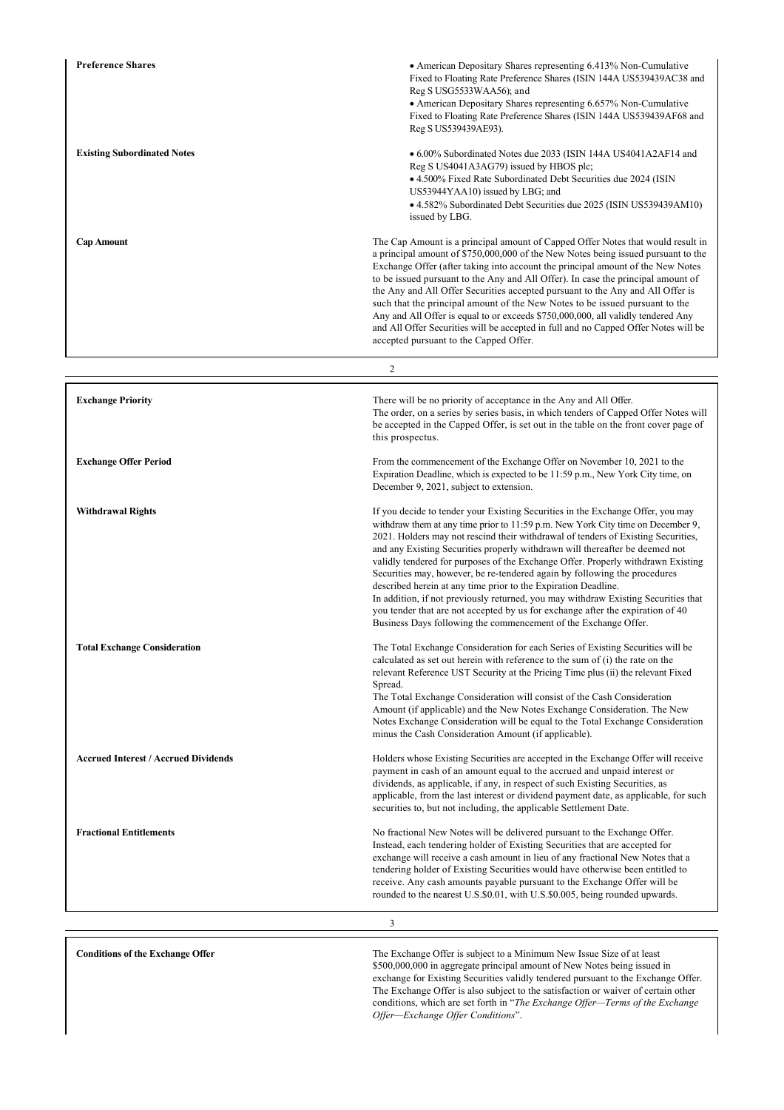| <b>Preference Shares</b>                    | • American Depositary Shares representing 6.413% Non-Cumulative<br>Fixed to Floating Rate Preference Shares (ISIN 144A US539439AC38 and<br>Reg S USG5533WAA56); and<br>• American Depositary Shares representing 6.657% Non-Cumulative<br>Fixed to Floating Rate Preference Shares (ISIN 144A US539439AF68 and<br>Reg S US539439AE93).                                                                                                                                                                                                                                                                                                                                                                                                                                                                                |
|---------------------------------------------|-----------------------------------------------------------------------------------------------------------------------------------------------------------------------------------------------------------------------------------------------------------------------------------------------------------------------------------------------------------------------------------------------------------------------------------------------------------------------------------------------------------------------------------------------------------------------------------------------------------------------------------------------------------------------------------------------------------------------------------------------------------------------------------------------------------------------|
| <b>Existing Subordinated Notes</b>          | • 6.00% Subordinated Notes due 2033 (ISIN 144A US4041A2AF14 and<br>Reg S US4041A3AG79) issued by HBOS plc;<br>• 4.500% Fixed Rate Subordinated Debt Securities due 2024 (ISIN<br>US53944YAA10) issued by LBG; and<br>• 4.582% Subordinated Debt Securities due 2025 (ISIN US539439AM10)<br>issued by LBG.                                                                                                                                                                                                                                                                                                                                                                                                                                                                                                             |
| <b>Cap Amount</b>                           | The Cap Amount is a principal amount of Capped Offer Notes that would result in<br>a principal amount of \$750,000,000 of the New Notes being issued pursuant to the<br>Exchange Offer (after taking into account the principal amount of the New Notes<br>to be issued pursuant to the Any and All Offer). In case the principal amount of<br>the Any and All Offer Securities accepted pursuant to the Any and All Offer is<br>such that the principal amount of the New Notes to be issued pursuant to the<br>Any and All Offer is equal to or exceeds \$750,000,000, all validly tendered Any<br>and All Offer Securities will be accepted in full and no Capped Offer Notes will be<br>accepted pursuant to the Capped Offer.                                                                                    |
|                                             | 2                                                                                                                                                                                                                                                                                                                                                                                                                                                                                                                                                                                                                                                                                                                                                                                                                     |
| <b>Exchange Priority</b>                    | There will be no priority of acceptance in the Any and All Offer.<br>The order, on a series by series basis, in which tenders of Capped Offer Notes will<br>be accepted in the Capped Offer, is set out in the table on the front cover page of<br>this prospectus.                                                                                                                                                                                                                                                                                                                                                                                                                                                                                                                                                   |
| <b>Exchange Offer Period</b>                | From the commencement of the Exchange Offer on November 10, 2021 to the<br>Expiration Deadline, which is expected to be 11:59 p.m., New York City time, on<br>December 9, 2021, subject to extension.                                                                                                                                                                                                                                                                                                                                                                                                                                                                                                                                                                                                                 |
| <b>Withdrawal Rights</b>                    | If you decide to tender your Existing Securities in the Exchange Offer, you may<br>withdraw them at any time prior to 11:59 p.m. New York City time on December 9,<br>2021. Holders may not rescind their withdrawal of tenders of Existing Securities,<br>and any Existing Securities properly withdrawn will thereafter be deemed not<br>validly tendered for purposes of the Exchange Offer. Properly withdrawn Existing<br>Securities may, however, be re-tendered again by following the procedures<br>described herein at any time prior to the Expiration Deadline.<br>In addition, if not previously returned, you may withdraw Existing Securities that<br>you tender that are not accepted by us for exchange after the expiration of 40<br>Business Days following the commencement of the Exchange Offer. |
| <b>Total Exchange Consideration</b>         | The Total Exchange Consideration for each Series of Existing Securities will be<br>calculated as set out herein with reference to the sum of (i) the rate on the<br>relevant Reference UST Security at the Pricing Time plus (ii) the relevant Fixed<br>Spread.<br>The Total Exchange Consideration will consist of the Cash Consideration<br>Amount (if applicable) and the New Notes Exchange Consideration. The New<br>Notes Exchange Consideration will be equal to the Total Exchange Consideration<br>minus the Cash Consideration Amount (if applicable).                                                                                                                                                                                                                                                      |
| <b>Accrued Interest / Accrued Dividends</b> | Holders whose Existing Securities are accepted in the Exchange Offer will receive<br>payment in cash of an amount equal to the accrued and unpaid interest or<br>dividends, as applicable, if any, in respect of such Existing Securities, as<br>applicable, from the last interest or dividend payment date, as applicable, for such<br>securities to, but not including, the applicable Settlement Date.                                                                                                                                                                                                                                                                                                                                                                                                            |
| <b>Fractional Entitlements</b>              | No fractional New Notes will be delivered pursuant to the Exchange Offer.<br>Instead, each tendering holder of Existing Securities that are accepted for<br>exchange will receive a cash amount in lieu of any fractional New Notes that a<br>tendering holder of Existing Securities would have otherwise been entitled to<br>receive. Any cash amounts payable pursuant to the Exchange Offer will be<br>rounded to the nearest U.S.\$0.01, with U.S.\$0.005, being rounded upwards.                                                                                                                                                                                                                                                                                                                                |
|                                             | 3                                                                                                                                                                                                                                                                                                                                                                                                                                                                                                                                                                                                                                                                                                                                                                                                                     |
|                                             |                                                                                                                                                                                                                                                                                                                                                                                                                                                                                                                                                                                                                                                                                                                                                                                                                       |

**Conditions of the Exchange Offer** The Exchange Offer is subject to a Minimum New Issue Size of at least \$500,000,000 in aggregate principal amount of New Notes being issued in exchange for Existing Securities validly tendered pursuant to the Exchange Offer. The Exchange Offer is also subject to the satisfaction or waiver of certain other conditions, which are set forth in "*The Exchange Offer—Terms of the Exchange Offer—Exchange Offer Conditions*".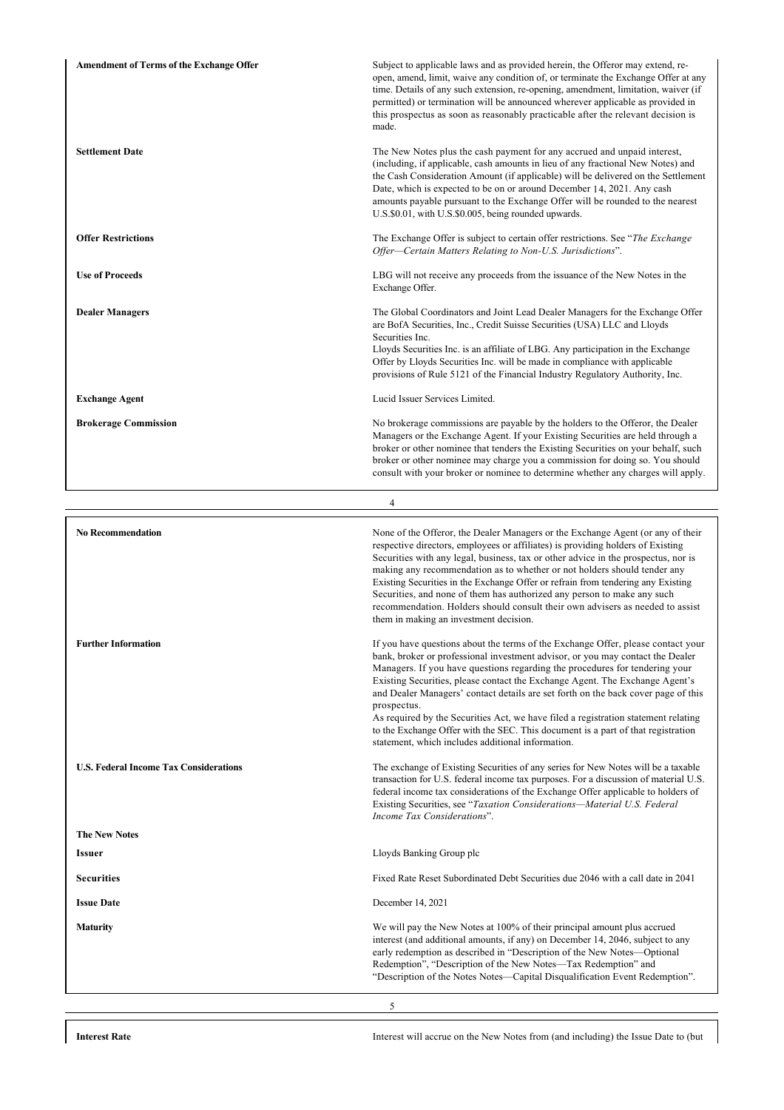| <b>Amendment of Terms of the Exchange Offer</b> | Subject to applicable laws and as provided herein, the Offeror may extend, re-<br>open, amend, limit, waive any condition of, or terminate the Exchange Offer at any<br>time. Details of any such extension, re-opening, amendment, limitation, waiver (if<br>permitted) or termination will be announced wherever applicable as provided in<br>this prospectus as soon as reasonably practicable after the relevant decision is<br>made.                                                                                                                                                                                                                            |
|-------------------------------------------------|----------------------------------------------------------------------------------------------------------------------------------------------------------------------------------------------------------------------------------------------------------------------------------------------------------------------------------------------------------------------------------------------------------------------------------------------------------------------------------------------------------------------------------------------------------------------------------------------------------------------------------------------------------------------|
| <b>Settlement Date</b>                          | The New Notes plus the cash payment for any accrued and unpaid interest,<br>(including, if applicable, cash amounts in lieu of any fractional New Notes) and<br>the Cash Consideration Amount (if applicable) will be delivered on the Settlement<br>Date, which is expected to be on or around December 14, 2021. Any cash<br>amounts payable pursuant to the Exchange Offer will be rounded to the nearest<br>U.S.\$0.01, with U.S.\$0.005, being rounded upwards.                                                                                                                                                                                                 |
| <b>Offer Restrictions</b>                       | The Exchange Offer is subject to certain offer restrictions. See "The Exchange"<br>Offer-Certain Matters Relating to Non-U.S. Jurisdictions".                                                                                                                                                                                                                                                                                                                                                                                                                                                                                                                        |
| <b>Use of Proceeds</b>                          | LBG will not receive any proceeds from the issuance of the New Notes in the<br>Exchange Offer.                                                                                                                                                                                                                                                                                                                                                                                                                                                                                                                                                                       |
| <b>Dealer Managers</b>                          | The Global Coordinators and Joint Lead Dealer Managers for the Exchange Offer<br>are BofA Securities, Inc., Credit Suisse Securities (USA) LLC and Lloyds<br>Securities Inc.<br>Lloyds Securities Inc. is an affiliate of LBG. Any participation in the Exchange<br>Offer by Lloyds Securities Inc. will be made in compliance with applicable<br>provisions of Rule 5121 of the Financial Industry Regulatory Authority, Inc.                                                                                                                                                                                                                                       |
| <b>Exchange Agent</b>                           | Lucid Issuer Services Limited.                                                                                                                                                                                                                                                                                                                                                                                                                                                                                                                                                                                                                                       |
| <b>Brokerage Commission</b>                     | No brokerage commissions are payable by the holders to the Offeror, the Dealer<br>Managers or the Exchange Agent. If your Existing Securities are held through a<br>broker or other nominee that tenders the Existing Securities on your behalf, such<br>broker or other nominee may charge you a commission for doing so. You should<br>consult with your broker or nominee to determine whether any charges will apply.                                                                                                                                                                                                                                            |
|                                                 | $\overline{4}$                                                                                                                                                                                                                                                                                                                                                                                                                                                                                                                                                                                                                                                       |
| <b>No Recommendation</b>                        | None of the Offeror, the Dealer Managers or the Exchange Agent (or any of their<br>respective directors, employees or affiliates) is providing holders of Existing<br>Securities with any legal, business, tax or other advice in the prospectus, nor is<br>making any recommendation as to whether or not holders should tender any<br>Existing Securities in the Exchange Offer or refrain from tendering any Existing<br>Securities, and none of them has authorized any person to make any such<br>recommendation. Holders should consult their own advisers as needed to assist<br>them in making an investment decision.                                       |
| <b>Further Information</b>                      | If you have questions about the terms of the Exchange Offer, please contact your<br>bank, broker or professional investment advisor, or you may contact the Dealer<br>Managers. If you have questions regarding the procedures for tendering your<br>Existing Securities, please contact the Exchange Agent. The Exchange Agent's<br>and Dealer Managers' contact details are set forth on the back cover page of this<br>prospectus.<br>As required by the Securities Act, we have filed a registration statement relating<br>to the Exchange Offer with the SEC. This document is a part of that registration<br>statement, which includes additional information. |
| <b>U.S. Federal Income Tax Considerations</b>   | The exchange of Existing Securities of any series for New Notes will be a taxable<br>transaction for U.S. federal income tax purposes. For a discussion of material U.S.<br>federal income tax considerations of the Exchange Offer applicable to holders of<br>Existing Securities, see "Taxation Considerations-Material U.S. Federal<br>Income Tax Considerations".                                                                                                                                                                                                                                                                                               |
| <b>The New Notes</b>                            |                                                                                                                                                                                                                                                                                                                                                                                                                                                                                                                                                                                                                                                                      |

5

**Issuer** Lloyds Banking Group plc

**Securities** Fixed Rate Reset Subordinated Debt Securities due 2046 with a call date in 2041

**Issue Date** December 14, 2021

**Maturity** We will pay the New Notes at 100% of their principal amount plus accrued

**Interest Rate** Interest will accrue on the New Notes from (and including) the Issue Date to (but

interest (and additional amounts, if any) on December 14, 2046, subject to any early redemption as described in "Description of the New Notes—Optional Redemption", "Description of the New Notes—Tax Redemption" and "Description of the Notes Notes—Capital Disqualification Event Redemption".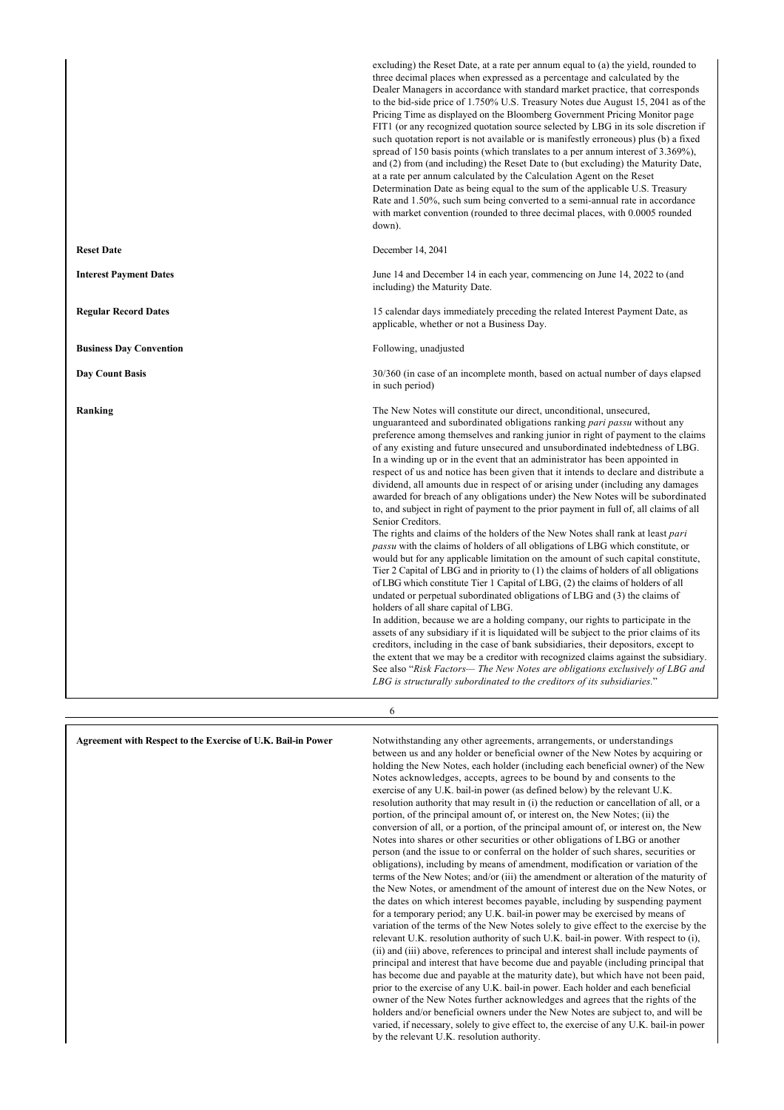|                                | excluding) the Reset Date, at a rate per annum equal to (a) the yield, rounded to<br>three decimal places when expressed as a percentage and calculated by the<br>Dealer Managers in accordance with standard market practice, that corresponds<br>to the bid-side price of 1.750% U.S. Treasury Notes due August 15, 2041 as of the<br>Pricing Time as displayed on the Bloomberg Government Pricing Monitor page<br>FIT1 (or any recognized quotation source selected by LBG in its sole discretion if<br>such quotation report is not available or is manifestly erroneous) plus (b) a fixed<br>spread of 150 basis points (which translates to a per annum interest of 3.369%),<br>and (2) from (and including) the Reset Date to (but excluding) the Maturity Date,<br>at a rate per annum calculated by the Calculation Agent on the Reset<br>Determination Date as being equal to the sum of the applicable U.S. Treasury<br>Rate and 1.50%, such sum being converted to a semi-annual rate in accordance<br>with market convention (rounded to three decimal places, with 0.0005 rounded<br>down).                                                                                                                                                                                                                                                                                                                                                                                                                                                                                                                                                                                                                                                                                                                                                              |
|--------------------------------|-------------------------------------------------------------------------------------------------------------------------------------------------------------------------------------------------------------------------------------------------------------------------------------------------------------------------------------------------------------------------------------------------------------------------------------------------------------------------------------------------------------------------------------------------------------------------------------------------------------------------------------------------------------------------------------------------------------------------------------------------------------------------------------------------------------------------------------------------------------------------------------------------------------------------------------------------------------------------------------------------------------------------------------------------------------------------------------------------------------------------------------------------------------------------------------------------------------------------------------------------------------------------------------------------------------------------------------------------------------------------------------------------------------------------------------------------------------------------------------------------------------------------------------------------------------------------------------------------------------------------------------------------------------------------------------------------------------------------------------------------------------------------------------------------------------------------------------------------------------------------|
| <b>Reset Date</b>              | December 14, 2041                                                                                                                                                                                                                                                                                                                                                                                                                                                                                                                                                                                                                                                                                                                                                                                                                                                                                                                                                                                                                                                                                                                                                                                                                                                                                                                                                                                                                                                                                                                                                                                                                                                                                                                                                                                                                                                       |
| <b>Interest Payment Dates</b>  | June 14 and December 14 in each year, commencing on June 14, 2022 to (and<br>including) the Maturity Date.                                                                                                                                                                                                                                                                                                                                                                                                                                                                                                                                                                                                                                                                                                                                                                                                                                                                                                                                                                                                                                                                                                                                                                                                                                                                                                                                                                                                                                                                                                                                                                                                                                                                                                                                                              |
| <b>Regular Record Dates</b>    | 15 calendar days immediately preceding the related Interest Payment Date, as<br>applicable, whether or not a Business Day.                                                                                                                                                                                                                                                                                                                                                                                                                                                                                                                                                                                                                                                                                                                                                                                                                                                                                                                                                                                                                                                                                                                                                                                                                                                                                                                                                                                                                                                                                                                                                                                                                                                                                                                                              |
| <b>Business Day Convention</b> | Following, unadjusted                                                                                                                                                                                                                                                                                                                                                                                                                                                                                                                                                                                                                                                                                                                                                                                                                                                                                                                                                                                                                                                                                                                                                                                                                                                                                                                                                                                                                                                                                                                                                                                                                                                                                                                                                                                                                                                   |
| <b>Day Count Basis</b>         | 30/360 (in case of an incomplete month, based on actual number of days elapsed<br>in such period)                                                                                                                                                                                                                                                                                                                                                                                                                                                                                                                                                                                                                                                                                                                                                                                                                                                                                                                                                                                                                                                                                                                                                                                                                                                                                                                                                                                                                                                                                                                                                                                                                                                                                                                                                                       |
| Ranking                        | The New Notes will constitute our direct, unconditional, unsecured,<br>unguaranteed and subordinated obligations ranking pari passu without any<br>preference among themselves and ranking junior in right of payment to the claims<br>of any existing and future unsecured and unsubordinated indebtedness of LBG.<br>In a winding up or in the event that an administrator has been appointed in<br>respect of us and notice has been given that it intends to declare and distribute a<br>dividend, all amounts due in respect of or arising under (including any damages<br>awarded for breach of any obligations under) the New Notes will be subordinated<br>to, and subject in right of payment to the prior payment in full of, all claims of all<br>Senior Creditors.<br>The rights and claims of the holders of the New Notes shall rank at least pari<br><i>passu</i> with the claims of holders of all obligations of LBG which constitute, or<br>would but for any applicable limitation on the amount of such capital constitute,<br>Tier 2 Capital of LBG and in priority to (1) the claims of holders of all obligations<br>of LBG which constitute Tier 1 Capital of LBG, (2) the claims of holders of all<br>undated or perpetual subordinated obligations of LBG and (3) the claims of<br>holders of all share capital of LBG.<br>In addition, because we are a holding company, our rights to participate in the<br>assets of any subsidiary if it is liquidated will be subject to the prior claims of its<br>creditors, including in the case of bank subsidiaries, their depositors, except to<br>the extent that we may be a creditor with recognized claims against the subsidiary.<br>See also "Risk Factors— The New Notes are obligations exclusively of LBG and<br>LBG is structurally subordinated to the creditors of its subsidiaries." |
|                                | 6                                                                                                                                                                                                                                                                                                                                                                                                                                                                                                                                                                                                                                                                                                                                                                                                                                                                                                                                                                                                                                                                                                                                                                                                                                                                                                                                                                                                                                                                                                                                                                                                                                                                                                                                                                                                                                                                       |

**Agreement with Respect to the Exercise of U.K. Bail-in Power** Notwithstanding any other agreements, arrangements, or understandings between us and any holder or beneficial owner of the New Notes by acquiring or holding the New Notes, each holder (including each beneficial owner) of the New Notes acknowledges, accepts, agrees to be bound by and consents to the exercise of any U.K. bail-in power (as defined below) by the relevant U.K. resolution authority that may result in (i) the reduction or cancellation of all, or a portion, of the principal amount of, or interest on, the New Notes; (ii) the conversion of all, or a portion, of the principal amount of, or interest on, the New Notes into shares or other securities or other obligations of LBG or another person (and the issue to or conferral on the holder of such shares, securities or obligations), including by means of amendment, modification or variation of the terms of the New Notes; and/or (iii) the amendment or alteration of the maturity of the New Notes, or amendment of the amount of interest due on the New Notes, or the dates on which interest becomes payable, including by suspending payment for a temporary period; any U.K. bail-in power may be exercised by means of variation of the terms of the New Notes solely to give effect to the exercise by the relevant U.K. resolution authority of such U.K. bail-in power. With respect to (i), (ii) and (iii) above, references to principal and interest shall include payments of principal and interest that have become due and payable (including principal that has become due and payable at the maturity date), but which have not been paid, prior to the exercise of any U.K. bail-in power. Each holder and each beneficial owner of the New Notes further acknowledges and agrees that the rights of the holders and/or beneficial owners under the New Notes are subject to, and will be varied, if necessary, solely to give effect to, the exercise of any U.K. bail-in power by the relevant U.K. resolution authority.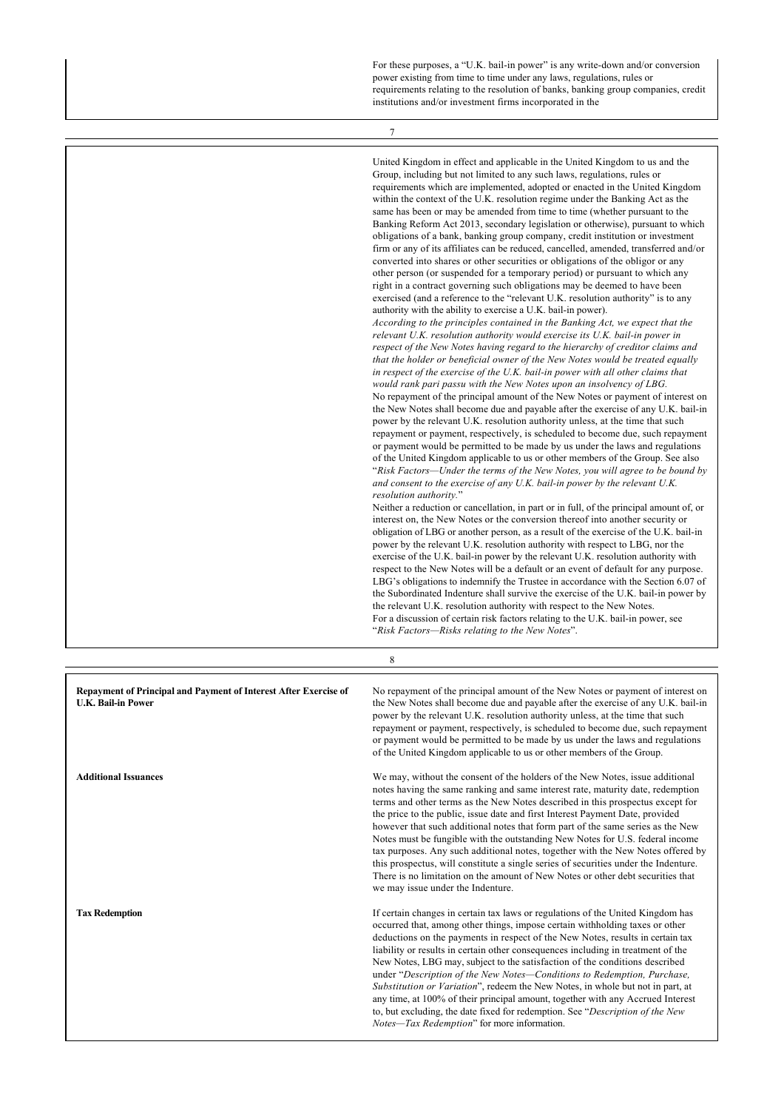For these purposes, a "U.K. bail-in power" is any write-down and/or conversion power existing from time to time under any laws, regulations, rules or requirements relating to the resolution of banks, banking group companies, credit institutions and/or investment firms incorporated in the

7

|                                                                                                      | United Kingdom in effect and applicable in the United Kingdom to us and the<br>Group, including but not limited to any such laws, regulations, rules or<br>requirements which are implemented, adopted or enacted in the United Kingdom<br>within the context of the U.K. resolution regime under the Banking Act as the<br>same has been or may be amended from time to time (whether pursuant to the<br>Banking Reform Act 2013, secondary legislation or otherwise), pursuant to which<br>obligations of a bank, banking group company, credit institution or investment<br>firm or any of its affiliates can be reduced, cancelled, amended, transferred and/or<br>converted into shares or other securities or obligations of the obligor or any<br>other person (or suspended for a temporary period) or pursuant to which any<br>right in a contract governing such obligations may be deemed to have been<br>exercised (and a reference to the "relevant U.K. resolution authority" is to any<br>authority with the ability to exercise a U.K. bail-in power).<br>According to the principles contained in the Banking Act, we expect that the<br>relevant U.K. resolution authority would exercise its U.K. bail-in power in<br>respect of the New Notes having regard to the hierarchy of creditor claims and<br>that the holder or beneficial owner of the New Notes would be treated equally<br>in respect of the exercise of the U.K. bail-in power with all other claims that<br>would rank pari passu with the New Notes upon an insolvency of LBG.<br>No repayment of the principal amount of the New Notes or payment of interest on<br>the New Notes shall become due and payable after the exercise of any U.K. bail-in<br>power by the relevant U.K. resolution authority unless, at the time that such<br>repayment or payment, respectively, is scheduled to become due, such repayment<br>or payment would be permitted to be made by us under the laws and regulations<br>of the United Kingdom applicable to us or other members of the Group. See also<br>"Risk Factors—Under the terms of the New Notes, you will agree to be bound by<br>and consent to the exercise of any U.K. bail-in power by the relevant U.K.<br>resolution authority."<br>Neither a reduction or cancellation, in part or in full, of the principal amount of, or<br>interest on, the New Notes or the conversion thereof into another security or<br>obligation of LBG or another person, as a result of the exercise of the U.K. bail-in<br>power by the relevant U.K. resolution authority with respect to LBG, nor the<br>exercise of the U.K. bail-in power by the relevant U.K. resolution authority with<br>respect to the New Notes will be a default or an event of default for any purpose.<br>LBG's obligations to indemnify the Trustee in accordance with the Section 6.07 of<br>the Subordinated Indenture shall survive the exercise of the U.K. bail-in power by<br>the relevant U.K. resolution authority with respect to the New Notes.<br>For a discussion of certain risk factors relating to the U.K. bail-in power, see<br>"Risk Factors—Risks relating to the New Notes". |
|------------------------------------------------------------------------------------------------------|-----------------------------------------------------------------------------------------------------------------------------------------------------------------------------------------------------------------------------------------------------------------------------------------------------------------------------------------------------------------------------------------------------------------------------------------------------------------------------------------------------------------------------------------------------------------------------------------------------------------------------------------------------------------------------------------------------------------------------------------------------------------------------------------------------------------------------------------------------------------------------------------------------------------------------------------------------------------------------------------------------------------------------------------------------------------------------------------------------------------------------------------------------------------------------------------------------------------------------------------------------------------------------------------------------------------------------------------------------------------------------------------------------------------------------------------------------------------------------------------------------------------------------------------------------------------------------------------------------------------------------------------------------------------------------------------------------------------------------------------------------------------------------------------------------------------------------------------------------------------------------------------------------------------------------------------------------------------------------------------------------------------------------------------------------------------------------------------------------------------------------------------------------------------------------------------------------------------------------------------------------------------------------------------------------------------------------------------------------------------------------------------------------------------------------------------------------------------------------------------------------------------------------------------------------------------------------------------------------------------------------------------------------------------------------------------------------------------------------------------------------------------------------------------------------------------------------------------------------------------------------------------------------------------------------------------------------------------------------------------------------------------------------------------------------------------------------------------------------------------------------------------------------------------------------------------------------|
|                                                                                                      | 8                                                                                                                                                                                                                                                                                                                                                                                                                                                                                                                                                                                                                                                                                                                                                                                                                                                                                                                                                                                                                                                                                                                                                                                                                                                                                                                                                                                                                                                                                                                                                                                                                                                                                                                                                                                                                                                                                                                                                                                                                                                                                                                                                                                                                                                                                                                                                                                                                                                                                                                                                                                                                                                                                                                                                                                                                                                                                                                                                                                                                                                                                                                                                                                                   |
|                                                                                                      |                                                                                                                                                                                                                                                                                                                                                                                                                                                                                                                                                                                                                                                                                                                                                                                                                                                                                                                                                                                                                                                                                                                                                                                                                                                                                                                                                                                                                                                                                                                                                                                                                                                                                                                                                                                                                                                                                                                                                                                                                                                                                                                                                                                                                                                                                                                                                                                                                                                                                                                                                                                                                                                                                                                                                                                                                                                                                                                                                                                                                                                                                                                                                                                                     |
| <b>Repayment of Principal and Payment of Interest After Exercise of</b><br><b>U.K. Bail-in Power</b> | No repayment of the principal amount of the New Notes or payment of interest on<br>the New Notes shall become due and payable after the exercise of any U.K. bail-in<br>power by the relevant U.K. resolution authority unless, at the time that such<br>repayment or payment, respectively, is scheduled to become due, such repayment<br>or payment would be permitted to be made by us under the laws and regulations<br>of the United Kingdom applicable to us or other members of the Group.                                                                                                                                                                                                                                                                                                                                                                                                                                                                                                                                                                                                                                                                                                                                                                                                                                                                                                                                                                                                                                                                                                                                                                                                                                                                                                                                                                                                                                                                                                                                                                                                                                                                                                                                                                                                                                                                                                                                                                                                                                                                                                                                                                                                                                                                                                                                                                                                                                                                                                                                                                                                                                                                                                   |
| <b>Additional Issuances</b>                                                                          | We may, without the consent of the holders of the New Notes, issue additional<br>notes having the same ranking and same interest rate, maturity date, redemption<br>terms and other terms as the New Notes described in this prospectus except for<br>the price to the public, issue date and first Interest Payment Date, provided<br>however that such additional notes that form part of the same series as the New<br>Notes must be fungible with the outstanding New Notes for U.S. federal income<br>tax purposes. Any such additional notes, together with the New Notes offered by<br>this prospectus, will constitute a single series of securities under the Indenture.<br>There is no limitation on the amount of New Notes or other debt securities that<br>we may issue under the Indenture.                                                                                                                                                                                                                                                                                                                                                                                                                                                                                                                                                                                                                                                                                                                                                                                                                                                                                                                                                                                                                                                                                                                                                                                                                                                                                                                                                                                                                                                                                                                                                                                                                                                                                                                                                                                                                                                                                                                                                                                                                                                                                                                                                                                                                                                                                                                                                                                           |
| <b>Tax Redemption</b>                                                                                | If certain changes in certain tax laws or regulations of the United Kingdom has                                                                                                                                                                                                                                                                                                                                                                                                                                                                                                                                                                                                                                                                                                                                                                                                                                                                                                                                                                                                                                                                                                                                                                                                                                                                                                                                                                                                                                                                                                                                                                                                                                                                                                                                                                                                                                                                                                                                                                                                                                                                                                                                                                                                                                                                                                                                                                                                                                                                                                                                                                                                                                                                                                                                                                                                                                                                                                                                                                                                                                                                                                                     |

occurred that, among other things, impose certain withholding taxes or other deductions on the payments in respect of the New Notes, results in certain tax liability or results in certain other consequences including in treatment of the New Notes, LBG may, subject to the satisfaction of the conditions described under "*Description of the New Notes—Conditions to Redemption, Purchase, Substitution or Variation*", redeem the New Notes, in whole but not in part, at any time, at 100% of their principal amount, together with any Accrued Interest to, but excluding, the date fixed for redemption. See "*Description of the New Notes—Tax Redemption*" for more information.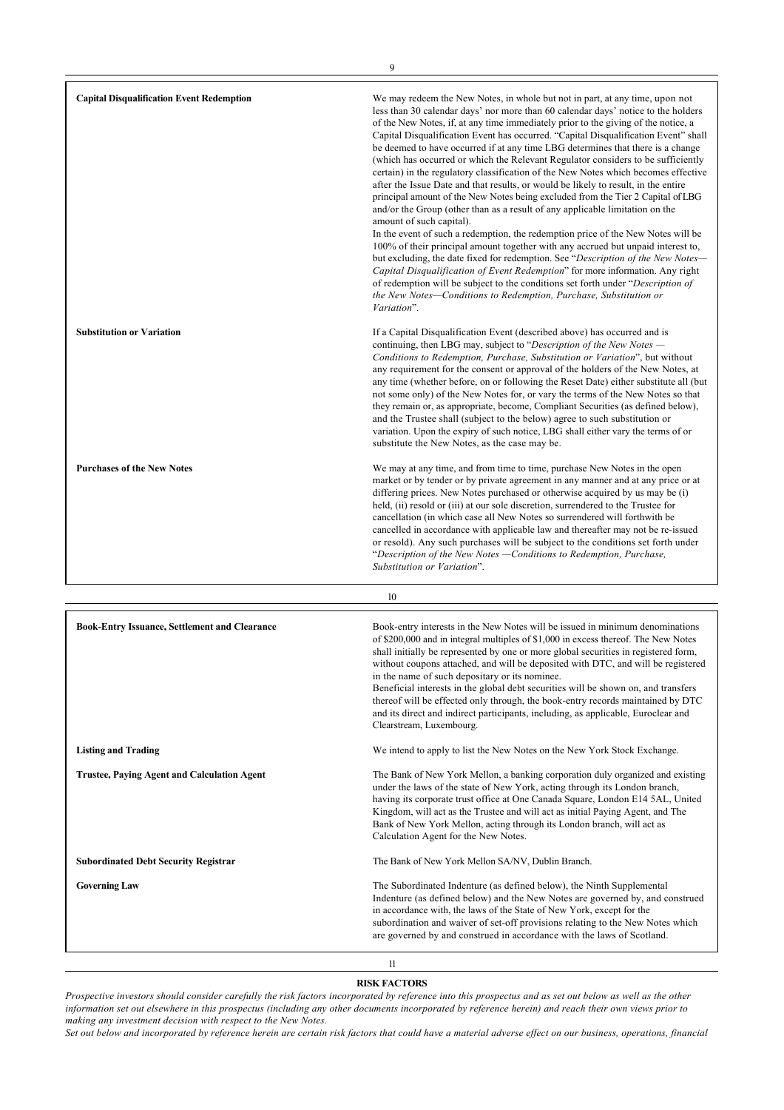| <b>Capital Disqualification Event Redemption</b> | We may redeem the New Notes, in whole but not in part, at any time, upon not<br>less than 30 calendar days' nor more than 60 calendar days' notice to the holders<br>of the New Notes, if, at any time immediately prior to the giving of the notice, a<br>Capital Disqualification Event has occurred. "Capital Disqualification Event" shall<br>be deemed to have occurred if at any time LBG determines that there is a change<br>(which has occurred or which the Relevant Regulator considers to be sufficiently<br>certain) in the regulatory classification of the New Notes which becomes effective<br>after the Issue Date and that results, or would be likely to result, in the entire<br>principal amount of the New Notes being excluded from the Tier 2 Capital of LBG<br>and/or the Group (other than as a result of any applicable limitation on the<br>amount of such capital).<br>In the event of such a redemption, the redemption price of the New Notes will be<br>100% of their principal amount together with any accrued but unpaid interest to,<br>but excluding, the date fixed for redemption. See "Description of the New Notes-<br>Capital Disqualification of Event Redemption" for more information. Any right<br>of redemption will be subject to the conditions set forth under "Description of<br>the New Notes-Conditions to Redemption, Purchase, Substitution or<br>Variation". |
|--------------------------------------------------|----------------------------------------------------------------------------------------------------------------------------------------------------------------------------------------------------------------------------------------------------------------------------------------------------------------------------------------------------------------------------------------------------------------------------------------------------------------------------------------------------------------------------------------------------------------------------------------------------------------------------------------------------------------------------------------------------------------------------------------------------------------------------------------------------------------------------------------------------------------------------------------------------------------------------------------------------------------------------------------------------------------------------------------------------------------------------------------------------------------------------------------------------------------------------------------------------------------------------------------------------------------------------------------------------------------------------------------------------------------------------------------------------------------------|
| <b>Substitution or Variation</b>                 | If a Capital Disqualification Event (described above) has occurred and is<br>continuing, then LBG may, subject to "Description of the New Notes —<br>Conditions to Redemption, Purchase, Substitution or Variation", but without<br>any requirement for the consent or approval of the holders of the New Notes, at<br>any time (whether before, on or following the Reset Date) either substitute all (but<br>not some only) of the New Notes for, or vary the terms of the New Notes so that<br>they remain or, as appropriate, become, Compliant Securities (as defined below),<br>and the Trustee shall (subject to the below) agree to such substitution or<br>variation. Upon the expiry of such notice, LBG shall either vary the terms of or<br>substitute the New Notes, as the case may be.                                                                                                                                                                                                                                                                                                                                                                                                                                                                                                                                                                                                                |
| <b>Purchases of the New Notes</b>                | We may at any time, and from time to time, purchase New Notes in the open<br>market or by tender or by private agreement in any manner and at any price or at<br>differing prices. New Notes purchased or otherwise acquired by us may be (i)<br>held, (ii) resold or (iii) at our sole discretion, surrendered to the Trustee for<br>cancellation (in which case all New Notes so surrendered will forthwith be<br>cancelled in accordance with applicable law and thereafter may not be re-issued<br>or resold). Any such purchases will be subject to the conditions set forth under<br>"Description of the New Notes - Conditions to Redemption, Purchase,<br>Substitution or Variation".                                                                                                                                                                                                                                                                                                                                                                                                                                                                                                                                                                                                                                                                                                                        |
|                                                  | 10                                                                                                                                                                                                                                                                                                                                                                                                                                                                                                                                                                                                                                                                                                                                                                                                                                                                                                                                                                                                                                                                                                                                                                                                                                                                                                                                                                                                                   |

| <b>Book-Entry Issuance, Settlement and Clearance</b> | Book-entry interests in the New Notes will be issued in minimum denominations<br>of \$200,000 and in integral multiples of \$1,000 in excess thereof. The New Notes<br>shall initially be represented by one or more global securities in registered form,<br>without coupons attached, and will be deposited with DTC, and will be registered<br>in the name of such depositary or its nominee.<br>Beneficial interests in the global debt securities will be shown on, and transfers<br>thereof will be effected only through, the book-entry records maintained by DTC<br>and its direct and indirect participants, including, as applicable, Euroclear and<br>Clearstream, Luxembourg. |
|------------------------------------------------------|--------------------------------------------------------------------------------------------------------------------------------------------------------------------------------------------------------------------------------------------------------------------------------------------------------------------------------------------------------------------------------------------------------------------------------------------------------------------------------------------------------------------------------------------------------------------------------------------------------------------------------------------------------------------------------------------|
| <b>Listing and Trading</b>                           | We intend to apply to list the New Notes on the New York Stock Exchange.                                                                                                                                                                                                                                                                                                                                                                                                                                                                                                                                                                                                                   |
| <b>Trustee, Paying Agent and Calculation Agent</b>   | The Bank of New York Mellon, a banking corporation duly organized and existing<br>under the laws of the state of New York, acting through its London branch,<br>having its corporate trust office at One Canada Square, London E14 5AL, United<br>Kingdom, will act as the Trustee and will act as initial Paying Agent, and The<br>Bank of New York Mellon, acting through its London branch, will act as<br>Calculation Agent for the New Notes.                                                                                                                                                                                                                                         |
| <b>Subordinated Debt Security Registrar</b>          | The Bank of New York Mellon SA/NV, Dublin Branch.                                                                                                                                                                                                                                                                                                                                                                                                                                                                                                                                                                                                                                          |
| <b>Governing Law</b>                                 | The Subordinated Indenture (as defined below), the Ninth Supplemental<br>Indenture (as defined below) and the New Notes are governed by, and construed<br>in accordance with, the laws of the State of New York, except for the<br>subordination and waiver of set-off provisions relating to the New Notes which<br>are governed by and construed in accordance with the laws of Scotland.                                                                                                                                                                                                                                                                                                |
|                                                      | 11                                                                                                                                                                                                                                                                                                                                                                                                                                                                                                                                                                                                                                                                                         |

## **RISK FACTORS**

*Prospective investors should consider carefully the risk factors incorporated by reference into this prospectus and as set out below as well as the other information set out elsewhere in this prospectus (including any other documents incorporated by reference herein) and reach their own views prior to making any investment decision with respect to the New Notes.*

*Set out below and incorporated by reference herein are certain risk factors that could have a material adverse effect on our business, operations, financial*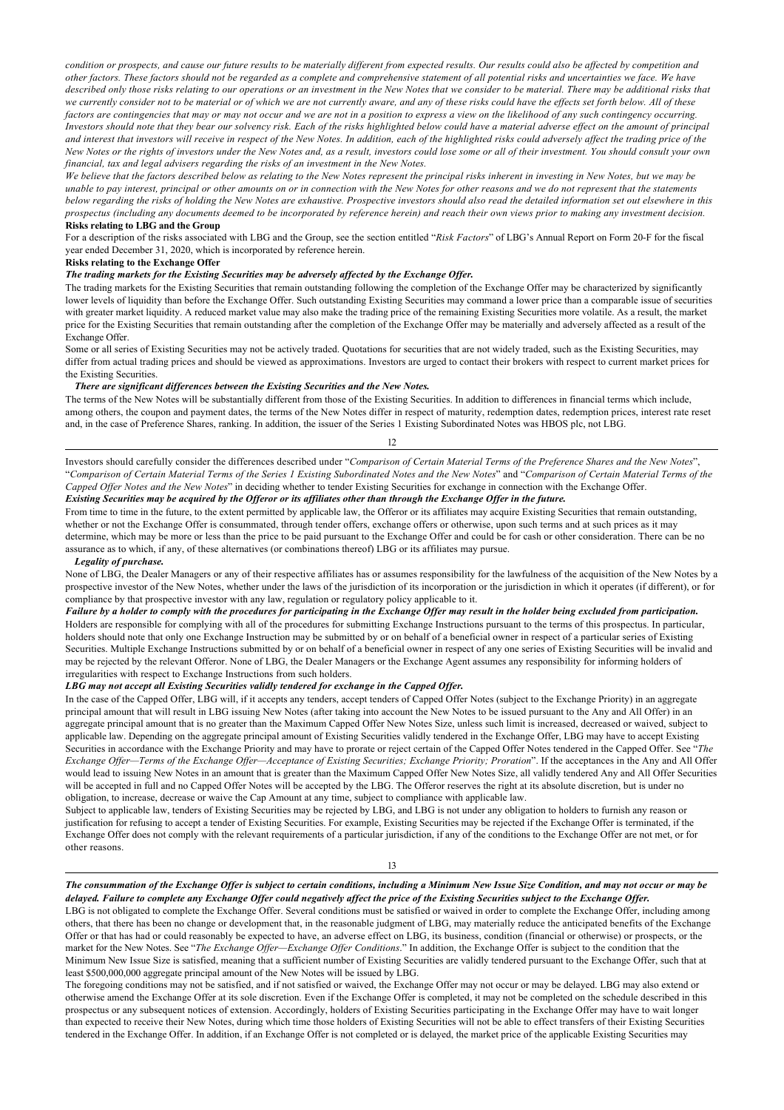*condition or prospects, and cause our future results to be materially different from expected results. Our results could also be affected by competition and other factors. These factors should not be regarded as a complete and comprehensive statement of all potential risks and uncertainties we face. We have described only those risks relating to our operations or an investment in the New Notes that we consider to be material. There may be additional risks that we currently consider not to be material or of which we are not currently aware, and any of these risks could have the effects set forth below. All of these factors are contingencies that may or may not occur and we are not in a position to express a view on the likelihood of any such contingency occurring. Investors should note that they bear our solvency risk. Each of the risks highlighted below could have a material adverse effect on the amount of principal and interest that investors will receive in respect of the New Notes. In addition, each of the highlighted risks could adversely affect the trading price of the New Notes or the rights of investors under the New Notes and, as a result, investors could lose some or all of their investment. You should consult your own financial, tax and legal advisers regarding the risks of an investment in the New Notes.*

*We believe that the factors described below as relating to the New Notes represent the principal risks inherent in investing in New Notes, but we may be unable to pay interest, principal or other amounts on or in connection with the New Notes for other reasons and we do not represent that the statements below regarding the risks of holding the New Notes are exhaustive. Prospective investors should also read the detailed information set out elsewhere in this prospectus (including any documents deemed to be incorporated by reference herein) and reach their own views prior to making any investment decision.* **Risks relating to LBG and the Group**

For a description of the risks associated with LBG and the Group, see the section entitled "*Risk Factors*" of LBG's Annual Report on Form 20-F for the fiscal year ended December 31, 2020, which is incorporated by reference herein.

## **Risks relating to the Exchange Offer**

## *The trading markets for the Existing Securities may be adversely affected by the Exchange Offer.*

The trading markets for the Existing Securities that remain outstanding following the completion of the Exchange Offer may be characterized by significantly lower levels of liquidity than before the Exchange Offer. Such outstanding Existing Securities may command a lower price than a comparable issue of securities with greater market liquidity. A reduced market value may also make the trading price of the remaining Existing Securities more volatile. As a result, the market price for the Existing Securities that remain outstanding after the completion of the Exchange Offer may be materially and adversely affected as a result of the Exchange Offer.

Some or all series of Existing Securities may not be actively traded. Quotations for securities that are not widely traded, such as the Existing Securities, may differ from actual trading prices and should be viewed as approximations. Investors are urged to contact their brokers with respect to current market prices for the Existing Securities.

#### *There are significant differences between the Existing Securities and the New Notes.*

The terms of the New Notes will be substantially different from those of the Existing Securities. In addition to differences in financial terms which include, among others, the coupon and payment dates, the terms of the New Notes differ in respect of maturity, redemption dates, redemption prices, interest rate reset and, in the case of Preference Shares, ranking. In addition, the issuer of the Series 1 Existing Subordinated Notes was HBOS plc, not LBG.

## 12

Investors should carefully consider the differences described under "*Comparison of Certain Material Terms of the Preference Shares and the New Notes*", "*Comparison of Certain Material Terms of the Series 1 Existing Subordinated Notes and the New Notes*" and "*Comparison of Certain Material Terms of the Capped Offer Notes and the New Notes*" in deciding whether to tender Existing Securities for exchange in connection with the Exchange Offer. *Existing Securities may be acquired by the Offeror or its affiliates other than through the Exchange Offer in the future.*

From time to time in the future, to the extent permitted by applicable law, the Offeror or its affiliates may acquire Existing Securities that remain outstanding, whether or not the Exchange Offer is consummated, through tender offers, exchange offers or otherwise, upon such terms and at such prices as it may determine, which may be more or less than the price to be paid pursuant to the Exchange Offer and could be for cash or other consideration. There can be no assurance as to which, if any, of these alternatives (or combinations thereof) LBG or its affiliates may pursue.

#### *Legality of purchase.*

None of LBG, the Dealer Managers or any of their respective affiliates has or assumes responsibility for the lawfulness of the acquisition of the New Notes by a prospective investor of the New Notes, whether under the laws of the jurisdiction of its incorporation or the jurisdiction in which it operates (if different), or for compliance by that prospective investor with any law, regulation or regulatory policy applicable to it.

*Failure by a holder to comply with the procedures for participating in the Exchange Offer may result in the holder being excluded from participation.* Holders are responsible for complying with all of the procedures for submitting Exchange Instructions pursuant to the terms of this prospectus. In particular, holders should note that only one Exchange Instruction may be submitted by or on behalf of a beneficial owner in respect of a particular series of Existing Securities. Multiple Exchange Instructions submitted by or on behalf of a beneficial owner in respect of any one series of Existing Securities will be invalid and may be rejected by the relevant Offeror. None of LBG, the Dealer Managers or the Exchange Agent assumes any responsibility for informing holders of irregularities with respect to Exchange Instructions from such holders.

## *LBG may not accept all Existing Securities validly tendered for exchange in the Capped Offer.*

In the case of the Capped Offer, LBG will, if it accepts any tenders, accept tenders of Capped Offer Notes (subject to the Exchange Priority) in an aggregate principal amount that will result in LBG issuing New Notes (after taking into account the New Notes to be issued pursuant to the Any and All Offer) in an aggregate principal amount that is no greater than the Maximum Capped Offer New Notes Size, unless such limit is increased, decreased or waived, subject to applicable law. Depending on the aggregate principal amount of Existing Securities validly tendered in the Exchange Offer, LBG may have to accept Existing Securities in accordance with the Exchange Priority and may have to prorate or reject certain of the Capped Offer Notes tendered in the Capped Offer. See "*The Exchange Offer—Terms of the Exchange Offer—Acceptance of Existing Securities; Exchange Priority; Proration*". If the acceptances in the Any and All Offer would lead to issuing New Notes in an amount that is greater than the Maximum Capped Offer New Notes Size, all validly tendered Any and All Offer Securities will be accepted in full and no Capped Offer Notes will be accepted by the LBG. The Offeror reserves the right at its absolute discretion, but is under no obligation, to increase, decrease or waive the Cap Amount at any time, subject to compliance with applicable law.

Subject to applicable law, tenders of Existing Securities may be rejected by LBG, and LBG is not under any obligation to holders to furnish any reason or justification for refusing to accept a tender of Existing Securities. For example, Existing Securities may be rejected if the Exchange Offer is terminated, if the Exchange Offer does not comply with the relevant requirements of a particular jurisdiction, if any of the conditions to the Exchange Offer are not met, or for other reasons.

#### 13

## *The consummation of the Exchange Offer is subject to certain conditions, including a Minimum New Issue Size Condition, and may not occur or may be delayed. Failure to complete any Exchange Offer could negatively affect the price of the Existing Securities subject to the Exchange Offer.*

LBG is not obligated to complete the Exchange Offer. Several conditions must be satisfied or waived in order to complete the Exchange Offer, including among others, that there has been no change or development that, in the reasonable judgment of LBG, may materially reduce the anticipated benefits of the Exchange Offer or that has had or could reasonably be expected to have, an adverse effect on LBG, its business, condition (financial or otherwise) or prospects, or the market for the New Notes. See "*The Exchange Offer—Exchange Offer Conditions*." In addition, the Exchange Offer is subject to the condition that the Minimum New Issue Size is satisfied, meaning that a sufficient number of Existing Securities are validly tendered pursuant to the Exchange Offer, such that at least \$500,000,000 aggregate principal amount of the New Notes will be issued by LBG.

The foregoing conditions may not be satisfied, and if not satisfied or waived, the Exchange Offer may not occur or may be delayed. LBG may also extend or otherwise amend the Exchange Offer at its sole discretion. Even if the Exchange Offer is completed, it may not be completed on the schedule described in this prospectus or any subsequent notices of extension. Accordingly, holders of Existing Securities participating in the Exchange Offer may have to wait longer than expected to receive their New Notes, during which time those holders of Existing Securities will not be able to effect transfers of their Existing Securities tendered in the Exchange Offer. In addition, if an Exchange Offer is not completed or is delayed, the market price of the applicable Existing Securities may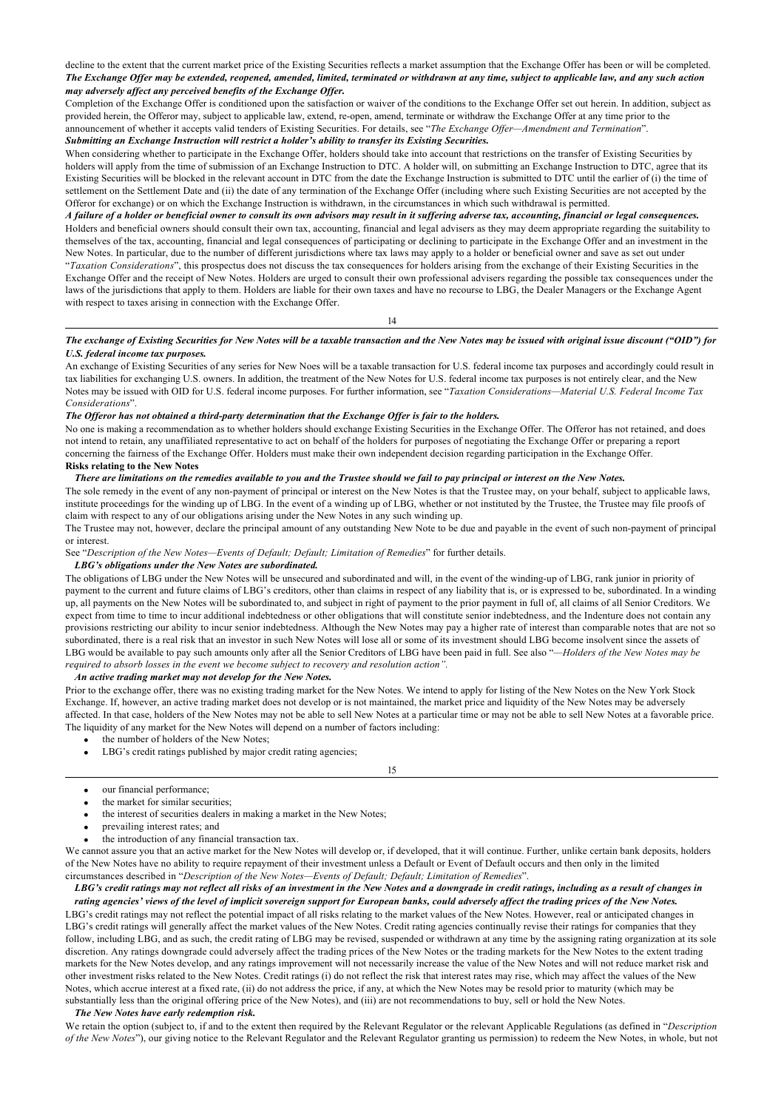decline to the extent that the current market price of the Existing Securities reflects a market assumption that the Exchange Offer has been or will be completed. *The Exchange Offer may be extended, reopened, amended, limited, terminated or withdrawn at any time, subject to applicable law, and any such action may adversely affect any perceived benefits of the Exchange Offer.*

Completion of the Exchange Offer is conditioned upon the satisfaction or waiver of the conditions to the Exchange Offer set out herein. In addition, subject as provided herein, the Offeror may, subject to applicable law, extend, re-open, amend, terminate or withdraw the Exchange Offer at any time prior to the announcement of whether it accepts valid tenders of Existing Securities. For details, see "*The Exchange Offer—Amendment and Termination*". *Submitting an Exchange Instruction will restrict a holder's ability to transfer its Existing Securities.*

When considering whether to participate in the Exchange Offer, holders should take into account that restrictions on the transfer of Existing Securities by holders will apply from the time of submission of an Exchange Instruction to DTC. A holder will, on submitting an Exchange Instruction to DTC, agree that its Existing Securities will be blocked in the relevant account in DTC from the date the Exchange Instruction is submitted to DTC until the earlier of (i) the time of settlement on the Settlement Date and (ii) the date of any termination of the Exchange Offer (including where such Existing Securities are not accepted by the Offeror for exchange) or on which the Exchange Instruction is withdrawn, in the circumstances in which such withdrawal is permitted.

*A failure of a holder or beneficial owner to consult its own advisors may result in it suffering adverse tax, accounting, financial or legal consequences.* Holders and beneficial owners should consult their own tax, accounting, financial and legal advisers as they may deem appropriate regarding the suitability to themselves of the tax, accounting, financial and legal consequences of participating or declining to participate in the Exchange Offer and an investment in the New Notes. In particular, due to the number of different jurisdictions where tax laws may apply to a holder or beneficial owner and save as set out under "*Taxation Considerations*", this prospectus does not discuss the tax consequences for holders arising from the exchange of their Existing Securities in the Exchange Offer and the receipt of New Notes. Holders are urged to consult their own professional advisers regarding the possible tax consequences under the laws of the jurisdictions that apply to them. Holders are liable for their own taxes and have no recourse to LBG, the Dealer Managers or the Exchange Agent

14

## *The exchange of Existing Securities for New Notes will be a taxable transaction and the New Notes may be issued with original issue discount ("OID") for U.S. federal income tax purposes.*

An exchange of Existing Securities of any series for New Noes will be a taxable transaction for U.S. federal income tax purposes and accordingly could result in tax liabilities for exchanging U.S. owners. In addition, the treatment of the New Notes for U.S. federal income tax purposes is not entirely clear, and the New Notes may be issued with OID for U.S. federal income purposes. For further information, see "*Taxation Considerations—Material U.S. Federal Income Tax Considerations*".

### *The Offeror has not obtained a third-party determination that the Exchange Offer is fair to the holders.*

No one is making a recommendation as to whether holders should exchange Existing Securities in the Exchange Offer. The Offeror has not retained, and does not intend to retain, any unaffiliated representative to act on behalf of the holders for purposes of negotiating the Exchange Offer or preparing a report concerning the fairness of the Exchange Offer. Holders must make their own independent decision regarding participation in the Exchange Offer. **Risks relating to the New Notes**

## *There are limitations on the remedies available to you and the Trustee should we fail to pay principal or interest on the New Notes.*

The sole remedy in the event of any non-payment of principal or interest on the New Notes is that the Trustee may, on your behalf, subject to applicable laws, institute proceedings for the winding up of LBG. In the event of a winding up of LBG, whether or not instituted by the Trustee, the Trustee may file proofs of claim with respect to any of our obligations arising under the New Notes in any such winding up.

The Trustee may not, however, declare the principal amount of any outstanding New Note to be due and payable in the event of such non-payment of principal or interest.

See "*Description of the New Notes—Events of Default; Default; Limitation of Remedies*" for further details. *LBG's obligations under the New Notes are subordinated.*

The obligations of LBG under the New Notes will be unsecured and subordinated and will, in the event of the winding-up of LBG, rank junior in priority of payment to the current and future claims of LBG's creditors, other than claims in respect of any liability that is, or is expressed to be, subordinated. In a winding up, all payments on the New Notes will be subordinated to, and subject in right of payment to the prior payment in full of, all claims of all Senior Creditors. We expect from time to time to incur additional indebtedness or other obligations that will constitute senior indebtedness, and the Indenture does not contain any provisions restricting our ability to incur senior indebtedness. Although the New Notes may pay a higher rate of interest than comparable notes that are not so subordinated, there is a real risk that an investor in such New Notes will lose all or some of its investment should LBG become insolvent since the assets of LBG would be available to pay such amounts only after all the Senior Creditors of LBG have been paid in full. See also "*—Holders of the New Notes may be required to absorb losses in the event we become subject to recovery and resolution action".*

*An active trading market may not develop for the New Notes.*

with respect to taxes arising in connection with the Exchange Offer.

Prior to the exchange offer, there was no existing trading market for the New Notes. We intend to apply for listing of the New Notes on the New York Stock Exchange. If, however, an active trading market does not develop or is not maintained, the market price and liquidity of the New Notes may be adversely affected. In that case, holders of the New Notes may not be able to sell New Notes at a particular time or may not be able to sell New Notes at a favorable price. The liquidity of any market for the New Notes will depend on a number of factors including:

- the number of holders of the New Notes;
- · LBG's credit ratings published by major credit rating agencies;

15

- our financial performance:
- the market for similar securities;
- the interest of securities dealers in making a market in the New Notes;
- prevailing interest rates; and
- the introduction of any financial transaction tax.

We cannot assure you that an active market for the New Notes will develop or, if developed, that it will continue. Further, unlike certain bank deposits, holders of the New Notes have no ability to require repayment of their investment unless a Default or Event of Default occurs and then only in the limited circumstances described in "*Description of the New Notes—Events of Default; Default; Limitation of Remedies*".

*LBG's credit ratings may not reflect all risks of an investment in the New Notes and a downgrade in credit ratings, including as a result of changes in rating agencies' views of the level of implicit sovereign support for European banks, could adversely affect the trading prices of the New Notes.*

LBG's credit ratings may not reflect the potential impact of all risks relating to the market values of the New Notes. However, real or anticipated changes in LBG's credit ratings will generally affect the market values of the New Notes. Credit rating agencies continually revise their ratings for companies that they follow, including LBG, and as such, the credit rating of LBG may be revised, suspended or withdrawn at any time by the assigning rating organization at its sole discretion. Any ratings downgrade could adversely affect the trading prices of the New Notes or the trading markets for the New Notes to the extent trading markets for the New Notes develop, and any ratings improvement will not necessarily increase the value of the New Notes and will not reduce market risk and other investment risks related to the New Notes. Credit ratings (i) do not reflect the risk that interest rates may rise, which may affect the values of the New Notes, which accrue interest at a fixed rate, (ii) do not address the price, if any, at which the New Notes may be resold prior to maturity (which may be substantially less than the original offering price of the New Notes), and (iii) are not recommendations to buy, sell or hold the New Notes.

#### *The New Notes have early redemption risk.*

We retain the option (subject to, if and to the extent then required by the Relevant Regulator or the relevant Applicable Regulations (as defined in "*Description of the New Notes*"), our giving notice to the Relevant Regulator and the Relevant Regulator granting us permission) to redeem the New Notes, in whole, but not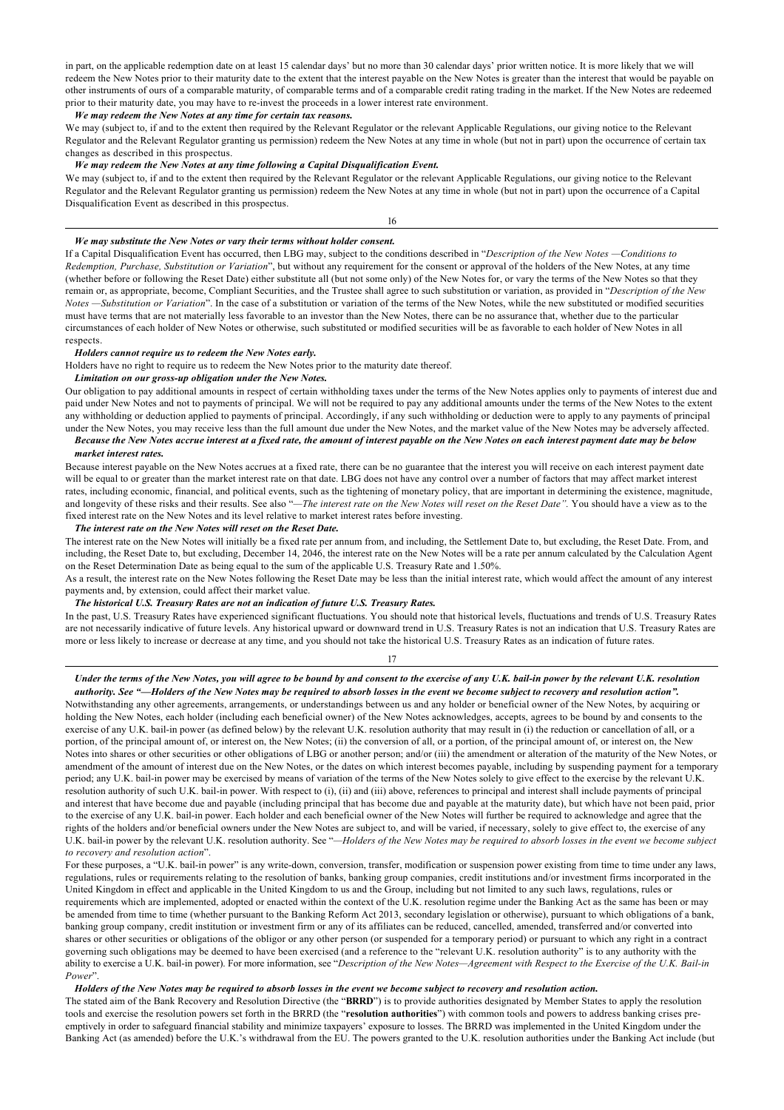in part, on the applicable redemption date on at least 15 calendar days' but no more than 30 calendar days' prior written notice. It is more likely that we will redeem the New Notes prior to their maturity date to the extent that the interest payable on the New Notes is greater than the interest that would be payable on other instruments of ours of a comparable maturity, of comparable terms and of a comparable credit rating trading in the market. If the New Notes are redeemed prior to their maturity date, you may have to re-invest the proceeds in a lower interest rate environment.

*We may redeem the New Notes at any time for certain tax reasons.*

We may (subject to, if and to the extent then required by the Relevant Regulator or the relevant Applicable Regulations, our giving notice to the Relevant Regulator and the Relevant Regulator granting us permission) redeem the New Notes at any time in whole (but not in part) upon the occurrence of certain tax changes as described in this prospectus.

## *We may redeem the New Notes at any time following a Capital Disqualification Event.*

We may (subject to, if and to the extent then required by the Relevant Regulator or the relevant Applicable Regulations, our giving notice to the Relevant Regulator and the Relevant Regulator granting us permission) redeem the New Notes at any time in whole (but not in part) upon the occurrence of a Capital Disqualification Event as described in this prospectus.

16

#### *We may substitute the New Notes or vary their terms without holder consent.*

If a Capital Disqualification Event has occurred, then LBG may, subject to the conditions described in "*Description of the New Notes —Conditions to Redemption, Purchase, Substitution or Variation*", but without any requirement for the consent or approval of the holders of the New Notes, at any time (whether before or following the Reset Date) either substitute all (but not some only) of the New Notes for, or vary the terms of the New Notes so that they remain or, as appropriate, become, Compliant Securities, and the Trustee shall agree to such substitution or variation, as provided in "*Description of the New Notes —Substitution or Variation*". In the case of a substitution or variation of the terms of the New Notes, while the new substituted or modified securities must have terms that are not materially less favorable to an investor than the New Notes, there can be no assurance that, whether due to the particular circumstances of each holder of New Notes or otherwise, such substituted or modified securities will be as favorable to each holder of New Notes in all respects.

### *Holders cannot require us to redeem the New Notes early.*

Holders have no right to require us to redeem the New Notes prior to the maturity date thereof.

#### *Limitation on our gross-up obligation under the New Notes.*

Our obligation to pay additional amounts in respect of certain withholding taxes under the terms of the New Notes applies only to payments of interest due and paid under New Notes and not to payments of principal. We will not be required to pay any additional amounts under the terms of the New Notes to the extent any withholding or deduction applied to payments of principal. Accordingly, if any such withholding or deduction were to apply to any payments of principal under the New Notes, you may receive less than the full amount due under the New Notes, and the market value of the New Notes may be adversely affected. *Because the New Notes accrue interest at a fixed rate, the amount of interest payable on the New Notes on each interest payment date may be below*

## *market interest rates.*

Because interest payable on the New Notes accrues at a fixed rate, there can be no guarantee that the interest you will receive on each interest payment date will be equal to or greater than the market interest rate on that date. LBG does not have any control over a number of factors that may affect market interest rates, including economic, financial, and political events, such as the tightening of monetary policy, that are important in determining the existence, magnitude, and longevity of these risks and their results. See also "—The interest rate on the New Notes will reset on the Reset Date". You should have a view as to the fixed interest rate on the New Notes and its level relative to market interest rates before investing.

#### *The interest rate on the New Notes will reset on the Reset Date.*

The interest rate on the New Notes will initially be a fixed rate per annum from, and including, the Settlement Date to, but excluding, the Reset Date. From, and including, the Reset Date to, but excluding, December 14, 2046, the interest rate on the New Notes will be a rate per annum calculated by the Calculation Agent on the Reset Determination Date as being equal to the sum of the applicable U.S. Treasury Rate and 1.50%.

As a result, the interest rate on the New Notes following the Reset Date may be less than the initial interest rate, which would affect the amount of any interest payments and, by extension, could affect their market value.

## *The historical U.S. Treasury Rates are not an indication of future U.S. Treasury Rates.*

In the past, U.S. Treasury Rates have experienced significant fluctuations. You should note that historical levels, fluctuations and trends of U.S. Treasury Rates are not necessarily indicative of future levels. Any historical upward or downward trend in U.S. Treasury Rates is not an indication that U.S. Treasury Rates are more or less likely to increase or decrease at any time, and you should not take the historical U.S. Treasury Rates as an indication of future rates.

17

# *Under the terms of the New Notes, you will agree to be bound by and consent to the exercise of any U.K. bail-in power by the relevant U.K. resolution*

*authority. See "—Holders of the New Notes may be required to absorb losses in the event we become subject to recovery and resolution action".* Notwithstanding any other agreements, arrangements, or understandings between us and any holder or beneficial owner of the New Notes, by acquiring or holding the New Notes, each holder (including each beneficial owner) of the New Notes acknowledges, accepts, agrees to be bound by and consents to the exercise of any U.K. bail-in power (as defined below) by the relevant U.K. resolution authority that may result in (i) the reduction or cancellation of all, or a portion, of the principal amount of, or interest on, the New Notes; (ii) the conversion of all, or a portion, of the principal amount of, or interest on, the New Notes into shares or other securities or other obligations of LBG or another person; and/or (iii) the amendment or alteration of the maturity of the New Notes, or amendment of the amount of interest due on the New Notes, or the dates on which interest becomes payable, including by suspending payment for a temporary period; any U.K. bail-in power may be exercised by means of variation of the terms of the New Notes solely to give effect to the exercise by the relevant U.K. resolution authority of such U.K. bail-in power. With respect to (i), (ii) and (iii) above, references to principal and interest shall include payments of principal and interest that have become due and payable (including principal that has become due and payable at the maturity date), but which have not been paid, prior to the exercise of any U.K. bail-in power. Each holder and each beneficial owner of the New Notes will further be required to acknowledge and agree that the rights of the holders and/or beneficial owners under the New Notes are subject to, and will be varied, if necessary, solely to give effect to, the exercise of any U.K. bail-in power by the relevant U.K. resolution authority. See "*—Holders of the New Notes may be required to absorb losses in the event we become subject to recovery and resolution action*".

For these purposes, a "U.K. bail-in power" is any write-down, conversion, transfer, modification or suspension power existing from time to time under any laws, regulations, rules or requirements relating to the resolution of banks, banking group companies, credit institutions and/or investment firms incorporated in the United Kingdom in effect and applicable in the United Kingdom to us and the Group, including but not limited to any such laws, regulations, rules or requirements which are implemented, adopted or enacted within the context of the U.K. resolution regime under the Banking Act as the same has been or may be amended from time to time (whether pursuant to the Banking Reform Act 2013, secondary legislation or otherwise), pursuant to which obligations of a bank, banking group company, credit institution or investment firm or any of its affiliates can be reduced, cancelled, amended, transferred and/or converted into shares or other securities or obligations of the obligor or any other person (or suspended for a temporary period) or pursuant to which any right in a contract governing such obligations may be deemed to have been exercised (and a reference to the "relevant U.K. resolution authority" is to any authority with the ability to exercise a U.K. bail-in power). For more information, see "*Description of the New Notes—Agreement with Respect to the Exercise of the U.K. Bail-in Power*".

## *Holders of the New Notes may be required to absorb losses in the event we become subject to recovery and resolution action.*

The stated aim of the Bank Recovery and Resolution Directive (the "**BRRD**") is to provide authorities designated by Member States to apply the resolution tools and exercise the resolution powers set forth in the BRRD (the "**resolution authorities**") with common tools and powers to address banking crises preemptively in order to safeguard financial stability and minimize taxpayers' exposure to losses. The BRRD was implemented in the United Kingdom under the Banking Act (as amended) before the U.K.'s withdrawal from the EU. The powers granted to the U.K. resolution authorities under the Banking Act include (but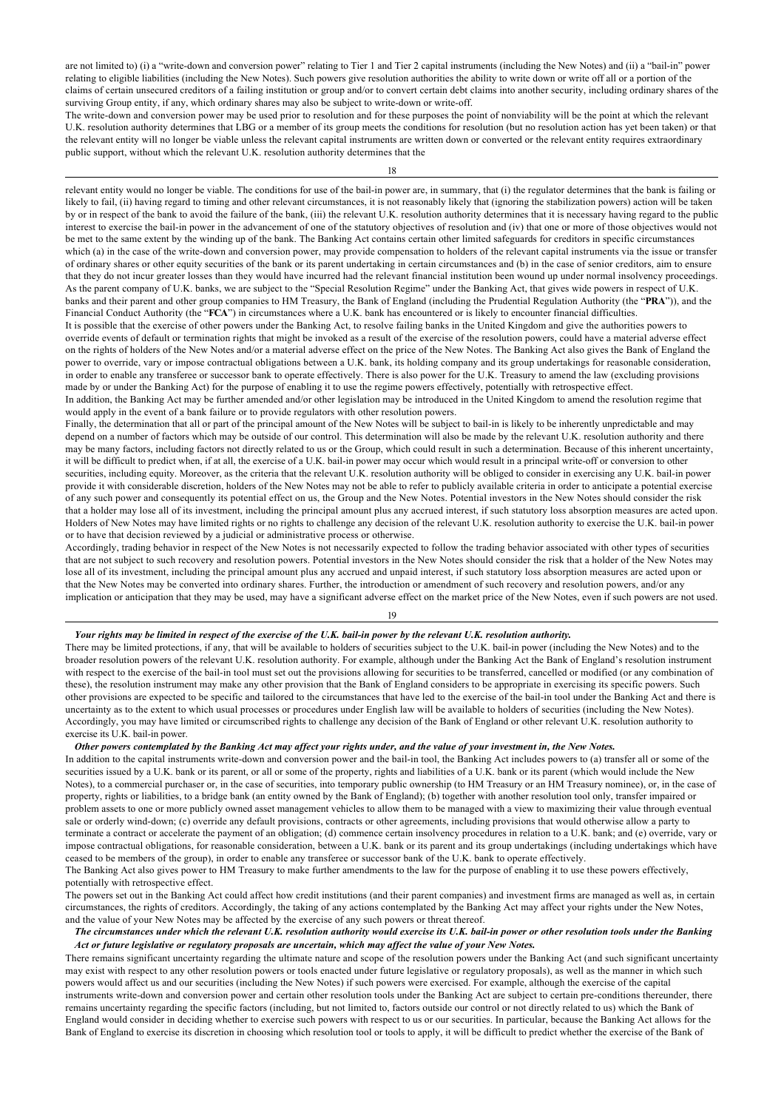are not limited to) (i) a "write-down and conversion power" relating to Tier 1 and Tier 2 capital instruments (including the New Notes) and (ii) a "bail-in" power relating to eligible liabilities (including the New Notes). Such powers give resolution authorities the ability to write down or write off all or a portion of the claims of certain unsecured creditors of a failing institution or group and/or to convert certain debt claims into another security, including ordinary shares of the surviving Group entity, if any, which ordinary shares may also be subject to write-down or write-off.

The write-down and conversion power may be used prior to resolution and for these purposes the point of nonviability will be the point at which the relevant U.K. resolution authority determines that LBG or a member of its group meets the conditions for resolution (but no resolution action has yet been taken) or that the relevant entity will no longer be viable unless the relevant capital instruments are written down or converted or the relevant entity requires extraordinary public support, without which the relevant U.K. resolution authority determines that the

18

relevant entity would no longer be viable. The conditions for use of the bail-in power are, in summary, that (i) the regulator determines that the bank is failing or likely to fail, (ii) having regard to timing and other relevant circumstances, it is not reasonably likely that (ignoring the stabilization powers) action will be taken by or in respect of the bank to avoid the failure of the bank, (iii) the relevant U.K. resolution authority determines that it is necessary having regard to the public interest to exercise the bail-in power in the advancement of one of the statutory objectives of resolution and (iv) that one or more of those objectives would not be met to the same extent by the winding up of the bank. The Banking Act contains certain other limited safeguards for creditors in specific circumstances which (a) in the case of the write-down and conversion power, may provide compensation to holders of the relevant capital instruments via the issue or transfer of ordinary shares or other equity securities of the bank or its parent undertaking in certain circumstances and (b) in the case of senior creditors, aim to ensure that they do not incur greater losses than they would have incurred had the relevant financial institution been wound up under normal insolvency proceedings. As the parent company of U.K. banks, we are subject to the "Special Resolution Regime" under the Banking Act, that gives wide powers in respect of U.K. banks and their parent and other group companies to HM Treasury, the Bank of England (including the Prudential Regulation Authority (the "**PRA**")), and the Financial Conduct Authority (the "**FCA**") in circumstances where a U.K. bank has encountered or is likely to encounter financial difficulties.

It is possible that the exercise of other powers under the Banking Act, to resolve failing banks in the United Kingdom and give the authorities powers to override events of default or termination rights that might be invoked as a result of the exercise of the resolution powers, could have a material adverse effect on the rights of holders of the New Notes and/or a material adverse effect on the price of the New Notes. The Banking Act also gives the Bank of England the power to override, vary or impose contractual obligations between a U.K. bank, its holding company and its group undertakings for reasonable consideration, in order to enable any transferee or successor bank to operate effectively. There is also power for the U.K. Treasury to amend the law (excluding provisions made by or under the Banking Act) for the purpose of enabling it to use the regime powers effectively, potentially with retrospective effect.

In addition, the Banking Act may be further amended and/or other legislation may be introduced in the United Kingdom to amend the resolution regime that would apply in the event of a bank failure or to provide regulators with other resolution powers.

Finally, the determination that all or part of the principal amount of the New Notes will be subject to bail-in is likely to be inherently unpredictable and may depend on a number of factors which may be outside of our control. This determination will also be made by the relevant U.K. resolution authority and there may be many factors, including factors not directly related to us or the Group, which could result in such a determination. Because of this inherent uncertainty, it will be difficult to predict when, if at all, the exercise of a U.K. bail-in power may occur which would result in a principal write-off or conversion to other securities, including equity. Moreover, as the criteria that the relevant U.K. resolution authority will be obliged to consider in exercising any U.K. bail-in power provide it with considerable discretion, holders of the New Notes may not be able to refer to publicly available criteria in order to anticipate a potential exercise of any such power and consequently its potential effect on us, the Group and the New Notes. Potential investors in the New Notes should consider the risk that a holder may lose all of its investment, including the principal amount plus any accrued interest, if such statutory loss absorption measures are acted upon. Holders of New Notes may have limited rights or no rights to challenge any decision of the relevant U.K. resolution authority to exercise the U.K. bail-in power or to have that decision reviewed by a judicial or administrative process or otherwise.

Accordingly, trading behavior in respect of the New Notes is not necessarily expected to follow the trading behavior associated with other types of securities that are not subject to such recovery and resolution powers. Potential investors in the New Notes should consider the risk that a holder of the New Notes may lose all of its investment, including the principal amount plus any accrued and unpaid interest, if such statutory loss absorption measures are acted upon or that the New Notes may be converted into ordinary shares. Further, the introduction or amendment of such recovery and resolution powers, and/or any implication or anticipation that they may be used, may have a significant adverse effect on the market price of the New Notes, even if such powers are not used.

19

#### *Your rights may be limited in respect of the exercise of the U.K. bail-in power by the relevant U.K. resolution authority.*

There may be limited protections, if any, that will be available to holders of securities subject to the U.K. bail-in power (including the New Notes) and to the broader resolution powers of the relevant U.K. resolution authority. For example, although under the Banking Act the Bank of England's resolution instrument with respect to the exercise of the bail-in tool must set out the provisions allowing for securities to be transferred, cancelled or modified (or any combination of these), the resolution instrument may make any other provision that the Bank of England considers to be appropriate in exercising its specific powers. Such other provisions are expected to be specific and tailored to the circumstances that have led to the exercise of the bail-in tool under the Banking Act and there is uncertainty as to the extent to which usual processes or procedures under English law will be available to holders of securities (including the New Notes). Accordingly, you may have limited or circumscribed rights to challenge any decision of the Bank of England or other relevant U.K. resolution authority to exercise its U.K. bail-in power.

#### *Other powers contemplated by the Banking Act may affect your rights under, and the value of your investment in, the New Notes.*

In addition to the capital instruments write-down and conversion power and the bail-in tool, the Banking Act includes powers to (a) transfer all or some of the securities issued by a U.K. bank or its parent, or all or some of the property, rights and liabilities of a U.K. bank or its parent (which would include the New Notes), to a commercial purchaser or, in the case of securities, into temporary public ownership (to HM Treasury or an HM Treasury nominee), or, in the case of property, rights or liabilities, to a bridge bank (an entity owned by the Bank of England); (b) together with another resolution tool only, transfer impaired or problem assets to one or more publicly owned asset management vehicles to allow them to be managed with a view to maximizing their value through eventual sale or orderly wind-down; (c) override any default provisions, contracts or other agreements, including provisions that would otherwise allow a party to terminate a contract or accelerate the payment of an obligation; (d) commence certain insolvency procedures in relation to a U.K. bank; and (e) override, vary or impose contractual obligations, for reasonable consideration, between a U.K. bank or its parent and its group undertakings (including undertakings which have ceased to be members of the group), in order to enable any transferee or successor bank of the U.K. bank to operate effectively. The Banking Act also gives power to HM Treasury to make further amendments to the law for the purpose of enabling it to use these powers effectively, potentially with retrospective effect.

The powers set out in the Banking Act could affect how credit institutions (and their parent companies) and investment firms are managed as well as, in certain circumstances, the rights of creditors. Accordingly, the taking of any actions contemplated by the Banking Act may affect your rights under the New Notes, and the value of your New Notes may be affected by the exercise of any such powers or threat thereof.

### *The circumstances under which the relevant U.K. resolution authority would exercise its U.K. bail-in power or other resolution tools under the Banking Act or future legislative or regulatory proposals are uncertain, which may affect the value of your New Notes.*

There remains significant uncertainty regarding the ultimate nature and scope of the resolution powers under the Banking Act (and such significant uncertainty may exist with respect to any other resolution powers or tools enacted under future legislative or regulatory proposals), as well as the manner in which such powers would affect us and our securities (including the New Notes) if such powers were exercised. For example, although the exercise of the capital instruments write-down and conversion power and certain other resolution tools under the Banking Act are subject to certain pre-conditions thereunder, there remains uncertainty regarding the specific factors (including, but not limited to, factors outside our control or not directly related to us) which the Bank of England would consider in deciding whether to exercise such powers with respect to us or our securities. In particular, because the Banking Act allows for the Bank of England to exercise its discretion in choosing which resolution tool or tools to apply, it will be difficult to predict whether the exercise of the Bank of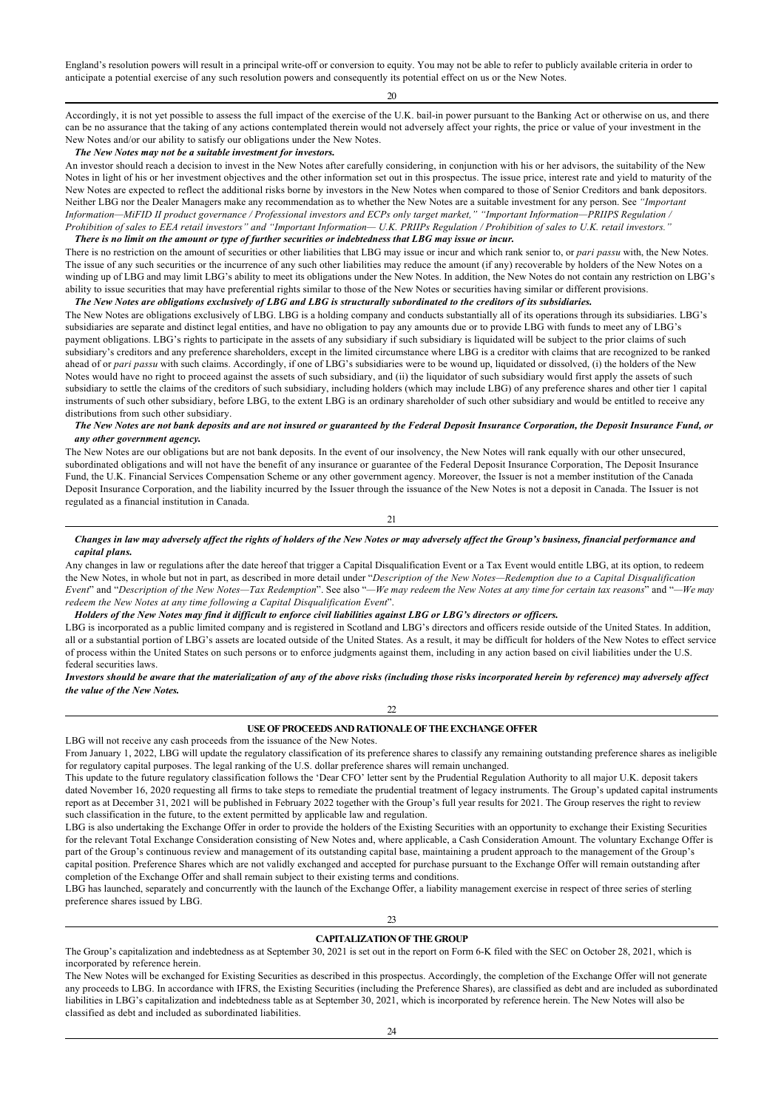England's resolution powers will result in a principal write-off or conversion to equity. You may not be able to refer to publicly available criteria in order to anticipate a potential exercise of any such resolution powers and consequently its potential effect on us or the New Notes.

20

Accordingly, it is not yet possible to assess the full impact of the exercise of the U.K. bail-in power pursuant to the Banking Act or otherwise on us, and there can be no assurance that the taking of any actions contemplated therein would not adversely affect your rights, the price or value of your investment in the New Notes and/or our ability to satisfy our obligations under the New Notes.

## *The New Notes may not be a suitable investment for investors.*

An investor should reach a decision to invest in the New Notes after carefully considering, in conjunction with his or her advisors, the suitability of the New Notes in light of his or her investment objectives and the other information set out in this prospectus. The issue price, interest rate and yield to maturity of the New Notes are expected to reflect the additional risks borne by investors in the New Notes when compared to those of Senior Creditors and bank depositors. Neither LBG nor the Dealer Managers make any recommendation as to whether the New Notes are a suitable investment for any person. See *"Important Information—MiFID II product governance / Professional investors and ECPs only target market," "Important Information—PRIIPS Regulation / Prohibition of sales to EEA retail investors" and "Important Information— U.K. PRIIPs Regulation / Prohibition of sales to U.K. retail investors."*

## *There is no limit on the amount or type of further securities or indebtedness that LBG may issue or incur.*

There is no restriction on the amount of securities or other liabilities that LBG may issue or incur and which rank senior to, or *pari passu* with, the New Notes. The issue of any such securities or the incurrence of any such other liabilities may reduce the amount (if any) recoverable by holders of the New Notes on a winding up of LBG and may limit LBG's ability to meet its obligations under the New Notes. In addition, the New Notes do not contain any restriction on LBG's ability to issue securities that may have preferential rights similar to those of the New Notes or securities having similar or different provisions. *The New Notes are obligations exclusively of LBG and LBG is structurally subordinated to the creditors of its subsidiaries.*

The New Notes are obligations exclusively of LBG. LBG is a holding company and conducts substantially all of its operations through its subsidiaries. LBG's subsidiaries are separate and distinct legal entities, and have no obligation to pay any amounts due or to provide LBG with funds to meet any of LBG's payment obligations. LBG's rights to participate in the assets of any subsidiary if such subsidiary is liquidated will be subject to the prior claims of such subsidiary's creditors and any preference shareholders, except in the limited circumstance where LBG is a creditor with claims that are recognized to be ranked ahead of or pari passu with such claims. Accordingly, if one of LBG's subsidiaries were to be wound up, liquidated or dissolved, (i) the holders of the New Notes would have no right to proceed against the assets of such subsidiary, and (ii) the liquidator of such subsidiary would first apply the assets of such subsidiary to settle the claims of the creditors of such subsidiary, including holders (which may include LBG) of any preference shares and other tier 1 capital instruments of such other subsidiary, before LBG, to the extent LBG is an ordinary shareholder of such other subsidiary and would be entitled to receive any distributions from such other subsidiary.

## *The New Notes are not bank deposits and are not insured or guaranteed by the Federal Deposit Insurance Corporation, the Deposit Insurance Fund, or any other government agency.*

The New Notes are our obligations but are not bank deposits. In the event of our insolvency, the New Notes will rank equally with our other unsecured, subordinated obligations and will not have the benefit of any insurance or guarantee of the Federal Deposit Insurance Corporation, The Deposit Insurance Fund, the U.K. Financial Services Compensation Scheme or any other government agency. Moreover, the Issuer is not a member institution of the Canada Deposit Insurance Corporation, and the liability incurred by the Issuer through the issuance of the New Notes is not a deposit in Canada. The Issuer is not regulated as a financial institution in Canada.

21

## *Changes in law may adversely affect the rights of holders of the New Notes or may adversely affect the Group's business, financial performance and capital plans.*

Any changes in law or regulations after the date hereof that trigger a Capital Disqualification Event or a Tax Event would entitle LBG, at its option, to redeem the New Notes, in whole but not in part, as described in more detail under "*Description of the New Notes—Redemption due to a Capital Disqualification Event*" and "*Description of the New Notes—Tax Redemption*". See also "*—We may redeem the New Notes at any time for certain tax reasons*" and "*—We may redeem the New Notes at any time following a Capital Disqualification Event*".

## *Holders of the New Notes may find it difficult to enforce civil liabilities against LBG or LBG's directors or officers.*

LBG is incorporated as a public limited company and is registered in Scotland and LBG's directors and officers reside outside of the United States. In addition, all or a substantial portion of LBG's assets are located outside of the United States. As a result, it may be difficult for holders of the New Notes to effect service of process within the United States on such persons or to enforce judgments against them, including in any action based on civil liabilities under the U.S. federal securities laws.

*Investors should be aware that the materialization of any of the above risks (including those risks incorporated herein by reference) may adversely affect the value of the New Notes.*

22

## **USE OF PROCEEDS AND RATIONALE OF THE EXCHANGE OFFER**

LBG will not receive any cash proceeds from the issuance of the New Notes.

From January 1, 2022, LBG will update the regulatory classification of its preference shares to classify any remaining outstanding preference shares as ineligible for regulatory capital purposes. The legal ranking of the U.S. dollar preference shares will remain unchanged.

This update to the future regulatory classification follows the 'Dear CFO' letter sent by the Prudential Regulation Authority to all major U.K. deposit takers dated November 16, 2020 requesting all firms to take steps to remediate the prudential treatment of legacy instruments. The Group's updated capital instruments report as at December 31, 2021 will be published in February 2022 together with the Group's full year results for 2021. The Group reserves the right to review such classification in the future, to the extent permitted by applicable law and regulation.

LBG is also undertaking the Exchange Offer in order to provide the holders of the Existing Securities with an opportunity to exchange their Existing Securities for the relevant Total Exchange Consideration consisting of New Notes and, where applicable, a Cash Consideration Amount. The voluntary Exchange Offer is part of the Group's continuous review and management of its outstanding capital base, maintaining a prudent approach to the management of the Group's capital position. Preference Shares which are not validly exchanged and accepted for purchase pursuant to the Exchange Offer will remain outstanding after completion of the Exchange Offer and shall remain subject to their existing terms and conditions.

LBG has launched, separately and concurrently with the launch of the Exchange Offer, a liability management exercise in respect of three series of sterling preference shares issued by LBG.

 $23$ 

## **CAPITALIZATION OF THE GROUP**

The Group's capitalization and indebtedness as at September 30, 2021 is set out in the report on Form 6-K filed with the SEC on October 28, 2021, which is incorporated by reference herein.

The New Notes will be exchanged for Existing Securities as described in this prospectus. Accordingly, the completion of the Exchange Offer will not generate any proceeds to LBG. In accordance with IFRS, the Existing Securities (including the Preference Shares), are classified as debt and are included as subordinated liabilities in LBG's capitalization and indebtedness table as at September 30, 2021, which is incorporated by reference herein. The New Notes will also be classified as debt and included as subordinated liabilities.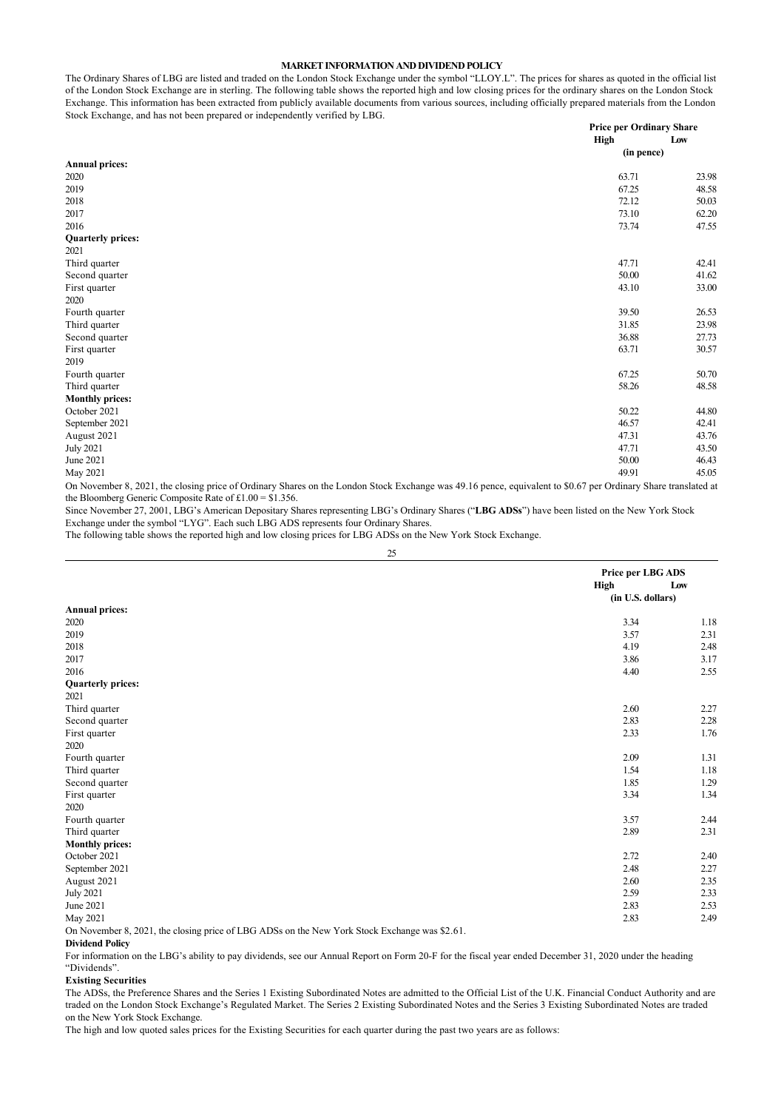## **MARKET INFORMATION AND DIVIDEND POLICY**

The Ordinary Shares of LBG are listed and traded on the London Stock Exchange under the symbol "LLOY.L". The prices for shares as quoted in the official list of the London Stock Exchange are in sterling. The following table shows the reported high and low closing prices for the ordinary shares on the London Stock Exchange. This information has been extracted from publicly available documents from various sources, including officially prepared materials from the London Stock Exchange, and has not been prepared or independently verified by LBG.

| $\sim$<br>$\mathbf{r}$ $\mathbf{r}$ | <b>Price per Ordinary Share</b><br>High | Low   |
|-------------------------------------|-----------------------------------------|-------|
|                                     | (in pence)                              |       |
| <b>Annual prices:</b>               |                                         |       |
| 2020                                | 63.71                                   | 23.98 |
| 2019                                | 67.25                                   | 48.58 |
| 2018                                | 72.12                                   | 50.03 |
| 2017                                | 73.10                                   | 62.20 |
| 2016                                | 73.74                                   | 47.55 |
| <b>Quarterly prices:</b>            |                                         |       |
| 2021                                |                                         |       |
| Third quarter                       | 47.71                                   | 42.41 |
| Second quarter                      | 50.00                                   | 41.62 |
| First quarter                       | 43.10                                   | 33.00 |
| 2020                                |                                         |       |
| Fourth quarter                      | 39.50                                   | 26.53 |
| Third quarter                       | 31.85                                   | 23.98 |
| Second quarter                      | 36.88                                   | 27.73 |
| First quarter                       | 63.71                                   | 30.57 |
| 2019                                |                                         |       |
| Fourth quarter                      | 67.25                                   | 50.70 |
| Third quarter                       | 58.26                                   | 48.58 |
| <b>Monthly prices:</b>              |                                         |       |
| October 2021                        | 50.22                                   | 44.80 |
| September 2021                      | 46.57                                   | 42.41 |
| August 2021                         | 47.31                                   | 43.76 |
| <b>July 2021</b>                    | 47.71                                   | 43.50 |
| June 2021                           | 50.00                                   | 46.43 |
| May 2021                            | 49.91                                   | 45.05 |

On November 8, 2021, the closing price of Ordinary Shares on the London Stock Exchange was 49.16 pence, equivalent to \$0.67 per Ordinary Share translated at the Bloomberg Generic Composite Rate of £1.00 = \$1.356.

Since November 27, 2001, LBG's American Depositary Shares representing LBG's Ordinary Shares ("**LBG ADSs**") have been listed on the New York Stock Exchange under the symbol "LYG". Each such LBG ADS represents four Ordinary Shares.

The following table shows the reported high and low closing prices for LBG ADSs on the New York Stock Exchange.

|                                                                                               | Price per LBG ADS |      |
|-----------------------------------------------------------------------------------------------|-------------------|------|
|                                                                                               | <b>High</b>       | Low  |
|                                                                                               | (in U.S. dollars) |      |
| <b>Annual prices:</b>                                                                         |                   |      |
| 2020                                                                                          | 3.34              | 1.18 |
| 2019                                                                                          | 3.57              | 2.31 |
| 2018                                                                                          | 4.19              | 2.48 |
| 2017                                                                                          | 3.86              | 3.17 |
| 2016                                                                                          | 4.40              | 2.55 |
| <b>Quarterly prices:</b>                                                                      |                   |      |
| 2021                                                                                          |                   |      |
| Third quarter                                                                                 | 2.60              | 2.27 |
| Second quarter                                                                                | 2.83              | 2.28 |
| First quarter                                                                                 | 2.33              | 1.76 |
| 2020                                                                                          |                   |      |
| Fourth quarter                                                                                | 2.09              | 1.31 |
| Third quarter                                                                                 | 1.54              | 1.18 |
| Second quarter                                                                                | 1.85              | 1.29 |
| First quarter                                                                                 | 3.34              | 1.34 |
| 2020                                                                                          |                   |      |
| Fourth quarter                                                                                | 3.57              | 2.44 |
| Third quarter                                                                                 | 2.89              | 2.31 |
| <b>Monthly prices:</b>                                                                        |                   |      |
| October 2021                                                                                  | 2.72              | 2.40 |
| September 2021                                                                                | 2.48              | 2.27 |
| August 2021                                                                                   | 2.60              | 2.35 |
| <b>July 2021</b>                                                                              | 2.59              | 2.33 |
| June 2021                                                                                     | 2.83              | 2.53 |
| May 2021                                                                                      | 2.83              | 2.49 |
| On November 8, 2021, the closing price of LBG ADSs on the New York Stock Exchange was \$2.61. |                   |      |

**Dividend Policy**

For information on the LBG's ability to pay dividends, see our Annual Report on Form 20-F for the fiscal year ended December 31, 2020 under the heading "Dividends".

### **Existing Securities**

The ADSs, the Preference Shares and the Series 1 Existing Subordinated Notes are admitted to the Official List of the U.K. Financial Conduct Authority and are traded on the London Stock Exchange's Regulated Market. The Series 2 Existing Subordinated Notes and the Series 3 Existing Subordinated Notes are traded on the New York Stock Exchange.

The high and low quoted sales prices for the Existing Securities for each quarter during the past two years are as follows: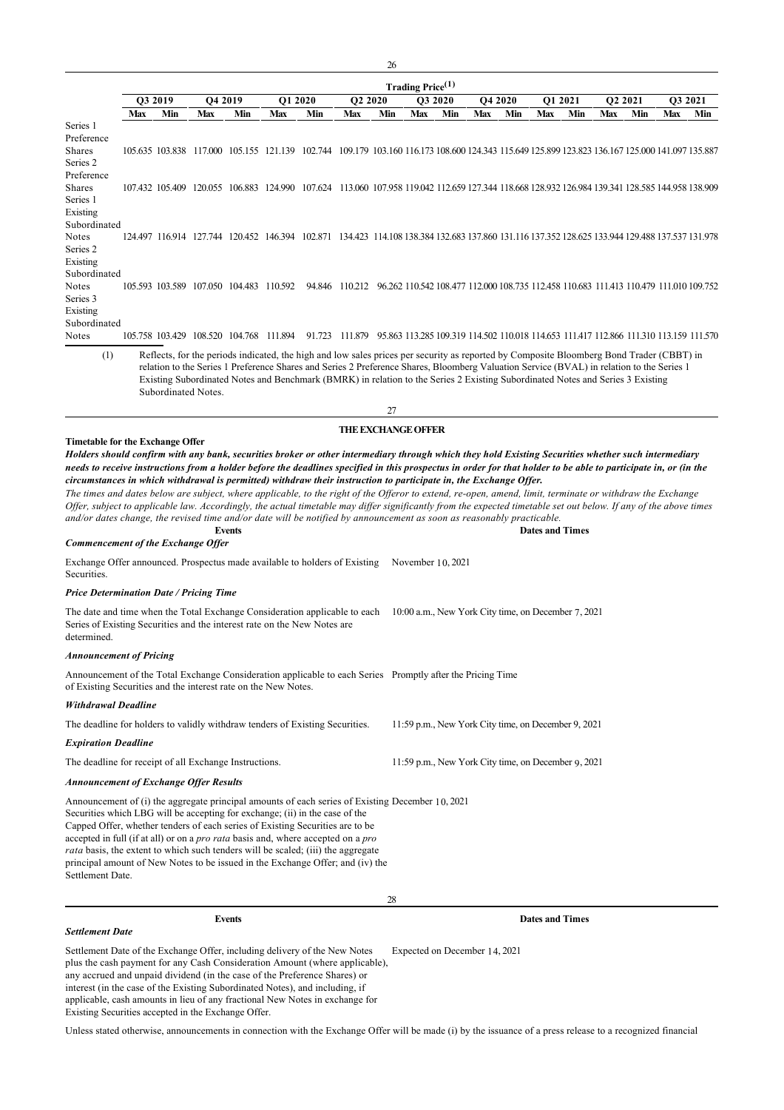|                                                                                                                                                                                                                                                                                                                                                                                                                                                                                                                                                                                                                    |                    |     |                                         |               |         |                                                                                                                                                                                                                                                                                                                                                                                                                         |                                                                                                       | 26  |                              |     |     |                       |     |                                                     |     |                            |     |         |
|--------------------------------------------------------------------------------------------------------------------------------------------------------------------------------------------------------------------------------------------------------------------------------------------------------------------------------------------------------------------------------------------------------------------------------------------------------------------------------------------------------------------------------------------------------------------------------------------------------------------|--------------------|-----|-----------------------------------------|---------------|---------|-------------------------------------------------------------------------------------------------------------------------------------------------------------------------------------------------------------------------------------------------------------------------------------------------------------------------------------------------------------------------------------------------------------------------|-------------------------------------------------------------------------------------------------------|-----|------------------------------|-----|-----|-----------------------|-----|-----------------------------------------------------|-----|----------------------------|-----|---------|
|                                                                                                                                                                                                                                                                                                                                                                                                                                                                                                                                                                                                                    | Q3 2019<br>Q4 2019 |     |                                         |               | O1 2020 |                                                                                                                                                                                                                                                                                                                                                                                                                         |                                                                                                       |     | Trading Price <sup>(1)</sup> |     |     |                       |     | O1 2021                                             |     |                            |     | O3 2021 |
|                                                                                                                                                                                                                                                                                                                                                                                                                                                                                                                                                                                                                    | Max                | Min | Max                                     | Min           | Max     | Min                                                                                                                                                                                                                                                                                                                                                                                                                     | <b>O2 2020</b><br>Max                                                                                 | Min | O3 2020<br>Max               | Min | Max | <b>O4 2020</b><br>Min | Max | Min                                                 | Max | O <sub>2</sub> 2021<br>Min | Max | Min     |
| Series 1                                                                                                                                                                                                                                                                                                                                                                                                                                                                                                                                                                                                           |                    |     |                                         |               |         |                                                                                                                                                                                                                                                                                                                                                                                                                         |                                                                                                       |     |                              |     |     |                       |     |                                                     |     |                            |     |         |
| Preference<br>Shares<br>Series 2                                                                                                                                                                                                                                                                                                                                                                                                                                                                                                                                                                                   |                    |     |                                         |               |         | 105.635 103.838 117.000 105.155 121.139 102.744 109.179 103.160 116.173 108.600 124.343 115.649 125.899 123.823 136.167 125.000 141.097 135.887                                                                                                                                                                                                                                                                         |                                                                                                       |     |                              |     |     |                       |     |                                                     |     |                            |     |         |
| Preference<br>Shares<br>Series 1<br>Existing                                                                                                                                                                                                                                                                                                                                                                                                                                                                                                                                                                       |                    |     |                                         |               |         | 107.432 105.409 120.055 106.883 124.990 107.624 113.060 107.958 119.042 112.659 127.344 118.668 128.932 126.984 139.341 128.585 144.958 138.909                                                                                                                                                                                                                                                                         |                                                                                                       |     |                              |     |     |                       |     |                                                     |     |                            |     |         |
| Subordinated<br>Notes<br>Series 2<br>Existing                                                                                                                                                                                                                                                                                                                                                                                                                                                                                                                                                                      |                    |     |                                         |               |         | 124.497 116.914 127.744 120.452 146.394 102.871 134.423 114.108 138.384 132.683 137.860 131.116 137.352 128.625 133.944 129.488 137.537 131.978                                                                                                                                                                                                                                                                         |                                                                                                       |     |                              |     |     |                       |     |                                                     |     |                            |     |         |
| Subordinated<br>Notes<br>Series 3<br>Existing<br>Subordinated                                                                                                                                                                                                                                                                                                                                                                                                                                                                                                                                                      |                    |     | 105.593 103.589 107.050 104.483 110.592 |               |         |                                                                                                                                                                                                                                                                                                                                                                                                                         | 94.846 110.212 96.262 110.542 108.477 112.000 108.735 112.458 110.683 111.413 110.479 111.010 109.752 |     |                              |     |     |                       |     |                                                     |     |                            |     |         |
| Notes                                                                                                                                                                                                                                                                                                                                                                                                                                                                                                                                                                                                              |                    |     | 105.758 103.429 108.520 104.768 111.894 |               |         | 91.723                                                                                                                                                                                                                                                                                                                                                                                                                  | 111.879 95.863 113.285 109.319 114.502 110.018 114.653 111.417 112.866 111.310 113.159 111.570        |     |                              |     |     |                       |     |                                                     |     |                            |     |         |
| (1)                                                                                                                                                                                                                                                                                                                                                                                                                                                                                                                                                                                                                |                    |     | Subordinated Notes.                     |               |         | Reflects, for the periods indicated, the high and low sales prices per security as reported by Composite Bloomberg Bond Trader (CBBT) in<br>relation to the Series 1 Preference Shares and Series 2 Preference Shares, Bloomberg Valuation Service (BVAL) in relation to the Series 1<br>Existing Subordinated Notes and Benchmark (BMRK) in relation to the Series 2 Existing Subordinated Notes and Series 3 Existing |                                                                                                       |     |                              |     |     |                       |     |                                                     |     |                            |     |         |
|                                                                                                                                                                                                                                                                                                                                                                                                                                                                                                                                                                                                                    |                    |     |                                         |               |         |                                                                                                                                                                                                                                                                                                                                                                                                                         |                                                                                                       | 27  |                              |     |     |                       |     |                                                     |     |                            |     |         |
| circumstances in which withdrawal is permitted) withdraw their instruction to participate in, the Exchange Offer.<br>The times and dates below are subject, where applicable, to the right of the Offeror to extend, re-open, amend, limit, terminate or withdraw the Exchange<br>Offer, subject to applicable law. Accordingly, the actual timetable may differ significantly from the expected timetable set out below. If any of the above times<br>and/or dates change, the revised time and/or date will be notified by announcement as soon as reasonably practicable.<br>Commencement of the Exchange Offer |                    |     |                                         | <b>Events</b> |         |                                                                                                                                                                                                                                                                                                                                                                                                                         |                                                                                                       |     |                              |     |     |                       |     | <b>Dates and Times</b>                              |     |                            |     |         |
| Exchange Offer announced. Prospectus made available to holders of Existing<br>Securities.                                                                                                                                                                                                                                                                                                                                                                                                                                                                                                                          |                    |     |                                         |               |         |                                                                                                                                                                                                                                                                                                                                                                                                                         |                                                                                                       |     | November $10,2021$           |     |     |                       |     |                                                     |     |                            |     |         |
| <b>Price Determination Date / Pricing Time</b>                                                                                                                                                                                                                                                                                                                                                                                                                                                                                                                                                                     |                    |     |                                         |               |         |                                                                                                                                                                                                                                                                                                                                                                                                                         |                                                                                                       |     |                              |     |     |                       |     |                                                     |     |                            |     |         |
| The date and time when the Total Exchange Consideration applicable to each<br>Series of Existing Securities and the interest rate on the New Notes are<br>determined.                                                                                                                                                                                                                                                                                                                                                                                                                                              |                    |     |                                         |               |         |                                                                                                                                                                                                                                                                                                                                                                                                                         |                                                                                                       |     |                              |     |     |                       |     | 10:00 a.m., New York City time, on December 7, 2021 |     |                            |     |         |
| <b>Announcement of Pricing</b>                                                                                                                                                                                                                                                                                                                                                                                                                                                                                                                                                                                     |                    |     |                                         |               |         |                                                                                                                                                                                                                                                                                                                                                                                                                         |                                                                                                       |     |                              |     |     |                       |     |                                                     |     |                            |     |         |
| Announcement of the Total Exchange Consideration applicable to each Series Promptly after the Pricing Time<br>of Existing Securities and the interest rate on the New Notes.                                                                                                                                                                                                                                                                                                                                                                                                                                       |                    |     |                                         |               |         |                                                                                                                                                                                                                                                                                                                                                                                                                         |                                                                                                       |     |                              |     |     |                       |     |                                                     |     |                            |     |         |
| <b>Withdrawal Deadline</b>                                                                                                                                                                                                                                                                                                                                                                                                                                                                                                                                                                                         |                    |     |                                         |               |         |                                                                                                                                                                                                                                                                                                                                                                                                                         |                                                                                                       |     |                              |     |     |                       |     |                                                     |     |                            |     |         |
| The deadline for holders to validly withdraw tenders of Existing Securities.                                                                                                                                                                                                                                                                                                                                                                                                                                                                                                                                       |                    |     |                                         |               |         |                                                                                                                                                                                                                                                                                                                                                                                                                         |                                                                                                       |     |                              |     |     |                       |     | 11:59 p.m., New York City time, on December 9, 2021 |     |                            |     |         |
| <b>Expiration Deadline</b>                                                                                                                                                                                                                                                                                                                                                                                                                                                                                                                                                                                         |                    |     |                                         |               |         |                                                                                                                                                                                                                                                                                                                                                                                                                         |                                                                                                       |     |                              |     |     |                       |     |                                                     |     |                            |     |         |
| The deadline for receipt of all Exchange Instructions.                                                                                                                                                                                                                                                                                                                                                                                                                                                                                                                                                             |                    |     |                                         |               |         |                                                                                                                                                                                                                                                                                                                                                                                                                         |                                                                                                       |     |                              |     |     |                       |     | 11:59 p.m., New York City time, on December 9, 2021 |     |                            |     |         |
| Announcement of Exchange Offer Results                                                                                                                                                                                                                                                                                                                                                                                                                                                                                                                                                                             |                    |     |                                         |               |         |                                                                                                                                                                                                                                                                                                                                                                                                                         |                                                                                                       |     |                              |     |     |                       |     |                                                     |     |                            |     |         |
| Announcement of (i) the aggregate principal amounts of each series of Existing December 10, 2021<br>Securities which LBG will be accepting for exchange; (ii) in the case of the<br>Capped Offer, whether tenders of each series of Existing Securities are to be<br>accepted in full (if at all) or on a <i>pro rata</i> basis and, where accepted on a <i>pro</i><br><i>rata</i> basis, the extent to which such tenders will be scaled; (iii) the aggregate<br>principal amount of New Notes to be issued in the Exchange Offer; and (iv) the<br>Settlement Date.                                               |                    |     |                                         |               |         |                                                                                                                                                                                                                                                                                                                                                                                                                         |                                                                                                       |     |                              |     |     |                       |     |                                                     |     |                            |     |         |
|                                                                                                                                                                                                                                                                                                                                                                                                                                                                                                                                                                                                                    |                    |     |                                         |               |         |                                                                                                                                                                                                                                                                                                                                                                                                                         |                                                                                                       | 28  |                              |     |     |                       |     |                                                     |     |                            |     |         |

*Settlement Date*

**Events Dates and Times**

Settlement Date of the Exchange Offer, including delivery of the New Notes plus the cash payment for any Cash Consideration Amount (where applicable), any accrued and unpaid dividend (in the case of the Preference Shares) or interest (in the case of the Existing Subordinated Notes), and including, if applicable, cash amounts in lieu of any fractional New Notes in exchange for Existing Securities accepted in the Exchange Offer. Expected on December 14, 2021

Unless stated otherwise, announcements in connection with the Exchange Offer will be made (i) by the issuance of a press release to a recognized financial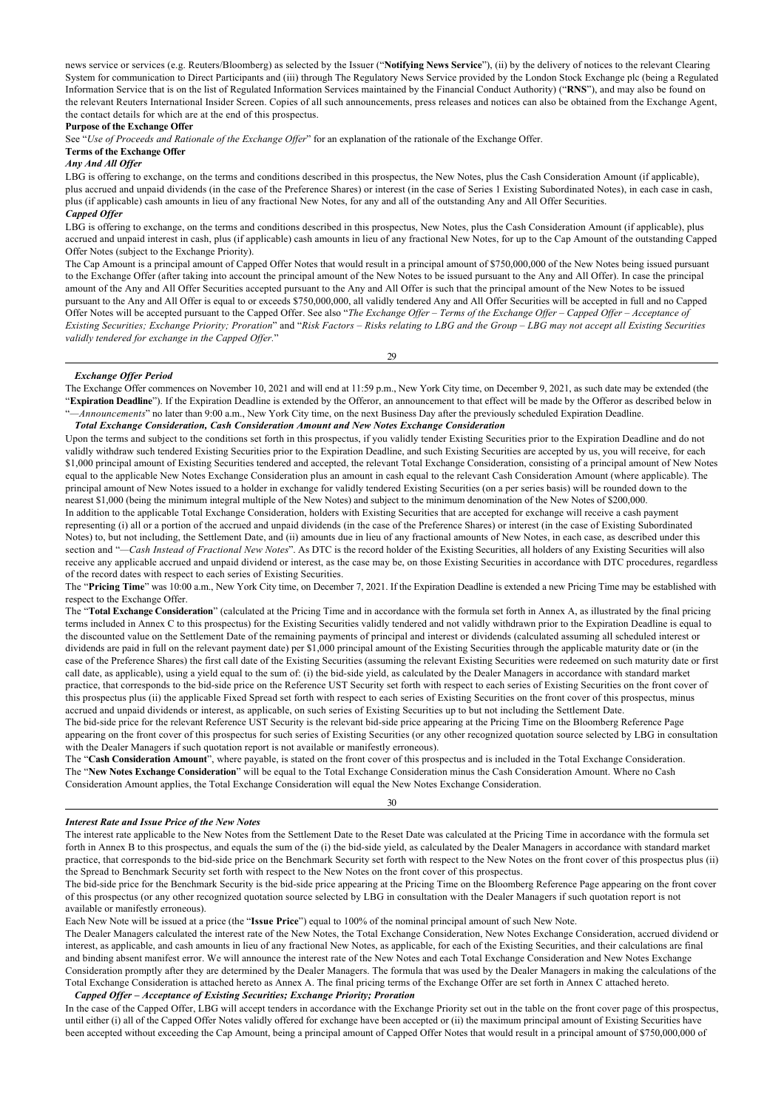news service or services (e.g. Reuters/Bloomberg) as selected by the Issuer ("**Notifying News Service**"), (ii) by the delivery of notices to the relevant Clearing System for communication to Direct Participants and (iii) through The Regulatory News Service provided by the London Stock Exchange plc (being a Regulated Information Service that is on the list of Regulated Information Services maintained by the Financial Conduct Authority) ("**RNS**"), and may also be found on the relevant Reuters International Insider Screen. Copies of all such announcements, press releases and notices can also be obtained from the Exchange Agent, the contact details for which are at the end of this prospectus.

## **Purpose of the Exchange Offer**

See "*Use of Proceeds and Rationale of the Exchange Offer*" for an explanation of the rationale of the Exchange Offer.

## **Terms of the Exchange Offer**

## *Any And All Offer*

LBG is offering to exchange, on the terms and conditions described in this prospectus, the New Notes, plus the Cash Consideration Amount (if applicable), plus accrued and unpaid dividends (in the case of the Preference Shares) or interest (in the case of Series 1 Existing Subordinated Notes), in each case in cash, plus (if applicable) cash amounts in lieu of any fractional New Notes, for any and all of the outstanding Any and All Offer Securities. *Capped Offer*

LBG is offering to exchange, on the terms and conditions described in this prospectus, New Notes, plus the Cash Consideration Amount (if applicable), plus accrued and unpaid interest in cash, plus (if applicable) cash amounts in lieu of any fractional New Notes, for up to the Cap Amount of the outstanding Capped Offer Notes (subject to the Exchange Priority).

The Cap Amount is a principal amount of Capped Offer Notes that would result in a principal amount of \$750,000,000 of the New Notes being issued pursuant to the Exchange Offer (after taking into account the principal amount of the New Notes to be issued pursuant to the Any and All Offer). In case the principal amount of the Any and All Offer Securities accepted pursuant to the Any and All Offer is such that the principal amount of the New Notes to be issued pursuant to the Any and All Offer is equal to or exceeds \$750,000,000, all validly tendered Any and All Offer Securities will be accepted in full and no Capped Offer Notes will be accepted pursuant to the Capped Offer. See also "*The Exchange Offer – Terms of the Exchange Offer – Capped Offer – Acceptance of Existing Securities; Exchange Priority; Proration*" and "*Risk Factors – Risks relating to LBG and the Group – LBG may not accept all Existing Securities validly tendered for exchange in the Capped Offer.*"

29

#### *Exchange Offer Period*

The Exchange Offer commences on November 10, 2021 and will end at 11:59 p.m., New York City time, on December 9, 2021, as such date may be extended (the "**Expiration Deadline**"). If the Expiration Deadline is extended by the Offeror, an announcement to that effect will be made by the Offeror as described below in "*—Announcements*" no later than 9:00 a.m., New York City time, on the next Business Day after the previously scheduled Expiration Deadline.

## *Total Exchange Consideration, Cash Consideration Amount and New Notes Exchange Consideration*

Upon the terms and subject to the conditions set forth in this prospectus, if you validly tender Existing Securities prior to the Expiration Deadline and do not validly withdraw such tendered Existing Securities prior to the Expiration Deadline, and such Existing Securities are accepted by us, you will receive, for each \$1,000 principal amount of Existing Securities tendered and accepted, the relevant Total Exchange Consideration, consisting of a principal amount of New Notes equal to the applicable New Notes Exchange Consideration plus an amount in cash equal to the relevant Cash Consideration Amount (where applicable). The principal amount of New Notes issued to a holder in exchange for validly tendered Existing Securities (on a per series basis) will be rounded down to the nearest \$1,000 (being the minimum integral multiple of the New Notes) and subject to the minimum denomination of the New Notes of \$200,000.

In addition to the applicable Total Exchange Consideration, holders with Existing Securities that are accepted for exchange will receive a cash payment representing (i) all or a portion of the accrued and unpaid dividends (in the case of the Preference Shares) or interest (in the case of Existing Subordinated Notes) to, but not including, the Settlement Date, and (ii) amounts due in lieu of any fractional amounts of New Notes, in each case, as described under this section and "-Cash Instead of Fractional New Notes". As DTC is the record holder of the Existing Securities, all holders of any Existing Securities will also receive any applicable accrued and unpaid dividend or interest, as the case may be, on those Existing Securities in accordance with DTC procedures, regardless of the record dates with respect to each series of Existing Securities.

The "**Pricing Time**" was 10:00 a.m., New York City time, on December 7, 2021. If the Expiration Deadline is extended a new Pricing Time may be established with respect to the Exchange Offer.

The "**Total Exchange Consideration**" (calculated at the Pricing Time and in accordance with the formula set forth in Annex A, as illustrated by the final pricing terms included in Annex C to this prospectus) for the Existing Securities validly tendered and not validly withdrawn prior to the Expiration Deadline is equal to the discounted value on the Settlement Date of the remaining payments of principal and interest or dividends (calculated assuming all scheduled interest or dividends are paid in full on the relevant payment date) per \$1,000 principal amount of the Existing Securities through the applicable maturity date or (in the case of the Preference Shares) the first call date of the Existing Securities (assuming the relevant Existing Securities were redeemed on such maturity date or first call date, as applicable), using a yield equal to the sum of: (i) the bid-side yield, as calculated by the Dealer Managers in accordance with standard market practice, that corresponds to the bid-side price on the Reference UST Security set forth with respect to each series of Existing Securities on the front cover of this prospectus plus (ii) the applicable Fixed Spread set forth with respect to each series of Existing Securities on the front cover of this prospectus, minus accrued and unpaid dividends or interest, as applicable, on such series of Existing Securities up to but not including the Settlement Date.

The bid-side price for the relevant Reference UST Security is the relevant bid-side price appearing at the Pricing Time on the Bloomberg Reference Page appearing on the front cover of this prospectus for such series of Existing Securities (or any other recognized quotation source selected by LBG in consultation with the Dealer Managers if such quotation report is not available or manifestly erroneous).

The "**Cash Consideration Amount**", where payable, is stated on the front cover of this prospectus and is included in the Total Exchange Consideration. The "**New Notes Exchange Consideration**" will be equal to the Total Exchange Consideration minus the Cash Consideration Amount. Where no Cash Consideration Amount applies, the Total Exchange Consideration will equal the New Notes Exchange Consideration.

### *Interest Rate and Issue Price of the New Notes*

The interest rate applicable to the New Notes from the Settlement Date to the Reset Date was calculated at the Pricing Time in accordance with the formula set forth in Annex B to this prospectus, and equals the sum of the (i) the bid-side yield, as calculated by the Dealer Managers in accordance with standard market practice, that corresponds to the bid-side price on the Benchmark Security set forth with respect to the New Notes on the front cover of this prospectus plus (ii) the Spread to Benchmark Security set forth with respect to the New Notes on the front cover of this prospectus.

30

The bid-side price for the Benchmark Security is the bid-side price appearing at the Pricing Time on the Bloomberg Reference Page appearing on the front cover of this prospectus (or any other recognized quotation source selected by LBG in consultation with the Dealer Managers if such quotation report is not available or manifestly erroneous).

Each New Note will be issued at a price (the "**Issue Price**") equal to 100% of the nominal principal amount of such New Note.

The Dealer Managers calculated the interest rate of the New Notes, the Total Exchange Consideration, New Notes Exchange Consideration, accrued dividend or interest, as applicable, and cash amounts in lieu of any fractional New Notes, as applicable, for each of the Existing Securities, and their calculations are final and binding absent manifest error. We will announce the interest rate of the New Notes and each Total Exchange Consideration and New Notes Exchange Consideration promptly after they are determined by the Dealer Managers. The formula that was used by the Dealer Managers in making the calculations of the Total Exchange Consideration is attached hereto as Annex A. The final pricing terms of the Exchange Offer are set forth in Annex C attached hereto. *Capped Offer – Acceptance of Existing Securities; Exchange Priority; Proration*

In the case of the Capped Offer, LBG will accept tenders in accordance with the Exchange Priority set out in the table on the front cover page of this prospectus, until either (i) all of the Capped Offer Notes validly offered for exchange have been accepted or (ii) the maximum principal amount of Existing Securities have been accepted without exceeding the Cap Amount, being a principal amount of Capped Offer Notes that would result in a principal amount of \$750,000,000 of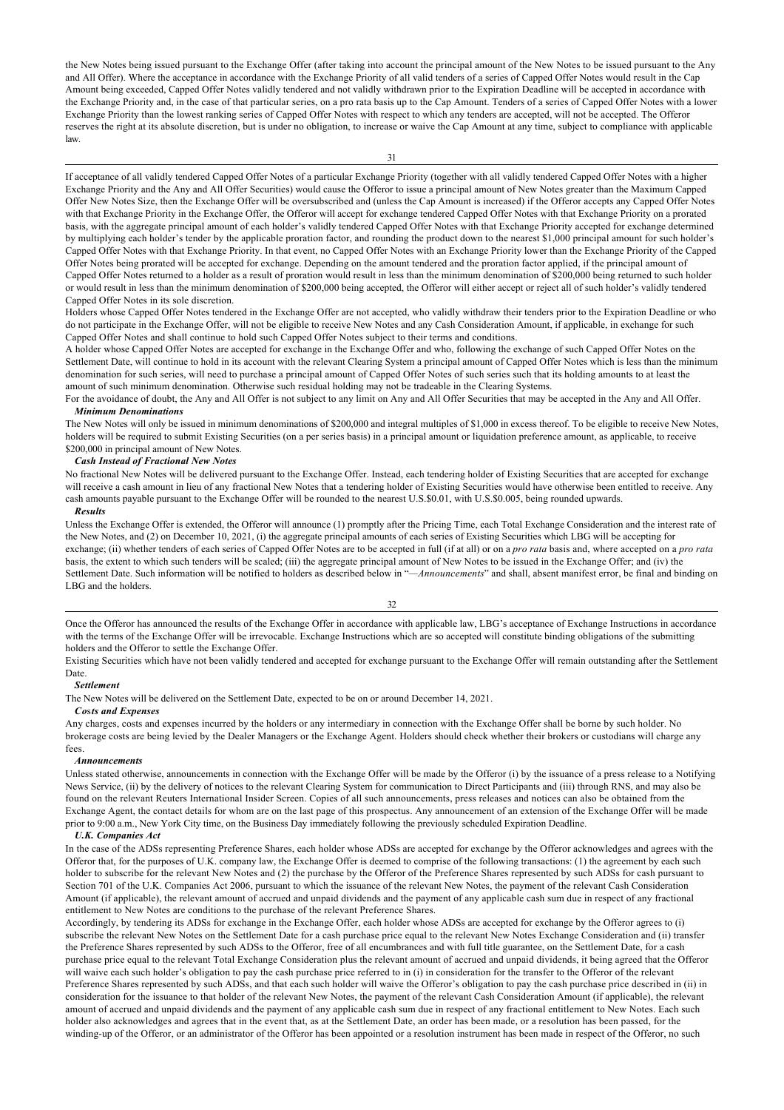the New Notes being issued pursuant to the Exchange Offer (after taking into account the principal amount of the New Notes to be issued pursuant to the Any and All Offer). Where the acceptance in accordance with the Exchange Priority of all valid tenders of a series of Capped Offer Notes would result in the Cap Amount being exceeded, Capped Offer Notes validly tendered and not validly withdrawn prior to the Expiration Deadline will be accepted in accordance with the Exchange Priority and, in the case of that particular series, on a pro rata basis up to the Cap Amount. Tenders of a series of Capped Offer Notes with a lower Exchange Priority than the lowest ranking series of Capped Offer Notes with respect to which any tenders are accepted, will not be accepted. The Offeror reserves the right at its absolute discretion, but is under no obligation, to increase or waive the Cap Amount at any time, subject to compliance with applicable law.

#### 31

If acceptance of all validly tendered Capped Offer Notes of a particular Exchange Priority (together with all validly tendered Capped Offer Notes with a higher Exchange Priority and the Any and All Offer Securities) would cause the Offeror to issue a principal amount of New Notes greater than the Maximum Capped Offer New Notes Size, then the Exchange Offer will be oversubscribed and (unless the Cap Amount is increased) if the Offeror accepts any Capped Offer Notes with that Exchange Priority in the Exchange Offer, the Offeror will accept for exchange tendered Capped Offer Notes with that Exchange Priority on a prorated basis, with the aggregate principal amount of each holder's validly tendered Capped Offer Notes with that Exchange Priority accepted for exchange determined by multiplying each holder's tender by the applicable proration factor, and rounding the product down to the nearest \$1,000 principal amount for such holder's Capped Offer Notes with that Exchange Priority. In that event, no Capped Offer Notes with an Exchange Priority lower than the Exchange Priority of the Capped Offer Notes being prorated will be accepted for exchange. Depending on the amount tendered and the proration factor applied, if the principal amount of Capped Offer Notes returned to a holder as a result of proration would result in less than the minimum denomination of \$200,000 being returned to such holder or would result in less than the minimum denomination of \$200,000 being accepted, the Offeror will either accept or reject all of such holder's validly tendered Capped Offer Notes in its sole discretion.

Holders whose Capped Offer Notes tendered in the Exchange Offer are not accepted, who validly withdraw their tenders prior to the Expiration Deadline or who do not participate in the Exchange Offer, will not be eligible to receive New Notes and any Cash Consideration Amount, if applicable, in exchange for such Capped Offer Notes and shall continue to hold such Capped Offer Notes subject to their terms and conditions.

A holder whose Capped Offer Notes are accepted for exchange in the Exchange Offer and who, following the exchange of such Capped Offer Notes on the Settlement Date, will continue to hold in its account with the relevant Clearing System a principal amount of Capped Offer Notes which is less than the minimum denomination for such series, will need to purchase a principal amount of Capped Offer Notes of such series such that its holding amounts to at least the amount of such minimum denomination. Otherwise such residual holding may not be tradeable in the Clearing Systems.

For the avoidance of doubt, the Any and All Offer is not subject to any limit on Any and All Offer Securities that may be accepted in the Any and All Offer. *Minimum Denominations*

The New Notes will only be issued in minimum denominations of \$200,000 and integral multiples of \$1,000 in excess thereof. To be eligible to receive New Notes, holders will be required to submit Existing Securities (on a per series basis) in a principal amount or liquidation preference amount, as applicable, to receive \$200,000 in principal amount of New Notes.

#### *Cash Instead of Fractional New Notes*

No fractional New Notes will be delivered pursuant to the Exchange Offer. Instead, each tendering holder of Existing Securities that are accepted for exchange will receive a cash amount in lieu of any fractional New Notes that a tendering holder of Existing Securities would have otherwise been entitled to receive. Any cash amounts payable pursuant to the Exchange Offer will be rounded to the nearest U.S.\$0.01, with U.S.\$0.005, being rounded upwards.

#### *Results*

Unless the Exchange Offer is extended, the Offeror will announce (1) promptly after the Pricing Time, each Total Exchange Consideration and the interest rate of the New Notes, and (2) on December 10, 2021, (i) the aggregate principal amounts of each series of Existing Securities which LBG will be accepting for exchange; (ii) whether tenders of each series of Capped Offer Notes are to be accepted in full (if at all) or on a *pro rata* basis and, where accepted on a *pro rata* basis, the extent to which such tenders will be scaled; (iii) the aggregate principal amount of New Notes to be issued in the Exchange Offer; and (iv) the Settlement Date. Such information will be notified to holders as described below in "*—Announcements*" and shall, absent manifest error, be final and binding on LBG and the holders.

32

Once the Offeror has announced the results of the Exchange Offer in accordance with applicable law, LBG's acceptance of Exchange Instructions in accordance with the terms of the Exchange Offer will be irrevocable. Exchange Instructions which are so accepted will constitute binding obligations of the submitting holders and the Offeror to settle the Exchange Offer.

Existing Securities which have not been validly tendered and accepted for exchange pursuant to the Exchange Offer will remain outstanding after the Settlement Date.

## *Settlement*

The New Notes will be delivered on the Settlement Date, expected to be on or around December 14, 2021.

#### *Co*s*ts and Expenses*

Any charges, costs and expenses incurred by the holders or any intermediary in connection with the Exchange Offer shall be borne by such holder. No brokerage costs are being levied by the Dealer Managers or the Exchange Agent. Holders should check whether their brokers or custodians will charge any fees.

#### *Announcements*

Unless stated otherwise, announcements in connection with the Exchange Offer will be made by the Offeror (i) by the issuance of a press release to a Notifying News Service, (ii) by the delivery of notices to the relevant Clearing System for communication to Direct Participants and (iii) through RNS, and may also be found on the relevant Reuters International Insider Screen. Copies of all such announcements, press releases and notices can also be obtained from the Exchange Agent, the contact details for whom are on the last page of this prospectus. Any announcement of an extension of the Exchange Offer will be made prior to 9:00 a.m., New York City time, on the Business Day immediately following the previously scheduled Expiration Deadline.

## *U.K. Companies Act*

In the case of the ADSs representing Preference Shares, each holder whose ADSs are accepted for exchange by the Offeror acknowledges and agrees with the Offeror that, for the purposes of U.K. company law, the Exchange Offer is deemed to comprise of the following transactions: (1) the agreement by each such holder to subscribe for the relevant New Notes and (2) the purchase by the Offeror of the Preference Shares represented by such ADSs for cash pursuant to Section 701 of the U.K. Companies Act 2006, pursuant to which the issuance of the relevant New Notes, the payment of the relevant Cash Consideration Amount (if applicable), the relevant amount of accrued and unpaid dividends and the payment of any applicable cash sum due in respect of any fractional entitlement to New Notes are conditions to the purchase of the relevant Preference Shares.

Accordingly, by tendering its ADSs for exchange in the Exchange Offer, each holder whose ADSs are accepted for exchange by the Offeror agrees to (i) subscribe the relevant New Notes on the Settlement Date for a cash purchase price equal to the relevant New Notes Exchange Consideration and (ii) transfer the Preference Shares represented by such ADSs to the Offeror, free of all encumbrances and with full title guarantee, on the Settlement Date, for a cash purchase price equal to the relevant Total Exchange Consideration plus the relevant amount of accrued and unpaid dividends, it being agreed that the Offeror will waive each such holder's obligation to pay the cash purchase price referred to in (i) in consideration for the transfer to the Offeror of the relevant Preference Shares represented by such ADSs, and that each such holder will waive the Offeror's obligation to pay the cash purchase price described in (ii) in consideration for the issuance to that holder of the relevant New Notes, the payment of the relevant Cash Consideration Amount (if applicable), the relevant amount of accrued and unpaid dividends and the payment of any applicable cash sum due in respect of any fractional entitlement to New Notes. Each such holder also acknowledges and agrees that in the event that, as at the Settlement Date, an order has been made, or a resolution has been passed, for the winding-up of the Offeror, or an administrator of the Offeror has been appointed or a resolution instrument has been made in respect of the Offeror, no such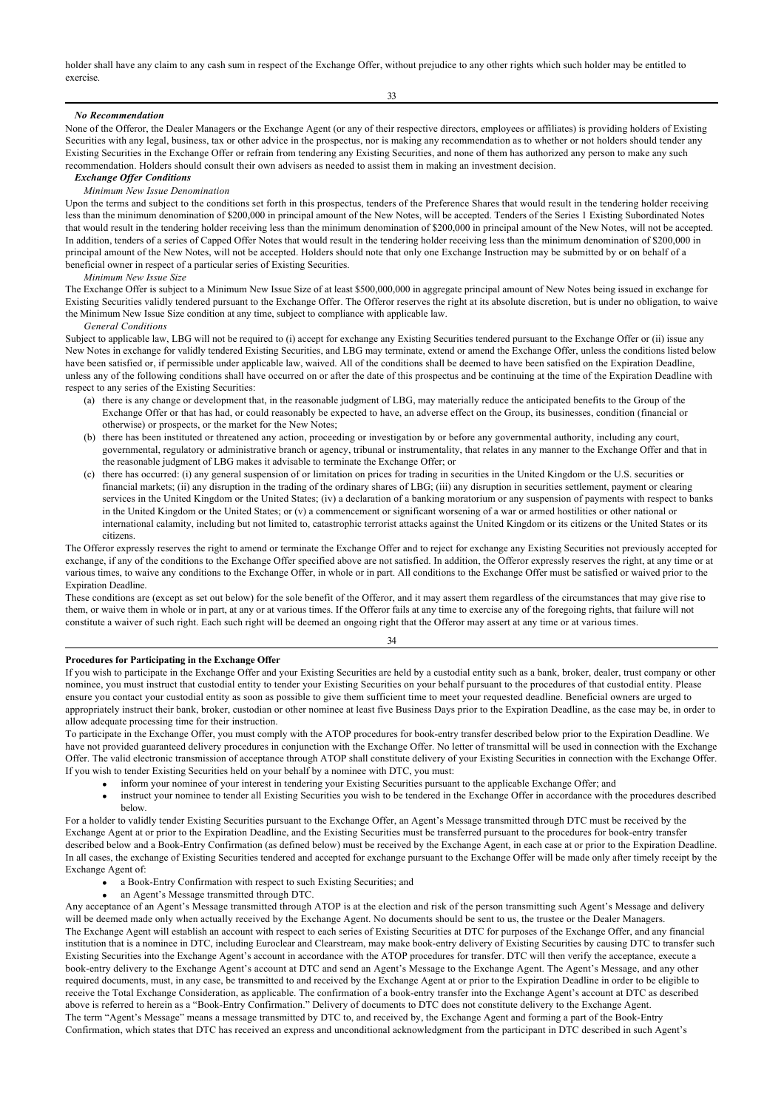holder shall have any claim to any cash sum in respect of the Exchange Offer, without prejudice to any other rights which such holder may be entitled to exercise.

33

## *No Recommendation*

None of the Offeror, the Dealer Managers or the Exchange Agent (or any of their respective directors, employees or affiliates) is providing holders of Existing Securities with any legal, business, tax or other advice in the prospectus, nor is making any recommendation as to whether or not holders should tender any Existing Securities in the Exchange Offer or refrain from tendering any Existing Securities, and none of them has authorized any person to make any such recommendation. Holders should consult their own advisers as needed to assist them in making an investment decision.

#### *Exchange Offer Conditions*

#### *Minimum New Issue Denomination*

Upon the terms and subject to the conditions set forth in this prospectus, tenders of the Preference Shares that would result in the tendering holder receiving less than the minimum denomination of \$200,000 in principal amount of the New Notes, will be accepted. Tenders of the Series 1 Existing Subordinated Notes that would result in the tendering holder receiving less than the minimum denomination of \$200,000 in principal amount of the New Notes, will not be accepted. In addition, tenders of a series of Capped Offer Notes that would result in the tendering holder receiving less than the minimum denomination of \$200,000 in principal amount of the New Notes, will not be accepted. Holders should note that only one Exchange Instruction may be submitted by or on behalf of a beneficial owner in respect of a particular series of Existing Securities.

#### *Minimum New Issue Size*

The Exchange Offer is subject to a Minimum New Issue Size of at least \$500,000,000 in aggregate principal amount of New Notes being issued in exchange for Existing Securities validly tendered pursuant to the Exchange Offer. The Offeror reserves the right at its absolute discretion, but is under no obligation, to waive the Minimum New Issue Size condition at any time, subject to compliance with applicable law.

#### *General Conditions*

Subject to applicable law, LBG will not be required to (i) accept for exchange any Existing Securities tendered pursuant to the Exchange Offer or (ii) issue any New Notes in exchange for validly tendered Existing Securities, and LBG may terminate, extend or amend the Exchange Offer, unless the conditions listed below have been satisfied or, if permissible under applicable law, waived. All of the conditions shall be deemed to have been satisfied on the Expiration Deadline, unless any of the following conditions shall have occurred on or after the date of this prospectus and be continuing at the time of the Expiration Deadline with respect to any series of the Existing Securities:

- (a) there is any change or development that, in the reasonable judgment of LBG, may materially reduce the anticipated benefits to the Group of the Exchange Offer or that has had, or could reasonably be expected to have, an adverse effect on the Group, its businesses, condition (financial or otherwise) or prospects, or the market for the New Notes;
- (b) there has been instituted or threatened any action, proceeding or investigation by or before any governmental authority, including any court, governmental, regulatory or administrative branch or agency, tribunal or instrumentality, that relates in any manner to the Exchange Offer and that in the reasonable judgment of LBG makes it advisable to terminate the Exchange Offer; or
- (c) there has occurred: (i) any general suspension of or limitation on prices for trading in securities in the United Kingdom or the U.S. securities or financial markets; (ii) any disruption in the trading of the ordinary shares of LBG; (iii) any disruption in securities settlement, payment or clearing services in the United Kingdom or the United States; (iv) a declaration of a banking moratorium or any suspension of payments with respect to banks in the United Kingdom or the United States; or (v) a commencement or significant worsening of a war or armed hostilities or other national or international calamity, including but not limited to, catastrophic terrorist attacks against the United Kingdom or its citizens or the United States or its citizens.

The Offeror expressly reserves the right to amend or terminate the Exchange Offer and to reject for exchange any Existing Securities not previously accepted for exchange, if any of the conditions to the Exchange Offer specified above are not satisfied. In addition, the Offeror expressly reserves the right, at any time or at various times, to waive any conditions to the Exchange Offer, in whole or in part. All conditions to the Exchange Offer must be satisfied or waived prior to the Expiration Deadline.

These conditions are (except as set out below) for the sole benefit of the Offeror, and it may assert them regardless of the circumstances that may give rise to them, or waive them in whole or in part, at any or at various times. If the Offeror fails at any time to exercise any of the foregoing rights, that failure will not constitute a waiver of such right. Each such right will be deemed an ongoing right that the Offeror may assert at any time or at various times.

## 34

## **Procedures for Participating in the Exchange Offer**

If you wish to participate in the Exchange Offer and your Existing Securities are held by a custodial entity such as a bank, broker, dealer, trust company or other nominee, you must instruct that custodial entity to tender your Existing Securities on your behalf pursuant to the procedures of that custodial entity. Please ensure you contact your custodial entity as soon as possible to give them sufficient time to meet your requested deadline. Beneficial owners are urged to appropriately instruct their bank, broker, custodian or other nominee at least five Business Days prior to the Expiration Deadline, as the case may be, in order to allow adequate processing time for their instruction.

To participate in the Exchange Offer, you must comply with the ATOP procedures for book-entry transfer described below prior to the Expiration Deadline. We have not provided guaranteed delivery procedures in conjunction with the Exchange Offer. No letter of transmittal will be used in connection with the Exchange Offer. The valid electronic transmission of acceptance through ATOP shall constitute delivery of your Existing Securities in connection with the Exchange Offer. If you wish to tender Existing Securities held on your behalf by a nominee with DTC, you must:

- inform your nominee of your interest in tendering your Existing Securities pursuant to the applicable Exchange Offer; and
- instruct your nominee to tender all Existing Securities you wish to be tendered in the Exchange Offer in accordance with the procedures described below.

For a holder to validly tender Existing Securities pursuant to the Exchange Offer, an Agent's Message transmitted through DTC must be received by the Exchange Agent at or prior to the Expiration Deadline, and the Existing Securities must be transferred pursuant to the procedures for book-entry transfer described below and a Book-Entry Confirmation (as defined below) must be received by the Exchange Agent, in each case at or prior to the Expiration Deadline. In all cases, the exchange of Existing Securities tendered and accepted for exchange pursuant to the Exchange Offer will be made only after timely receipt by the Exchange Agent of:

- a Book-Entry Confirmation with respect to such Existing Securities; and
- an Agent's Message transmitted through DTC.

Any acceptance of an Agent's Message transmitted through ATOP is at the election and risk of the person transmitting such Agent's Message and delivery will be deemed made only when actually received by the Exchange Agent. No documents should be sent to us, the trustee or the Dealer Managers. The Exchange Agent will establish an account with respect to each series of Existing Securities at DTC for purposes of the Exchange Offer, and any financial institution that is a nominee in DTC, including Euroclear and Clearstream, may make book-entry delivery of Existing Securities by causing DTC to transfer such Existing Securities into the Exchange Agent's account in accordance with the ATOP procedures for transfer. DTC will then verify the acceptance, execute a book-entry delivery to the Exchange Agent's account at DTC and send an Agent's Message to the Exchange Agent. The Agent's Message, and any other required documents, must, in any case, be transmitted to and received by the Exchange Agent at or prior to the Expiration Deadline in order to be eligible to receive the Total Exchange Consideration, as applicable. The confirmation of a book-entry transfer into the Exchange Agent's account at DTC as described above is referred to herein as a "Book-Entry Confirmation." Delivery of documents to DTC does not constitute delivery to the Exchange Agent. The term "Agent's Message" means a message transmitted by DTC to, and received by, the Exchange Agent and forming a part of the Book-Entry Confirmation, which states that DTC has received an express and unconditional acknowledgment from the participant in DTC described in such Agent's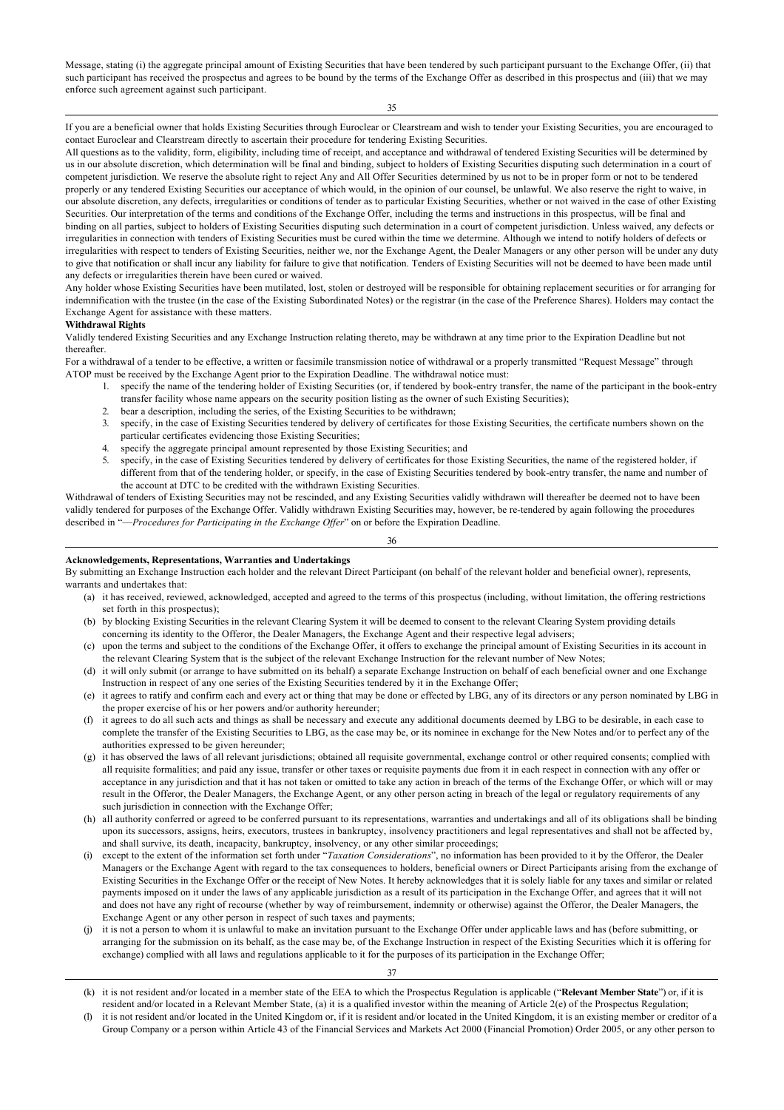Message, stating (i) the aggregate principal amount of Existing Securities that have been tendered by such participant pursuant to the Exchange Offer, (ii) that such participant has received the prospectus and agrees to be bound by the terms of the Exchange Offer as described in this prospectus and (iii) that we may enforce such agreement against such participant.

35

If you are a beneficial owner that holds Existing Securities through Euroclear or Clearstream and wish to tender your Existing Securities, you are encouraged to contact Euroclear and Clearstream directly to ascertain their procedure for tendering Existing Securities.

All questions as to the validity, form, eligibility, including time of receipt, and acceptance and withdrawal of tendered Existing Securities will be determined by us in our absolute discretion, which determination will be final and binding, subject to holders of Existing Securities disputing such determination in a court of competent jurisdiction. We reserve the absolute right to reject Any and All Offer Securities determined by us not to be in proper form or not to be tendered properly or any tendered Existing Securities our acceptance of which would, in the opinion of our counsel, be unlawful. We also reserve the right to waive, in our absolute discretion, any defects, irregularities or conditions of tender as to particular Existing Securities, whether or not waived in the case of other Existing Securities. Our interpretation of the terms and conditions of the Exchange Offer, including the terms and instructions in this prospectus, will be final and binding on all parties, subject to holders of Existing Securities disputing such determination in a court of competent jurisdiction. Unless waived, any defects or irregularities in connection with tenders of Existing Securities must be cured within the time we determine. Although we intend to notify holders of defects or irregularities with respect to tenders of Existing Securities, neither we, nor the Exchange Agent, the Dealer Managers or any other person will be under any duty to give that notification or shall incur any liability for failure to give that notification. Tenders of Existing Securities will not be deemed to have been made until any defects or irregularities therein have been cured or waived.

Any holder whose Existing Securities have been mutilated, lost, stolen or destroyed will be responsible for obtaining replacement securities or for arranging for indemnification with the trustee (in the case of the Existing Subordinated Notes) or the registrar (in the case of the Preference Shares). Holders may contact the Exchange Agent for assistance with these matters.

## **Withdrawal Rights**

Validly tendered Existing Securities and any Exchange Instruction relating thereto, may be withdrawn at any time prior to the Expiration Deadline but not thereafter.

For a withdrawal of a tender to be effective, a written or facsimile transmission notice of withdrawal or a properly transmitted "Request Message" through ATOP must be received by the Exchange Agent prior to the Expiration Deadline. The withdrawal notice must:

- 1. specify the name of the tendering holder of Existing Securities (or, if tendered by book-entry transfer, the name of the participant in the book-entry transfer facility whose name appears on the security position listing as the owner of such Existing Securities);
- 2. bear a description, including the series, of the Existing Securities to be withdrawn;
- 3. specify, in the case of Existing Securities tendered by delivery of certificates for those Existing Securities, the certificate numbers shown on the particular certificates evidencing those Existing Securities;
- specify the aggregate principal amount represented by those Existing Securities; and
- 5. specify, in the case of Existing Securities tendered by delivery of certificates for those Existing Securities, the name of the registered holder, if different from that of the tendering holder, or specify, in the case of Existing Securities tendered by book-entry transfer, the name and number of the account at DTC to be credited with the withdrawn Existing Securities.

Withdrawal of tenders of Existing Securities may not be rescinded, and any Existing Securities validly withdrawn will thereafter be deemed not to have been validly tendered for purposes of the Exchange Offer. Validly withdrawn Existing Securities may, however, be re-tendered by again following the procedures described in "—*Procedures for Participating in the Exchange Offer*" on or before the Expiration Deadline.

36

## **Acknowledgements, Representations, Warranties and Undertakings**

By submitting an Exchange Instruction each holder and the relevant Direct Participant (on behalf of the relevant holder and beneficial owner), represents, warrants and undertakes that:

- (a) it has received, reviewed, acknowledged, accepted and agreed to the terms of this prospectus (including, without limitation, the offering restrictions set forth in this prospectus);
- (b) by blocking Existing Securities in the relevant Clearing System it will be deemed to consent to the relevant Clearing System providing details concerning its identity to the Offeror, the Dealer Managers, the Exchange Agent and their respective legal advisers;
- (c) upon the terms and subject to the conditions of the Exchange Offer, it offers to exchange the principal amount of Existing Securities in its account in the relevant Clearing System that is the subject of the relevant Exchange Instruction for the relevant number of New Notes;
- (d) it will only submit (or arrange to have submitted on its behalf) a separate Exchange Instruction on behalf of each beneficial owner and one Exchange Instruction in respect of any one series of the Existing Securities tendered by it in the Exchange Offer;
- (e) it agrees to ratify and confirm each and every act or thing that may be done or effected by LBG, any of its directors or any person nominated by LBG in the proper exercise of his or her powers and/or authority hereunder;
- (f) it agrees to do all such acts and things as shall be necessary and execute any additional documents deemed by LBG to be desirable, in each case to complete the transfer of the Existing Securities to LBG, as the case may be, or its nominee in exchange for the New Notes and/or to perfect any of the authorities expressed to be given hereunder;
- (g) it has observed the laws of all relevant jurisdictions; obtained all requisite governmental, exchange control or other required consents; complied with all requisite formalities; and paid any issue, transfer or other taxes or requisite payments due from it in each respect in connection with any offer or acceptance in any jurisdiction and that it has not taken or omitted to take any action in breach of the terms of the Exchange Offer, or which will or may result in the Offeror, the Dealer Managers, the Exchange Agent, or any other person acting in breach of the legal or regulatory requirements of any such jurisdiction in connection with the Exchange Offer;
- (h) all authority conferred or agreed to be conferred pursuant to its representations, warranties and undertakings and all of its obligations shall be binding upon its successors, assigns, heirs, executors, trustees in bankruptcy, insolvency practitioners and legal representatives and shall not be affected by, and shall survive, its death, incapacity, bankruptcy, insolvency, or any other similar proceedings;
- (i) except to the extent of the information set forth under "*Taxation Considerations*", no information has been provided to it by the Offeror, the Dealer Managers or the Exchange Agent with regard to the tax consequences to holders, beneficial owners or Direct Participants arising from the exchange of Existing Securities in the Exchange Offer or the receipt of New Notes. It hereby acknowledges that it is solely liable for any taxes and similar or related payments imposed on it under the laws of any applicable jurisdiction as a result of its participation in the Exchange Offer, and agrees that it will not and does not have any right of recourse (whether by way of reimbursement, indemnity or otherwise) against the Offeror, the Dealer Managers, the Exchange Agent or any other person in respect of such taxes and payments;
- it is not a person to whom it is unlawful to make an invitation pursuant to the Exchange Offer under applicable laws and has (before submitting, or arranging for the submission on its behalf, as the case may be, of the Exchange Instruction in respect of the Existing Securities which it is offering for exchange) complied with all laws and regulations applicable to it for the purposes of its participation in the Exchange Offer;

<sup>(</sup>k) it is not resident and/or located in a member state of the EEA to which the Prospectus Regulation is applicable ("**Relevant Member State**") or, if it is resident and/or located in a Relevant Member State, (a) it is a qualified investor within the meaning of Article 2(e) of the Prospectus Regulation;

it is not resident and/or located in the United Kingdom or, if it is resident and/or located in the United Kingdom, it is an existing member or creditor of a Group Company or a person within Article 43 of the Financial Services and Markets Act 2000 (Financial Promotion) Order 2005, or any other person to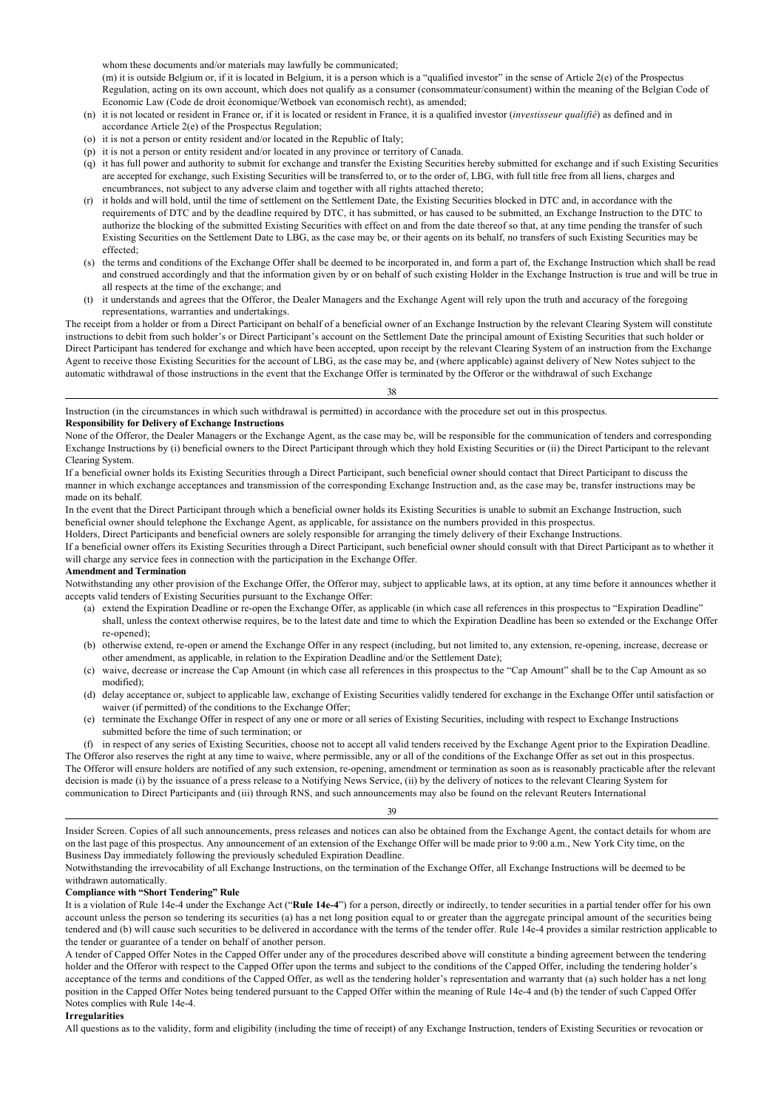whom these documents and/or materials may lawfully be communicated;

(m) it is outside Belgium or, if it is located in Belgium, it is a person which is a "qualified investor" in the sense of Article 2(e) of the Prospectus Regulation, acting on its own account, which does not qualify as a consumer (consommateur/consument) within the meaning of the Belgian Code of Economic Law (Code de droit économique/Wetboek van economisch recht), as amended;

- (n) it is not located or resident in France or, if it is located or resident in France, it is a qualified investor (*investisseur qualifié*) as defined and in accordance Article 2(e) of the Prospectus Regulation;
- (o) it is not a person or entity resident and/or located in the Republic of Italy;
- (p) it is not a person or entity resident and/or located in any province or territory of Canada.
- (q) it has full power and authority to submit for exchange and transfer the Existing Securities hereby submitted for exchange and if such Existing Securities are accepted for exchange, such Existing Securities will be transferred to, or to the order of, LBG, with full title free from all liens, charges and encumbrances, not subject to any adverse claim and together with all rights attached thereto;
- (r) it holds and will hold, until the time of settlement on the Settlement Date, the Existing Securities blocked in DTC and, in accordance with the requirements of DTC and by the deadline required by DTC, it has submitted, or has caused to be submitted, an Exchange Instruction to the DTC to authorize the blocking of the submitted Existing Securities with effect on and from the date thereof so that, at any time pending the transfer of such Existing Securities on the Settlement Date to LBG, as the case may be, or their agents on its behalf, no transfers of such Existing Securities may be effected;
- (s) the terms and conditions of the Exchange Offer shall be deemed to be incorporated in, and form a part of, the Exchange Instruction which shall be read and construed accordingly and that the information given by or on behalf of such existing Holder in the Exchange Instruction is true and will be true in all respects at the time of the exchange; and
- (t) it understands and agrees that the Offeror, the Dealer Managers and the Exchange Agent will rely upon the truth and accuracy of the foregoing representations, warranties and undertakings.

The receipt from a holder or from a Direct Participant on behalf of a beneficial owner of an Exchange Instruction by the relevant Clearing System will constitute instructions to debit from such holder's or Direct Participant's account on the Settlement Date the principal amount of Existing Securities that such holder or Direct Participant has tendered for exchange and which have been accepted, upon receipt by the relevant Clearing System of an instruction from the Exchange Agent to receive those Existing Securities for the account of LBG, as the case may be, and (where applicable) against delivery of New Notes subject to the automatic withdrawal of those instructions in the event that the Exchange Offer is terminated by the Offeror or the withdrawal of such Exchange

## 38

Instruction (in the circumstances in which such withdrawal is permitted) in accordance with the procedure set out in this prospectus. **Responsibility for Delivery of Exchange Instructions**

None of the Offeror, the Dealer Managers or the Exchange Agent, as the case may be, will be responsible for the communication of tenders and corresponding Exchange Instructions by (i) beneficial owners to the Direct Participant through which they hold Existing Securities or (ii) the Direct Participant to the relevant Clearing System.

If a beneficial owner holds its Existing Securities through a Direct Participant, such beneficial owner should contact that Direct Participant to discuss the manner in which exchange acceptances and transmission of the corresponding Exchange Instruction and, as the case may be, transfer instructions may be made on its behalf.

In the event that the Direct Participant through which a beneficial owner holds its Existing Securities is unable to submit an Exchange Instruction, such beneficial owner should telephone the Exchange Agent, as applicable, for assistance on the numbers provided in this prospectus.

Holders, Direct Participants and beneficial owners are solely responsible for arranging the timely delivery of their Exchange Instructions.

If a beneficial owner offers its Existing Securities through a Direct Participant, such beneficial owner should consult with that Direct Participant as to whether it will charge any service fees in connection with the participation in the Exchange Offer.

#### **Amendment and Termination**

Notwithstanding any other provision of the Exchange Offer, the Offeror may, subject to applicable laws, at its option, at any time before it announces whether it accepts valid tenders of Existing Securities pursuant to the Exchange Offer:

- (a) extend the Expiration Deadline or re-open the Exchange Offer, as applicable (in which case all references in this prospectus to "Expiration Deadline" shall, unless the context otherwise requires, be to the latest date and time to which the Expiration Deadline has been so extended or the Exchange Offer re-opened);
- (b) otherwise extend, re-open or amend the Exchange Offer in any respect (including, but not limited to, any extension, re-opening, increase, decrease or other amendment, as applicable, in relation to the Expiration Deadline and/or the Settlement Date);
- (c) waive, decrease or increase the Cap Amount (in which case all references in this prospectus to the "Cap Amount" shall be to the Cap Amount as so modified);
- (d) delay acceptance or, subject to applicable law, exchange of Existing Securities validly tendered for exchange in the Exchange Offer until satisfaction or waiver (if permitted) of the conditions to the Exchange Offer;
- (e) terminate the Exchange Offer in respect of any one or more or all series of Existing Securities, including with respect to Exchange Instructions submitted before the time of such termination; or

(f) in respect of any series of Existing Securities, choose not to accept all valid tenders received by the Exchange Agent prior to the Expiration Deadline. The Offeror also reserves the right at any time to waive, where permissible, any or all of the conditions of the Exchange Offer as set out in this prospectus. The Offeror will ensure holders are notified of any such extension, re-opening, amendment or termination as soon as is reasonably practicable after the relevant decision is made (i) by the issuance of a press release to a Notifying News Service, (ii) by the delivery of notices to the relevant Clearing System for communication to Direct Participants and (iii) through RNS, and such announcements may also be found on the relevant Reuters International

39

Insider Screen. Copies of all such announcements, press releases and notices can also be obtained from the Exchange Agent, the contact details for whom are on the last page of this prospectus. Any announcement of an extension of the Exchange Offer will be made prior to 9:00 a.m., New York City time, on the Business Day immediately following the previously scheduled Expiration Deadline.

Notwithstanding the irrevocability of all Exchange Instructions, on the termination of the Exchange Offer, all Exchange Instructions will be deemed to be withdrawn automatically.

## **Compliance with "Short Tendering" Rule**

It is a violation of Rule 14e-4 under the Exchange Act ("**Rule 14e-4**") for a person, directly or indirectly, to tender securities in a partial tender offer for his own account unless the person so tendering its securities (a) has a net long position equal to or greater than the aggregate principal amount of the securities being tendered and (b) will cause such securities to be delivered in accordance with the terms of the tender offer. Rule 14e-4 provides a similar restriction applicable to the tender or guarantee of a tender on behalf of another person.

A tender of Capped Offer Notes in the Capped Offer under any of the procedures described above will constitute a binding agreement between the tendering holder and the Offeror with respect to the Capped Offer upon the terms and subject to the conditions of the Capped Offer, including the tendering holder's acceptance of the terms and conditions of the Capped Offer, as well as the tendering holder's representation and warranty that (a) such holder has a net long position in the Capped Offer Notes being tendered pursuant to the Capped Offer within the meaning of Rule 14e-4 and (b) the tender of such Capped Offer Notes complies with Rule 14e-4.

#### **Irregularities**

All questions as to the validity, form and eligibility (including the time of receipt) of any Exchange Instruction, tenders of Existing Securities or revocation or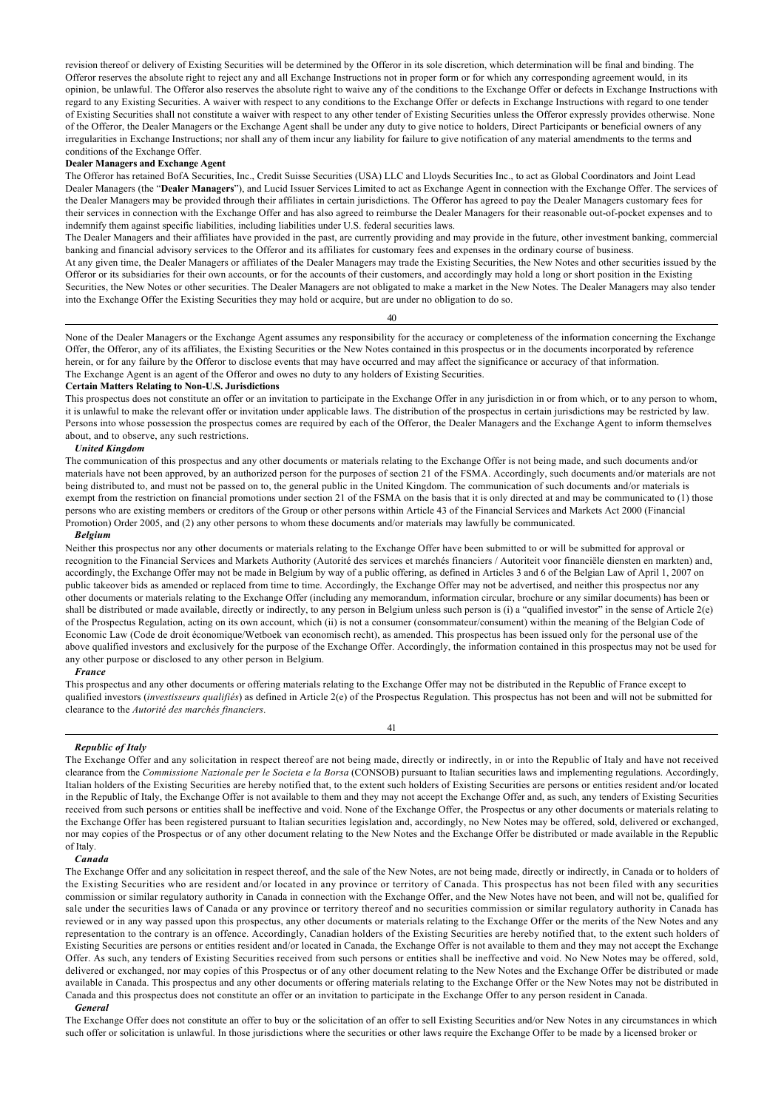revision thereof or delivery of Existing Securities will be determined by the Offeror in its sole discretion, which determination will be final and binding. The Offeror reserves the absolute right to reject any and all Exchange Instructions not in proper form or for which any corresponding agreement would, in its opinion, be unlawful. The Offeror also reserves the absolute right to waive any of the conditions to the Exchange Offer or defects in Exchange Instructions with regard to any Existing Securities. A waiver with respect to any conditions to the Exchange Offer or defects in Exchange Instructions with regard to one tender of Existing Securities shall not constitute a waiver with respect to any other tender of Existing Securities unless the Offeror expressly provides otherwise. None of the Offeror, the Dealer Managers or the Exchange Agent shall be under any duty to give notice to holders, Direct Participants or beneficial owners of any irregularities in Exchange Instructions; nor shall any of them incur any liability for failure to give notification of any material amendments to the terms and conditions of the Exchange Offer.

## **Dealer Managers and Exchange Agent**

The Offeror has retained BofA Securities, Inc., Credit Suisse Securities (USA) LLC and Lloyds Securities Inc., to act as Global Coordinators and Joint Lead Dealer Managers (the "**Dealer Managers**"), and Lucid Issuer Services Limited to act as Exchange Agent in connection with the Exchange Offer. The services of the Dealer Managers may be provided through their affiliates in certain jurisdictions. The Offeror has agreed to pay the Dealer Managers customary fees for their services in connection with the Exchange Offer and has also agreed to reimburse the Dealer Managers for their reasonable out-of-pocket expenses and to indemnify them against specific liabilities, including liabilities under U.S. federal securities laws.

The Dealer Managers and their affiliates have provided in the past, are currently providing and may provide in the future, other investment banking, commercial banking and financial advisory services to the Offeror and its affiliates for customary fees and expenses in the ordinary course of business. At any given time, the Dealer Managers or affiliates of the Dealer Managers may trade the Existing Securities, the New Notes and other securities issued by the Offeror or its subsidiaries for their own accounts, or for the accounts of their customers, and accordingly may hold a long or short position in the Existing Securities, the New Notes or other securities. The Dealer Managers are not obligated to make a market in the New Notes. The Dealer Managers may also tender into the Exchange Offer the Existing Securities they may hold or acquire, but are under no obligation to do so.

40

None of the Dealer Managers or the Exchange Agent assumes any responsibility for the accuracy or completeness of the information concerning the Exchange Offer, the Offeror, any of its affiliates, the Existing Securities or the New Notes contained in this prospectus or in the documents incorporated by reference herein, or for any failure by the Offeror to disclose events that may have occurred and may affect the significance or accuracy of that information. The Exchange Agent is an agent of the Offeror and owes no duty to any holders of Existing Securities.

#### **Certain Matters Relating to Non-U.S. Jurisdictions**

This prospectus does not constitute an offer or an invitation to participate in the Exchange Offer in any jurisdiction in or from which, or to any person to whom, it is unlawful to make the relevant offer or invitation under applicable laws. The distribution of the prospectus in certain jurisdictions may be restricted by law. Persons into whose possession the prospectus comes are required by each of the Offeror, the Dealer Managers and the Exchange Agent to inform themselves about, and to observe, any such restrictions.

#### *United Kingdom*

The communication of this prospectus and any other documents or materials relating to the Exchange Offer is not being made, and such documents and/or materials have not been approved, by an authorized person for the purposes of section 21 of the FSMA. Accordingly, such documents and/or materials are not being distributed to, and must not be passed on to, the general public in the United Kingdom. The communication of such documents and/or materials is exempt from the restriction on financial promotions under section 21 of the FSMA on the basis that it is only directed at and may be communicated to (1) those persons who are existing members or creditors of the Group or other persons within Article 43 of the Financial Services and Markets Act 2000 (Financial Promotion) Order 2005, and (2) any other persons to whom these documents and/or materials may lawfully be communicated.

#### *Belgium*

Neither this prospectus nor any other documents or materials relating to the Exchange Offer have been submitted to or will be submitted for approval or recognition to the Financial Services and Markets Authority (Autorité des services et marchés financiers / Autoriteit voor financiële diensten en markten) and, accordingly, the Exchange Offer may not be made in Belgium by way of a public offering, as defined in Articles 3 and 6 of the Belgian Law of April 1, 2007 on public takeover bids as amended or replaced from time to time. Accordingly, the Exchange Offer may not be advertised, and neither this prospectus nor any other documents or materials relating to the Exchange Offer (including any memorandum, information circular, brochure or any similar documents) has been or shall be distributed or made available, directly or indirectly, to any person in Belgium unless such person is (i) a "qualified investor" in the sense of Article 2(e) of the Prospectus Regulation, acting on its own account, which (ii) is not a consumer (consommateur/consument) within the meaning of the Belgian Code of Economic Law (Code de droit économique/Wetboek van economisch recht), as amended. This prospectus has been issued only for the personal use of the above qualified investors and exclusively for the purpose of the Exchange Offer. Accordingly, the information contained in this prospectus may not be used for any other purpose or disclosed to any other person in Belgium.

#### *France*

This prospectus and any other documents or offering materials relating to the Exchange Offer may not be distributed in the Republic of France except to qualified investors (*investisseurs qualifiés*) as defined in Article 2(e) of the Prospectus Regulation. This prospectus has not been and will not be submitted for clearance to the *Autorité des marchés financiers*.

### 41

#### *Republic of Italy*

The Exchange Offer and any solicitation in respect thereof are not being made, directly or indirectly, in or into the Republic of Italy and have not received clearance from the *Commissione Nazionale per le Societa e la Borsa* (CONSOB) pursuant to Italian securities laws and implementing regulations. Accordingly, Italian holders of the Existing Securities are hereby notified that, to the extent such holders of Existing Securities are persons or entities resident and/or located in the Republic of Italy, the Exchange Offer is not available to them and they may not accept the Exchange Offer and, as such, any tenders of Existing Securities received from such persons or entities shall be ineffective and void. None of the Exchange Offer, the Prospectus or any other documents or materials relating to the Exchange Offer has been registered pursuant to Italian securities legislation and, accordingly, no New Notes may be offered, sold, delivered or exchanged, nor may copies of the Prospectus or of any other document relating to the New Notes and the Exchange Offer be distributed or made available in the Republic of Italy.

## *Canada*

The Exchange Offer and any solicitation in respect thereof, and the sale of the New Notes, are not being made, directly or indirectly, in Canada or to holders of the Existing Securities who are resident and/or located in any province or territory of Canada. This prospectus has not been filed with any securities commission or similar regulatory authority in Canada in connection with the Exchange Offer, and the New Notes have not been, and will not be, qualified for sale under the securities laws of Canada or any province or territory thereof and no securities commission or similar regulatory authority in Canada has reviewed or in any way passed upon this prospectus, any other documents or materials relating to the Exchange Offer or the merits of the New Notes and any representation to the contrary is an offence. Accordingly, Canadian holders of the Existing Securities are hereby notified that, to the extent such holders of Existing Securities are persons or entities resident and/or located in Canada, the Exchange Offer is not available to them and they may not accept the Exchange Offer. As such, any tenders of Existing Securities received from such persons or entities shall be ineffective and void. No New Notes may be offered, sold, delivered or exchanged, nor may copies of this Prospectus or of any other document relating to the New Notes and the Exchange Offer be distributed or made available in Canada. This prospectus and any other documents or offering materials relating to the Exchange Offer or the New Notes may not be distributed in Canada and this prospectus does not constitute an offer or an invitation to participate in the Exchange Offer to any person resident in Canada.

#### *General*

The Exchange Offer does not constitute an offer to buy or the solicitation of an offer to sell Existing Securities and/or New Notes in any circumstances in which such offer or solicitation is unlawful. In those jurisdictions where the securities or other laws require the Exchange Offer to be made by a licensed broker or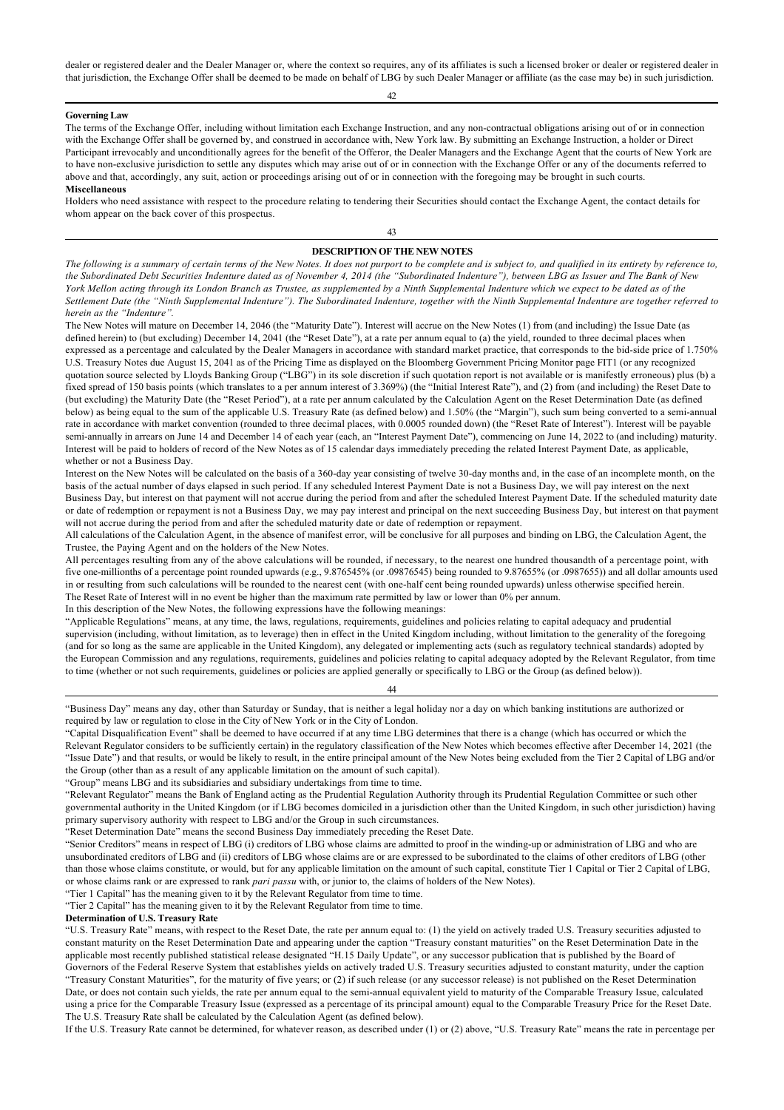dealer or registered dealer and the Dealer Manager or, where the context so requires, any of its affiliates is such a licensed broker or dealer or registered dealer in that jurisdiction, the Exchange Offer shall be deemed to be made on behalf of LBG by such Dealer Manager or affiliate (as the case may be) in such jurisdiction.

#### **Governing Law**

The terms of the Exchange Offer, including without limitation each Exchange Instruction, and any non-contractual obligations arising out of or in connection with the Exchange Offer shall be governed by, and construed in accordance with, New York law. By submitting an Exchange Instruction, a holder or Direct Participant irrevocably and unconditionally agrees for the benefit of the Offeror, the Dealer Managers and the Exchange Agent that the courts of New York are to have non-exclusive jurisdiction to settle any disputes which may arise out of or in connection with the Exchange Offer or any of the documents referred to above and that, accordingly, any suit, action or proceedings arising out of or in connection with the foregoing may be brought in such courts. **Miscellaneous**

Holders who need assistance with respect to the procedure relating to tendering their Securities should contact the Exchange Agent, the contact details for whom appear on the back cover of this prospectus.

## 43

## **DESCRIPTION OF THE NEW NOTES**

*The following is a summary of certain terms of the New Notes. It does not purport to be complete and is subject to, and qualified in its entirety by reference to, the Subordinated Debt Securities Indenture dated as of November 4, 2014 (the "Subordinated Indenture"), between LBG as Issuer and The Bank of New York Mellon acting through its London Branch as Trustee, as supplemented by a Ninth Supplemental Indenture which we expect to be dated as of the Settlement Date (the "Ninth Supplemental Indenture"). The Subordinated Indenture, together with the Ninth Supplemental Indenture are together referred to herein as the "Indenture".*

The New Notes will mature on December 14, 2046 (the "Maturity Date"). Interest will accrue on the New Notes (1) from (and including) the Issue Date (as defined herein) to (but excluding) December 14, 2041 (the "Reset Date"), at a rate per annum equal to (a) the yield, rounded to three decimal places when expressed as a percentage and calculated by the Dealer Managers in accordance with standard market practice, that corresponds to the bid-side price of 1.750% U.S. Treasury Notes due August 15, 2041 as of the Pricing Time as displayed on the Bloomberg Government Pricing Monitor page FIT1 (or any recognized quotation source selected by Lloyds Banking Group ("LBG") in its sole discretion if such quotation report is not available or is manifestly erroneous) plus (b) a fixed spread of 150 basis points (which translates to a per annum interest of 3.369%) (the "Initial Interest Rate"), and (2) from (and including) the Reset Date to (but excluding) the Maturity Date (the "Reset Period"), at a rate per annum calculated by the Calculation Agent on the Reset Determination Date (as defined below) as being equal to the sum of the applicable U.S. Treasury Rate (as defined below) and 1.50% (the "Margin"), such sum being converted to a semi-annual rate in accordance with market convention (rounded to three decimal places, with 0.0005 rounded down) (the "Reset Rate of Interest"). Interest will be payable semi-annually in arrears on June 14 and December 14 of each year (each, an "Interest Payment Date"), commencing on June 14, 2022 to (and including) maturity. Interest will be paid to holders of record of the New Notes as of 15 calendar days immediately preceding the related Interest Payment Date, as applicable, whether or not a Business Day.

Interest on the New Notes will be calculated on the basis of a 360-day year consisting of twelve 30-day months and, in the case of an incomplete month, on the basis of the actual number of days elapsed in such period. If any scheduled Interest Payment Date is not a Business Day, we will pay interest on the next Business Day, but interest on that payment will not accrue during the period from and after the scheduled Interest Payment Date. If the scheduled maturity date or date of redemption or repayment is not a Business Day, we may pay interest and principal on the next succeeding Business Day, but interest on that payment will not accrue during the period from and after the scheduled maturity date or date of redemption or repayment.

All calculations of the Calculation Agent, in the absence of manifest error, will be conclusive for all purposes and binding on LBG, the Calculation Agent, the Trustee, the Paying Agent and on the holders of the New Notes.

All percentages resulting from any of the above calculations will be rounded, if necessary, to the nearest one hundred thousandth of a percentage point, with five one-millionths of a percentage point rounded upwards (e.g., 9.876545% (or .09876545) being rounded to 9.87655% (or .0987655)) and all dollar amounts used in or resulting from such calculations will be rounded to the nearest cent (with one-half cent being rounded upwards) unless otherwise specified herein. The Reset Rate of Interest will in no event be higher than the maximum rate permitted by law or lower than 0% per annum.

In this description of the New Notes, the following expressions have the following meanings:

"Applicable Regulations" means, at any time, the laws, regulations, requirements, guidelines and policies relating to capital adequacy and prudential supervision (including, without limitation, as to leverage) then in effect in the United Kingdom including, without limitation to the generality of the foregoing (and for so long as the same are applicable in the United Kingdom), any delegated or implementing acts (such as regulatory technical standards) adopted by the European Commission and any regulations, requirements, guidelines and policies relating to capital adequacy adopted by the Relevant Regulator, from time to time (whether or not such requirements, guidelines or policies are applied generally or specifically to LBG or the Group (as defined below)).

#### 44

"Group" means LBG and its subsidiaries and subsidiary undertakings from time to time.

"Tier 1 Capital" has the meaning given to it by the Relevant Regulator from time to time.

"Tier 2 Capital" has the meaning given to it by the Relevant Regulator from time to time.

**Determination of U.S. Treasury Rate**

If the U.S. Treasury Rate cannot be determined, for whatever reason, as described under (1) or (2) above, "U.S. Treasury Rate" means the rate in percentage per

<sup>&</sup>quot;Business Day" means any day, other than Saturday or Sunday, that is neither a legal holiday nor a day on which banking institutions are authorized or required by law or regulation to close in the City of New York or in the City of London.

<sup>&</sup>quot;Capital Disqualification Event" shall be deemed to have occurred if at any time LBG determines that there is a change (which has occurred or which the Relevant Regulator considers to be sufficiently certain) in the regulatory classification of the New Notes which becomes effective after December 14, 2021 (the "Issue Date") and that results, or would be likely to result, in the entire principal amount of the New Notes being excluded from the Tier 2 Capital of LBG and/or the Group (other than as a result of any applicable limitation on the amount of such capital).

<sup>&</sup>quot;Relevant Regulator" means the Bank of England acting as the Prudential Regulation Authority through its Prudential Regulation Committee or such other governmental authority in the United Kingdom (or if LBG becomes domiciled in a jurisdiction other than the United Kingdom, in such other jurisdiction) having primary supervisory authority with respect to LBG and/or the Group in such circumstances.

<sup>&</sup>quot;Reset Determination Date" means the second Business Day immediately preceding the Reset Date.

<sup>&</sup>quot;Senior Creditors" means in respect of LBG (i) creditors of LBG whose claims are admitted to proof in the winding-up or administration of LBG and who are unsubordinated creditors of LBG and (ii) creditors of LBG whose claims are or are expressed to be subordinated to the claims of other creditors of LBG (other than those whose claims constitute, or would, but for any applicable limitation on the amount of such capital, constitute Tier 1 Capital or Tier 2 Capital of LBG, or whose claims rank or are expressed to rank *pari passu* with, or junior to, the claims of holders of the New Notes).

<sup>&</sup>quot;U.S. Treasury Rate" means, with respect to the Reset Date, the rate per annum equal to: (1) the yield on actively traded U.S. Treasury securities adjusted to constant maturity on the Reset Determination Date and appearing under the caption "Treasury constant maturities" on the Reset Determination Date in the applicable most recently published statistical release designated "H.15 Daily Update", or any successor publication that is published by the Board of Governors of the Federal Reserve System that establishes yields on actively traded U.S. Treasury securities adjusted to constant maturity, under the caption "Treasury Constant Maturities", for the maturity of five years; or (2) if such release (or any successor release) is not published on the Reset Determination Date, or does not contain such yields, the rate per annum equal to the semi-annual equivalent yield to maturity of the Comparable Treasury Issue, calculated using a price for the Comparable Treasury Issue (expressed as a percentage of its principal amount) equal to the Comparable Treasury Price for the Reset Date. The U.S. Treasury Rate shall be calculated by the Calculation Agent (as defined below).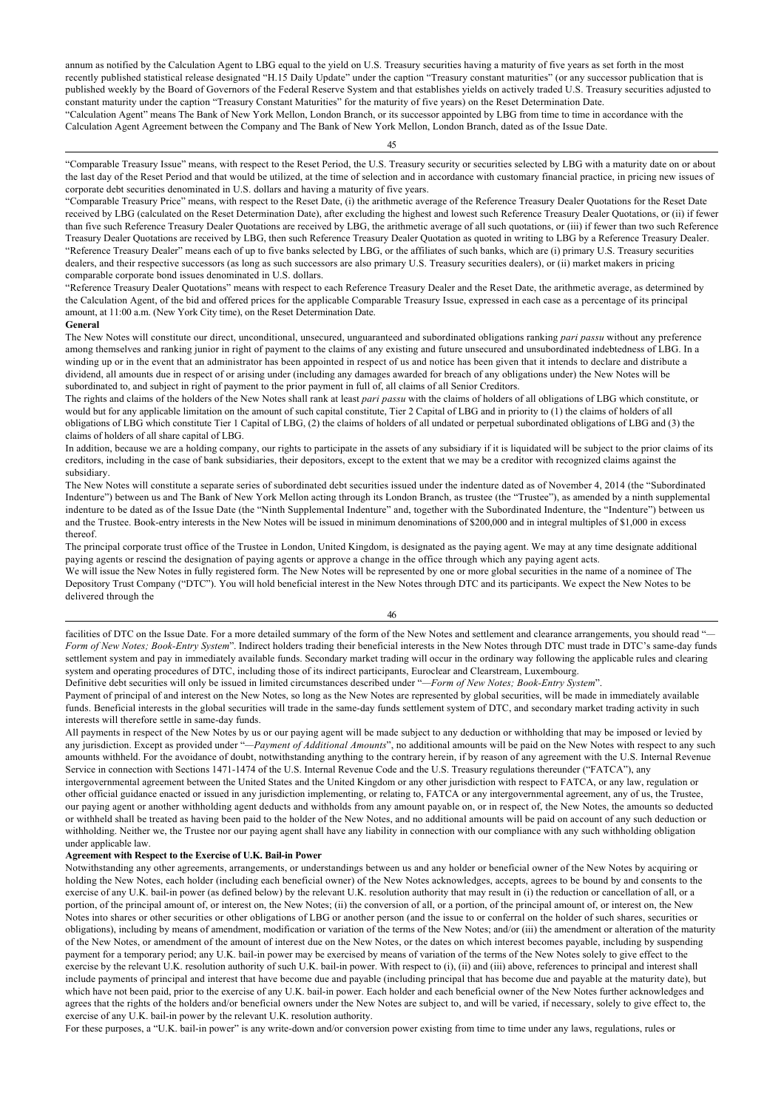annum as notified by the Calculation Agent to LBG equal to the yield on U.S. Treasury securities having a maturity of five years as set forth in the most recently published statistical release designated "H.15 Daily Update" under the caption "Treasury constant maturities" (or any successor publication that is published weekly by the Board of Governors of the Federal Reserve System and that establishes yields on actively traded U.S. Treasury securities adjusted to constant maturity under the caption "Treasury Constant Maturities" for the maturity of five years) on the Reset Determination Date. "Calculation Agent" means The Bank of New York Mellon, London Branch, or its successor appointed by LBG from time to time in accordance with the Calculation Agent Agreement between the Company and The Bank of New York Mellon, London Branch, dated as of the Issue Date.

45

"Comparable Treasury Issue" means, with respect to the Reset Period, the U.S. Treasury security or securities selected by LBG with a maturity date on or about the last day of the Reset Period and that would be utilized, at the time of selection and in accordance with customary financial practice, in pricing new issues of corporate debt securities denominated in U.S. dollars and having a maturity of five years.

"Comparable Treasury Price" means, with respect to the Reset Date, (i) the arithmetic average of the Reference Treasury Dealer Quotations for the Reset Date received by LBG (calculated on the Reset Determination Date), after excluding the highest and lowest such Reference Treasury Dealer Quotations, or (ii) if fewer than five such Reference Treasury Dealer Quotations are received by LBG, the arithmetic average of all such quotations, or (iii) if fewer than two such Reference Treasury Dealer Quotations are received by LBG, then such Reference Treasury Dealer Quotation as quoted in writing to LBG by a Reference Treasury Dealer. "Reference Treasury Dealer" means each of up to five banks selected by LBG, or the affiliates of such banks, which are (i) primary U.S. Treasury securities dealers, and their respective successors (as long as such successors are also primary U.S. Treasury securities dealers), or (ii) market makers in pricing comparable corporate bond issues denominated in U.S. dollars.

"Reference Treasury Dealer Quotations" means with respect to each Reference Treasury Dealer and the Reset Date, the arithmetic average, as determined by the Calculation Agent, of the bid and offered prices for the applicable Comparable Treasury Issue, expressed in each case as a percentage of its principal amount, at 11:00 a.m. (New York City time), on the Reset Determination Date.

#### **General**

The New Notes will constitute our direct, unconditional, unsecured, unguaranteed and subordinated obligations ranking *pari passu* without any preference among themselves and ranking junior in right of payment to the claims of any existing and future unsecured and unsubordinated indebtedness of LBG. In a winding up or in the event that an administrator has been appointed in respect of us and notice has been given that it intends to declare and distribute a dividend, all amounts due in respect of or arising under (including any damages awarded for breach of any obligations under) the New Notes will be subordinated to, and subject in right of payment to the prior payment in full of, all claims of all Senior Creditors.

The rights and claims of the holders of the New Notes shall rank at least *pari passu* with the claims of holders of all obligations of LBG which constitute, or would but for any applicable limitation on the amount of such capital constitute, Tier 2 Capital of LBG and in priority to (1) the claims of holders of all obligations of LBG which constitute Tier 1 Capital of LBG, (2) the claims of holders of all undated or perpetual subordinated obligations of LBG and (3) the claims of holders of all share capital of LBG.

In addition, because we are a holding company, our rights to participate in the assets of any subsidiary if it is liquidated will be subject to the prior claims of its creditors, including in the case of bank subsidiaries, their depositors, except to the extent that we may be a creditor with recognized claims against the subsidiary.

The New Notes will constitute a separate series of subordinated debt securities issued under the indenture dated as of November 4, 2014 (the "Subordinated Indenture") between us and The Bank of New York Mellon acting through its London Branch, as trustee (the "Trustee"), as amended by a ninth supplemental indenture to be dated as of the Issue Date (the "Ninth Supplemental Indenture" and, together with the Subordinated Indenture, the "Indenture") between us and the Trustee. Book-entry interests in the New Notes will be issued in minimum denominations of \$200,000 and in integral multiples of \$1,000 in excess thereof.

The principal corporate trust office of the Trustee in London, United Kingdom, is designated as the paying agent. We may at any time designate additional paying agents or rescind the designation of paying agents or approve a change in the office through which any paying agent acts.

We will issue the New Notes in fully registered form. The New Notes will be represented by one or more global securities in the name of a nominee of The Depository Trust Company ("DTC"). You will hold beneficial interest in the New Notes through DTC and its participants. We expect the New Notes to be delivered through the

46

facilities of DTC on the Issue Date. For a more detailed summary of the form of the New Notes and settlement and clearance arrangements, you should read "-*Form of New Notes; Book-Entry System*". Indirect holders trading their beneficial interests in the New Notes through DTC must trade in DTC's same-day funds settlement system and pay in immediately available funds. Secondary market trading will occur in the ordinary way following the applicable rules and clearing system and operating procedures of DTC, including those of its indirect participants, Euroclear and Clearstream, Luxembourg.

Definitive debt securities will only be issued in limited circumstances described under "*—Form of New Notes; Book-Entry System*".

Payment of principal of and interest on the New Notes, so long as the New Notes are represented by global securities, will be made in immediately available funds. Beneficial interests in the global securities will trade in the same-day funds settlement system of DTC, and secondary market trading activity in such interests will therefore settle in same-day funds.

All payments in respect of the New Notes by us or our paying agent will be made subject to any deduction or withholding that may be imposed or levied by any jurisdiction. Except as provided under "*—Payment of Additional Amounts*", no additional amounts will be paid on the New Notes with respect to any such amounts withheld. For the avoidance of doubt, notwithstanding anything to the contrary herein, if by reason of any agreement with the U.S. Internal Revenue Service in connection with Sections 1471-1474 of the U.S. Internal Revenue Code and the U.S. Treasury regulations thereunder ("FATCA"), any intergovernmental agreement between the United States and the United Kingdom or any other jurisdiction with respect to FATCA, or any law, regulation or other official guidance enacted or issued in any jurisdiction implementing, or relating to, FATCA or any intergovernmental agreement, any of us, the Trustee, our paying agent or another withholding agent deducts and withholds from any amount payable on, or in respect of, the New Notes, the amounts so deducted or withheld shall be treated as having been paid to the holder of the New Notes, and no additional amounts will be paid on account of any such deduction or withholding. Neither we, the Trustee nor our paying agent shall have any liability in connection with our compliance with any such withholding obligation under applicable law.

#### **Agreement with Respect to the Exercise of U.K. Bail-in Power**

Notwithstanding any other agreements, arrangements, or understandings between us and any holder or beneficial owner of the New Notes by acquiring or holding the New Notes, each holder (including each beneficial owner) of the New Notes acknowledges, accepts, agrees to be bound by and consents to the exercise of any U.K. bail-in power (as defined below) by the relevant U.K. resolution authority that may result in (i) the reduction or cancellation of all, or a portion, of the principal amount of, or interest on, the New Notes; (ii) the conversion of all, or a portion, of the principal amount of, or interest on, the New Notes into shares or other securities or other obligations of LBG or another person (and the issue to or conferral on the holder of such shares, securities or obligations), including by means of amendment, modification or variation of the terms of the New Notes; and/or (iii) the amendment or alteration of the maturity of the New Notes, or amendment of the amount of interest due on the New Notes, or the dates on which interest becomes payable, including by suspending payment for a temporary period; any U.K. bail-in power may be exercised by means of variation of the terms of the New Notes solely to give effect to the exercise by the relevant U.K. resolution authority of such U.K. bail-in power. With respect to (i), (ii) and (iii) above, references to principal and interest shall include payments of principal and interest that have become due and payable (including principal that has become due and payable at the maturity date), but which have not been paid, prior to the exercise of any U.K. bail-in power. Each holder and each beneficial owner of the New Notes further acknowledges and agrees that the rights of the holders and/or beneficial owners under the New Notes are subject to, and will be varied, if necessary, solely to give effect to, the exercise of any U.K. bail-in power by the relevant U.K. resolution authority.

For these purposes, a "U.K. bail-in power" is any write-down and/or conversion power existing from time to time under any laws, regulations, rules or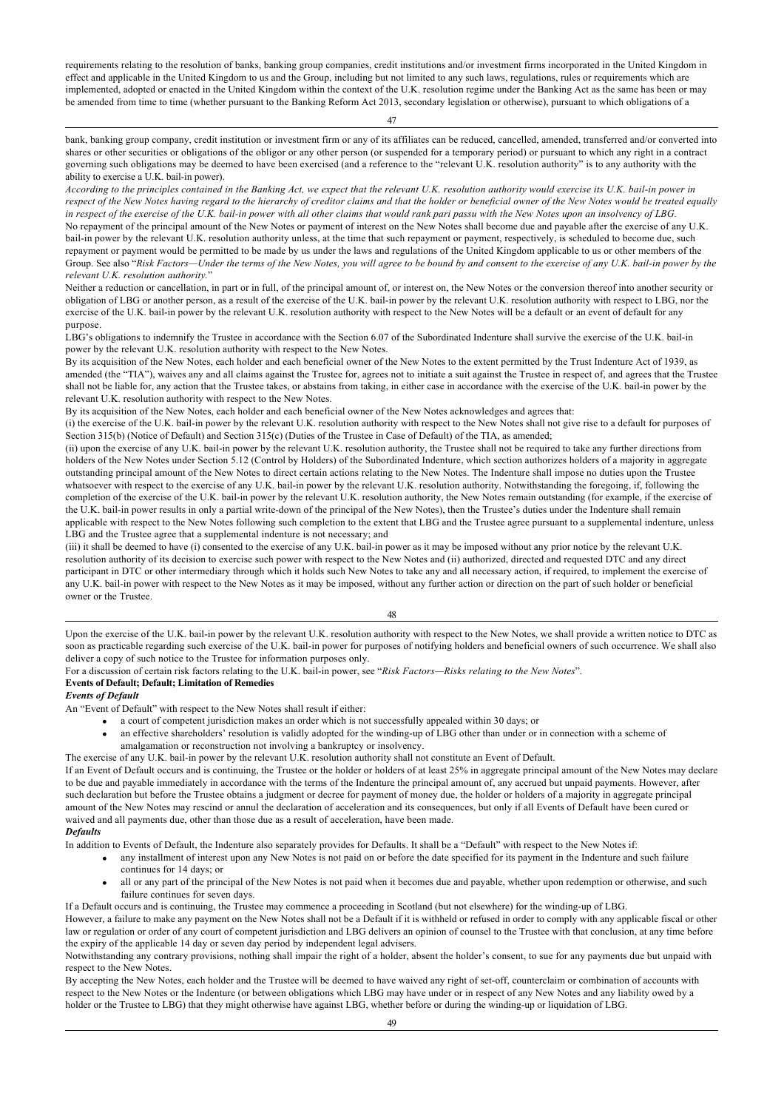requirements relating to the resolution of banks, banking group companies, credit institutions and/or investment firms incorporated in the United Kingdom in effect and applicable in the United Kingdom to us and the Group, including but not limited to any such laws, regulations, rules or requirements which are implemented, adopted or enacted in the United Kingdom within the context of the U.K. resolution regime under the Banking Act as the same has been or may be amended from time to time (whether pursuant to the Banking Reform Act 2013, secondary legislation or otherwise), pursuant to which obligations of a

47

bank, banking group company, credit institution or investment firm or any of its affiliates can be reduced, cancelled, amended, transferred and/or converted into shares or other securities or obligations of the obligor or any other person (or suspended for a temporary period) or pursuant to which any right in a contract governing such obligations may be deemed to have been exercised (and a reference to the "relevant U.K. resolution authority" is to any authority with the ability to exercise a U.K. bail-in power).

*According to the principles contained in the Banking Act, we expect that the relevant U.K. resolution authority would exercise its U.K. bail-in power in respect of the New Notes having regard to the hierarchy of creditor claims and that the holder or beneficial owner of the New Notes would be treated equally in respect of the exercise of the U.K. bail-in power with all other claims that would rank pari passu with the New Notes upon an insolvency of LBG.* No repayment of the principal amount of the New Notes or payment of interest on the New Notes shall become due and payable after the exercise of any U.K. bail-in power by the relevant U.K. resolution authority unless, at the time that such repayment or payment, respectively, is scheduled to become due, such repayment or payment would be permitted to be made by us under the laws and regulations of the United Kingdom applicable to us or other members of the Group. See also "*Risk Factors—Under the terms of the New Notes, you will agree to be bound by and consent to the exercise of any U.K. bail-in power by the relevant U.K. resolution authority.*"

Neither a reduction or cancellation, in part or in full, of the principal amount of, or interest on, the New Notes or the conversion thereof into another security or obligation of LBG or another person, as a result of the exercise of the U.K. bail-in power by the relevant U.K. resolution authority with respect to LBG, nor the exercise of the U.K. bail-in power by the relevant U.K. resolution authority with respect to the New Notes will be a default or an event of default for any purpose.

LBG's obligations to indemnify the Trustee in accordance with the Section 6.07 of the Subordinated Indenture shall survive the exercise of the U.K. bail-in power by the relevant U.K. resolution authority with respect to the New Notes.

By its acquisition of the New Notes, each holder and each beneficial owner of the New Notes to the extent permitted by the Trust Indenture Act of 1939, as amended (the "TIA"), waives any and all claims against the Trustee for, agrees not to initiate a suit against the Trustee in respect of, and agrees that the Trustee shall not be liable for, any action that the Trustee takes, or abstains from taking, in either case in accordance with the exercise of the U.K. bail-in power by the relevant U.K. resolution authority with respect to the New Notes.

By its acquisition of the New Notes, each holder and each beneficial owner of the New Notes acknowledges and agrees that:

(i) the exercise of the U.K. bail-in power by the relevant U.K. resolution authority with respect to the New Notes shall not give rise to a default for purposes of Section 315(b) (Notice of Default) and Section 315(c) (Duties of the Trustee in Case of Default) of the TIA, as amended;

(ii) upon the exercise of any U.K. bail-in power by the relevant U.K. resolution authority, the Trustee shall not be required to take any further directions from holders of the New Notes under Section 5.12 (Control by Holders) of the Subordinated Indenture, which section authorizes holders of a majority in aggregate outstanding principal amount of the New Notes to direct certain actions relating to the New Notes. The Indenture shall impose no duties upon the Trustee whatsoever with respect to the exercise of any U.K. bail-in power by the relevant U.K. resolution authority. Notwithstanding the foregoing, if, following the completion of the exercise of the U.K. bail-in power by the relevant U.K. resolution authority, the New Notes remain outstanding (for example, if the exercise of the U.K. bail-in power results in only a partial write-down of the principal of the New Notes), then the Trustee's duties under the Indenture shall remain applicable with respect to the New Notes following such completion to the extent that LBG and the Trustee agree pursuant to a supplemental indenture, unless LBG and the Trustee agree that a supplemental indenture is not necessary; and

(iii) it shall be deemed to have (i) consented to the exercise of any U.K. bail-in power as it may be imposed without any prior notice by the relevant U.K. resolution authority of its decision to exercise such power with respect to the New Notes and (ii) authorized, directed and requested DTC and any direct participant in DTC or other intermediary through which it holds such New Notes to take any and all necessary action, if required, to implement the exercise of any U.K. bail-in power with respect to the New Notes as it may be imposed, without any further action or direction on the part of such holder or beneficial owner or the Trustee.

48

Upon the exercise of the U.K. bail-in power by the relevant U.K. resolution authority with respect to the New Notes, we shall provide a written notice to DTC as soon as practicable regarding such exercise of the U.K. bail-in power for purposes of notifying holders and beneficial owners of such occurrence. We shall also deliver a copy of such notice to the Trustee for information purposes only.

For a discussion of certain risk factors relating to the U.K. bail-in power, see "*Risk Factors—Risks relating to the New Notes*".

## **Events of Default; Default; Limitation of Remedies**

*Events of Default*

An "Event of Default" with respect to the New Notes shall result if either:

- a court of competent jurisdiction makes an order which is not successfully appealed within 30 days; or
- an effective shareholders' resolution is validly adopted for the winding-up of LBG other than under or in connection with a scheme of amalgamation or reconstruction not involving a bankruptcy or insolvency.
- The exercise of any U.K. bail-in power by the relevant U.K. resolution authority shall not constitute an Event of Default.

If an Event of Default occurs and is continuing, the Trustee or the holder or holders of at least 25% in aggregate principal amount of the New Notes may declare to be due and payable immediately in accordance with the terms of the Indenture the principal amount of, any accrued but unpaid payments. However, after such declaration but before the Trustee obtains a judgment or decree for payment of money due, the holder or holders of a majority in aggregate principal amount of the New Notes may rescind or annul the declaration of acceleration and its consequences, but only if all Events of Default have been cured or waived and all payments due, other than those due as a result of acceleration, have been made.

## *Defaults*

In addition to Events of Default, the Indenture also separately provides for Defaults. It shall be a "Default" with respect to the New Notes if:

- · any installment of interest upon any New Notes is not paid on or before the date specified for its payment in the Indenture and such failure continues for 14 days; or
- all or any part of the principal of the New Notes is not paid when it becomes due and payable, whether upon redemption or otherwise, and such failure continues for seven days.

If a Default occurs and is continuing, the Trustee may commence a proceeding in Scotland (but not elsewhere) for the winding-up of LBG.

However, a failure to make any payment on the New Notes shall not be a Default if it is withheld or refused in order to comply with any applicable fiscal or other law or regulation or order of any court of competent jurisdiction and LBG delivers an opinion of counsel to the Trustee with that conclusion, at any time before the expiry of the applicable 14 day or seven day period by independent legal advisers.

Notwithstanding any contrary provisions, nothing shall impair the right of a holder, absent the holder's consent, to sue for any payments due but unpaid with respect to the New Notes.

By accepting the New Notes, each holder and the Trustee will be deemed to have waived any right of set-off, counterclaim or combination of accounts with respect to the New Notes or the Indenture (or between obligations which LBG may have under or in respect of any New Notes and any liability owed by a holder or the Trustee to LBG) that they might otherwise have against LBG, whether before or during the winding-up or liquidation of LBG.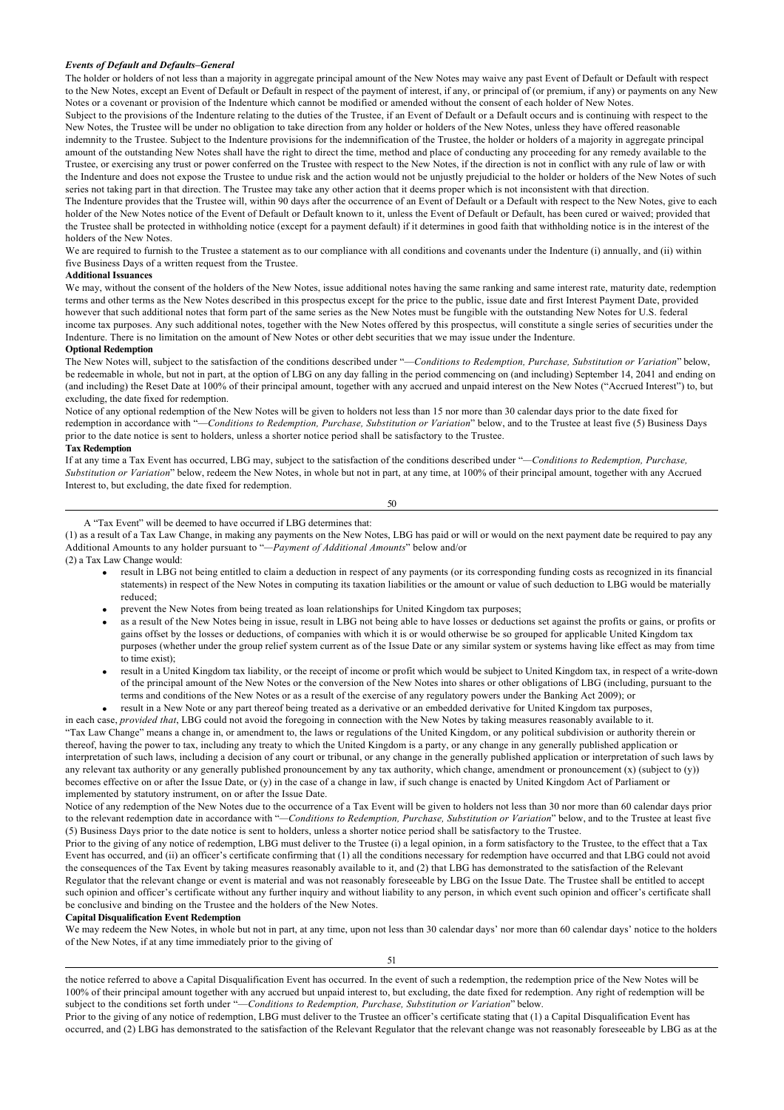#### *Events of Default and Defaults–General*

The holder or holders of not less than a majority in aggregate principal amount of the New Notes may waive any past Event of Default or Default with respect to the New Notes, except an Event of Default or Default in respect of the payment of interest, if any, or principal of (or premium, if any) or payments on any New Notes or a covenant or provision of the Indenture which cannot be modified or amended without the consent of each holder of New Notes.

Subject to the provisions of the Indenture relating to the duties of the Trustee, if an Event of Default or a Default occurs and is continuing with respect to the New Notes, the Trustee will be under no obligation to take direction from any holder or holders of the New Notes, unless they have offered reasonable indemnity to the Trustee. Subject to the Indenture provisions for the indemnification of the Trustee, the holder or holders of a majority in aggregate principal amount of the outstanding New Notes shall have the right to direct the time, method and place of conducting any proceeding for any remedy available to the Trustee, or exercising any trust or power conferred on the Trustee with respect to the New Notes, if the direction is not in conflict with any rule of law or with the Indenture and does not expose the Trustee to undue risk and the action would not be unjustly prejudicial to the holder or holders of the New Notes of such series not taking part in that direction. The Trustee may take any other action that it deems proper which is not inconsistent with that direction.

The Indenture provides that the Trustee will, within 90 days after the occurrence of an Event of Default or a Default with respect to the New Notes, give to each holder of the New Notes notice of the Event of Default or Default known to it, unless the Event of Default or Default, has been cured or waived; provided that the Trustee shall be protected in withholding notice (except for a payment default) if it determines in good faith that withholding notice is in the interest of the holders of the New Notes.

We are required to furnish to the Trustee a statement as to our compliance with all conditions and covenants under the Indenture (i) annually, and (ii) within five Business Days of a written request from the Trustee.

#### **Additional Issuances**

We may, without the consent of the holders of the New Notes, issue additional notes having the same ranking and same interest rate, maturity date, redemption terms and other terms as the New Notes described in this prospectus except for the price to the public, issue date and first Interest Payment Date, provided however that such additional notes that form part of the same series as the New Notes must be fungible with the outstanding New Notes for U.S. federal income tax purposes. Any such additional notes, together with the New Notes offered by this prospectus, will constitute a single series of securities under the Indenture. There is no limitation on the amount of New Notes or other debt securities that we may issue under the Indenture.

### **Optional Redemption**

The New Notes will, subject to the satisfaction of the conditions described under "-*Conditions to Redemption, Purchase, Substitution or Variation*" below, be redeemable in whole, but not in part, at the option of LBG on any day falling in the period commencing on (and including) September 14, 2041 and ending on (and including) the Reset Date at 100% of their principal amount, together with any accrued and unpaid interest on the New Notes ("Accrued Interest") to, but excluding, the date fixed for redemption.

Notice of any optional redemption of the New Notes will be given to holders not less than 15 nor more than 30 calendar days prior to the date fixed for redemption in accordance with "—*Conditions to Redemption, Purchase, Substitution or Variation*" below, and to the Trustee at least five (5) Business Days prior to the date notice is sent to holders, unless a shorter notice period shall be satisfactory to the Trustee.

## **Tax Redemption**

If at any time a Tax Event has occurred, LBG may, subject to the satisfaction of the conditions described under "*—Conditions to Redemption, Purchase, Substitution or Variation*" below, redeem the New Notes, in whole but not in part, at any time, at 100% of their principal amount, together with any Accrued Interest to, but excluding, the date fixed for redemption.

50

## A "Tax Event" will be deemed to have occurred if LBG determines that:

(1) as a result of a Tax Law Change, in making any payments on the New Notes, LBG has paid or will or would on the next payment date be required to pay any Additional Amounts to any holder pursuant to "*—Payment of Additional Amounts*" below and/or

(2) a Tax Law Change would:

- result in LBG not being entitled to claim a deduction in respect of any payments (or its corresponding funding costs as recognized in its financial statements) in respect of the New Notes in computing its taxation liabilities or the amount or value of such deduction to LBG would be materially reduced;
- prevent the New Notes from being treated as loan relationships for United Kingdom tax purposes;
- as a result of the New Notes being in issue, result in LBG not being able to have losses or deductions set against the profits or gains, or profits or gains offset by the losses or deductions, of companies with which it is or would otherwise be so grouped for applicable United Kingdom tax purposes (whether under the group relief system current as of the Issue Date or any similar system or systems having like effect as may from time to time exist);
- · result in a United Kingdom tax liability, or the receipt of income or profit which would be subject to United Kingdom tax, in respect of a write-down of the principal amount of the New Notes or the conversion of the New Notes into shares or other obligations of LBG (including, pursuant to the terms and conditions of the New Notes or as a result of the exercise of any regulatory powers under the Banking Act 2009); or
- · result in a New Note or any part thereof being treated as a derivative or an embedded derivative for United Kingdom tax purposes,

in each case, *provided that*, LBG could not avoid the foregoing in connection with the New Notes by taking measures reasonably available to it. "Tax Law Change" means a change in, or amendment to, the laws or regulations of the United Kingdom, or any political subdivision or authority therein or thereof, having the power to tax, including any treaty to which the United Kingdom is a party, or any change in any generally published application or interpretation of such laws, including a decision of any court or tribunal, or any change in the generally published application or interpretation of such laws by any relevant tax authority or any generally published pronouncement by any tax authority, which change, amendment or pronouncement (x) (subject to (y)) becomes effective on or after the Issue Date, or (y) in the case of a change in law, if such change is enacted by United Kingdom Act of Parliament or implemented by statutory instrument, on or after the Issue Date.

Notice of any redemption of the New Notes due to the occurrence of a Tax Event will be given to holders not less than 30 nor more than 60 calendar days prior to the relevant redemption date in accordance with "*—Conditions to Redemption, Purchase, Substitution or Variation*" below, and to the Trustee at least five (5) Business Days prior to the date notice is sent to holders, unless a shorter notice period shall be satisfactory to the Trustee.

Prior to the giving of any notice of redemption, LBG must deliver to the Trustee (i) a legal opinion, in a form satisfactory to the Trustee, to the effect that a Tax Event has occurred, and (ii) an officer's certificate confirming that (1) all the conditions necessary for redemption have occurred and that LBG could not avoid the consequences of the Tax Event by taking measures reasonably available to it, and (2) that LBG has demonstrated to the satisfaction of the Relevant Regulator that the relevant change or event is material and was not reasonably foreseeable by LBG on the Issue Date. The Trustee shall be entitled to accept such opinion and officer's certificate without any further inquiry and without liability to any person, in which event such opinion and officer's certificate shall be conclusive and binding on the Trustee and the holders of the New Notes.

#### **Capital Disqualification Event Redemption**

We may redeem the New Notes, in whole but not in part, at any time, upon not less than 30 calendar days' nor more than 60 calendar days' notice to the holders of the New Notes, if at any time immediately prior to the giving of

51

the notice referred to above a Capital Disqualification Event has occurred. In the event of such a redemption, the redemption price of the New Notes will be 100% of their principal amount together with any accrued but unpaid interest to, but excluding, the date fixed for redemption. Any right of redemption will be subject to the conditions set forth under "—*Conditions to Redemption, Purchase, Substitution or Variation*" below.

Prior to the giving of any notice of redemption, LBG must deliver to the Trustee an officer's certificate stating that (1) a Capital Disqualification Event has occurred, and (2) LBG has demonstrated to the satisfaction of the Relevant Regulator that the relevant change was not reasonably foreseeable by LBG as at the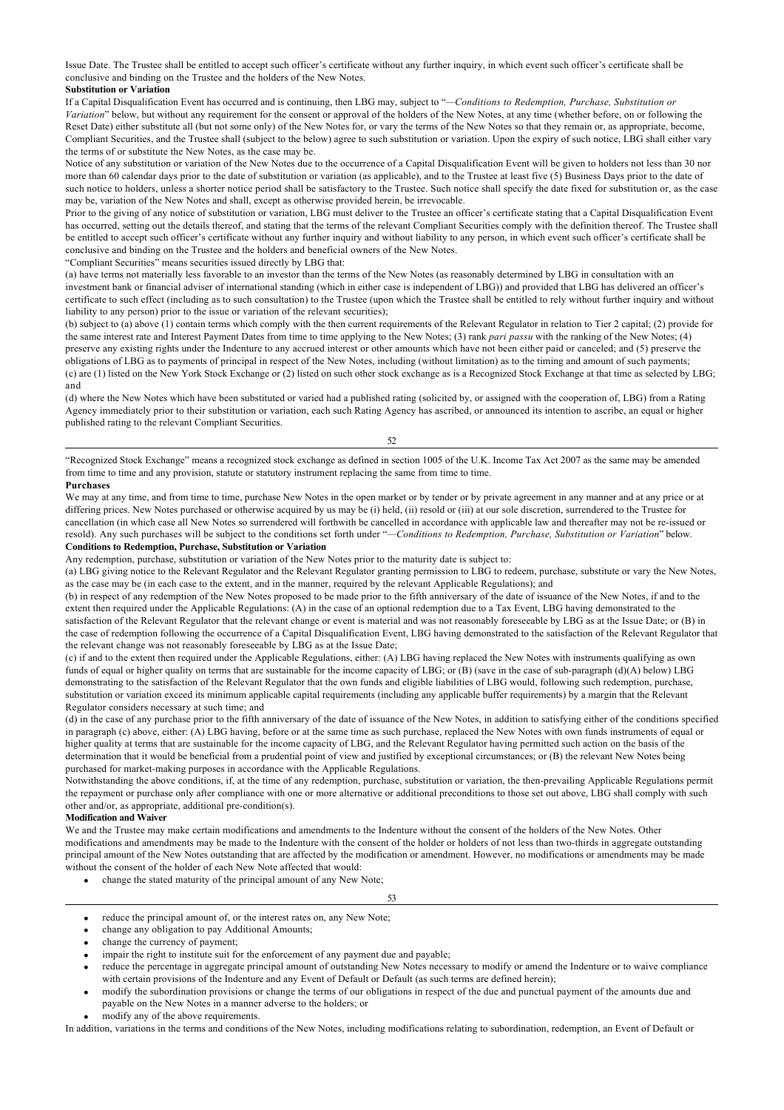Issue Date. The Trustee shall be entitled to accept such officer's certificate without any further inquiry, in which event such officer's certificate shall be conclusive and binding on the Trustee and the holders of the New Notes.

### **Substitution or Variation**

If a Capital Disqualification Event has occurred and is continuing, then LBG may, subject to "*—Conditions to Redemption, Purchase, Substitution or Variation*" below, but without any requirement for the consent or approval of the holders of the New Notes, at any time (whether before, on or following the Reset Date) either substitute all (but not some only) of the New Notes for, or vary the terms of the New Notes so that they remain or, as appropriate, become, Compliant Securities, and the Trustee shall (subject to the below) agree to such substitution or variation. Upon the expiry of such notice, LBG shall either vary the terms of or substitute the New Notes, as the case may be.

Notice of any substitution or variation of the New Notes due to the occurrence of a Capital Disqualification Event will be given to holders not less than 30 nor more than 60 calendar days prior to the date of substitution or variation (as applicable), and to the Trustee at least five (5) Business Days prior to the date of such notice to holders, unless a shorter notice period shall be satisfactory to the Trustee. Such notice shall specify the date fixed for substitution or, as the case may be, variation of the New Notes and shall, except as otherwise provided herein, be irrevocable.

Prior to the giving of any notice of substitution or variation, LBG must deliver to the Trustee an officer's certificate stating that a Capital Disqualification Event has occurred, setting out the details thereof, and stating that the terms of the relevant Compliant Securities comply with the definition thereof. The Trustee shall be entitled to accept such officer's certificate without any further inquiry and without liability to any person, in which event such officer's certificate shall be conclusive and binding on the Trustee and the holders and beneficial owners of the New Notes.

"Compliant Securities" means securities issued directly by LBG that:

(a) have terms not materially less favorable to an investor than the terms of the New Notes (as reasonably determined by LBG in consultation with an investment bank or financial adviser of international standing (which in either case is independent of LBG)) and provided that LBG has delivered an officer's certificate to such effect (including as to such consultation) to the Trustee (upon which the Trustee shall be entitled to rely without further inquiry and without liability to any person) prior to the issue or variation of the relevant securities);

(b) subject to (a) above (1) contain terms which comply with the then current requirements of the Relevant Regulator in relation to Tier 2 capital; (2) provide for the same interest rate and Interest Payment Dates from time to time applying to the New Notes; (3) rank *pari passu* with the ranking of the New Notes; (4) preserve any existing rights under the Indenture to any accrued interest or other amounts which have not been either paid or canceled; and (5) preserve the obligations of LBG as to payments of principal in respect of the New Notes, including (without limitation) as to the timing and amount of such payments; (c) are (1) listed on the New York Stock Exchange or (2) listed on such other stock exchange as is a Recognized Stock Exchange at that time as selected by LBG; and

(d) where the New Notes which have been substituted or varied had a published rating (solicited by, or assigned with the cooperation of, LBG) from a Rating Agency immediately prior to their substitution or variation, each such Rating Agency has ascribed, or announced its intention to ascribe, an equal or higher published rating to the relevant Compliant Securities.

## 52

"Recognized Stock Exchange" means a recognized stock exchange as defined in section 1005 of the U.K. Income Tax Act 2007 as the same may be amended from time to time and any provision, statute or statutory instrument replacing the same from time to time.

## **Purchases**

We may at any time, and from time to time, purchase New Notes in the open market or by tender or by private agreement in any manner and at any price or at differing prices. New Notes purchased or otherwise acquired by us may be (i) held, (ii) resold or (iii) at our sole discretion, surrendered to the Trustee for cancellation (in which case all New Notes so surrendered will forthwith be cancelled in accordance with applicable law and thereafter may not be re-issued or resold). Any such purchases will be subject to the conditions set forth under "*—Conditions to Redemption, Purchase, Substitution or Variation*" below.

## **Conditions to Redemption, Purchase, Substitution or Variation**

Any redemption, purchase, substitution or variation of the New Notes prior to the maturity date is subject to:

(a) LBG giving notice to the Relevant Regulator and the Relevant Regulator granting permission to LBG to redeem, purchase, substitute or vary the New Notes, as the case may be (in each case to the extent, and in the manner, required by the relevant Applicable Regulations); and

(b) in respect of any redemption of the New Notes proposed to be made prior to the fifth anniversary of the date of issuance of the New Notes, if and to the extent then required under the Applicable Regulations: (A) in the case of an optional redemption due to a Tax Event, LBG having demonstrated to the satisfaction of the Relevant Regulator that the relevant change or event is material and was not reasonably foreseeable by LBG as at the Issue Date; or (B) in the case of redemption following the occurrence of a Capital Disqualification Event, LBG having demonstrated to the satisfaction of the Relevant Regulator that the relevant change was not reasonably foreseeable by LBG as at the Issue Date;

(c) if and to the extent then required under the Applicable Regulations, either: (A) LBG having replaced the New Notes with instruments qualifying as own funds of equal or higher quality on terms that are sustainable for the income capacity of LBG; or  $(B)$  (save in the case of sub-paragraph (d)(A) below) LBG demonstrating to the satisfaction of the Relevant Regulator that the own funds and eligible liabilities of LBG would, following such redemption, purchase, substitution or variation exceed its minimum applicable capital requirements (including any applicable buffer requirements) by a margin that the Relevant Regulator considers necessary at such time; and

(d) in the case of any purchase prior to the fifth anniversary of the date of issuance of the New Notes, in addition to satisfying either of the conditions specified in paragraph (c) above, either: (A) LBG having, before or at the same time as such purchase, replaced the New Notes with own funds instruments of equal or higher quality at terms that are sustainable for the income capacity of LBG, and the Relevant Regulator having permitted such action on the basis of the determination that it would be beneficial from a prudential point of view and justified by exceptional circumstances; or (B) the relevant New Notes being purchased for market-making purposes in accordance with the Applicable Regulations.

Notwithstanding the above conditions, if, at the time of any redemption, purchase, substitution or variation, the then-prevailing Applicable Regulations permit the repayment or purchase only after compliance with one or more alternative or additional preconditions to those set out above, LBG shall comply with such other and/or, as appropriate, additional pre-condition(s).

## **Modification and Waiver**

We and the Trustee may make certain modifications and amendments to the Indenture without the consent of the holders of the New Notes. Other modifications and amendments may be made to the Indenture with the consent of the holder or holders of not less than two-thirds in aggregate outstanding principal amount of the New Notes outstanding that are affected by the modification or amendment. However, no modifications or amendments may be made without the consent of the holder of each New Note affected that would:

53

- change the stated maturity of the principal amount of any New Note;
- reduce the principal amount of, or the interest rates on, any New Note;
- change any obligation to pay Additional Amounts;
- change the currency of payment;
- impair the right to institute suit for the enforcement of any payment due and payable;
- · reduce the percentage in aggregate principal amount of outstanding New Notes necessary to modify or amend the Indenture or to waive compliance with certain provisions of the Indenture and any Event of Default or Default (as such terms are defined herein);
- · modify the subordination provisions or change the terms of our obligations in respect of the due and punctual payment of the amounts due and payable on the New Notes in a manner adverse to the holders; or
- modify any of the above requirements.

In addition, variations in the terms and conditions of the New Notes, including modifications relating to subordination, redemption, an Event of Default or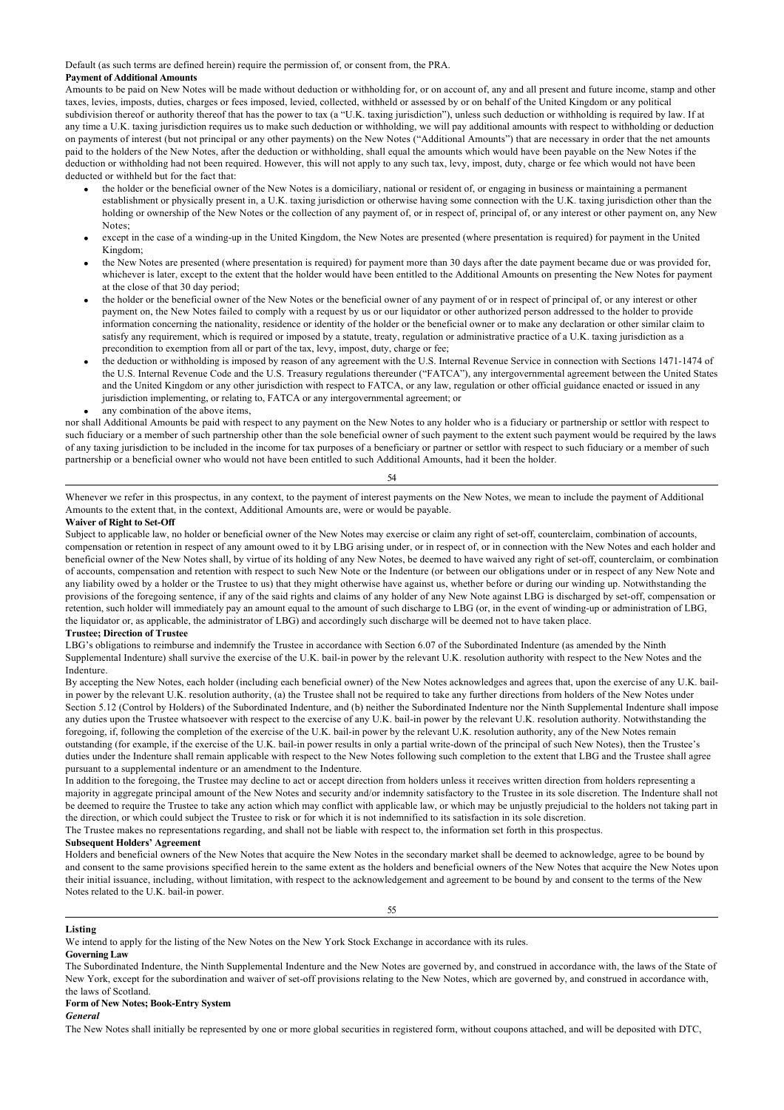Default (as such terms are defined herein) require the permission of, or consent from, the PRA.

## **Payment of Additional Amounts**

Amounts to be paid on New Notes will be made without deduction or withholding for, or on account of, any and all present and future income, stamp and other taxes, levies, imposts, duties, charges or fees imposed, levied, collected, withheld or assessed by or on behalf of the United Kingdom or any political subdivision thereof or authority thereof that has the power to tax (a "U.K. taxing jurisdiction"), unless such deduction or withholding is required by law. If at any time a U.K. taxing jurisdiction requires us to make such deduction or withholding, we will pay additional amounts with respect to withholding or deduction on payments of interest (but not principal or any other payments) on the New Notes ("Additional Amounts") that are necessary in order that the net amounts paid to the holders of the New Notes, after the deduction or withholding, shall equal the amounts which would have been payable on the New Notes if the deduction or withholding had not been required. However, this will not apply to any such tax, levy, impost, duty, charge or fee which would not have been deducted or withheld but for the fact that:

- the holder or the beneficial owner of the New Notes is a domiciliary, national or resident of, or engaging in business or maintaining a permanent establishment or physically present in, a U.K. taxing jurisdiction or otherwise having some connection with the U.K. taxing jurisdiction other than the holding or ownership of the New Notes or the collection of any payment of, or in respect of, principal of, or any interest or other payment on, any New Notes;
- · except in the case of a winding-up in the United Kingdom, the New Notes are presented (where presentation is required) for payment in the United Kingdom;
- the New Notes are presented (where presentation is required) for payment more than 30 days after the date payment became due or was provided for, whichever is later, except to the extent that the holder would have been entitled to the Additional Amounts on presenting the New Notes for payment at the close of that 30 day period;
- · the holder or the beneficial owner of the New Notes or the beneficial owner of any payment of or in respect of principal of, or any interest or other payment on, the New Notes failed to comply with a request by us or our liquidator or other authorized person addressed to the holder to provide information concerning the nationality, residence or identity of the holder or the beneficial owner or to make any declaration or other similar claim to satisfy any requirement, which is required or imposed by a statute, treaty, regulation or administrative practice of a U.K. taxing jurisdiction as a precondition to exemption from all or part of the tax, levy, impost, duty, charge or fee;
- the deduction or withholding is imposed by reason of any agreement with the U.S. Internal Revenue Service in connection with Sections 1471-1474 of the U.S. Internal Revenue Code and the U.S. Treasury regulations thereunder ("FATCA"), any intergovernmental agreement between the United States and the United Kingdom or any other jurisdiction with respect to FATCA, or any law, regulation or other official guidance enacted or issued in any jurisdiction implementing, or relating to, FATCA or any intergovernmental agreement; or
- any combination of the above items,

nor shall Additional Amounts be paid with respect to any payment on the New Notes to any holder who is a fiduciary or partnership or settlor with respect to such fiduciary or a member of such partnership other than the sole beneficial owner of such payment to the extent such payment would be required by the laws of any taxing jurisdiction to be included in the income for tax purposes of a beneficiary or partner or settlor with respect to such fiduciary or a member of such partnership or a beneficial owner who would not have been entitled to such Additional Amounts, had it been the holder.

54

Whenever we refer in this prospectus, in any context, to the payment of interest payments on the New Notes, we mean to include the payment of Additional Amounts to the extent that, in the context, Additional Amounts are, were or would be payable.

#### **Waiver of Right to Set-Off**

Subject to applicable law, no holder or beneficial owner of the New Notes may exercise or claim any right of set-off, counterclaim, combination of accounts, compensation or retention in respect of any amount owed to it by LBG arising under, or in respect of, or in connection with the New Notes and each holder and beneficial owner of the New Notes shall, by virtue of its holding of any New Notes, be deemed to have waived any right of set-off, counterclaim, or combination of accounts, compensation and retention with respect to such New Note or the Indenture (or between our obligations under or in respect of any New Note and any liability owed by a holder or the Trustee to us) that they might otherwise have against us, whether before or during our winding up. Notwithstanding the provisions of the foregoing sentence, if any of the said rights and claims of any holder of any New Note against LBG is discharged by set-off, compensation or retention, such holder will immediately pay an amount equal to the amount of such discharge to LBG (or, in the event of winding-up or administration of LBG, the liquidator or, as applicable, the administrator of LBG) and accordingly such discharge will be deemed not to have taken place.

## **Trustee; Direction of Trustee**

LBG's obligations to reimburse and indemnify the Trustee in accordance with Section 6.07 of the Subordinated Indenture (as amended by the Ninth Supplemental Indenture) shall survive the exercise of the U.K. bail-in power by the relevant U.K. resolution authority with respect to the New Notes and the Indenture.

By accepting the New Notes, each holder (including each beneficial owner) of the New Notes acknowledges and agrees that, upon the exercise of any U.K. bailin power by the relevant U.K. resolution authority, (a) the Trustee shall not be required to take any further directions from holders of the New Notes under Section 5.12 (Control by Holders) of the Subordinated Indenture, and (b) neither the Subordinated Indenture nor the Ninth Supplemental Indenture shall impose any duties upon the Trustee whatsoever with respect to the exercise of any U.K. bail-in power by the relevant U.K. resolution authority. Notwithstanding the foregoing, if, following the completion of the exercise of the U.K. bail-in power by the relevant U.K. resolution authority, any of the New Notes remain outstanding (for example, if the exercise of the U.K. bail-in power results in only a partial write-down of the principal of such New Notes), then the Trustee's duties under the Indenture shall remain applicable with respect to the New Notes following such completion to the extent that LBG and the Trustee shall agree pursuant to a supplemental indenture or an amendment to the Indenture.

In addition to the foregoing, the Trustee may decline to act or accept direction from holders unless it receives written direction from holders representing a majority in aggregate principal amount of the New Notes and security and/or indemnity satisfactory to the Trustee in its sole discretion. The Indenture shall not be deemed to require the Trustee to take any action which may conflict with applicable law, or which may be unjustly prejudicial to the holders not taking part in the direction, or which could subject the Trustee to risk or for which it is not indemnified to its satisfaction in its sole discretion.

The Trustee makes no representations regarding, and shall not be liable with respect to, the information set forth in this prospectus.

### **Subsequent Holders' Agreement**

Holders and beneficial owners of the New Notes that acquire the New Notes in the secondary market shall be deemed to acknowledge, agree to be bound by and consent to the same provisions specified herein to the same extent as the holders and beneficial owners of the New Notes that acquire the New Notes upon their initial issuance, including, without limitation, with respect to the acknowledgement and agreement to be bound by and consent to the terms of the New Notes related to the U.K. bail-in power.

55

We intend to apply for the listing of the New Notes on the New York Stock Exchange in accordance with its rules. **Governing Law**

The Subordinated Indenture, the Ninth Supplemental Indenture and the New Notes are governed by, and construed in accordance with, the laws of the State of New York, except for the subordination and waiver of set-off provisions relating to the New Notes, which are governed by, and construed in accordance with, the laws of Scotland.

## **Form of New Notes; Book-Entry System**

## *General*

**Listing**

The New Notes shall initially be represented by one or more global securities in registered form, without coupons attached, and will be deposited with DTC,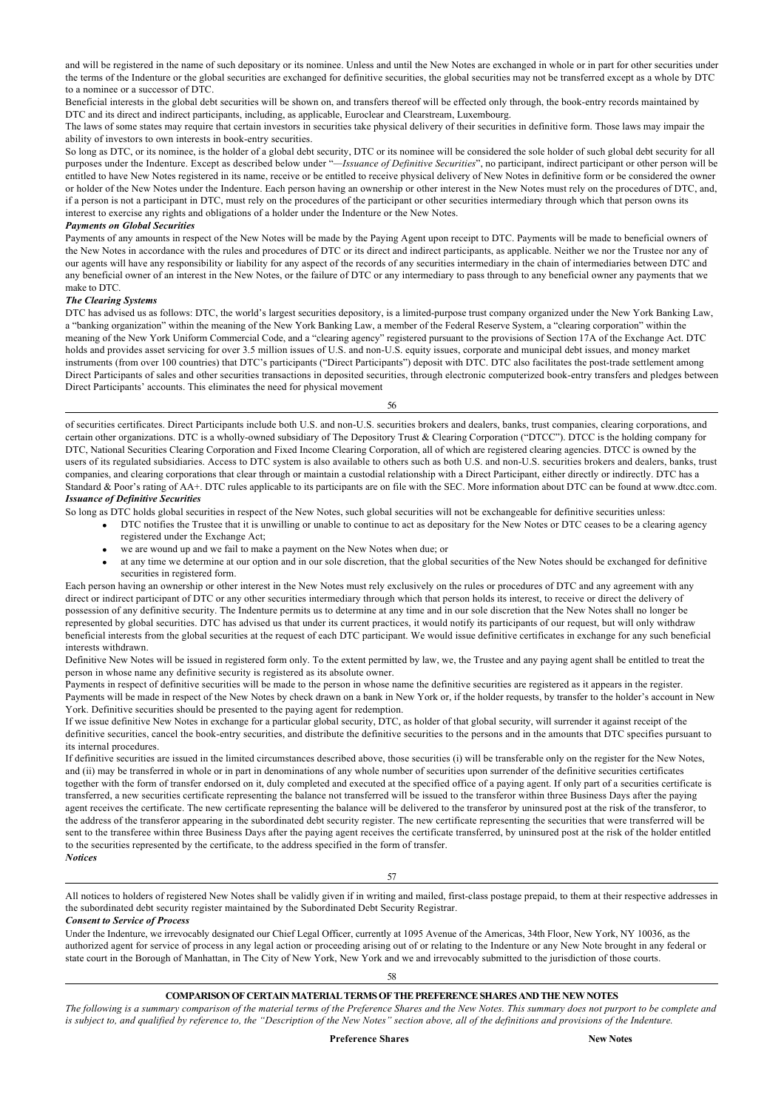and will be registered in the name of such depositary or its nominee. Unless and until the New Notes are exchanged in whole or in part for other securities under the terms of the Indenture or the global securities are exchanged for definitive securities, the global securities may not be transferred except as a whole by DTC to a nominee or a successor of DTC.

Beneficial interests in the global debt securities will be shown on, and transfers thereof will be effected only through, the book-entry records maintained by DTC and its direct and indirect participants, including, as applicable, Euroclear and Clearstream, Luxembourg.

The laws of some states may require that certain investors in securities take physical delivery of their securities in definitive form. Those laws may impair the ability of investors to own interests in book-entry securities.

So long as DTC, or its nominee, is the holder of a global debt security, DTC or its nominee will be considered the sole holder of such global debt security for all purposes under the Indenture. Except as described below under "*—Issuance of Definitive Securities*", no participant, indirect participant or other person will be entitled to have New Notes registered in its name, receive or be entitled to receive physical delivery of New Notes in definitive form or be considered the owner or holder of the New Notes under the Indenture. Each person having an ownership or other interest in the New Notes must rely on the procedures of DTC, and, if a person is not a participant in DTC, must rely on the procedures of the participant or other securities intermediary through which that person owns its interest to exercise any rights and obligations of a holder under the Indenture or the New Notes.

## *Payments on Global Securities*

Payments of any amounts in respect of the New Notes will be made by the Paying Agent upon receipt to DTC. Payments will be made to beneficial owners of the New Notes in accordance with the rules and procedures of DTC or its direct and indirect participants, as applicable. Neither we nor the Trustee nor any of our agents will have any responsibility or liability for any aspect of the records of any securities intermediary in the chain of intermediaries between DTC and any beneficial owner of an interest in the New Notes, or the failure of DTC or any intermediary to pass through to any beneficial owner any payments that we make to DTC.

## *The Clearing Systems*

DTC has advised us as follows: DTC, the world's largest securities depository, is a limited-purpose trust company organized under the New York Banking Law, a "banking organization" within the meaning of the New York Banking Law, a member of the Federal Reserve System, a "clearing corporation" within the meaning of the New York Uniform Commercial Code, and a "clearing agency" registered pursuant to the provisions of Section 17A of the Exchange Act. DTC holds and provides asset servicing for over 3.5 million issues of U.S. and non-U.S. equity issues, corporate and municipal debt issues, and money market instruments (from over 100 countries) that DTC's participants ("Direct Participants") deposit with DTC. DTC also facilitates the post-trade settlement among Direct Participants of sales and other securities transactions in deposited securities, through electronic computerized book-entry transfers and pledges between Direct Participants' accounts. This eliminates the need for physical movement

56

of securities certificates. Direct Participants include both U.S. and non-U.S. securities brokers and dealers, banks, trust companies, clearing corporations, and certain other organizations. DTC is a wholly-owned subsidiary of The Depository Trust & Clearing Corporation ("DTCC"). DTCC is the holding company for DTC, National Securities Clearing Corporation and Fixed Income Clearing Corporation, all of which are registered clearing agencies. DTCC is owned by the users of its regulated subsidiaries. Access to DTC system is also available to others such as both U.S. and non-U.S. securities brokers and dealers, banks, trust companies, and clearing corporations that clear through or maintain a custodial relationship with a Direct Participant, either directly or indirectly. DTC has a Standard & Poor's rating of AA+. DTC rules applicable to its participants are on file with the SEC. More information about DTC can be found at www.dtcc.com. *Issuance of Definitive Securities*

So long as DTC holds global securities in respect of the New Notes, such global securities will not be exchangeable for definitive securities unless:

- · DTC notifies the Trustee that it is unwilling or unable to continue to act as depositary for the New Notes or DTC ceases to be a clearing agency registered under the Exchange Act;
	- we are wound up and we fail to make a payment on the New Notes when due; or
- · at any time we determine at our option and in our sole discretion, that the global securities of the New Notes should be exchanged for definitive securities in registered form.

Each person having an ownership or other interest in the New Notes must rely exclusively on the rules or procedures of DTC and any agreement with any direct or indirect participant of DTC or any other securities intermediary through which that person holds its interest, to receive or direct the delivery of possession of any definitive security. The Indenture permits us to determine at any time and in our sole discretion that the New Notes shall no longer be represented by global securities. DTC has advised us that under its current practices, it would notify its participants of our request, but will only withdraw beneficial interests from the global securities at the request of each DTC participant. We would issue definitive certificates in exchange for any such beneficial interests withdrawn.

Definitive New Notes will be issued in registered form only. To the extent permitted by law, we, the Trustee and any paying agent shall be entitled to treat the person in whose name any definitive security is registered as its absolute owner.

Payments in respect of definitive securities will be made to the person in whose name the definitive securities are registered as it appears in the register. Payments will be made in respect of the New Notes by check drawn on a bank in New York or, if the holder requests, by transfer to the holder's account in New York. Definitive securities should be presented to the paying agent for redemption.

If we issue definitive New Notes in exchange for a particular global security, DTC, as holder of that global security, will surrender it against receipt of the definitive securities, cancel the book-entry securities, and distribute the definitive securities to the persons and in the amounts that DTC specifies pursuant to its internal procedures.

If definitive securities are issued in the limited circumstances described above, those securities (i) will be transferable only on the register for the New Notes, and (ii) may be transferred in whole or in part in denominations of any whole number of securities upon surrender of the definitive securities certificates together with the form of transfer endorsed on it, duly completed and executed at the specified office of a paying agent. If only part of a securities certificate is transferred, a new securities certificate representing the balance not transferred will be issued to the transferor within three Business Days after the paying agent receives the certificate. The new certificate representing the balance will be delivered to the transferor by uninsured post at the risk of the transferor, to the address of the transferor appearing in the subordinated debt security register. The new certificate representing the securities that were transferred will be sent to the transferee within three Business Days after the paying agent receives the certificate transferred, by uninsured post at the risk of the holder entitled to the securities represented by the certificate, to the address specified in the form of transfer. *Notices*

57

All notices to holders of registered New Notes shall be validly given if in writing and mailed, first-class postage prepaid, to them at their respective addresses in the subordinated debt security register maintained by the Subordinated Debt Security Registrar.

## *Consent to Service of Process*

Under the Indenture, we irrevocably designated our Chief Legal Officer, currently at 1095 Avenue of the Americas, 34th Floor, New York, NY 10036, as the authorized agent for service of process in any legal action or proceeding arising out of or relating to the Indenture or any New Note brought in any federal or state court in the Borough of Manhattan, in The City of New York, New York and we and irrevocably submitted to the jurisdiction of those courts.

58

## **COMPARISON OF CERTAIN MATERIAL TERMS OF THE PREFERENCE SHARES AND THE NEW NOTES**

*The following is a summary comparison of the material terms of the Preference Shares and the New Notes. This summary does not purport to be complete and is subject to, and qualified by reference to, the "Description of the New Notes" section above, all of the definitions and provisions of the Indenture.*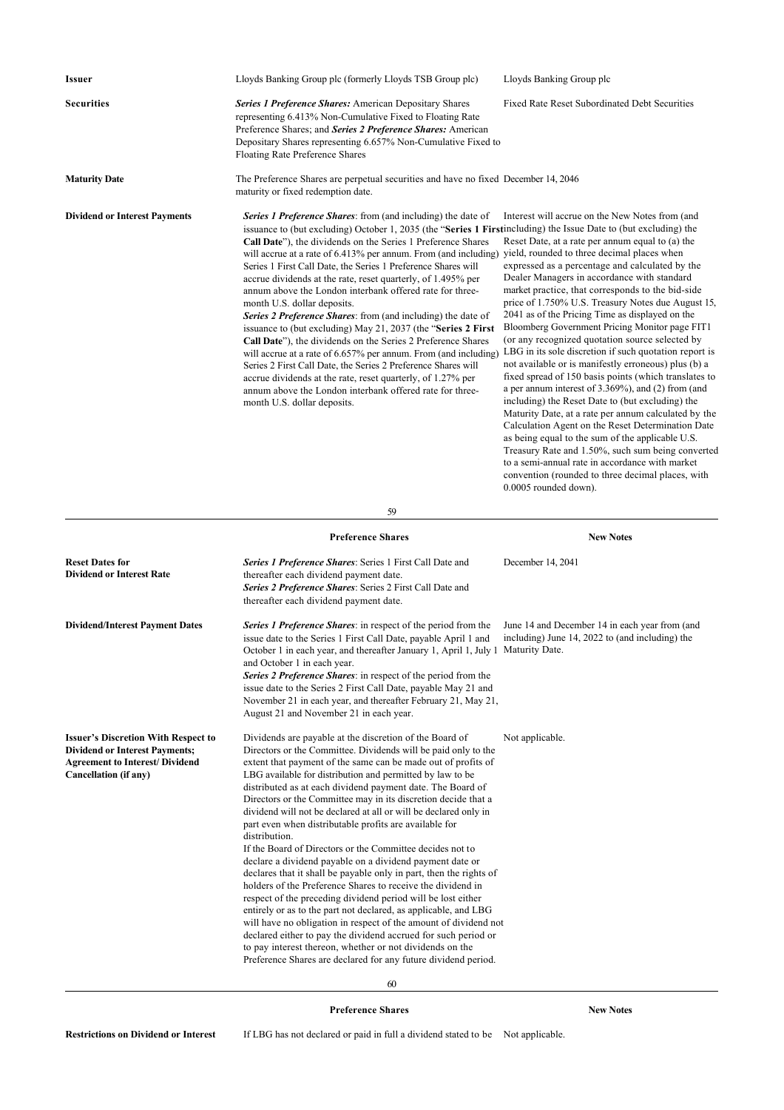| <b>Issuer</b>                                                                                                                                          | Lloyds Banking Group plc (formerly Lloyds TSB Group plc)                                                                                                                                                                                                                                                                                                                                                                                                                                                                                                                                                                                                                                                                                                                                                                                                                                                                                                                                                                                                                                                                                                                                                    | Lloyds Banking Group plc                                                                                                                                                                                                                                                                                                                                                                                                                                                                                                                                                                                                                                                                                                                                                                                                                                                                                                                                                                                                                                                                                                                                                  |
|--------------------------------------------------------------------------------------------------------------------------------------------------------|-------------------------------------------------------------------------------------------------------------------------------------------------------------------------------------------------------------------------------------------------------------------------------------------------------------------------------------------------------------------------------------------------------------------------------------------------------------------------------------------------------------------------------------------------------------------------------------------------------------------------------------------------------------------------------------------------------------------------------------------------------------------------------------------------------------------------------------------------------------------------------------------------------------------------------------------------------------------------------------------------------------------------------------------------------------------------------------------------------------------------------------------------------------------------------------------------------------|---------------------------------------------------------------------------------------------------------------------------------------------------------------------------------------------------------------------------------------------------------------------------------------------------------------------------------------------------------------------------------------------------------------------------------------------------------------------------------------------------------------------------------------------------------------------------------------------------------------------------------------------------------------------------------------------------------------------------------------------------------------------------------------------------------------------------------------------------------------------------------------------------------------------------------------------------------------------------------------------------------------------------------------------------------------------------------------------------------------------------------------------------------------------------|
| <b>Securities</b>                                                                                                                                      | <b>Series 1 Preference Shares:</b> American Depositary Shares<br>representing 6.413% Non-Cumulative Fixed to Floating Rate<br>Preference Shares; and Series 2 Preference Shares: American<br>Depositary Shares representing 6.657% Non-Cumulative Fixed to<br>Floating Rate Preference Shares                                                                                                                                                                                                                                                                                                                                                                                                                                                                                                                                                                                                                                                                                                                                                                                                                                                                                                               | Fixed Rate Reset Subordinated Debt Securities                                                                                                                                                                                                                                                                                                                                                                                                                                                                                                                                                                                                                                                                                                                                                                                                                                                                                                                                                                                                                                                                                                                             |
| <b>Maturity Date</b>                                                                                                                                   | The Preference Shares are perpetual securities and have no fixed December 14, 2046<br>maturity or fixed redemption date.                                                                                                                                                                                                                                                                                                                                                                                                                                                                                                                                                                                                                                                                                                                                                                                                                                                                                                                                                                                                                                                                                    |                                                                                                                                                                                                                                                                                                                                                                                                                                                                                                                                                                                                                                                                                                                                                                                                                                                                                                                                                                                                                                                                                                                                                                           |
| <b>Dividend or Interest Payments</b>                                                                                                                   | <b>Series 1 Preference Shares:</b> from (and including) the date of<br>issuance to (but excluding) October 1, 2035 (the "Series 1 Firstincluding) the Issue Date to (but excluding) the<br>Call Date"), the dividends on the Series 1 Preference Shares<br>will accrue at a rate of 6.413% per annum. From (and including)<br>Series 1 First Call Date, the Series 1 Preference Shares will<br>accrue dividends at the rate, reset quarterly, of 1.495% per<br>annum above the London interbank offered rate for three-<br>month U.S. dollar deposits.<br>Series 2 Preference Shares: from (and including) the date of<br>issuance to (but excluding) May 21, 2037 (the "Series 2 First<br>Call Date"), the dividends on the Series 2 Preference Shares<br>will accrue at a rate of 6.657% per annum. From (and including)<br>Series 2 First Call Date, the Series 2 Preference Shares will<br>accrue dividends at the rate, reset quarterly, of 1.27% per<br>annum above the London interbank offered rate for three-<br>month U.S. dollar deposits.                                                                                                                                                       | Interest will accrue on the New Notes from (and<br>Reset Date, at a rate per annum equal to (a) the<br>yield, rounded to three decimal places when<br>expressed as a percentage and calculated by the<br>Dealer Managers in accordance with standard<br>market practice, that corresponds to the bid-side<br>price of 1.750% U.S. Treasury Notes due August 15,<br>2041 as of the Pricing Time as displayed on the<br>Bloomberg Government Pricing Monitor page FIT1<br>(or any recognized quotation source selected by<br>LBG in its sole discretion if such quotation report is<br>not available or is manifestly erroneous) plus (b) a<br>fixed spread of 150 basis points (which translates to<br>a per annum interest of $3.369\%$ ), and (2) from (and<br>including) the Reset Date to (but excluding) the<br>Maturity Date, at a rate per annum calculated by the<br>Calculation Agent on the Reset Determination Date<br>as being equal to the sum of the applicable U.S.<br>Treasury Rate and 1.50%, such sum being converted<br>to a semi-annual rate in accordance with market<br>convention (rounded to three decimal places, with<br>$0.0005$ rounded down). |
|                                                                                                                                                        | 59                                                                                                                                                                                                                                                                                                                                                                                                                                                                                                                                                                                                                                                                                                                                                                                                                                                                                                                                                                                                                                                                                                                                                                                                          |                                                                                                                                                                                                                                                                                                                                                                                                                                                                                                                                                                                                                                                                                                                                                                                                                                                                                                                                                                                                                                                                                                                                                                           |
|                                                                                                                                                        | <b>Preference Shares</b>                                                                                                                                                                                                                                                                                                                                                                                                                                                                                                                                                                                                                                                                                                                                                                                                                                                                                                                                                                                                                                                                                                                                                                                    | <b>New Notes</b>                                                                                                                                                                                                                                                                                                                                                                                                                                                                                                                                                                                                                                                                                                                                                                                                                                                                                                                                                                                                                                                                                                                                                          |
| <b>Reset Dates for</b><br><b>Dividend or Interest Rate</b>                                                                                             | Series 1 Preference Shares: Series 1 First Call Date and<br>thereafter each dividend payment date.<br>Series 2 Preference Shares: Series 2 First Call Date and<br>thereafter each dividend payment date.                                                                                                                                                                                                                                                                                                                                                                                                                                                                                                                                                                                                                                                                                                                                                                                                                                                                                                                                                                                                    | December 14, 2041                                                                                                                                                                                                                                                                                                                                                                                                                                                                                                                                                                                                                                                                                                                                                                                                                                                                                                                                                                                                                                                                                                                                                         |
| <b>Dividend/Interest Payment Dates</b>                                                                                                                 | <b>Series 1 Preference Shares:</b> in respect of the period from the<br>issue date to the Series 1 First Call Date, payable April 1 and<br>October 1 in each year, and thereafter January 1, April 1, July 1 Maturity Date.<br>and October 1 in each year.                                                                                                                                                                                                                                                                                                                                                                                                                                                                                                                                                                                                                                                                                                                                                                                                                                                                                                                                                  | June 14 and December 14 in each year from (and<br>including) June 14, 2022 to (and including) the                                                                                                                                                                                                                                                                                                                                                                                                                                                                                                                                                                                                                                                                                                                                                                                                                                                                                                                                                                                                                                                                         |
|                                                                                                                                                        | <b>Series 2 Preference Shares:</b> in respect of the period from the<br>issue date to the Series 2 First Call Date, payable May 21 and<br>November 21 in each year, and thereafter February 21, May 21,<br>August 21 and November 21 in each year.                                                                                                                                                                                                                                                                                                                                                                                                                                                                                                                                                                                                                                                                                                                                                                                                                                                                                                                                                          |                                                                                                                                                                                                                                                                                                                                                                                                                                                                                                                                                                                                                                                                                                                                                                                                                                                                                                                                                                                                                                                                                                                                                                           |
| <b>Issuer's Discretion With Respect to</b><br><b>Dividend or Interest Payments;</b><br><b>Agreement to Interest/ Dividend</b><br>Cancellation (if any) | Dividends are payable at the discretion of the Board of<br>Directors or the Committee. Dividends will be paid only to the<br>extent that payment of the same can be made out of profits of<br>LBG available for distribution and permitted by law to be<br>distributed as at each dividend payment date. The Board of<br>Directors or the Committee may in its discretion decide that a<br>dividend will not be declared at all or will be declared only in<br>part even when distributable profits are available for<br>distribution.<br>If the Board of Directors or the Committee decides not to<br>declare a dividend payable on a dividend payment date or<br>declares that it shall be payable only in part, then the rights of<br>holders of the Preference Shares to receive the dividend in<br>respect of the preceding dividend period will be lost either<br>entirely or as to the part not declared, as applicable, and LBG<br>will have no obligation in respect of the amount of dividend not<br>declared either to pay the dividend accrued for such period or<br>to pay interest thereon, whether or not dividends on the<br>Preference Shares are declared for any future dividend period. | Not applicable.                                                                                                                                                                                                                                                                                                                                                                                                                                                                                                                                                                                                                                                                                                                                                                                                                                                                                                                                                                                                                                                                                                                                                           |

**Preference Shares New Notes**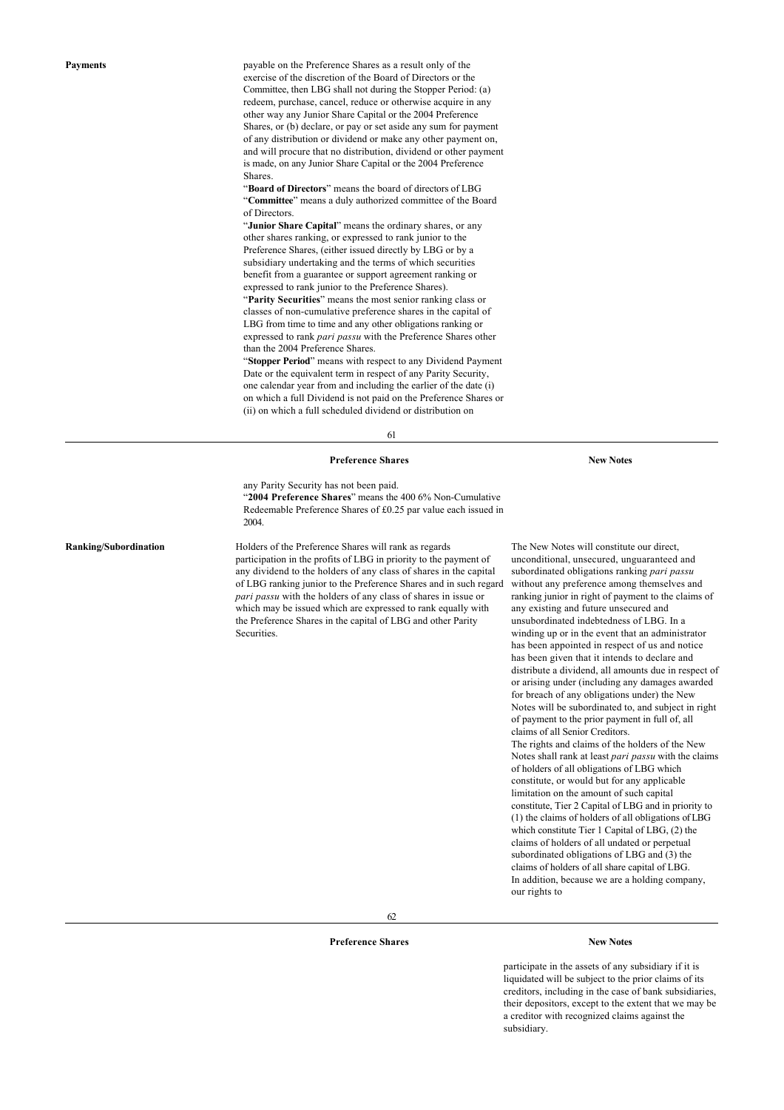**Payments Payments payable on the Preference Shares as a result only of the** exercise of the discretion of the Board of Directors or the Committee, then LBG shall not during the Stopper Period: (a) redeem, purchase, cancel, reduce or otherwise acquire in any other way any Junior Share Capital or the 2004 Preference Shares, or (b) declare, or pay or set aside any sum for payment of any distribution or dividend or make any other payment on, and will procure that no distribution, dividend or other payment is made, on any Junior Share Capital or the 2004 Preference **Shares** 

> "**Board of Directors**" means the board of directors of LBG "**Committee**" means a duly authorized committee of the Board of Directors.

"**Junior Share Capital**" means the ordinary shares, or any other shares ranking, or expressed to rank junior to the Preference Shares, (either issued directly by LBG or by a subsidiary undertaking and the terms of which securities benefit from a guarantee or support agreement ranking or expressed to rank junior to the Preference Shares). "**Parity Securities**" means the most senior ranking class or classes of non-cumulative preference shares in the capital of LBG from time to time and any other obligations ranking or expressed to rank *pari passu* with the Preference Shares other than the 2004 Preference Shares.

"**Stopper Period**" means with respect to any Dividend Payment Date or the equivalent term in respect of any Parity Security, one calendar year from and including the earlier of the date (i) on which a full Dividend is not paid on the Preference Shares or (ii) on which a full scheduled dividend or distribution on

61

#### **Preference Shares New Notes**

any Parity Security has not been paid. "**2004 Preference Shares**" means the 400 6% Non-Cumulative Redeemable Preference Shares of £0.25 par value each issued in 2004.

**Ranking/Subordination** Holders of the Preference Shares will rank as regards participation in the profits of LBG in priority to the payment of any dividend to the holders of any class of shares in the capital of LBG ranking junior to the Preference Shares and in such regard *pari passu* with the holders of any class of shares in issue or which may be issued which are expressed to rank equally with the Preference Shares in the capital of LBG and other Parity Securities.

The New Notes will constitute our direct, unconditional, unsecured, unguaranteed and subordinated obligations ranking *pari passu* without any preference among themselves and ranking junior in right of payment to the claims of any existing and future unsecured and unsubordinated indebtedness of LBG. In a winding up or in the event that an administrator has been appointed in respect of us and notice has been given that it intends to declare and distribute a dividend, all amounts due in respect of or arising under (including any damages awarded for breach of any obligations under) the New Notes will be subordinated to, and subject in right of payment to the prior payment in full of, all claims of all Senior Creditors. The rights and claims of the holders of the New Notes shall rank at least *pari passu* with the claims of holders of all obligations of LBG which constitute, or would but for any applicable limitation on the amount of such capital constitute, Tier 2 Capital of LBG and in priority to (1) the claims of holders of all obligations of LBG which constitute Tier 1 Capital of LBG, (2) the

claims of holders of all undated or perpetual subordinated obligations of LBG and (3) the claims of holders of all share capital of LBG. In addition, because we are a holding company, our rights to

62

## **Preference Shares New Notes**

participate in the assets of any subsidiary if it is liquidated will be subject to the prior claims of its creditors, including in the case of bank subsidiaries, their depositors, except to the extent that we may be a creditor with recognized claims against the subsidiary.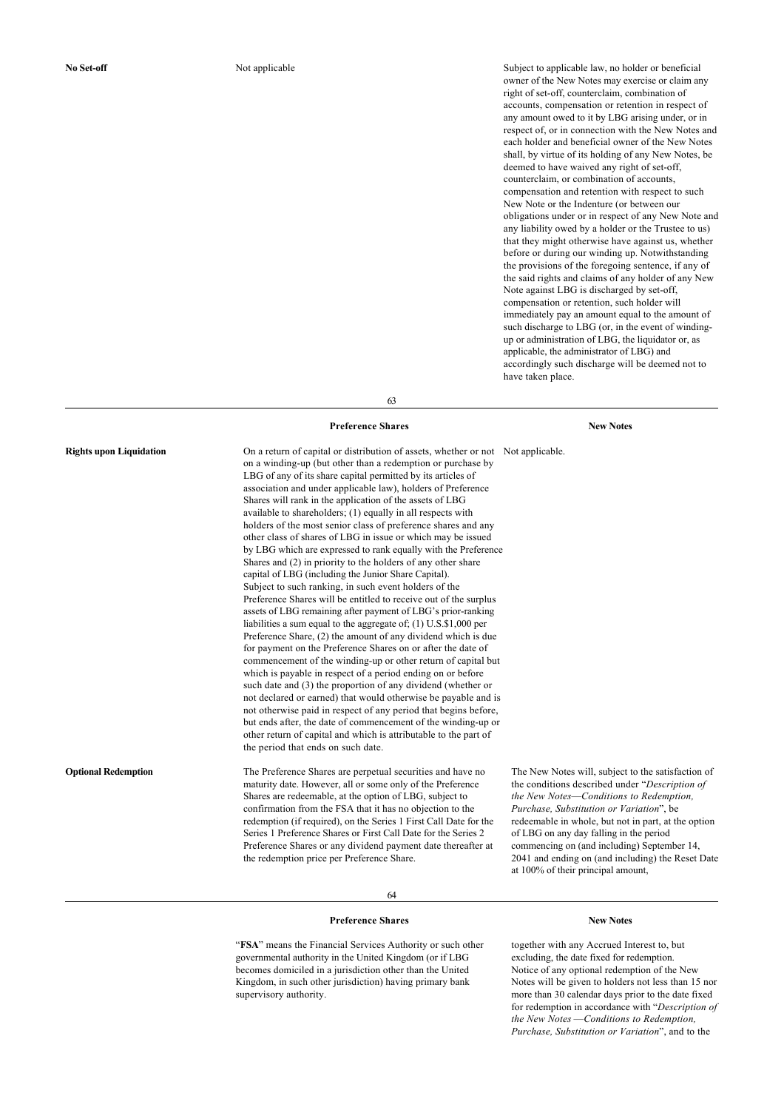**No Set-off** Not applicable Not applicable Subject to applicable law, no holder or beneficial owner of the New Notes may exercise or claim any right of set-off, counterclaim, combination of accounts, compensation or retention in respect of any amount owed to it by LBG arising under, or in respect of, or in connection with the New Notes and each holder and beneficial owner of the New Notes shall, by virtue of its holding of any New Notes, be deemed to have waived any right of set-off, counterclaim, or combination of accounts, compensation and retention with respect to such New Note or the Indenture (or between our obligations under or in respect of any New Note and any liability owed by a holder or the Trustee to us) that they might otherwise have against us, whether before or during our winding up. Notwithstanding the provisions of the foregoing sentence, if any of the said rights and claims of any holder of any New Note against LBG is discharged by set-off, compensation or retention, such holder will immediately pay an amount equal to the amount of such discharge to LBG (or, in the event of windingup or administration of LBG, the liquidator or, as applicable, the administrator of LBG) and accordingly such discharge will be deemed not to have taken place.

63

## **Preference Shares New Notes**

**Rights upon Liquidation** On a return of capital or distribution of assets, whether or not Not applicable. on a winding-up (but other than a redemption or purchase by LBG of any of its share capital permitted by its articles of association and under applicable law), holders of Preference Shares will rank in the application of the assets of LBG available to shareholders; (1) equally in all respects with holders of the most senior class of preference shares and any other class of shares of LBG in issue or which may be issued by LBG which are expressed to rank equally with the Preference Shares and (2) in priority to the holders of any other share capital of LBG (including the Junior Share Capital). Subject to such ranking, in such event holders of the Preference Shares will be entitled to receive out of the surplus assets of LBG remaining after payment of LBG's prior-ranking liabilities a sum equal to the aggregate of; (1) U.S.\$1,000 per Preference Share, (2) the amount of any dividend which is due for payment on the Preference Shares on or after the date of commencement of the winding-up or other return of capital but which is payable in respect of a period ending on or before such date and (3) the proportion of any dividend (whether or not declared or earned) that would otherwise be payable and is not otherwise paid in respect of any period that begins before, but ends after, the date of commencement of the winding-up or other return of capital and which is attributable to the part of the period that ends on such date.

**Optional Redemption** The Preference Shares are perpetual securities and have no maturity date. However, all or some only of the Preference Shares are redeemable, at the option of LBG, subject to confirmation from the FSA that it has no objection to the redemption (if required), on the Series 1 First Call Date for the Series 1 Preference Shares or First Call Date for the Series 2 Preference Shares or any dividend payment date thereafter at the redemption price per Preference Share.

The New Notes will, subject to the satisfaction of the conditions described under "*Description of the New Notes*—*Conditions to Redemption, Purchase, Substitution or Variation*", be redeemable in whole, but not in part, at the option of LBG on any day falling in the period commencing on (and including) September 14, 2041 and ending on (and including) the Reset Date

64

#### **Preference Shares New Notes**

"**FSA**" means the Financial Services Authority or such other governmental authority in the United Kingdom (or if LBG becomes domiciled in a jurisdiction other than the United Kingdom, in such other jurisdiction) having primary bank supervisory authority.

at 100% of their principal amount,

together with any Accrued Interest to, but excluding, the date fixed for redemption. Notice of any optional redemption of the New Notes will be given to holders not less than 15 nor more than 30 calendar days prior to the date fixed for redemption in accordance with "*Description of the New Notes* —*Conditions to Redemption, Purchase, Substitution or Variation*", and to the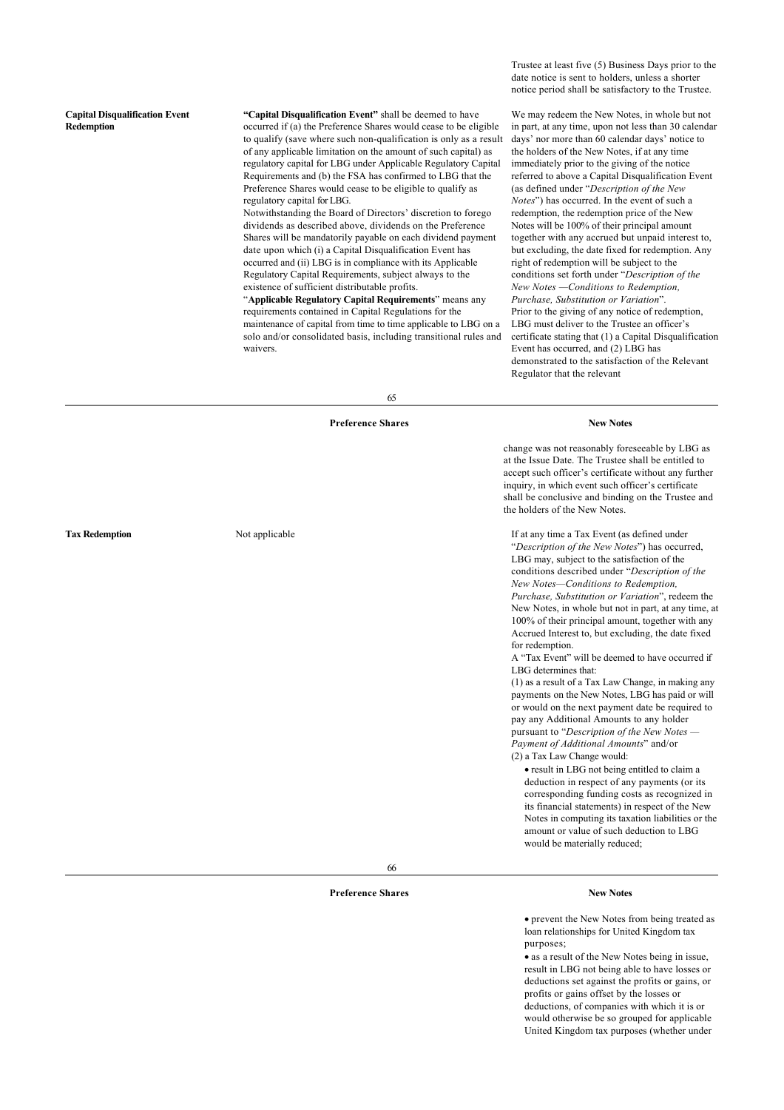### **Capital Disqualification Event Redemption**

**"Capital Disqualification Event"** shall be deemed to have occurred if (a) the Preference Shares would cease to be eligible to qualify (save where such non-qualification is only as a result of any applicable limitation on the amount of such capital) as regulatory capital for LBG under Applicable Regulatory Capital Requirements and (b) the FSA has confirmed to LBG that the Preference Shares would cease to be eligible to qualify as regulatory capital for LBG.

Notwithstanding the Board of Directors' discretion to forego dividends as described above, dividends on the Preference Shares will be mandatorily payable on each dividend payment date upon which (i) a Capital Disqualification Event has occurred and (ii) LBG is in compliance with its Applicable Regulatory Capital Requirements, subject always to the existence of sufficient distributable profits.

"**Applicable Regulatory Capital Requirements**" means any requirements contained in Capital Regulations for the maintenance of capital from time to time applicable to LBG on a solo and/or consolidated basis, including transitional rules and waivers.

Trustee at least five (5) Business Days prior to the date notice is sent to holders, unless a shorter notice period shall be satisfactory to the Trustee.

We may redeem the New Notes, in whole but not in part, at any time, upon not less than 30 calendar days' nor more than 60 calendar days' notice to the holders of the New Notes, if at any time immediately prior to the giving of the notice referred to above a Capital Disqualification Event (as defined under "*Description of the New Notes*") has occurred. In the event of such a redemption, the redemption price of the New Notes will be 100% of their principal amount together with any accrued but unpaid interest to, but excluding, the date fixed for redemption. Any right of redemption will be subject to the conditions set forth under "*Description of the New Notes —Conditions to Redemption, Purchase, Substitution or Variation*". Prior to the giving of any notice of redemption, LBG must deliver to the Trustee an officer's certificate stating that (1) a Capital Disqualification Event has occurred, and (2) LBG has demonstrated to the satisfaction of the Relevant Regulator that the relevant

65

#### **Preference Shares New Notes**

change was not reasonably foreseeable by LBG as at the Issue Date. The Trustee shall be entitled to accept such officer's certificate without any further inquiry, in which event such officer's certificate shall be conclusive and binding on the Trustee and the holders of the New Notes.

**Tax Redemption** Not applicable Not applicable If at any time a Tax Event (as defined under "*Description of the New Notes*") has occurred, LBG may, subject to the satisfaction of the conditions described under "*Description of the New Notes—Conditions to Redemption, Purchase, Substitution or Variation*", redeem the New Notes, in whole but not in part, at any time, at 100% of their principal amount, together with any Accrued Interest to, but excluding, the date fixed for redemption.

A "Tax Event" will be deemed to have occurred if LBG determines that:

(1) as a result of a Tax Law Change, in making any payments on the New Notes, LBG has paid or will or would on the next payment date be required to pay any Additional Amounts to any holder pursuant to "*Description of the New Notes — Payment of Additional Amounts*" and/or (2) a Tax Law Change would:

· result in LBG not being entitled to claim a deduction in respect of any payments (or its corresponding funding costs as recognized in its financial statements) in respect of the New Notes in computing its taxation liabilities or the amount or value of such deduction to LBG would be materially reduced;

66

## **Preference Shares New Notes**

· prevent the New Notes from being treated as loan relationships for United Kingdom tax purposes;

· as a result of the New Notes being in issue, result in LBG not being able to have losses or deductions set against the profits or gains, or profits or gains offset by the losses or deductions, of companies with which it is or would otherwise be so grouped for applicable United Kingdom tax purposes (whether under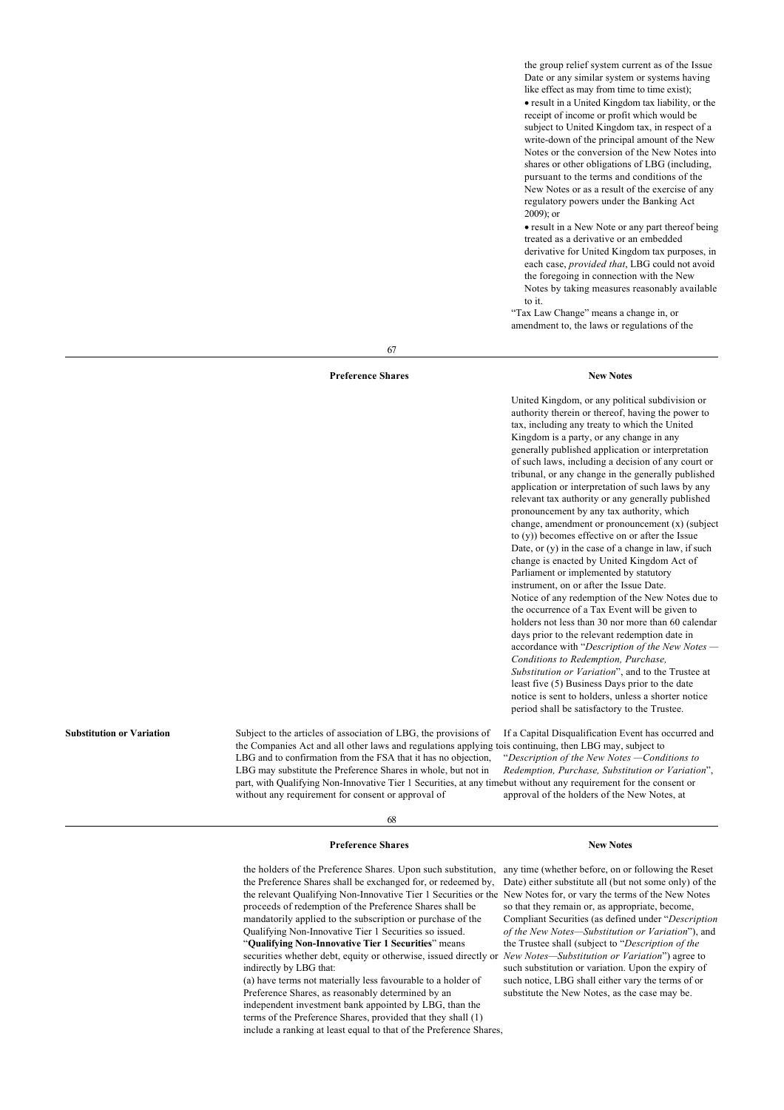the group relief system current as of the Issue Date or any similar system or systems having like effect as may from time to time exist); · result in a United Kingdom tax liability, or the receipt of income or profit which would be subject to United Kingdom tax, in respect of a write-down of the principal amount of the New Notes or the conversion of the New Notes into shares or other obligations of LBG (including, pursuant to the terms and conditions of the New Notes or as a result of the exercise of any regulatory powers under the Banking Act 2009); or

· result in a New Note or any part thereof being treated as a derivative or an embedded derivative for United Kingdom tax purposes, in each case, *provided that*, LBG could not avoid the foregoing in connection with the New Notes by taking measures reasonably available to it.

"Tax Law Change" means a change in, or amendment to, the laws or regulations of the

67

#### **Preference Shares New Notes**

United Kingdom, or any political subdivision or authority therein or thereof, having the power to tax, including any treaty to which the United Kingdom is a party, or any change in any generally published application or interpretation of such laws, including a decision of any court or tribunal, or any change in the generally published application or interpretation of such laws by any relevant tax authority or any generally published pronouncement by any tax authority, which change, amendment or pronouncement (x) (subject to (y)) becomes effective on or after the Issue Date, or  $(y)$  in the case of a change in law, if such change is enacted by United Kingdom Act of Parliament or implemented by statutory instrument, on or after the Issue Date. Notice of any redemption of the New Notes due to the occurrence of a Tax Event will be given to holders not less than 30 nor more than 60 calendar days prior to the relevant redemption date in accordance with "*Description of the New Notes — Conditions to Redemption, Purchase, Substitution or Variation*", and to the Trustee at least five (5) Business Days prior to the date notice is sent to holders, unless a shorter notice period shall be satisfactory to the Trustee.

the Companies Act and all other laws and regulations applying to is continuing, then LBG may, subject to part, with Qualifying Non-Innovative Tier 1 Securities, at any time but without any requirement for the consent or If a Capital Disqualification Event has occurred and "*Description of the New Notes —Conditions to Redemption, Purchase, Substitution or Variation*", approval of the holders of the New Notes, at

68

## **Preference Shares New Notes**

LBG and to confirmation from the FSA that it has no objection, LBG may substitute the Preference Shares in whole, but not in

without any requirement for consent or approval of

the holders of the Preference Shares. Upon such substitution, any time (whether before, on or following the Reset the Preference Shares shall be exchanged for, or redeemed by, the relevant Qualifying Non-Innovative Tier 1 Securities or the proceeds of redemption of the Preference Shares shall be mandatorily applied to the subscription or purchase of the Qualifying Non-Innovative Tier 1 Securities so issued. "**Qualifying Non-Innovative Tier 1 Securities**" means securities whether debt, equity or otherwise, issued directly or *New Notes—Substitution or Variation*") agree to indirectly by LBG that: (a) have terms not materially less favourable to a holder of Preference Shares, as reasonably determined by an

independent investment bank appointed by LBG, than the terms of the Preference Shares, provided that they shall (1) include a ranking at least equal to that of the Preference Shares,

Date) either substitute all (but not some only) of the New Notes for, or vary the terms of the New Notes so that they remain or, as appropriate, become, Compliant Securities (as defined under "*Description of the New Notes—Substitution or Variation*"), and the Trustee shall (subject to "*Description of the* such substitution or variation. Upon the expiry of such notice, LBG shall either vary the terms of or substitute the New Notes, as the case may be.

**Substitution or Variation** Subject to the articles of association of LBG, the provisions of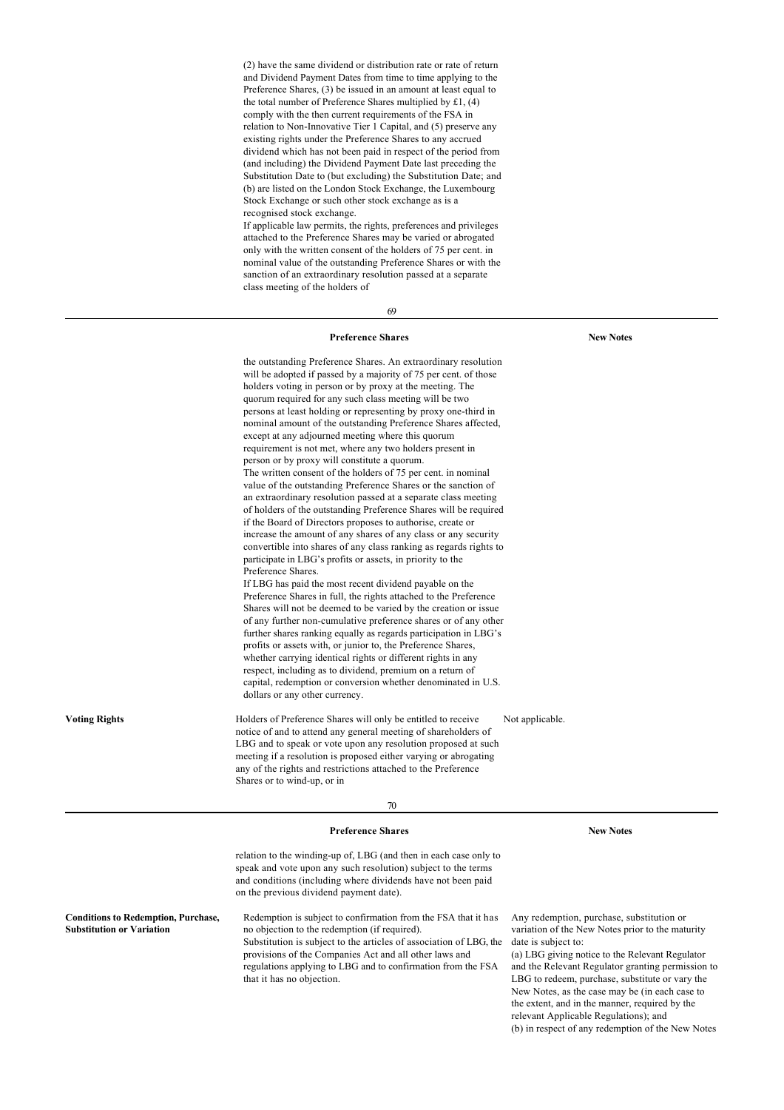(2) have the same dividend or distribution rate or rate of return and Dividend Payment Dates from time to time applying to the Preference Shares, (3) be issued in an amount at least equal to the total number of Preference Shares multiplied by £1, (4) comply with the then current requirements of the FSA in relation to Non-Innovative Tier 1 Capital, and (5) preserve any existing rights under the Preference Shares to any accrued dividend which has not been paid in respect of the period from (and including) the Dividend Payment Date last preceding the Substitution Date to (but excluding) the Substitution Date; and (b) are listed on the London Stock Exchange, the Luxembourg Stock Exchange or such other stock exchange as is a recognised stock exchange. If applicable law permits, the rights, preferences and privileges

attached to the Preference Shares may be varied or abrogated only with the written consent of the holders of 75 per cent. in nominal value of the outstanding Preference Shares or with the sanction of an extraordinary resolution passed at a separate class meeting of the holders of

69

## **Preference Shares New Notes**

the outstanding Preference Shares. An extraordinary resolution will be adopted if passed by a majority of 75 per cent. of those holders voting in person or by proxy at the meeting. The quorum required for any such class meeting will be two persons at least holding or representing by proxy one-third in nominal amount of the outstanding Preference Shares affected, except at any adjourned meeting where this quorum requirement is not met, where any two holders present in person or by proxy will constitute a quorum. The written consent of the holders of 75 per cent. in nominal value of the outstanding Preference Shares or the sanction of an extraordinary resolution passed at a separate class meeting of holders of the outstanding Preference Shares will be required if the Board of Directors proposes to authorise, create or increase the amount of any shares of any class or any security convertible into shares of any class ranking as regards rights to participate in LBG's profits or assets, in priority to the Preference Shares. If LBG has paid the most recent dividend payable on the Preference Shares in full, the rights attached to the Preference Shares will not be deemed to be varied by the creation or issue of any further non-cumulative preference shares or of any other further shares ranking equally as regards participation in LBG's profits or assets with, or junior to, the Preference Shares, whether carrying identical rights or different rights in any respect, including as to dividend, premium on a return of capital, redemption or conversion whether denominated in U.S. dollars or any other currency. **Voting Rights Holders** of Preference Shares will only be entitled to receive notice of and to attend any general meeting of shareholders of LBG and to speak or vote upon any resolution proposed at such meeting if a resolution is proposed either varying or abrogating any of the rights and restrictions attached to the Preference Shares or to wind-up, or in Not applicable. 70 **Preference Shares New Notes** relation to the winding-up of, LBG (and then in each case only to

speak and vote upon any such resolution) subject to the terms and conditions (including where dividends have not been paid on the previous dividend payment date).

Redemption is subject to confirmation from the FSA that it has no objection to the redemption (if required). Substitution is subject to the articles of association of LBG, the provisions of the Companies Act and all other laws and regulations applying to LBG and to confirmation from the FSA that it has no objection.

**Conditions to Redemption, Purchase, Substitution or Variation**

Any redemption, purchase, substitution or variation of the New Notes prior to the maturity date is subject to:

(a) LBG giving notice to the Relevant Regulator and the Relevant Regulator granting permission to LBG to redeem, purchase, substitute or vary the New Notes, as the case may be (in each case to the extent, and in the manner, required by the relevant Applicable Regulations); and (b) in respect of any redemption of the New Notes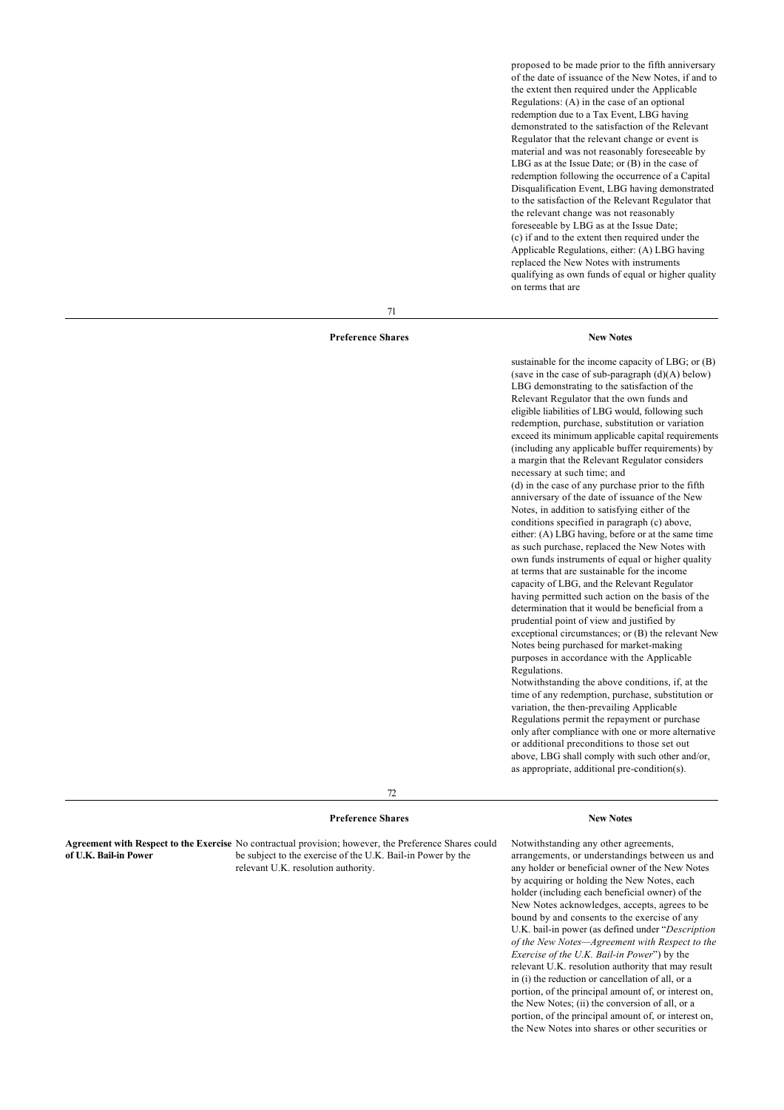proposed to be made prior to the fifth anniversary of the date of issuance of the New Notes, if and to the extent then required under the Applicable Regulations: (A) in the case of an optional redemption due to a Tax Event, LBG having demonstrated to the satisfaction of the Relevant Regulator that the relevant change or event is material and was not reasonably foreseeable by LBG as at the Issue Date; or (B) in the case of redemption following the occurrence of a Capital Disqualification Event, LBG having demonstrated to the satisfaction of the Relevant Regulator that the relevant change was not reasonably foreseeable by LBG as at the Issue Date; (c) if and to the extent then required under the Applicable Regulations, either: (A) LBG having replaced the New Notes with instruments qualifying as own funds of equal or higher quality on terms that are

71

## **Preference Shares New Notes**

sustainable for the income capacity of LBG; or (B) (save in the case of sub-paragraph  $(d)(A)$  below) LBG demonstrating to the satisfaction of the Relevant Regulator that the own funds and eligible liabilities of LBG would, following such redemption, purchase, substitution or variation

exceed its minimum applicable capital requirements (including any applicable buffer requirements) by

a margin that the Relevant Regulator considers necessary at such time; and (d) in the case of any purchase prior to the fifth anniversary of the date of issuance of the New Notes, in addition to satisfying either of the conditions specified in paragraph (c) above, either: (A) LBG having, before or at the same time as such purchase, replaced the New Notes with own funds instruments of equal or higher quality at terms that are sustainable for the income capacity of LBG, and the Relevant Regulator having permitted such action on the basis of the determination that it would be beneficial from a prudential point of view and justified by exceptional circumstances; or (B) the relevant New Notes being purchased for market-making purposes in accordance with the Applicable Regulations.

Notwithstanding the above conditions, if, at the time of any redemption, purchase, substitution or variation, the then-prevailing Applicable Regulations permit the repayment or purchase only after compliance with one or more alternative or additional preconditions to those set out above, LBG shall comply with such other and/or, as appropriate, additional pre-condition(s).

72

## **Preference Shares New Notes**

**Agreement with Respect to the Exercise** No contractual provision; however, the Preference Shares could **of U.K. Bail-in Power** be subject to the exercise of the U.K. Bail-in Power by the relevant U.K. resolution authority.

Notwithstanding any other agreements, arrangements, or understandings between us and any holder or beneficial owner of the New Notes by acquiring or holding the New Notes, each holder (including each beneficial owner) of the New Notes acknowledges, accepts, agrees to be bound by and consents to the exercise of any U.K. bail-in power (as defined under "*Description of the New Notes—Agreement with Respect to the Exercise of the U.K. Bail-in Power*") by the relevant U.K. resolution authority that may result in (i) the reduction or cancellation of all, or a portion, of the principal amount of, or interest on, the New Notes; (ii) the conversion of all, or a portion, of the principal amount of, or interest on, the New Notes into shares or other securities or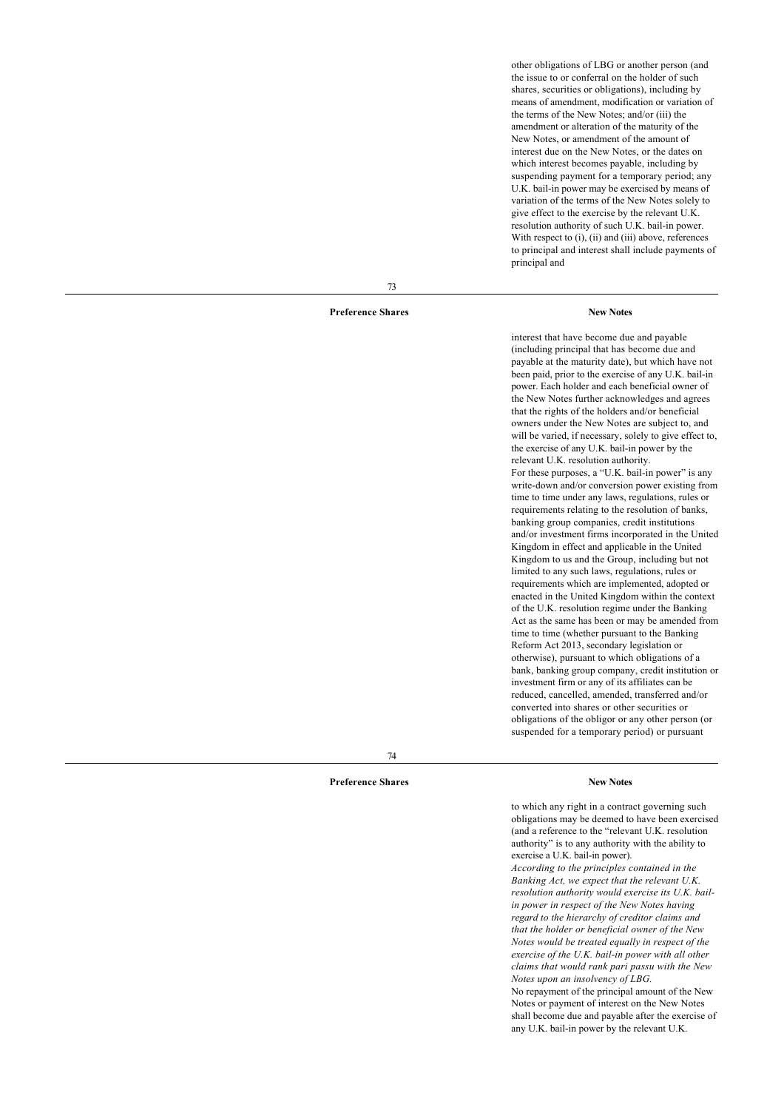other obligations of LBG or another person (and the issue to or conferral on the holder of such shares, securities or obligations), including by means of amendment, modification or variation of the terms of the New Notes; and/or (iii) the amendment or alteration of the maturity of the New Notes, or amendment of the amount of interest due on the New Notes, or the dates on which interest becomes payable, including by suspending payment for a temporary period; any U.K. bail-in power may be exercised by means of variation of the terms of the New Notes solely to give effect to the exercise by the relevant U.K. resolution authority of such U.K. bail-in power. With respect to (i), (ii) and (iii) above, references to principal and interest shall include payments of principal and

73

## **Preference Shares New Notes**

interest that have become due and payable (including principal that has become due and payable at the maturity date), but which have not been paid, prior to the exercise of any U.K. bail-in power. Each holder and each beneficial owner of the New Notes further acknowledges and agrees that the rights of the holders and/or beneficial owners under the New Notes are subject to, and will be varied, if necessary, solely to give effect to, the exercise of any U.K. bail-in power by the relevant U.K. resolution authority. For these purposes, a "U.K. bail-in power" is any write-down and/or conversion power existing from time to time under any laws, regulations, rules or requirements relating to the resolution of banks, banking group companies, credit institutions and/or investment firms incorporated in the United Kingdom in effect and applicable in the United Kingdom to us and the Group, including but not limited to any such laws, regulations, rules or requirements which are implemented, adopted or enacted in the United Kingdom within the context of the U.K. resolution regime under the Banking Act as the same has been or may be amended from time to time (whether pursuant to the Banking Reform Act 2013, secondary legislation or otherwise), pursuant to which obligations of a bank, banking group company, credit institution or investment firm or any of its affiliates can be reduced, cancelled, amended, transferred and/or converted into shares or other securities or obligations of the obligor or any other person (or suspended for a temporary period) or pursuant

74

#### **Preference Shares New Notes**

to which any right in a contract governing such obligations may be deemed to have been exercised (and a reference to the "relevant U.K. resolution authority" is to any authority with the ability to exercise a U.K. bail-in power). *According to the principles contained in the Banking Act, we expect that the relevant U.K. resolution authority would exercise its U.K. bailin power in respect of the New Notes having regard to the hierarchy of creditor claims and that the holder or beneficial owner of the New Notes would be treated equally in respect of the exercise of the U.K. bail-in power with all other claims that would rank pari passu with the New Notes upon an insolvency of LBG.* No repayment of the principal amount of the New Notes or payment of interest on the New Notes shall become due and payable after the exercise of any U.K. bail-in power by the relevant U.K.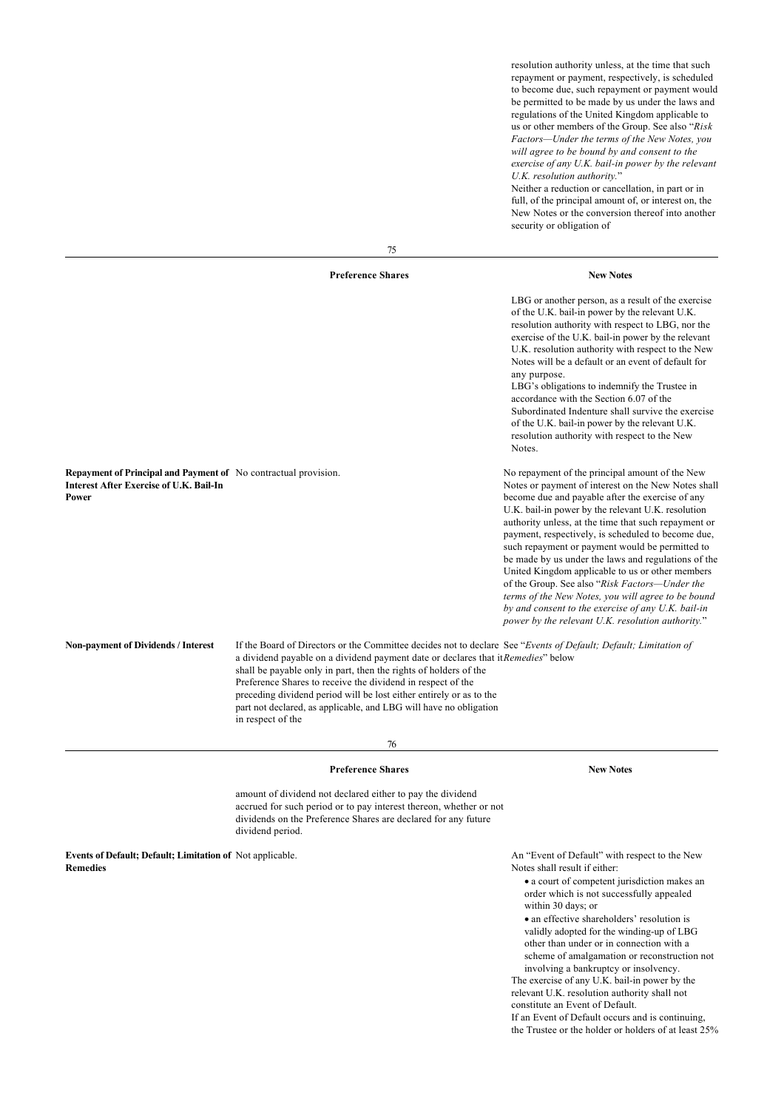resolution authority unless, at the time that such repayment or payment, respectively, is scheduled to become due, such repayment or payment would be permitted to be made by us under the laws and regulations of the United Kingdom applicable to us or other members of the Group. See also "*Risk Factors—Under the terms of the New Notes, you will agree to be bound by and consent to the exercise of any U.K. bail-in power by the relevant U.K. resolution authority.*"

Neither a reduction or cancellation, in part or in full, of the principal amount of, or interest on, the New Notes or the conversion thereof into another security or obligation of

75

#### **Preference Shares New Notes**

LBG or another person, as a result of the exercise of the U.K. bail-in power by the relevant U.K. resolution authority with respect to LBG, nor the exercise of the U.K. bail-in power by the relevant U.K. resolution authority with respect to the New Notes will be a default or an event of default for any purpose. LBG's obligations to indemnify the Trustee in accordance with the Section 6.07 of the Subordinated Indenture shall survive the exercise of the U.K. bail-in power by the relevant U.K. resolution authority with respect to the New Notes. **Repayment of Principal and Payment of** No contractual provision. **Interest After Exercise of U.K. Bail-In Power** No repayment of the principal amount of the New Notes or payment of interest on the New Notes shall become due and payable after the exercise of any U.K. bail-in power by the relevant U.K. resolution authority unless, at the time that such repayment or payment, respectively, is scheduled to become due, such repayment or payment would be permitted to be made by us under the laws and regulations of the United Kingdom applicable to us or other members of the Group. See also "*Risk Factors—Under the terms of the New Notes, you will agree to be bound by and consent to the exercise of any U.K. bail-in power by the relevant U.K. resolution authority.*" **Non-payment of Dividends / Interest** If the Board of Directors or the Committee decides not to declare See "*Events of Default; Default; Limitation of* a dividend payable on a dividend payment date or declares that it *Remedies*" below shall be payable only in part, then the rights of holders of the Preference Shares to receive the dividend in respect of the preceding dividend period will be lost either entirely or as to the part not declared, as applicable, and LBG will have no obligation

76

#### **Preference Shares New Notes**

in respect of the

amount of dividend not declared either to pay the dividend accrued for such period or to pay interest thereon, whether or not dividends on the Preference Shares are declared for any future dividend period.

**Events of Default; Default; Limitation of Remedies**

An "Event of Default" with respect to the New Notes shall result if either:

· a court of competent jurisdiction makes an order which is not successfully appealed within 30 days; or

• an effective shareholders' resolution is validly adopted for the winding-up of LBG other than under or in connection with a scheme of amalgamation or reconstruction not involving a bankruptcy or insolvency.

The exercise of any U.K. bail-in power by the relevant U.K. resolution authority shall not constitute an Event of Default.

If an Event of Default occurs and is continuing,

the Trustee or the holder or holders of at least 25%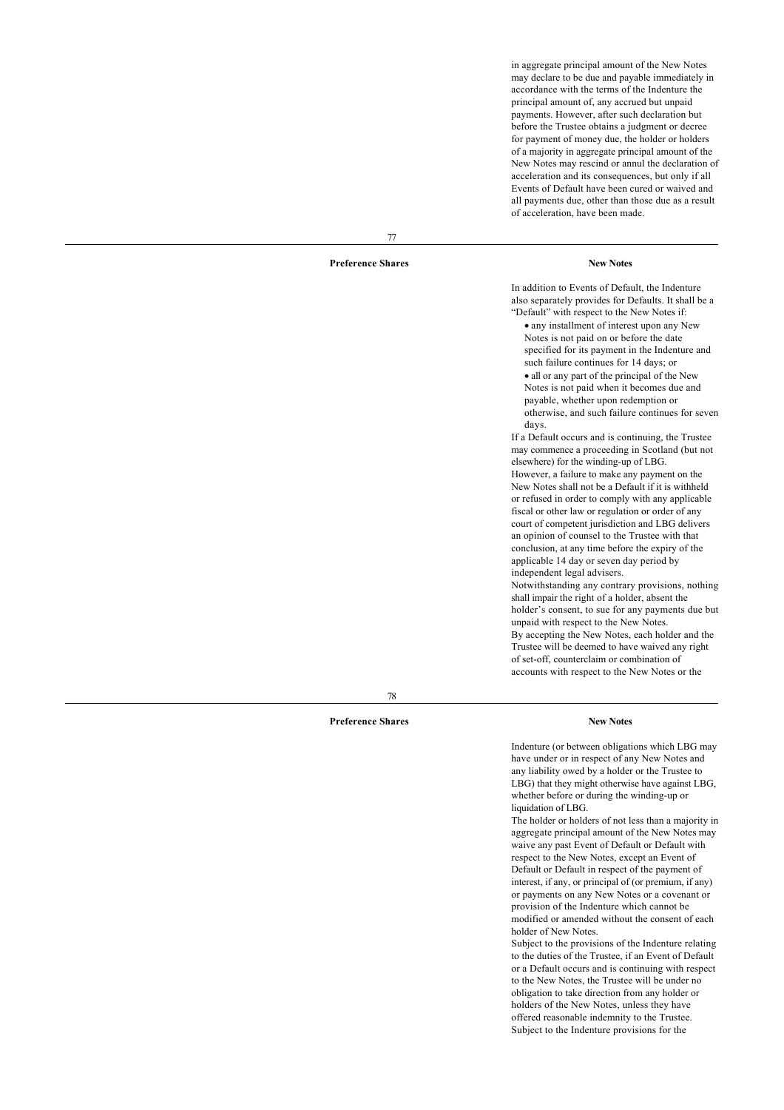in aggregate principal amount of the New Notes may declare to be due and payable immediately in accordance with the terms of the Indenture the principal amount of, any accrued but unpaid payments. However, after such declaration but before the Trustee obtains a judgment or decree for payment of money due, the holder or holders of a majority in aggregate principal amount of the New Notes may rescind or annul the declaration of acceleration and its consequences, but only if all Events of Default have been cured or waived and all payments due, other than those due as a result of acceleration, have been made.

## **Preference Shares New Notes**

77

In addition to Events of Default, the Indenture also separately provides for Defaults. It shall be a "Default" with respect to the New Notes if:

· any installment of interest upon any New Notes is not paid on or before the date specified for its payment in the Indenture and such failure continues for 14 days; or

· all or any part of the principal of the New Notes is not paid when it becomes due and payable, whether upon redemption or otherwise, and such failure continues for seven days.

If a Default occurs and is continuing, the Trustee may commence a proceeding in Scotland (but not elsewhere) for the winding-up of LBG. However, a failure to make any payment on the New Notes shall not be a Default if it is withheld or refused in order to comply with any applicable fiscal or other law or regulation or order of any court of competent jurisdiction and LBG delivers an opinion of counsel to the Trustee with that conclusion, at any time before the expiry of the applicable 14 day or seven day period by independent legal advisers. Notwithstanding any contrary provisions, nothing shall impair the right of a holder, absent the holder's consent, to sue for any payments due but unpaid with respect to the New Notes. By accepting the New Notes, each holder and the Trustee will be deemed to have waived any right of set-off, counterclaim or combination of accounts with respect to the New Notes or the

78

### **Preference Shares New Notes**

Indenture (or between obligations which LBG may have under or in respect of any New Notes and any liability owed by a holder or the Trustee to LBG) that they might otherwise have against LBG, whether before or during the winding-up or liquidation of LBG.

The holder or holders of not less than a majority in aggregate principal amount of the New Notes may waive any past Event of Default or Default with respect to the New Notes, except an Event of Default or Default in respect of the payment of interest, if any, or principal of (or premium, if any) or payments on any New Notes or a covenant or provision of the Indenture which cannot be modified or amended without the consent of each holder of New Notes.

Subject to the provisions of the Indenture relating to the duties of the Trustee, if an Event of Default or a Default occurs and is continuing with respect to the New Notes, the Trustee will be under no obligation to take direction from any holder or holders of the New Notes, unless they have offered reasonable indemnity to the Trustee. Subject to the Indenture provisions for the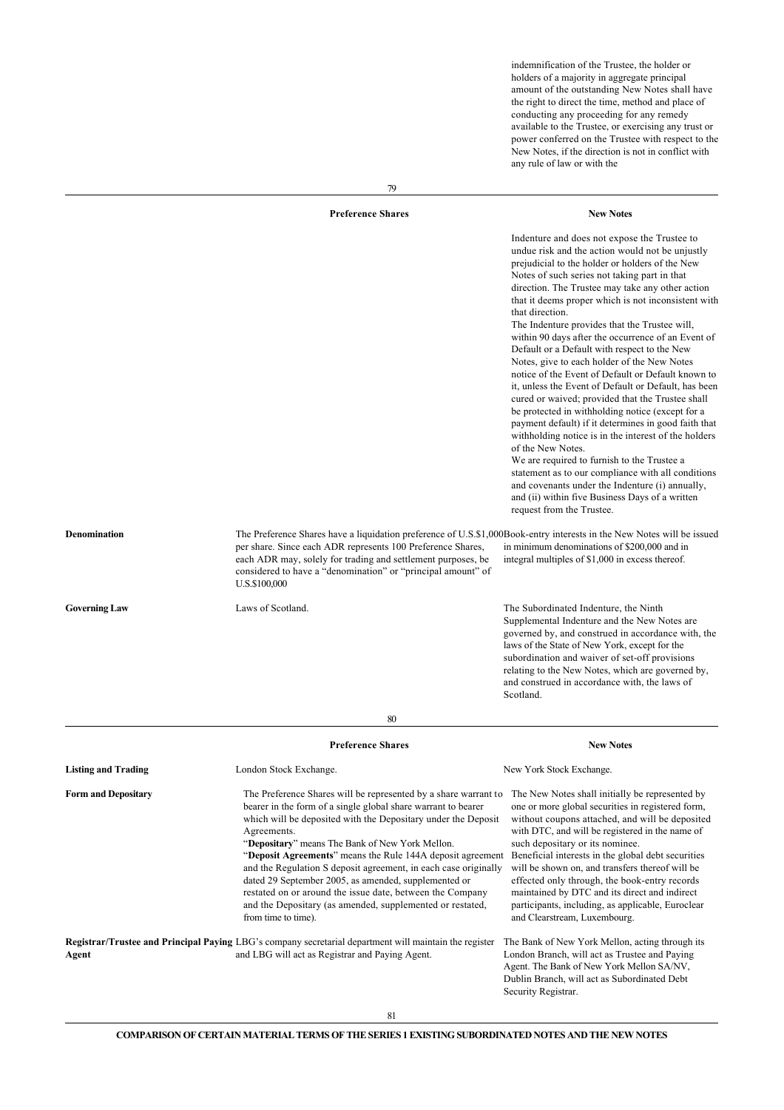indemnification of the Trustee, the holder or holders of a majority in aggregate principal amount of the outstanding New Notes shall have the right to direct the time, method and place of conducting any proceeding for any remedy available to the Trustee, or exercising any trust or power conferred on the Trustee with respect to the New Notes, if the direction is not in conflict with any rule of law or with the

|                            | <b>Preference Shares</b>                                                                                                                                                                                                                                                                                                                                                                                                                                                                                                                                                                                      | <b>New Notes</b>                                                                                                                                                                                                                                                                                                                                                                                                                                                                                                                                                                                                                                                                                                                                                                                                                                                                                                                                                                                                                                                                                                                          |
|----------------------------|---------------------------------------------------------------------------------------------------------------------------------------------------------------------------------------------------------------------------------------------------------------------------------------------------------------------------------------------------------------------------------------------------------------------------------------------------------------------------------------------------------------------------------------------------------------------------------------------------------------|-------------------------------------------------------------------------------------------------------------------------------------------------------------------------------------------------------------------------------------------------------------------------------------------------------------------------------------------------------------------------------------------------------------------------------------------------------------------------------------------------------------------------------------------------------------------------------------------------------------------------------------------------------------------------------------------------------------------------------------------------------------------------------------------------------------------------------------------------------------------------------------------------------------------------------------------------------------------------------------------------------------------------------------------------------------------------------------------------------------------------------------------|
|                            |                                                                                                                                                                                                                                                                                                                                                                                                                                                                                                                                                                                                               | Indenture and does not expose the Trustee to<br>undue risk and the action would not be unjustly<br>prejudicial to the holder or holders of the New<br>Notes of such series not taking part in that<br>direction. The Trustee may take any other action<br>that it deems proper which is not inconsistent with<br>that direction.<br>The Indenture provides that the Trustee will,<br>within 90 days after the occurrence of an Event of<br>Default or a Default with respect to the New<br>Notes, give to each holder of the New Notes<br>notice of the Event of Default or Default known to<br>it, unless the Event of Default or Default, has been<br>cured or waived; provided that the Trustee shall<br>be protected in withholding notice (except for a<br>payment default) if it determines in good faith that<br>withholding notice is in the interest of the holders<br>of the New Notes.<br>We are required to furnish to the Trustee a<br>statement as to our compliance with all conditions<br>and covenants under the Indenture (i) annually,<br>and (ii) within five Business Days of a written<br>request from the Trustee. |
| Denomination               | The Preference Shares have a liquidation preference of U.S.\$1,000Book-entry interests in the New Notes will be issued<br>per share. Since each ADR represents 100 Preference Shares,<br>each ADR may, solely for trading and settlement purposes, be<br>considered to have a "denomination" or "principal amount" of<br>U.S.\$100,000                                                                                                                                                                                                                                                                        | in minimum denominations of \$200,000 and in<br>integral multiples of \$1,000 in excess thereof.                                                                                                                                                                                                                                                                                                                                                                                                                                                                                                                                                                                                                                                                                                                                                                                                                                                                                                                                                                                                                                          |
| <b>Governing Law</b>       | Laws of Scotland.                                                                                                                                                                                                                                                                                                                                                                                                                                                                                                                                                                                             | The Subordinated Indenture, the Ninth<br>Supplemental Indenture and the New Notes are<br>governed by, and construed in accordance with, the<br>laws of the State of New York, except for the<br>subordination and waiver of set-off provisions<br>relating to the New Notes, which are governed by,<br>and construed in accordance with, the laws of<br>Scotland.                                                                                                                                                                                                                                                                                                                                                                                                                                                                                                                                                                                                                                                                                                                                                                         |
|                            | 80                                                                                                                                                                                                                                                                                                                                                                                                                                                                                                                                                                                                            |                                                                                                                                                                                                                                                                                                                                                                                                                                                                                                                                                                                                                                                                                                                                                                                                                                                                                                                                                                                                                                                                                                                                           |
|                            | <b>Preference Shares</b>                                                                                                                                                                                                                                                                                                                                                                                                                                                                                                                                                                                      | <b>New Notes</b>                                                                                                                                                                                                                                                                                                                                                                                                                                                                                                                                                                                                                                                                                                                                                                                                                                                                                                                                                                                                                                                                                                                          |
| <b>Listing and Trading</b> | London Stock Exchange.                                                                                                                                                                                                                                                                                                                                                                                                                                                                                                                                                                                        | New York Stock Exchange.                                                                                                                                                                                                                                                                                                                                                                                                                                                                                                                                                                                                                                                                                                                                                                                                                                                                                                                                                                                                                                                                                                                  |
| <b>Form and Depositary</b> | The Preference Shares will be represented by a share warrant to<br>bearer in the form of a single global share warrant to bearer<br>which will be deposited with the Depositary under the Deposit<br>Agreements.<br>"Depositary" means The Bank of New York Mellon.<br>"Deposit Agreements" means the Rule 144A deposit agreement<br>and the Regulation S deposit agreement, in each case originally<br>dated 29 September 2005, as amended, supplemented or<br>restated on or around the issue date, between the Company<br>and the Depositary (as amended, supplemented or restated,<br>from time to time). | The New Notes shall initially be represented by<br>one or more global securities in registered form,<br>without coupons attached, and will be deposited<br>with DTC, and will be registered in the name of<br>such depositary or its nominee.<br>Beneficial interests in the global debt securities<br>will be shown on, and transfers thereof will be<br>effected only through, the book-entry records<br>maintained by DTC and its direct and indirect<br>participants, including, as applicable, Euroclear<br>and Clearstream, Luxembourg.                                                                                                                                                                                                                                                                                                                                                                                                                                                                                                                                                                                             |
| Agent                      | Registrar/Trustee and Principal Paying LBG's company secretarial department will maintain the register<br>and LBG will act as Registrar and Paying Agent.                                                                                                                                                                                                                                                                                                                                                                                                                                                     | The Bank of New York Mellon, acting through its<br>London Branch, will act as Trustee and Paying<br>Agent. The Bank of New York Mellon SA/NV,<br>Dublin Branch, will act as Subordinated Debt<br>Security Registrar.                                                                                                                                                                                                                                                                                                                                                                                                                                                                                                                                                                                                                                                                                                                                                                                                                                                                                                                      |

79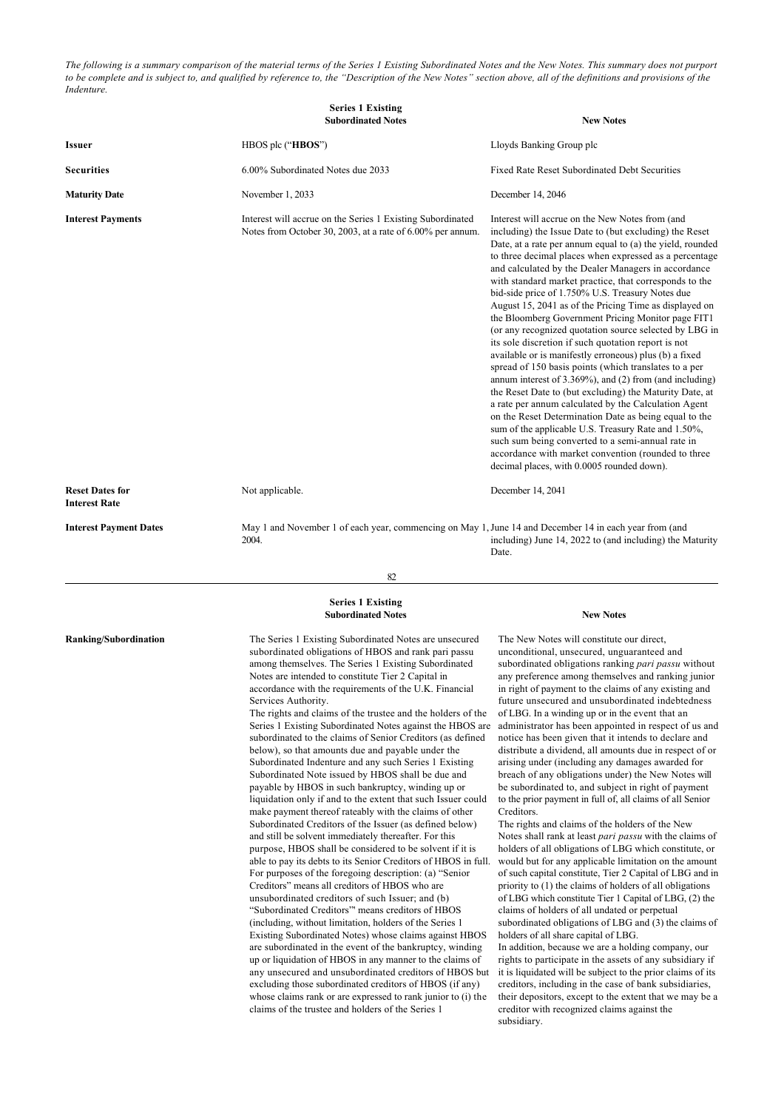*The following is a summary comparison of the material terms of the Series 1 Existing Subordinated Notes and the New Notes. This summary does not purport to be complete and is subject to, and qualified by reference to, the "Description of the New Notes" section above, all of the definitions and provisions of the Indenture.*

|                                                | <b>Series 1 Existing</b><br><b>Subordinated Notes</b>                                                                    | <b>New Notes</b>                                                                                                                                                                                                                                                                                                                                                                                                                                                                                                                                                                                                                                                                                                                                                                                                                                                                                                                                                                                                                                                                                                                                                                                                  |
|------------------------------------------------|--------------------------------------------------------------------------------------------------------------------------|-------------------------------------------------------------------------------------------------------------------------------------------------------------------------------------------------------------------------------------------------------------------------------------------------------------------------------------------------------------------------------------------------------------------------------------------------------------------------------------------------------------------------------------------------------------------------------------------------------------------------------------------------------------------------------------------------------------------------------------------------------------------------------------------------------------------------------------------------------------------------------------------------------------------------------------------------------------------------------------------------------------------------------------------------------------------------------------------------------------------------------------------------------------------------------------------------------------------|
| <b>Issuer</b>                                  | HBOS plc ("HBOS")                                                                                                        | Lloyds Banking Group plc                                                                                                                                                                                                                                                                                                                                                                                                                                                                                                                                                                                                                                                                                                                                                                                                                                                                                                                                                                                                                                                                                                                                                                                          |
| <b>Securities</b>                              | 6.00% Subordinated Notes due 2033                                                                                        | Fixed Rate Reset Subordinated Debt Securities                                                                                                                                                                                                                                                                                                                                                                                                                                                                                                                                                                                                                                                                                                                                                                                                                                                                                                                                                                                                                                                                                                                                                                     |
| <b>Maturity Date</b>                           | November 1, 2033                                                                                                         | December 14, 2046                                                                                                                                                                                                                                                                                                                                                                                                                                                                                                                                                                                                                                                                                                                                                                                                                                                                                                                                                                                                                                                                                                                                                                                                 |
| <b>Interest Payments</b>                       | Interest will accrue on the Series 1 Existing Subordinated<br>Notes from October 30, 2003, at a rate of 6.00% per annum. | Interest will accrue on the New Notes from (and<br>including) the Issue Date to (but excluding) the Reset<br>Date, at a rate per annum equal to (a) the yield, rounded<br>to three decimal places when expressed as a percentage<br>and calculated by the Dealer Managers in accordance<br>with standard market practice, that corresponds to the<br>bid-side price of 1.750% U.S. Treasury Notes due<br>August 15, 2041 as of the Pricing Time as displayed on<br>the Bloomberg Government Pricing Monitor page FIT1<br>(or any recognized quotation source selected by LBG in<br>its sole discretion if such quotation report is not<br>available or is manifestly erroneous) plus (b) a fixed<br>spread of 150 basis points (which translates to a per<br>annum interest of 3.369%), and (2) from (and including)<br>the Reset Date to (but excluding) the Maturity Date, at<br>a rate per annum calculated by the Calculation Agent<br>on the Reset Determination Date as being equal to the<br>sum of the applicable U.S. Treasury Rate and 1.50%,<br>such sum being converted to a semi-annual rate in<br>accordance with market convention (rounded to three<br>decimal places, with 0.0005 rounded down). |
| <b>Reset Dates for</b><br><b>Interest Rate</b> | Not applicable.                                                                                                          | December 14, 2041                                                                                                                                                                                                                                                                                                                                                                                                                                                                                                                                                                                                                                                                                                                                                                                                                                                                                                                                                                                                                                                                                                                                                                                                 |
| <b>Interest Payment Dates</b>                  | May 1 and November 1 of each year, commencing on May 1, June 14 and December 14 in each year from (and<br>2004.          | including) June 14, 2022 to (and including) the Maturity                                                                                                                                                                                                                                                                                                                                                                                                                                                                                                                                                                                                                                                                                                                                                                                                                                                                                                                                                                                                                                                                                                                                                          |

82

Date.

#### **Series 1 Existing Subordinated Notes New Notes**

**Ranking/Subordination** The Series 1 Existing Subordinated Notes are unsecured subordinated obligations of HBOS and rank pari passu among themselves. The Series 1 Existing Subordinated Notes are intended to constitute Tier 2 Capital in accordance with the requirements of the U.K. Financial Services Authority.

> The rights and claims of the trustee and the holders of the Series 1 Existing Subordinated Notes against the HBOS are subordinated to the claims of Senior Creditors (as defined below), so that amounts due and payable under the Subordinated Indenture and any such Series 1 Existing Subordinated Note issued by HBOS shall be due and payable by HBOS in such bankruptcy, winding up or liquidation only if and to the extent that such Issuer could make payment thereof rateably with the claims of other Subordinated Creditors of the Issuer (as defined below) and still be solvent immediately thereafter. For this purpose, HBOS shall be considered to be solvent if it is able to pay its debts to its Senior Creditors of HBOS in full. For purposes of the foregoing description: (a) "Senior Creditors" means all creditors of HBOS who are unsubordinated creditors of such Issuer; and (b) "Subordinated Creditors"' means creditors of HBOS (including, without limitation, holders of the Series 1 Existing Subordinated Notes) whose claims against HBOS are subordinated in the event of the bankruptcy, winding up or liquidation of HBOS in any manner to the claims of any unsecured and unsubordinated creditors of HBOS but excluding those subordinated creditors of HBOS (if any) whose claims rank or are expressed to rank junior to (i) the claims of the trustee and holders of the Series 1

The New Notes will constitute our direct, unconditional, unsecured, unguaranteed and subordinated obligations ranking *pari passu* without any preference among themselves and ranking junior in right of payment to the claims of any existing and future unsecured and unsubordinated indebtedness of LBG. In a winding up or in the event that an administrator has been appointed in respect of us and notice has been given that it intends to declare and distribute a dividend, all amounts due in respect of or arising under (including any damages awarded for breach of any obligations under) the New Notes will be subordinated to, and subject in right of payment to the prior payment in full of, all claims of all Senior **Creditors**.

The rights and claims of the holders of the New Notes shall rank at least *pari passu* with the claims of holders of all obligations of LBG which constitute, or would but for any applicable limitation on the amount of such capital constitute, Tier 2 Capital of LBG and in priority to (1) the claims of holders of all obligations of LBG which constitute Tier 1 Capital of LBG, (2) the claims of holders of all undated or perpetual subordinated obligations of LBG and (3) the claims of holders of all share capital of LBG. In addition, because we are a holding company, our

rights to participate in the assets of any subsidiary if it is liquidated will be subject to the prior claims of its creditors, including in the case of bank subsidiaries, their depositors, except to the extent that we may be a creditor with recognized claims against the subsidiary.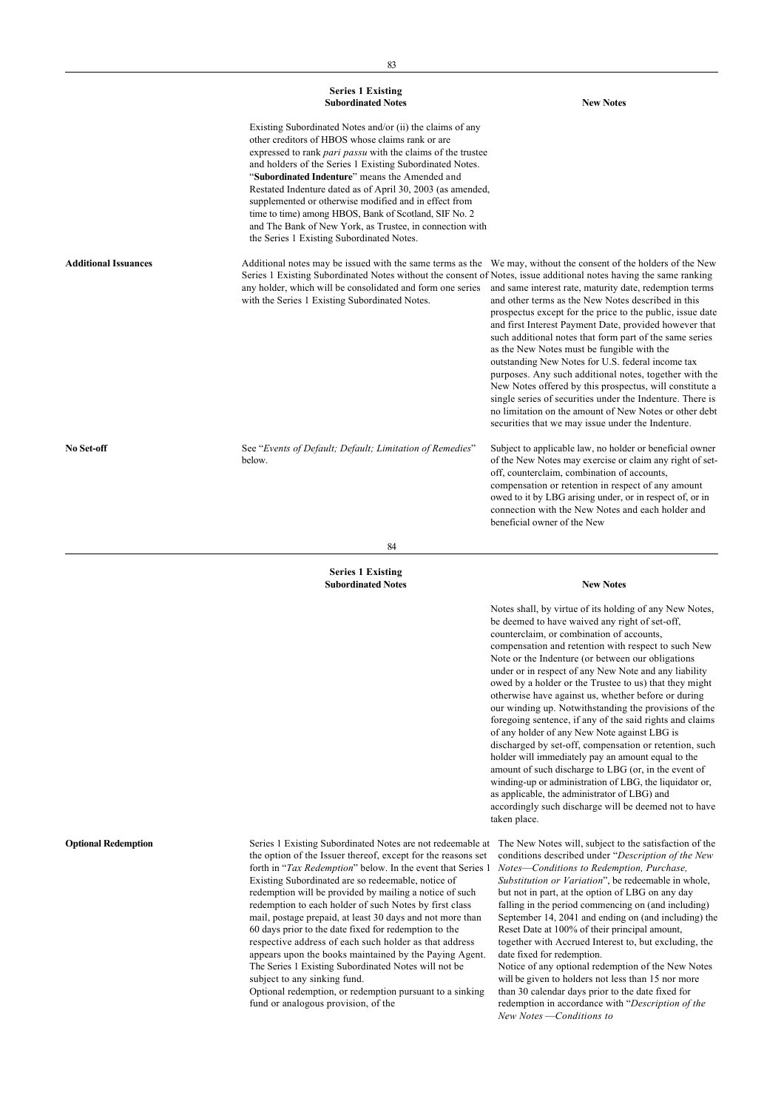|                             | <b>Series 1 Existing</b><br><b>Subordinated Notes</b>                                                                                                                                                                                                                                                                                                                                                                                                                                                                                                                                      | <b>New Notes</b>                                                                                                                                                                                                                                                                                                                                                                                                                                                                                                                                                                                                                                                                                    |
|-----------------------------|--------------------------------------------------------------------------------------------------------------------------------------------------------------------------------------------------------------------------------------------------------------------------------------------------------------------------------------------------------------------------------------------------------------------------------------------------------------------------------------------------------------------------------------------------------------------------------------------|-----------------------------------------------------------------------------------------------------------------------------------------------------------------------------------------------------------------------------------------------------------------------------------------------------------------------------------------------------------------------------------------------------------------------------------------------------------------------------------------------------------------------------------------------------------------------------------------------------------------------------------------------------------------------------------------------------|
|                             | Existing Subordinated Notes and/or (ii) the claims of any<br>other creditors of HBOS whose claims rank or are<br>expressed to rank <i>pari passu</i> with the claims of the trustee<br>and holders of the Series 1 Existing Subordinated Notes.<br>"Subordinated Indenture" means the Amended and<br>Restated Indenture dated as of April 30, 2003 (as amended,<br>supplemented or otherwise modified and in effect from<br>time to time) among HBOS, Bank of Scotland, SIF No. 2<br>and The Bank of New York, as Trustee, in connection with<br>the Series 1 Existing Subordinated Notes. |                                                                                                                                                                                                                                                                                                                                                                                                                                                                                                                                                                                                                                                                                                     |
| <b>Additional Issuances</b> | Additional notes may be issued with the same terms as the We may, without the consent of the holders of the New<br>Series 1 Existing Subordinated Notes without the consent of Notes, issue additional notes having the same ranking<br>any holder, which will be consolidated and form one series<br>with the Series 1 Existing Subordinated Notes.                                                                                                                                                                                                                                       | and same interest rate, maturity date, redemption terms<br>and other terms as the New Notes described in this<br>prospectus except for the price to the public, issue date<br>and first Interest Payment Date, provided however that<br>such additional notes that form part of the same series<br>as the New Notes must be fungible with the<br>outstanding New Notes for U.S. federal income tax<br>purposes. Any such additional notes, together with the<br>New Notes offered by this prospectus, will constitute a<br>single series of securities under the Indenture. There is<br>no limitation on the amount of New Notes or other debt<br>securities that we may issue under the Indenture. |
| No Set-off                  | See "Events of Default; Default; Limitation of Remedies"<br>below.                                                                                                                                                                                                                                                                                                                                                                                                                                                                                                                         | Subject to applicable law, no holder or beneficial owner<br>of the New Notes may exercise or claim any right of set-<br>off, counterclaim, combination of accounts,<br>compensation or retention in respect of any amount<br>owed to it by LBG arising under, or in respect of, or in<br>connection with the New Notes and each holder and<br>beneficial owner of the New                                                                                                                                                                                                                                                                                                                           |
|                             | 84                                                                                                                                                                                                                                                                                                                                                                                                                                                                                                                                                                                         |                                                                                                                                                                                                                                                                                                                                                                                                                                                                                                                                                                                                                                                                                                     |
|                             | <b>Series 1 Existing</b><br><b>Subordinated Notes</b>                                                                                                                                                                                                                                                                                                                                                                                                                                                                                                                                      | <b>New Notes</b>                                                                                                                                                                                                                                                                                                                                                                                                                                                                                                                                                                                                                                                                                    |
|                             |                                                                                                                                                                                                                                                                                                                                                                                                                                                                                                                                                                                            | Notes shall, by virtue of its holding of any New Notes,<br>be deemed to have waived any right of set-off,<br>counterclaim, or combination of accounts,<br>compensation and retention with respect to such New<br>Note or the Indenture (or between our obligations<br>under or in respect of any New Note and any liability<br>owed by a holder or the Trustee to us) that they might<br>otherwise have against us, whether before or during<br>our winding up. Notwithstanding the provisions of the<br>foregoing sentence, if any of the said rights and claims                                                                                                                                   |

the option of the Issuer thereof, except for the reasons set forth in "*Tax Redemption*" below. In the event that Series 1 Existing Subordinated are so redeemable, notice of redemption will be provided by mailing a notice of such redemption to each holder of such Notes by first class mail, postage prepaid, at least 30 days and not more than 60 days prior to the date fixed for redemption to the respective address of each such holder as that address appears upon the books maintained by the Paying Agent. The Series 1 Existing Subordinated Notes will not be subject to any sinking fund.

Optional redemption, or redemption pursuant to a sinking fund or analogous provision, of the

Optional Redemption **Series 1 Existing Subordinated Notes are not redeemable at The New Notes will, subject to the satisfaction of the** conditions described under "*Description of the New Notes*—*Conditions to Redemption, Purchase, Substitution or Variation*", be redeemable in whole, but not in part, at the option of LBG on any day falling in the period commencing on (and including) September 14, 2041 and ending on (and including) the Reset Date at 100% of their principal amount, together with Accrued Interest to, but excluding, the date fixed for redemption.

of any holder of any New Note against LBG is discharged by set-off, compensation or retention, such holder will immediately pay an amount equal to the amount of such discharge to LBG (or, in the event of winding-up or administration of LBG, the liquidator or, as applicable, the administrator of LBG) and accordingly such discharge will be deemed not to have

taken place.

Notice of any optional redemption of the New Notes will be given to holders not less than 15 nor more than 30 calendar days prior to the date fixed for redemption in accordance with "*Description of the New Notes* —*Conditions to*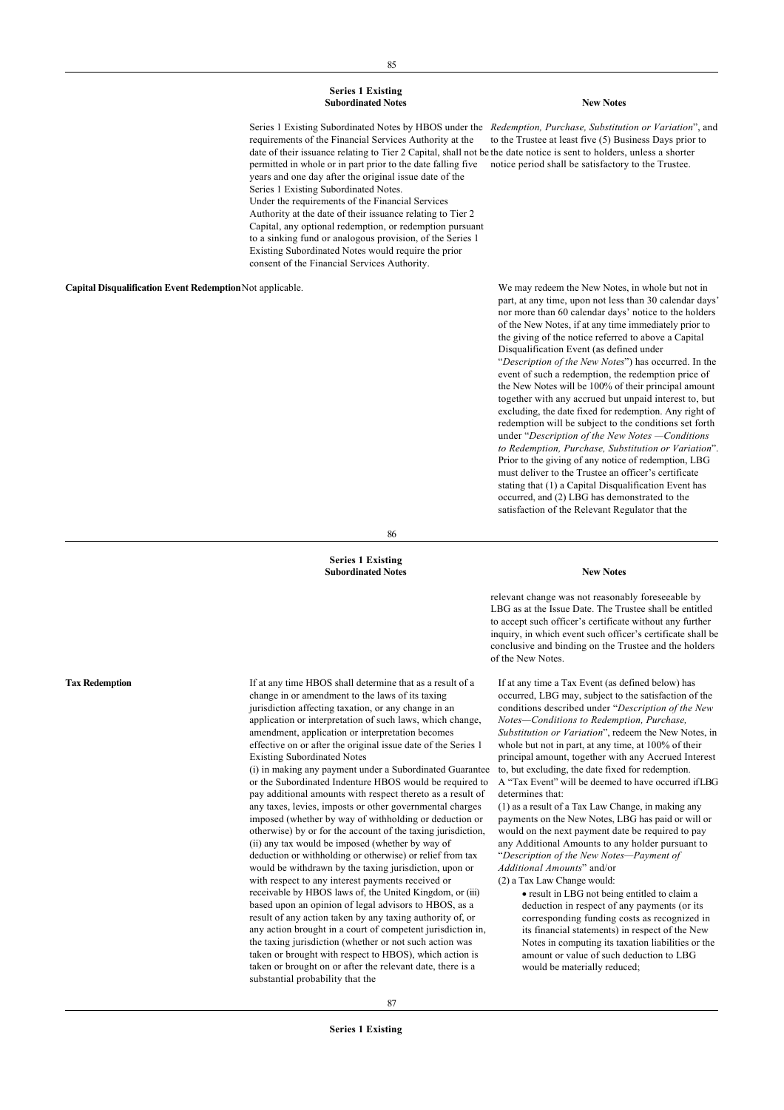#### **Series 1 Existing Subordinated Notes New Notes**

Series 1 Existing Subordinated Notes by HBOS under the *Redemption, Purchase, Substitution or Variation*", and requirements of the Financial Services Authority at the date of their issuance relating to Tier 2 Capital, shall not be the date notice is sent to holders, unless a shorter permitted in whole or in part prior to the date falling five notice period shall be satisfactory to the Trustee. years and one day after the original issue date of the Series 1 Existing Subordinated Notes. Under the requirements of the Financial Services Authority at the date of their issuance relating to Tier 2 Capital, any optional redemption, or redemption pursuant to a sinking fund or analogous provision, of the Series 1 Existing Subordinated Notes would require the prior consent of the Financial Services Authority.

**Capital Disqualification Event Redemption**Not applicable. We may redeem the New Notes, in whole but not in

to the Trustee at least five (5) Business Days prior to

part, at any time, upon not less than 30 calendar days' nor more than 60 calendar days' notice to the holders of the New Notes, if at any time immediately prior to the giving of the notice referred to above a Capital Disqualification Event (as defined under "*Description of the New Notes*") has occurred. In the event of such a redemption, the redemption price of the New Notes will be 100% of their principal amount together with any accrued but unpaid interest to, but excluding, the date fixed for redemption. Any right of redemption will be subject to the conditions set forth under "*Description of the New Notes —Conditions to Redemption, Purchase, Substitution or Variation*". Prior to the giving of any notice of redemption, LBG must deliver to the Trustee an officer's certificate stating that (1) a Capital Disqualification Event has occurred, and (2) LBG has demonstrated to the satisfaction of the Relevant Regulator that the

86

#### **Series 1 Existing Subordinated Notes New Notes**

change in or amendment to the laws of its taxing jurisdiction affecting taxation, or any change in an application or interpretation of such laws, which change, amendment, application or interpretation becomes effective on or after the original issue date of the Series 1

(i) in making any payment under a Subordinated Guarantee or the Subordinated Indenture HBOS would be required to pay additional amounts with respect thereto as a result of any taxes, levies, imposts or other governmental charges imposed (whether by way of withholding or deduction or otherwise) by or for the account of the taxing jurisdiction, (ii) any tax would be imposed (whether by way of deduction or withholding or otherwise) or relief from tax would be withdrawn by the taxing jurisdiction, upon or with respect to any interest payments received or receivable by HBOS laws of, the United Kingdom, or (iii) based upon an opinion of legal advisors to HBOS, as a result of any action taken by any taxing authority of, or any action brought in a court of competent jurisdiction in, the taxing jurisdiction (whether or not such action was taken or brought with respect to HBOS), which action is taken or brought on or after the relevant date, there is a

Existing Subordinated Notes

substantial probability that the

relevant change was not reasonably foreseeable by LBG as at the Issue Date. The Trustee shall be entitled to accept such officer's certificate without any further inquiry, in which event such officer's certificate shall be conclusive and binding on the Trustee and the holders of the New Notes.

If at any time a Tax Event (as defined below) has occurred, LBG may, subject to the satisfaction of the conditions described under "*Description of the New Notes—Conditions to Redemption, Purchase, Substitution or Variation*", redeem the New Notes, in whole but not in part, at any time, at 100% of their principal amount, together with any Accrued Interest to, but excluding, the date fixed for redemption. A "Tax Event" will be deemed to have occurred if LBG determines that:

(1) as a result of a Tax Law Change, in making any payments on the New Notes, LBG has paid or will or would on the next payment date be required to pay any Additional Amounts to any holder pursuant to "*Description of the New Notes—Payment of Additional Amounts*" and/or

(2) a Tax Law Change would:

· result in LBG not being entitled to claim a deduction in respect of any payments (or its corresponding funding costs as recognized in its financial statements) in respect of the New Notes in computing its taxation liabilities or the amount or value of such deduction to LBG would be materially reduced;

Tax Redemption If at any time HBOS shall determine that as a result of a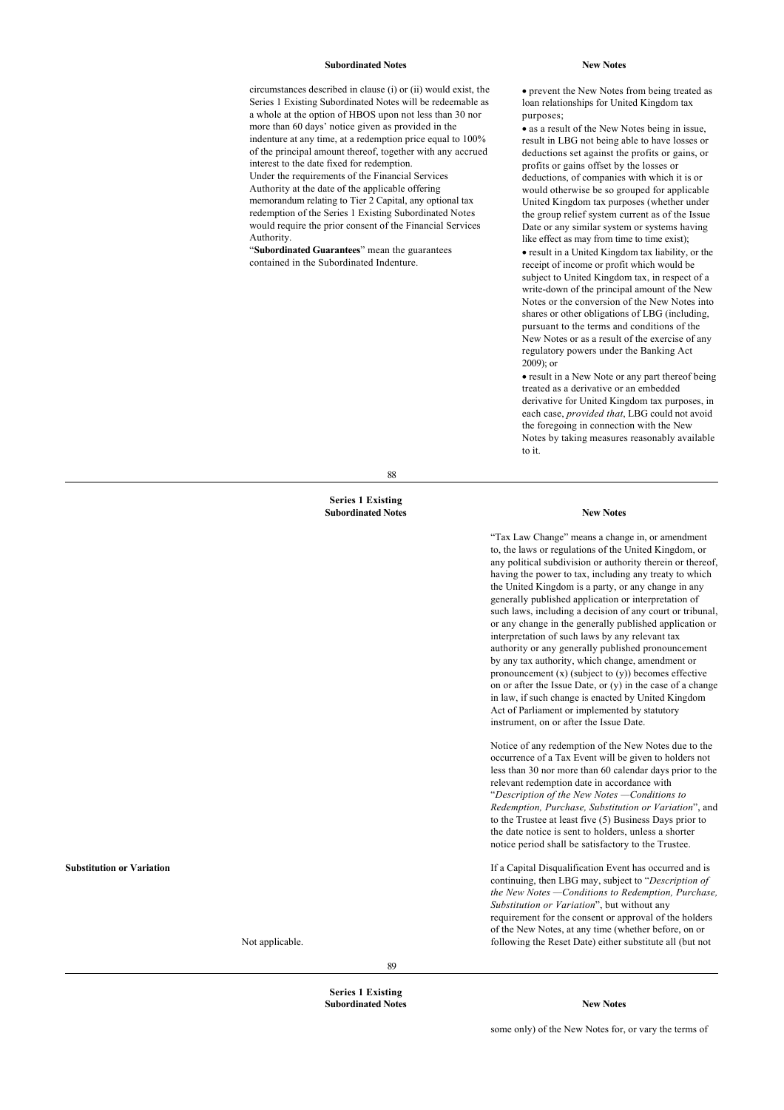#### **Subordinated Notes New Notes**

circumstances described in clause (i) or (ii) would exist, the Series 1 Existing Subordinated Notes will be redeemable as a whole at the option of HBOS upon not less than 30 nor more than 60 days' notice given as provided in the indenture at any time, at a redemption price equal to 100% of the principal amount thereof, together with any accrued interest to the date fixed for redemption. Under the requirements of the Financial Services Authority at the date of the applicable offering memorandum relating to Tier 2 Capital, any optional tax redemption of the Series 1 Existing Subordinated Notes would require the prior consent of the Financial Services Authority.

"**Subordinated Guarantees**" mean the guarantees contained in the Subordinated Indenture.

· prevent the New Notes from being treated as loan relationships for United Kingdom tax purposes;

· as a result of the New Notes being in issue, result in LBG not being able to have losses or deductions set against the profits or gains, or profits or gains offset by the losses or deductions, of companies with which it is or would otherwise be so grouped for applicable United Kingdom tax purposes (whether under the group relief system current as of the Issue Date or any similar system or systems having like effect as may from time to time exist); · result in a United Kingdom tax liability, or the receipt of income or profit which would be subject to United Kingdom tax, in respect of a write-down of the principal amount of the New Notes or the conversion of the New Notes into shares or other obligations of LBG (including, pursuant to the terms and conditions of the New Notes or as a result of the exercise of any regulatory powers under the Banking Act 2009); or

· result in a New Note or any part thereof being treated as a derivative or an embedded derivative for United Kingdom tax purposes, in each case, *provided that*, LBG could not avoid the foregoing in connection with the New Notes by taking measures reasonably available to it.

"Tax Law Change" means a change in, or amendment to, the laws or regulations of the United Kingdom, or any political subdivision or authority therein or thereof, having the power to tax, including any treaty to which the United Kingdom is a party, or any change in any generally published application or interpretation of such laws, including a decision of any court or tribunal, or any change in the generally published application or interpretation of such laws by any relevant tax authority or any generally published pronouncement by any tax authority, which change, amendment or pronouncement  $(x)$  (subject to  $(y)$ ) becomes effective on or after the Issue Date, or (y) in the case of a change in law, if such change is enacted by United Kingdom Act of Parliament or implemented by statutory instrument, on or after the Issue Date.

Notice of any redemption of the New Notes due to the occurrence of a Tax Event will be given to holders not less than 30 nor more than 60 calendar days prior to the relevant redemption date in accordance with "*Description of the New Notes —Conditions to Redemption, Purchase, Substitution or Variation*", and to the Trustee at least five (5) Business Days prior to the date notice is sent to holders, unless a shorter notice period shall be satisfactory to the Trustee.

If a Capital Disqualification Event has occurred and is continuing, then LBG may, subject to "*Description of the New Notes —Conditions to Redemption, Purchase,*

*Substitution or Variation*", but without any requirement for the consent or approval of the holders of the New Notes, at any time (whether before, on or following the Reset Date) either substitute all (but not

88

#### **Series 1 Existing Subordinated Notes New Notes**

#### **Substitution or Variation**

Not applicable.

**Series 1 Existing**

89

## **Subordinated Notes New Notes**

some only) of the New Notes for, or vary the terms of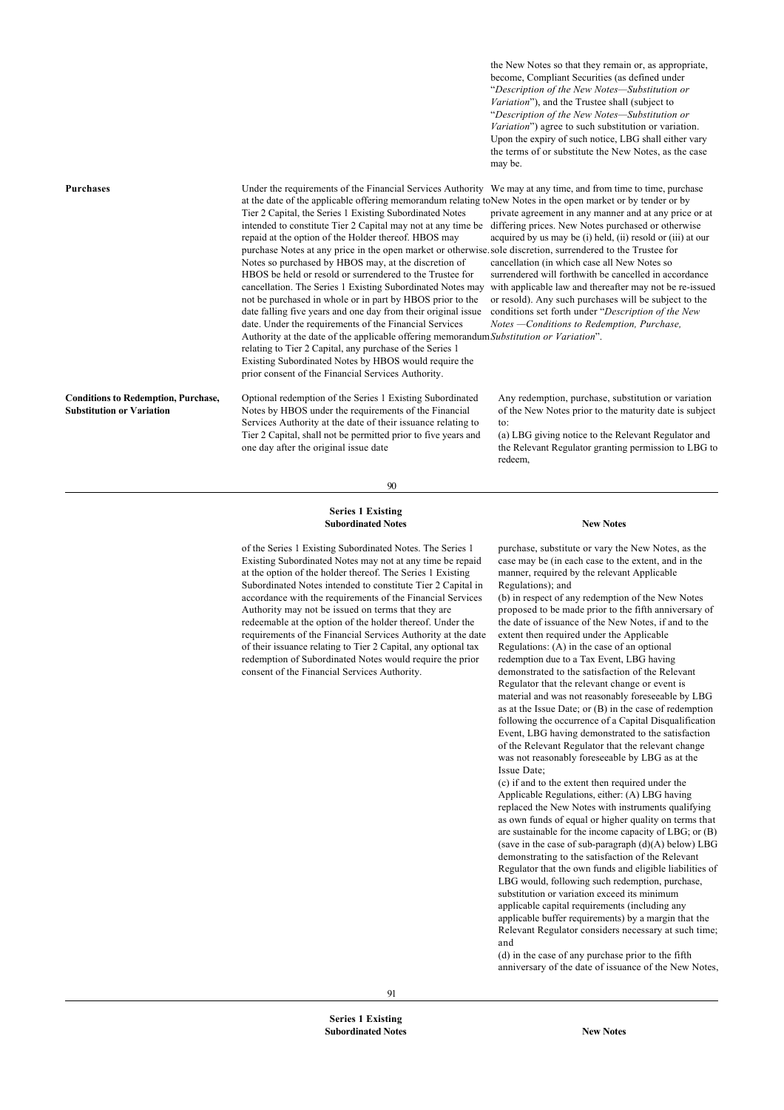the New Notes so that they remain or, as appropriate, become, Compliant Securities (as defined under "*Description of the New Notes—Substitution or Variation*"), and the Trustee shall (subject to "*Description of the New Notes—Substitution or Variation*") agree to such substitution or variation. Upon the expiry of such notice, LBG shall either vary the terms of or substitute the New Notes, as the case may be.

| <b>Purchases</b>                                                               | Under the requirements of the Financial Services Authority We may at any time, and from time to time, purchase<br>at the date of the applicable offering memorandum relating to New Notes in the open market or by tender or by<br>Tier 2 Capital, the Series 1 Existing Subordinated Notes<br>intended to constitute Tier 2 Capital may not at any time be<br>repaid at the option of the Holder thereof. HBOS may<br>purchase Notes at any price in the open market or otherwise sole discretion, surrendered to the Trustee for<br>Notes so purchased by HBOS may, at the discretion of<br>HBOS be held or resold or surrendered to the Trustee for<br>cancellation. The Series 1 Existing Subordinated Notes may<br>not be purchased in whole or in part by HBOS prior to the<br>date falling five years and one day from their original issue<br>date. Under the requirements of the Financial Services<br>Authority at the date of the applicable offering memorandum Substitution or Variation".<br>relating to Tier 2 Capital, any purchase of the Series 1<br>Existing Subordinated Notes by HBOS would require the<br>prior consent of the Financial Services Authority. | private agreement in any manner and at any price or at<br>differing prices. New Notes purchased or otherwise<br>acquired by us may be (i) held, (ii) resold or (iii) at our<br>cancellation (in which case all New Notes so<br>surrendered will forthwith be cancelled in accordance<br>with applicable law and thereafter may not be re-issued<br>or resold). Any such purchases will be subject to the<br>conditions set forth under "Description of the New<br>Notes - Conditions to Redemption, Purchase, |
|--------------------------------------------------------------------------------|------------------------------------------------------------------------------------------------------------------------------------------------------------------------------------------------------------------------------------------------------------------------------------------------------------------------------------------------------------------------------------------------------------------------------------------------------------------------------------------------------------------------------------------------------------------------------------------------------------------------------------------------------------------------------------------------------------------------------------------------------------------------------------------------------------------------------------------------------------------------------------------------------------------------------------------------------------------------------------------------------------------------------------------------------------------------------------------------------------------------------------------------------------------------------------|---------------------------------------------------------------------------------------------------------------------------------------------------------------------------------------------------------------------------------------------------------------------------------------------------------------------------------------------------------------------------------------------------------------------------------------------------------------------------------------------------------------|
| <b>Conditions to Redemption, Purchase,</b><br><b>Substitution or Variation</b> | Optional redemption of the Series 1 Existing Subordinated<br>Notes by HBOS under the requirements of the Financial<br>Services Authority at the date of their issuance relating to<br>Tier 2 Capital, shall not be permitted prior to five years and<br>one day after the original issue date                                                                                                                                                                                                                                                                                                                                                                                                                                                                                                                                                                                                                                                                                                                                                                                                                                                                                      | Any redemption, purchase, substitution or variation<br>of the New Notes prior to the maturity date is subject<br>to:<br>(a) LBG giving notice to the Relevant Regulator and<br>the Relevant Regulator granting permission to LBG to<br>redeem,                                                                                                                                                                                                                                                                |

90

#### **Series 1 Existing Subordinated Notes New Notes**

of the Series 1 Existing Subordinated Notes. The Series 1 Existing Subordinated Notes may not at any time be repaid at the option of the holder thereof. The Series 1 Existing Subordinated Notes intended to constitute Tier 2 Capital in accordance with the requirements of the Financial Services Authority may not be issued on terms that they are redeemable at the option of the holder thereof. Under the requirements of the Financial Services Authority at the date of their issuance relating to Tier 2 Capital, any optional tax redemption of Subordinated Notes would require the prior consent of the Financial Services Authority.

purchase, substitute or vary the New Notes, as the case may be (in each case to the extent, and in the manner, required by the relevant Applicable Regulations); and

(b) in respect of any redemption of the New Notes proposed to be made prior to the fifth anniversary of the date of issuance of the New Notes, if and to the extent then required under the Applicable Regulations: (A) in the case of an optional redemption due to a Tax Event, LBG having demonstrated to the satisfaction of the Relevant Regulator that the relevant change or event is material and was not reasonably foreseeable by LBG as at the Issue Date; or (B) in the case of redemption following the occurrence of a Capital Disqualification Event, LBG having demonstrated to the satisfaction of the Relevant Regulator that the relevant change was not reasonably foreseeable by LBG as at the Issue Date;

(c) if and to the extent then required under the Applicable Regulations, either: (A) LBG having replaced the New Notes with instruments qualifying as own funds of equal or higher quality on terms that are sustainable for the income capacity of LBG; or (B) (save in the case of sub-paragraph  $(d)(A)$  below) LBG demonstrating to the satisfaction of the Relevant Regulator that the own funds and eligible liabilities of LBG would, following such redemption, purchase, substitution or variation exceed its minimum applicable capital requirements (including any applicable buffer requirements) by a margin that the Relevant Regulator considers necessary at such time; and

(d) in the case of any purchase prior to the fifth anniversary of the date of issuance of the New Notes,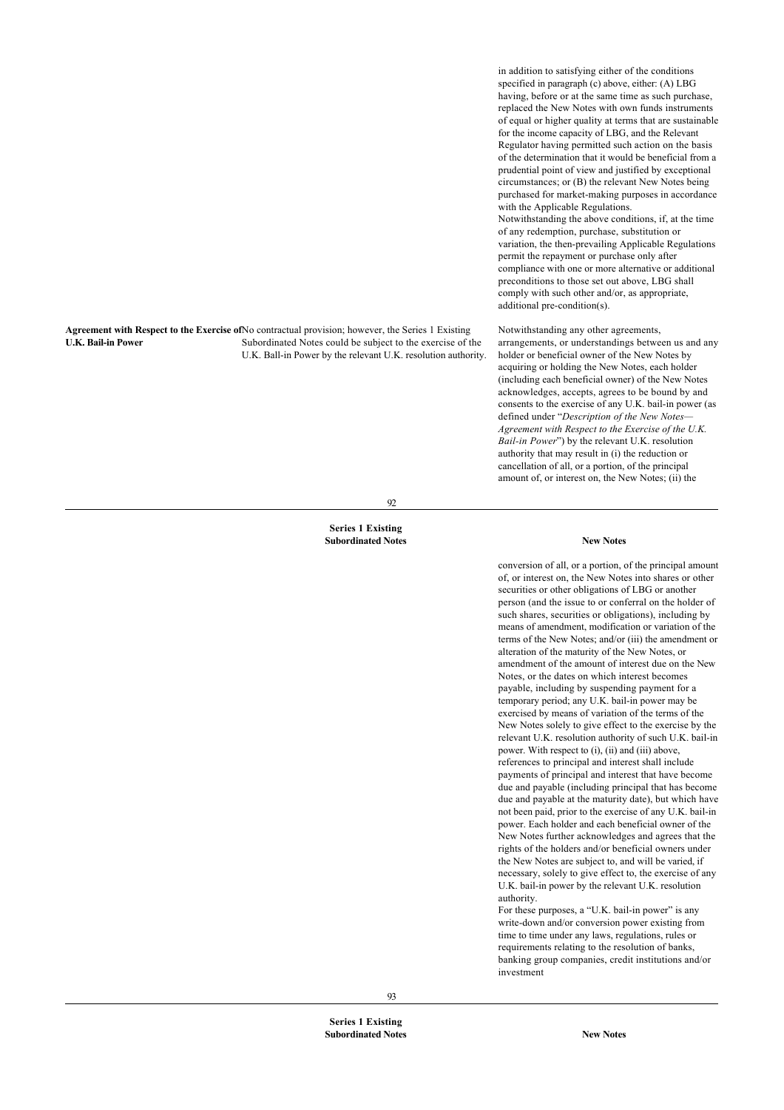**Agreement with Respect to the Exercise of** No contractual provision; however, the Series 1 Existing **U.K. Bail-in Power** Subordinated Notes could be subject to the exercise of the U.K. Ball-in Power by the relevant U.K. resolution authority.

in addition to satisfying either of the conditions specified in paragraph (c) above, either: (A) LBG having, before or at the same time as such purchase, replaced the New Notes with own funds instruments of equal or higher quality at terms that are sustainable for the income capacity of LBG, and the Relevant Regulator having permitted such action on the basis of the determination that it would be beneficial from a prudential point of view and justified by exceptional circumstances; or (B) the relevant New Notes being purchased for market-making purposes in accordance with the Applicable Regulations. Notwithstanding the above conditions, if, at the time of any redemption, purchase, substitution or variation, the then-prevailing Applicable Regulations permit the repayment or purchase only after compliance with one or more alternative or additional preconditions to those set out above, LBG shall comply with such other and/or, as appropriate, additional pre-condition(s).

Notwithstanding any other agreements, arrangements, or understandings between us and any holder or beneficial owner of the New Notes by acquiring or holding the New Notes, each holder (including each beneficial owner) of the New Notes acknowledges, accepts, agrees to be bound by and consents to the exercise of any U.K. bail-in power (as defined under "*Description of the New Notes— Agreement with Respect to the Exercise of the U.K. Bail-in Power*") by the relevant U.K. resolution authority that may result in (i) the reduction or cancellation of all, or a portion, of the principal amount of, or interest on, the New Notes; (ii) the

92

#### **Series 1 Existing Subordinated Notes New Notes**

conversion of all, or a portion, of the principal amount of, or interest on, the New Notes into shares or other securities or other obligations of LBG or another person (and the issue to or conferral on the holder of such shares, securities or obligations), including by means of amendment, modification or variation of the terms of the New Notes; and/or (iii) the amendment or alteration of the maturity of the New Notes, or amendment of the amount of interest due on the New Notes, or the dates on which interest becomes payable, including by suspending payment for a temporary period; any U.K. bail-in power may be exercised by means of variation of the terms of the New Notes solely to give effect to the exercise by the relevant U.K. resolution authority of such U.K. bail-in power. With respect to (i), (ii) and (iii) above, references to principal and interest shall include payments of principal and interest that have become due and payable (including principal that has become due and payable at the maturity date), but which have not been paid, prior to the exercise of any U.K. bail-in power. Each holder and each beneficial owner of the New Notes further acknowledges and agrees that the rights of the holders and/or beneficial owners under the New Notes are subject to, and will be varied, if necessary, solely to give effect to, the exercise of any U.K. bail-in power by the relevant U.K. resolution authority.

For these purposes, a "U.K. bail-in power" is any write-down and/or conversion power existing from time to time under any laws, regulations, rules or requirements relating to the resolution of banks, banking group companies, credit institutions and/or investment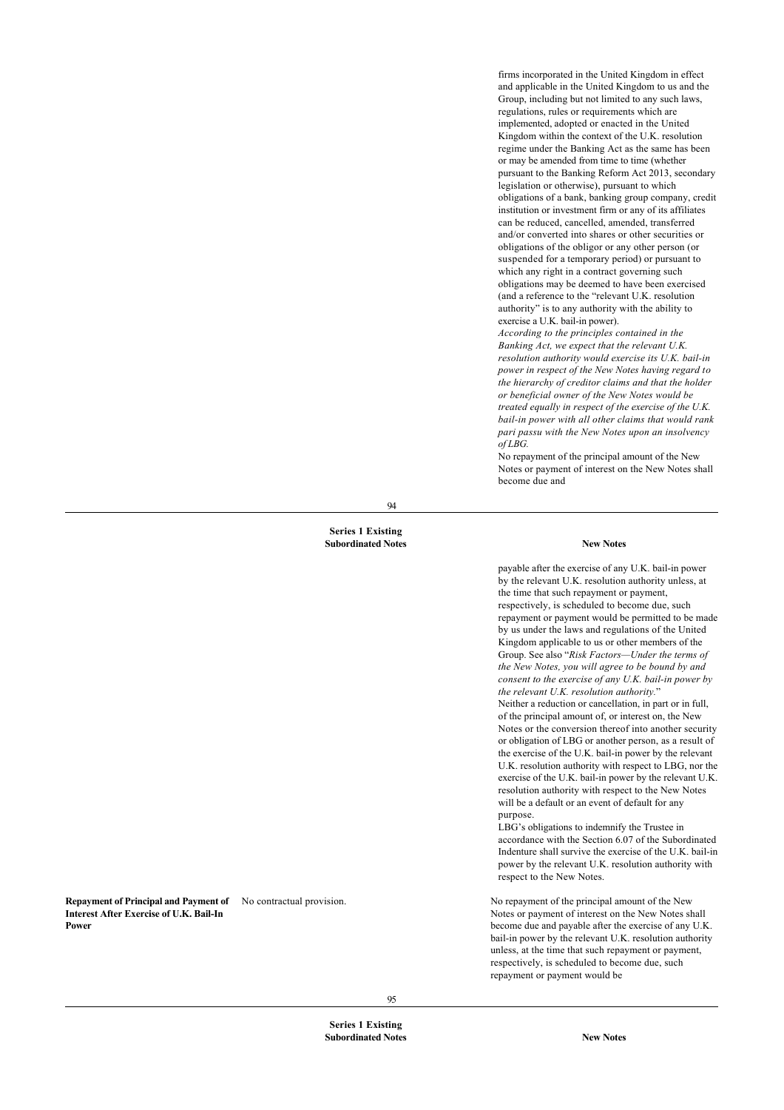firms incorporated in the United Kingdom in effect and applicable in the United Kingdom to us and the Group, including but not limited to any such laws, regulations, rules or requirements which are implemented, adopted or enacted in the United Kingdom within the context of the U.K. resolution regime under the Banking Act as the same has been or may be amended from time to time (whether pursuant to the Banking Reform Act 2013, secondary legislation or otherwise), pursuant to which obligations of a bank, banking group company, credit institution or investment firm or any of its affiliates can be reduced, cancelled, amended, transferred and/or converted into shares or other securities or obligations of the obligor or any other person (or suspended for a temporary period) or pursuant to which any right in a contract governing such obligations may be deemed to have been exercised (and a reference to the "relevant U.K. resolution authority" is to any authority with the ability to exercise a U.K. bail-in power).

*According to the principles contained in the Banking Act, we expect that the relevant U.K. resolution authority would exercise its U.K. bail-in power in respect of the New Notes having regard to the hierarchy of creditor claims and that the holder or beneficial owner of the New Notes would be treated equally in respect of the exercise of the U.K. bail-in power with all other claims that would rank pari passu with the New Notes upon an insolvency of LBG.*

No repayment of the principal amount of the New Notes or payment of interest on the New Notes shall become due and

94

#### **Series 1 Existing Subordinated Notes New Notes**

#### **Repayment of Principal and Payment of Interest After Exercise of U.K. Bail-In Power**

payable after the exercise of any U.K. bail-in power by the relevant U.K. resolution authority unless, at the time that such repayment or payment, respectively, is scheduled to become due, such repayment or payment would be permitted to be made by us under the laws and regulations of the United Kingdom applicable to us or other members of the Group. See also "*Risk Factors—Under the terms of the New Notes, you will agree to be bound by and consent to the exercise of any U.K. bail-in power by the relevant U.K. resolution authority.*" Neither a reduction or cancellation, in part or in full, of the principal amount of, or interest on, the New Notes or the conversion thereof into another security or obligation of LBG or another person, as a result of the exercise of the U.K. bail-in power by the relevant U.K. resolution authority with respect to LBG, nor the exercise of the U.K. bail-in power by the relevant U.K. resolution authority with respect to the New Notes will be a default or an event of default for any purpose.

LBG's obligations to indemnify the Trustee in accordance with the Section 6.07 of the Subordinated Indenture shall survive the exercise of the U.K. bail-in power by the relevant U.K. resolution authority with respect to the New Notes.

No repayment of the principal amount of the New Notes or payment of interest on the New Notes shall become due and payable after the exercise of any U.K. bail-in power by the relevant U.K. resolution authority unless, at the time that such repayment or payment, respectively, is scheduled to become due, such repayment or payment would be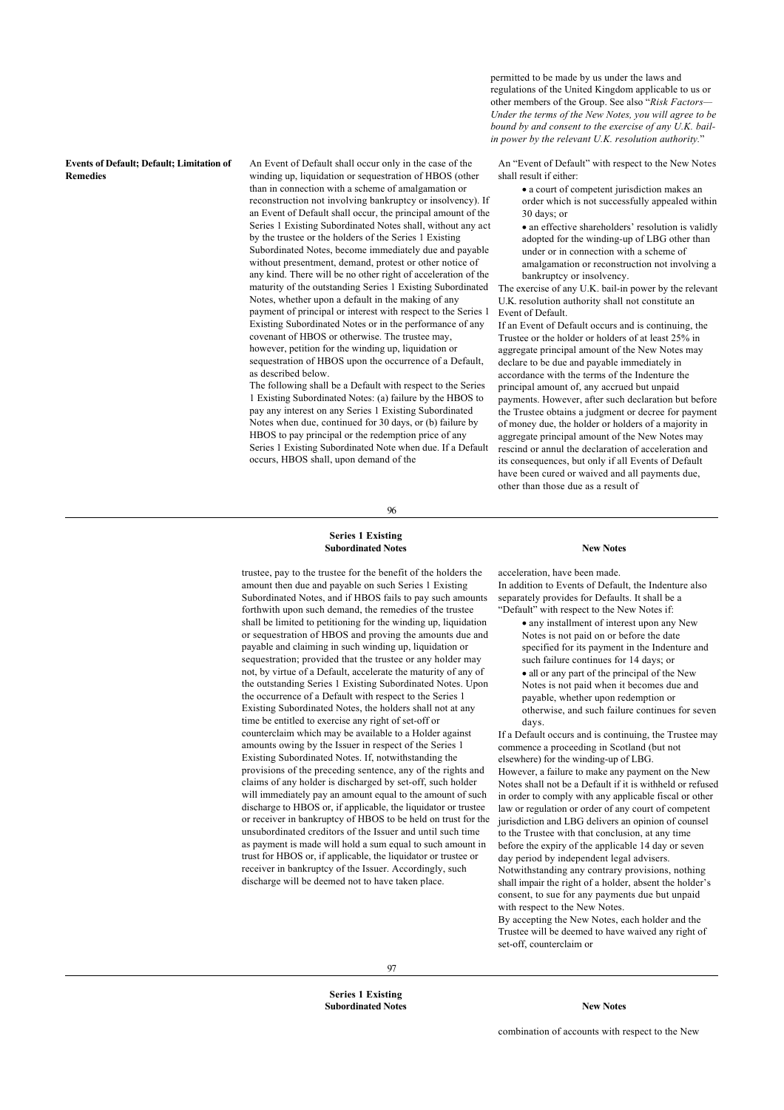## **Events of Default; Default; Limitation of Remedies**

An Event of Default shall occur only in the case of the winding up, liquidation or sequestration of HBOS (other than in connection with a scheme of amalgamation or reconstruction not involving bankruptcy or insolvency). If an Event of Default shall occur, the principal amount of the Series 1 Existing Subordinated Notes shall, without any act by the trustee or the holders of the Series 1 Existing Subordinated Notes, become immediately due and payable without presentment, demand, protest or other notice of any kind. There will be no other right of acceleration of the maturity of the outstanding Series 1 Existing Subordinated Notes, whether upon a default in the making of any payment of principal or interest with respect to the Series 1 Existing Subordinated Notes or in the performance of any covenant of HBOS or otherwise. The trustee may, however, petition for the winding up, liquidation or sequestration of HBOS upon the occurrence of a Default, as described below.

The following shall be a Default with respect to the Series 1 Existing Subordinated Notes: (a) failure by the HBOS to pay any interest on any Series 1 Existing Subordinated Notes when due, continued for 30 days, or (b) failure by HBOS to pay principal or the redemption price of any Series 1 Existing Subordinated Note when due. If a Default occurs, HBOS shall, upon demand of the

96

#### **Series 1 Existing Subordinated Notes New Notes**

trustee, pay to the trustee for the benefit of the holders the amount then due and payable on such Series 1 Existing Subordinated Notes, and if HBOS fails to pay such amounts forthwith upon such demand, the remedies of the trustee shall be limited to petitioning for the winding up, liquidation or sequestration of HBOS and proving the amounts due and payable and claiming in such winding up, liquidation or sequestration; provided that the trustee or any holder may not, by virtue of a Default, accelerate the maturity of any of the outstanding Series 1 Existing Subordinated Notes. Upon the occurrence of a Default with respect to the Series 1 Existing Subordinated Notes, the holders shall not at any time be entitled to exercise any right of set-off or counterclaim which may be available to a Holder against amounts owing by the Issuer in respect of the Series 1 Existing Subordinated Notes. If, notwithstanding the provisions of the preceding sentence, any of the rights and claims of any holder is discharged by set-off, such holder will immediately pay an amount equal to the amount of such discharge to HBOS or, if applicable, the liquidator or trustee or receiver in bankruptcy of HBOS to be held on trust for the unsubordinated creditors of the Issuer and until such time as payment is made will hold a sum equal to such amount in trust for HBOS or, if applicable, the liquidator or trustee or receiver in bankruptcy of the Issuer. Accordingly, such discharge will be deemed not to have taken place.

permitted to be made by us under the laws and regulations of the United Kingdom applicable to us or other members of the Group. See also "*Risk Factors— Under the terms of the New Notes, you will agree to be bound by and consent to the exercise of any U.K. bailin power by the relevant U.K. resolution authority.*"

An "Event of Default" with respect to the New Notes shall result if either:

> · a court of competent jurisdiction makes an order which is not successfully appealed within 30 days; or

> • an effective shareholders' resolution is validly adopted for the winding-up of LBG other than under or in connection with a scheme of amalgamation or reconstruction not involving a bankruptcy or insolvency.

The exercise of any U.K. bail-in power by the relevant U.K. resolution authority shall not constitute an Event of Default.

If an Event of Default occurs and is continuing, the Trustee or the holder or holders of at least 25% in aggregate principal amount of the New Notes may declare to be due and payable immediately in accordance with the terms of the Indenture the principal amount of, any accrued but unpaid payments. However, after such declaration but before the Trustee obtains a judgment or decree for payment of money due, the holder or holders of a majority in aggregate principal amount of the New Notes may rescind or annul the declaration of acceleration and its consequences, but only if all Events of Default have been cured or waived and all payments due, other than those due as a result of

acceleration, have been made. In addition to Events of Default, the Indenture also separately provides for Defaults. It shall be a "Default" with respect to the New Notes if:

· any installment of interest upon any New Notes is not paid on or before the date specified for its payment in the Indenture and such failure continues for 14 days; or · all or any part of the principal of the New Notes is not paid when it becomes due and payable, whether upon redemption or

otherwise, and such failure continues for seven days. If a Default occurs and is continuing, the Trustee may

commence a proceeding in Scotland (but not elsewhere) for the winding-up of LBG. However, a failure to make any payment on the New Notes shall not be a Default if it is withheld or refused in order to comply with any applicable fiscal or other law or regulation or order of any court of competent jurisdiction and LBG delivers an opinion of counsel to the Trustee with that conclusion, at any time before the expiry of the applicable 14 day or seven day period by independent legal advisers. Notwithstanding any contrary provisions, nothing shall impair the right of a holder, absent the holder's consent, to sue for any payments due but unpaid with respect to the New Notes.

By accepting the New Notes, each holder and the Trustee will be deemed to have waived any right of set-off, counterclaim or

**Series 1 Existing Subordinated Notes New Notes**

combination of accounts with respect to the New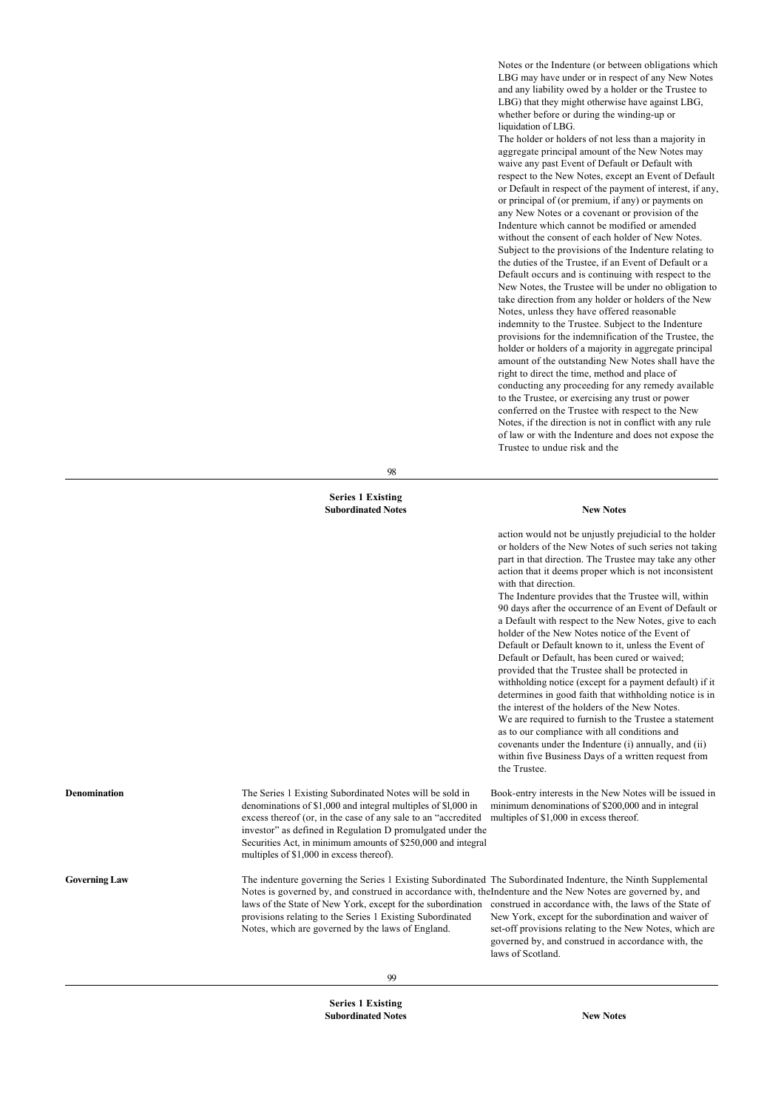Notes or the Indenture (or between obligations which LBG may have under or in respect of any New Notes and any liability owed by a holder or the Trustee to LBG) that they might otherwise have against LBG, whether before or during the winding-up or liquidation of LBG.

The holder or holders of not less than a majority in aggregate principal amount of the New Notes may waive any past Event of Default or Default with respect to the New Notes, except an Event of Default or Default in respect of the payment of interest, if any, or principal of (or premium, if any) or payments on any New Notes or a covenant or provision of the Indenture which cannot be modified or amended without the consent of each holder of New Notes. Subject to the provisions of the Indenture relating to the duties of the Trustee, if an Event of Default or a Default occurs and is continuing with respect to the New Notes, the Trustee will be under no obligation to take direction from any holder or holders of the New Notes, unless they have offered reasonable indemnity to the Trustee. Subject to the Indenture provisions for the indemnification of the Trustee, the holder or holders of a majority in aggregate principal amount of the outstanding New Notes shall have the right to direct the time, method and place of conducting any proceeding for any remedy available to the Trustee, or exercising any trust or power conferred on the Trustee with respect to the New Notes, if the direction is not in conflict with any rule of law or with the Indenture and does not expose the Trustee to undue risk and the

98

#### **Series 1 Existing Subordinated Notes New Notes**

action would not be unjustly prejudicial to the holder or holders of the New Notes of such series not taking part in that direction. The Trustee may take any other action that it deems proper which is not inconsistent with that direction.

The Indenture provides that the Trustee will, within 90 days after the occurrence of an Event of Default or a Default with respect to the New Notes, give to each holder of the New Notes notice of the Event of Default or Default known to it, unless the Event of Default or Default, has been cured or waived; provided that the Trustee shall be protected in withholding notice (except for a payment default) if it determines in good faith that withholding notice is in the interest of the holders of the New Notes. We are required to furnish to the Trustee a statement as to our compliance with all conditions and covenants under the Indenture (i) annually, and (ii) within five Business Days of a written request from the Trustee.

Book-entry interests in the New Notes will be issued in minimum denominations of \$200,000 and in integral multiples of \$1,000 in excess thereof.

**Denomination** The Series 1 Existing Subordinated Notes will be sold in denominations of \$1,000 and integral multiples of \$l,000 in excess thereof (or, in the case of any sale to an "accredited investor" as defined in Regulation D promulgated under the Securities Act, in minimum amounts of \$250,000 and integral multiples of \$1,000 in excess thereof).

Governing Law The indenture governing the Series 1 Existing Subordinated The Subordinated Indenture, the Ninth Supplemental Notes is governed by, and construed in accordance with, the Indenture and the New Notes are governed by, and laws of the State of New York, except for the subordination construed in accordance with, the laws of the State of provisions relating to the Series 1 Existing Subordinated Notes, which are governed by the laws of England.

New York, except for the subordination and waiver of set-off provisions relating to the New Notes, which are governed by, and construed in accordance with, the laws of Scotland.

**Series 1 Existing Subordinated Notes New Notes**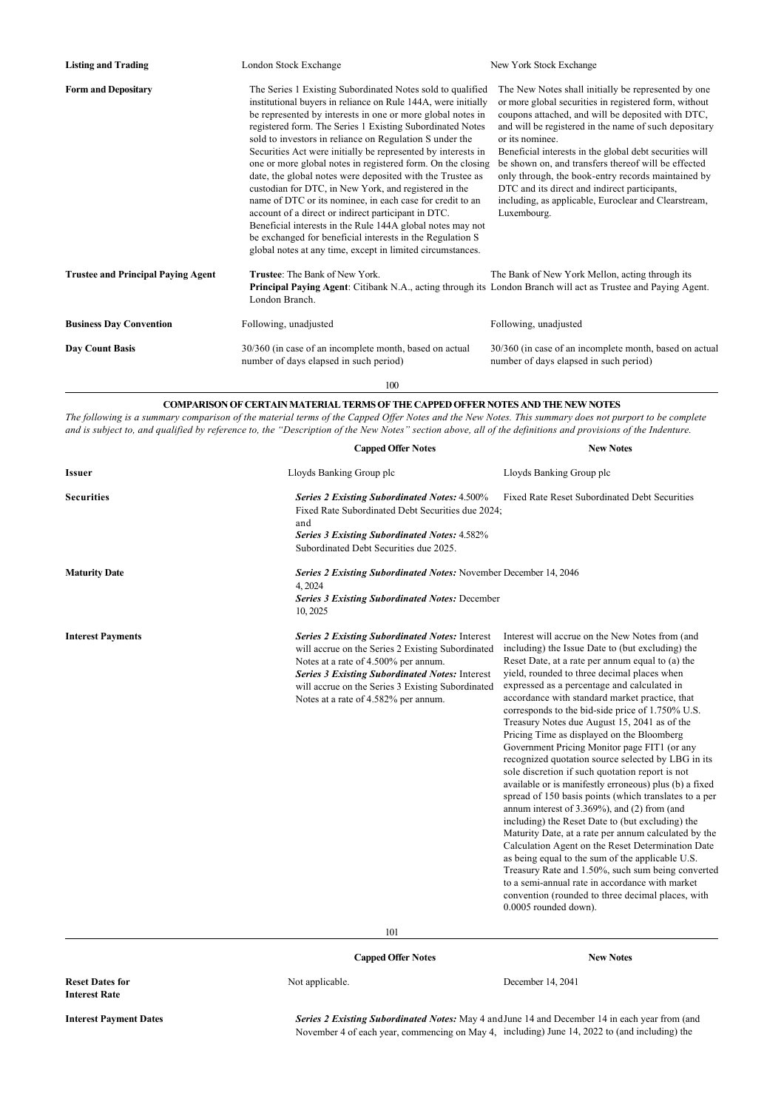| <b>Listing and Trading</b>                | London Stock Exchange                                                                                                                                                                                                                                                                                                                                                                                                                                                                                                                                                                                                                                                                                                                                                                                                                                                               | New York Stock Exchange                                                                                                                                                                                                                                                                                                                                                                                                                                                                                                                       |
|-------------------------------------------|-------------------------------------------------------------------------------------------------------------------------------------------------------------------------------------------------------------------------------------------------------------------------------------------------------------------------------------------------------------------------------------------------------------------------------------------------------------------------------------------------------------------------------------------------------------------------------------------------------------------------------------------------------------------------------------------------------------------------------------------------------------------------------------------------------------------------------------------------------------------------------------|-----------------------------------------------------------------------------------------------------------------------------------------------------------------------------------------------------------------------------------------------------------------------------------------------------------------------------------------------------------------------------------------------------------------------------------------------------------------------------------------------------------------------------------------------|
| <b>Form and Depositary</b>                | The Series 1 Existing Subordinated Notes sold to qualified<br>institutional buyers in reliance on Rule 144A, were initially<br>be represented by interests in one or more global notes in<br>registered form. The Series 1 Existing Subordinated Notes<br>sold to investors in reliance on Regulation S under the<br>Securities Act were initially be represented by interests in<br>one or more global notes in registered form. On the closing<br>date, the global notes were deposited with the Trustee as<br>custodian for DTC, in New York, and registered in the<br>name of DTC or its nominee, in each case for credit to an<br>account of a direct or indirect participant in DTC.<br>Beneficial interests in the Rule 144A global notes may not<br>be exchanged for beneficial interests in the Regulation S<br>global notes at any time, except in limited circumstances. | The New Notes shall initially be represented by one<br>or more global securities in registered form, without<br>coupons attached, and will be deposited with DTC,<br>and will be registered in the name of such depositary<br>or its nominee.<br>Beneficial interests in the global debt securities will<br>be shown on, and transfers thereof will be effected<br>only through, the book-entry records maintained by<br>DTC and its direct and indirect participants,<br>including, as applicable, Euroclear and Clearstream,<br>Luxembourg. |
| <b>Trustee and Principal Paying Agent</b> | <b>Trustee:</b> The Bank of New York.<br><b>Principal Paying Agent:</b> Citibank N.A., acting through its London Branch will act as Trustee and Paying Agent.<br>London Branch.                                                                                                                                                                                                                                                                                                                                                                                                                                                                                                                                                                                                                                                                                                     | The Bank of New York Mellon, acting through its                                                                                                                                                                                                                                                                                                                                                                                                                                                                                               |
| <b>Business Day Convention</b>            | Following, unadjusted                                                                                                                                                                                                                                                                                                                                                                                                                                                                                                                                                                                                                                                                                                                                                                                                                                                               | Following, unadjusted                                                                                                                                                                                                                                                                                                                                                                                                                                                                                                                         |
| Day Count Basis                           | 30/360 (in case of an incomplete month, based on actual<br>number of days elapsed in such period)                                                                                                                                                                                                                                                                                                                                                                                                                                                                                                                                                                                                                                                                                                                                                                                   | 30/360 (in case of an incomplete month, based on actual<br>number of days elapsed in such period)                                                                                                                                                                                                                                                                                                                                                                                                                                             |

100

## **COMPARISON OF CERTAIN MATERIAL TERMS OF THE CAPPED OFFER NOTES AND THE NEW NOTES**

*The following is a summary comparison of the material terms of the Capped Offer Notes and the New Notes. This summary does not purport to be complete and is subject to, and qualified by reference to, the "Description of the New Notes" section above, all of the definitions and provisions of the Indenture.*

| Issuer                   | Lloyds Banking Group plc                                                                                                                                                                                                                                                                                 | Lloyds Banking Group plc                                                                                                                                                                                                                                                                                                                                                                                                                                                                                                                                                                                                                                                                                                                                                                                                                                                                                                                                                                                                                                                                                                                                                                         |
|--------------------------|----------------------------------------------------------------------------------------------------------------------------------------------------------------------------------------------------------------------------------------------------------------------------------------------------------|--------------------------------------------------------------------------------------------------------------------------------------------------------------------------------------------------------------------------------------------------------------------------------------------------------------------------------------------------------------------------------------------------------------------------------------------------------------------------------------------------------------------------------------------------------------------------------------------------------------------------------------------------------------------------------------------------------------------------------------------------------------------------------------------------------------------------------------------------------------------------------------------------------------------------------------------------------------------------------------------------------------------------------------------------------------------------------------------------------------------------------------------------------------------------------------------------|
| <b>Securities</b>        | <b>Series 2 Existing Subordinated Notes: 4.500%</b><br>Fixed Rate Subordinated Debt Securities due 2024;<br>and<br><b>Series 3 Existing Subordinated Notes: 4.582%</b><br>Subordinated Debt Securities due 2025.                                                                                         | Fixed Rate Reset Subordinated Debt Securities                                                                                                                                                                                                                                                                                                                                                                                                                                                                                                                                                                                                                                                                                                                                                                                                                                                                                                                                                                                                                                                                                                                                                    |
| <b>Maturity Date</b>     | Series 2 Existing Subordinated Notes: November December 14, 2046<br>4, 2024<br><b>Series 3 Existing Subordinated Notes: December</b><br>10, 2025                                                                                                                                                         |                                                                                                                                                                                                                                                                                                                                                                                                                                                                                                                                                                                                                                                                                                                                                                                                                                                                                                                                                                                                                                                                                                                                                                                                  |
| <b>Interest Payments</b> | <b>Series 2 Existing Subordinated Notes: Interest</b><br>will accrue on the Series 2 Existing Subordinated<br>Notes at a rate of 4.500% per annum.<br><b>Series 3 Existing Subordinated Notes: Interest</b><br>will accrue on the Series 3 Existing Subordinated<br>Notes at a rate of 4.582% per annum. | Interest will accrue on the New Notes from (and<br>including) the Issue Date to (but excluding) the<br>Reset Date, at a rate per annum equal to (a) the<br>yield, rounded to three decimal places when<br>expressed as a percentage and calculated in<br>accordance with standard market practice, that<br>corresponds to the bid-side price of 1.750% U.S.<br>Treasury Notes due August 15, 2041 as of the<br>Pricing Time as displayed on the Bloomberg<br>Government Pricing Monitor page FIT1 (or any<br>recognized quotation source selected by LBG in its<br>sole discretion if such quotation report is not<br>available or is manifestly erroneous) plus (b) a fixed<br>spread of 150 basis points (which translates to a per<br>annum interest of 3.369%), and (2) from (and<br>including) the Reset Date to (but excluding) the<br>Maturity Date, at a rate per annum calculated by the<br>Calculation Agent on the Reset Determination Date<br>as being equal to the sum of the applicable U.S.<br>Treasury Rate and 1.50%, such sum being converted<br>to a semi-annual rate in accordance with market<br>convention (rounded to three decimal places, with<br>0.0005 rounded down). |
|                          | 101                                                                                                                                                                                                                                                                                                      |                                                                                                                                                                                                                                                                                                                                                                                                                                                                                                                                                                                                                                                                                                                                                                                                                                                                                                                                                                                                                                                                                                                                                                                                  |

# **Capped Offer Notes New Notes**

Not applicable. December 14, 2041

**Reset Dates for Interest Rate**

**Interest Payment Dates** *Series 2 Existing Subordinated Notes:* May 4 and June 14 and December 14 in each year from (and November 4 of each year, commencing on May 4, including) June 14, 2022 to (and including) the

**Capped Offer Notes New Notes**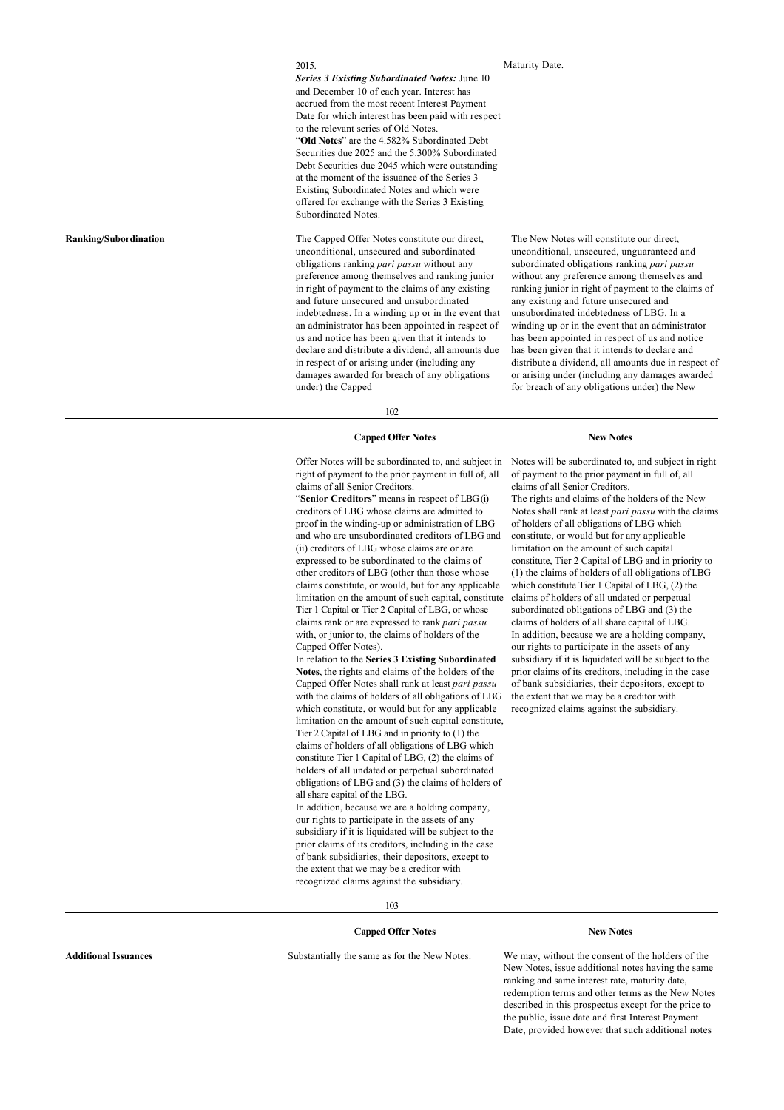#### 2015.

*Series 3 Existing Subordinated Notes:* June 10 and December 10 of each year. Interest has accrued from the most recent Interest Payment Date for which interest has been paid with respect to the relevant series of Old Notes. "**Old Notes**" are the 4.582% Subordinated Debt Securities due 2025 and the 5.300% Subordinated Debt Securities due 2045 which were outstanding at the moment of the issuance of the Series 3 Existing Subordinated Notes and which were offered for exchange with the Series 3 Existing Subordinated Notes.

**Ranking/Subordination** The Capped Offer Notes constitute our direct, unconditional, unsecured and subordinated obligations ranking *pari passu* without any preference among themselves and ranking junior in right of payment to the claims of any existing and future unsecured and unsubordinated indebtedness. In a winding up or in the event that an administrator has been appointed in respect of us and notice has been given that it intends to declare and distribute a dividend, all amounts due in respect of or arising under (including any damages awarded for breach of any obligations under) the Capped

Maturity Date.

The New Notes will constitute our direct, unconditional, unsecured, unguaranteed and subordinated obligations ranking *pari passu* without any preference among themselves and ranking junior in right of payment to the claims of any existing and future unsecured and unsubordinated indebtedness of LBG. In a winding up or in the event that an administrator has been appointed in respect of us and notice has been given that it intends to declare and distribute a dividend, all amounts due in respect of or arising under (including any damages awarded for breach of any obligations under) the New

102

## **Capped Offer Notes New Notes**

Offer Notes will be subordinated to, and subject in right of payment to the prior payment in full of, all claims of all Senior Creditors.

"**Senior Creditors**" means in respect of LBG (i) creditors of LBG whose claims are admitted to proof in the winding-up or administration of LBG and who are unsubordinated creditors of LBG and (ii) creditors of LBG whose claims are or are expressed to be subordinated to the claims of other creditors of LBG (other than those whose claims constitute, or would, but for any applicable limitation on the amount of such capital, constitute Tier 1 Capital or Tier 2 Capital of LBG, or whose claims rank or are expressed to rank *pari passu* with, or junior to, the claims of holders of the Capped Offer Notes).

In relation to the **Series 3 Existing Subordinated Notes**, the rights and claims of the holders of the Capped Offer Notes shall rank at least *pari passu* with the claims of holders of all obligations of LBG which constitute, or would but for any applicable limitation on the amount of such capital constitute, Tier 2 Capital of LBG and in priority to (1) the claims of holders of all obligations of LBG which constitute Tier 1 Capital of LBG, (2) the claims of holders of all undated or perpetual subordinated obligations of LBG and (3) the claims of holders of all share capital of the LBG. In addition, because we are a holding company,

our rights to participate in the assets of any subsidiary if it is liquidated will be subject to the prior claims of its creditors, including in the case of bank subsidiaries, their depositors, except to the extent that we may be a creditor with recognized claims against the subsidiary.

Notes will be subordinated to, and subject in right of payment to the prior payment in full of, all claims of all Senior Creditors. The rights and claims of the holders of the New Notes shall rank at least *pari passu* with the claims of holders of all obligations of LBG which constitute, or would but for any applicable limitation on the amount of such capital constitute, Tier 2 Capital of LBG and in priority to (1) the claims of holders of all obligations of LBG which constitute Tier 1 Capital of LBG, (2) the claims of holders of all undated or perpetual subordinated obligations of LBG and (3) the claims of holders of all share capital of LBG. In addition, because we are a holding company, our rights to participate in the assets of any subsidiary if it is liquidated will be subject to the prior claims of its creditors, including in the case of bank subsidiaries, their depositors, except to the extent that we may be a creditor with recognized claims against the subsidiary.

103

#### **Capped Offer Notes New Notes**

**Additional Issuances** Substantially the same as for the New Notes. We may, without the consent of the holders of the New Notes, issue additional notes having the same ranking and same interest rate, maturity date, redemption terms and other terms as the New Notes described in this prospectus except for the price to the public, issue date and first Interest Payment Date, provided however that such additional notes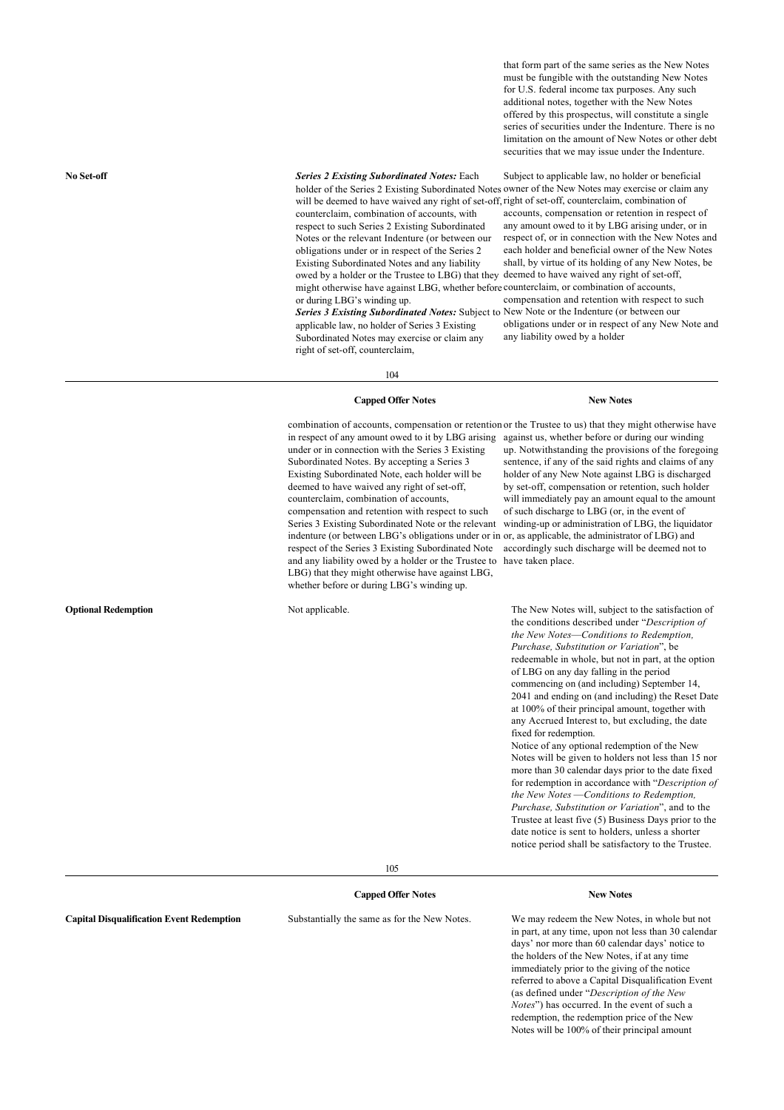that form part of the same series as the New Notes must be fungible with the outstanding New Notes for U.S. federal income tax purposes. Any such additional notes, together with the New Notes offered by this prospectus, will constitute a single series of securities under the Indenture. There is no limitation on the amount of New Notes or other debt securities that we may issue under the Indenture.

**No Set-off** *Series 2 Existing Subordinated Notes:* Each

will be deemed to have waived any right of set-off, right of set-off, counterclaim, combination of counterclaim, combination of accounts, with respect to such Series 2 Existing Subordinated Notes or the relevant Indenture (or between our obligations under or in respect of the Series 2 Existing Subordinated Notes and any liability owed by a holder or the Trustee to LBG) that they deemed to have waived any right of set-off, might otherwise have against LBG, whether before counterclaim, or combination of accounts, or during LBG's winding up.

applicable law, no holder of Series 3 Existing Subordinated Notes may exercise or claim any right of set-off, counterclaim,

holder of the Series 2 Existing Subordinated Notes owner of the New Notes may exercise or claim any Subject to applicable law, no holder or beneficial accounts, compensation or retention in respect of any amount owed to it by LBG arising under, or in respect of, or in connection with the New Notes and each holder and beneficial owner of the New Notes shall, by virtue of its holding of any New Notes, be compensation and retention with respect to such

*Series 3 Existing Subordinated Notes:* Subject to New Note or the Indenture (or between our obligations under or in respect of any New Note and any liability owed by a holder

104

#### **Capped Offer Notes New Notes**

combination of accounts, compensation or retention or the Trustee to us) that they might otherwise have in respect of any amount owed to it by LBG arising against us, whether before or during our winding under or in connection with the Series 3 Existing Subordinated Notes. By accepting a Series 3 Existing Subordinated Note, each holder will be deemed to have waived any right of set-off, counterclaim, combination of accounts, compensation and retention with respect to such Series 3 Existing Subordinated Note or the relevant indenture (or between LBG's obligations under or in or, as applicable, the administrator of LBG) and respect of the Series 3 Existing Subordinated Note accordingly such discharge will be deemed not to and any liability owed by a holder or the Trustee to have taken place. LBG) that they might otherwise have against LBG, whether before or during LBG's winding up.

up. Notwithstanding the provisions of the foregoing sentence, if any of the said rights and claims of any holder of any New Note against LBG is discharged by set-off, compensation or retention, such holder will immediately pay an amount equal to the amount of such discharge to LBG (or, in the event of winding-up or administration of LBG, the liquidator

**Optional Redemption** Not applicable. Not applicable. The New Notes will, subject to the satisfaction of the conditions described under "*Description of the New Notes*—*Conditions to Redemption, Purchase, Substitution or Variation*", be redeemable in whole, but not in part, at the option of LBG on any day falling in the period commencing on (and including) September 14, 2041 and ending on (and including) the Reset Date at 100% of their principal amount, together with any Accrued Interest to, but excluding, the date fixed for redemption.

> Notice of any optional redemption of the New Notes will be given to holders not less than 15 nor more than 30 calendar days prior to the date fixed for redemption in accordance with "*Description of the New Notes* —*Conditions to Redemption, Purchase, Substitution or Variation*", and to the Trustee at least five (5) Business Days prior to the date notice is sent to holders, unless a shorter notice period shall be satisfactory to the Trustee.

105

## **Capped Offer Notes New Notes**

**Capital Disqualification Event Redemption** Substantially the same as for the New Notes. We may redeem the New Notes, in whole but not in part, at any time, upon not less than 30 calendar days' nor more than 60 calendar days' notice to the holders of the New Notes, if at any time immediately prior to the giving of the notice referred to above a Capital Disqualification Event (as defined under "*Description of the New Notes*") has occurred. In the event of such a redemption, the redemption price of the New Notes will be 100% of their principal amount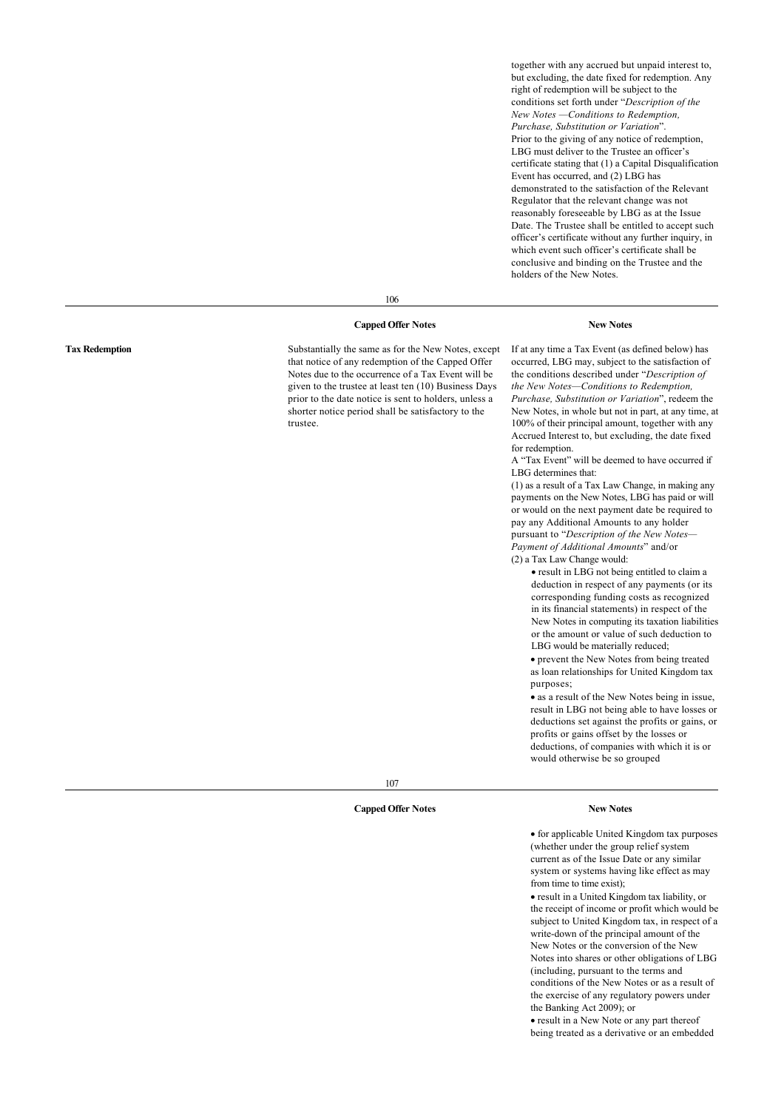together with any accrued but unpaid interest to, but excluding, the date fixed for redemption. Any right of redemption will be subject to the conditions set forth under "*Description of the New Notes —Conditions to Redemption, Purchase, Substitution or Variation*". Prior to the giving of any notice of redemption, LBG must deliver to the Trustee an officer's certificate stating that (1) a Capital Disqualification Event has occurred, and (2) LBG has demonstrated to the satisfaction of the Relevant Regulator that the relevant change was not reasonably foreseeable by LBG as at the Issue Date. The Trustee shall be entitled to accept such officer's certificate without any further inquiry, in which event such officer's certificate shall be conclusive and binding on the Trustee and the holders of the New Notes.

106

#### **Capped Offer Notes New Notes**

**Tax Redemption** Substantially the same as for the New Notes, except that notice of any redemption of the Capped Offer Notes due to the occurrence of a Tax Event will be given to the trustee at least ten (10) Business Days prior to the date notice is sent to holders, unless a shorter notice period shall be satisfactory to the trustee.

If at any time a Tax Event (as defined below) has occurred, LBG may, subject to the satisfaction of the conditions described under "*Description of the New Notes—Conditions to Redemption, Purchase, Substitution or Variation*", redeem the New Notes, in whole but not in part, at any time, at 100% of their principal amount, together with any Accrued Interest to, but excluding, the date fixed for redemption.

A "Tax Event" will be deemed to have occurred if LBG determines that:

(1) as a result of a Tax Law Change, in making any payments on the New Notes, LBG has paid or will or would on the next payment date be required to pay any Additional Amounts to any holder pursuant to "*Description of the New Notes— Payment of Additional Amounts*" and/or (2) a Tax Law Change would:

· result in LBG not being entitled to claim a deduction in respect of any payments (or its corresponding funding costs as recognized in its financial statements) in respect of the New Notes in computing its taxation liabilities or the amount or value of such deduction to LBG would be materially reduced;

· prevent the New Notes from being treated as loan relationships for United Kingdom tax purposes;

· as a result of the New Notes being in issue, result in LBG not being able to have losses or deductions set against the profits or gains, or profits or gains offset by the losses or deductions, of companies with which it is or would otherwise be so grouped

107

#### **Capped Offer Notes New Notes**

· for applicable United Kingdom tax purposes (whether under the group relief system current as of the Issue Date or any similar system or systems having like effect as may from time to time exist);

· result in a United Kingdom tax liability, or the receipt of income or profit which would be subject to United Kingdom tax, in respect of a write-down of the principal amount of the New Notes or the conversion of the New Notes into shares or other obligations of LBG (including, pursuant to the terms and conditions of the New Notes or as a result of the exercise of any regulatory powers under the Banking Act 2009); or

· result in a New Note or any part thereof being treated as a derivative or an embedded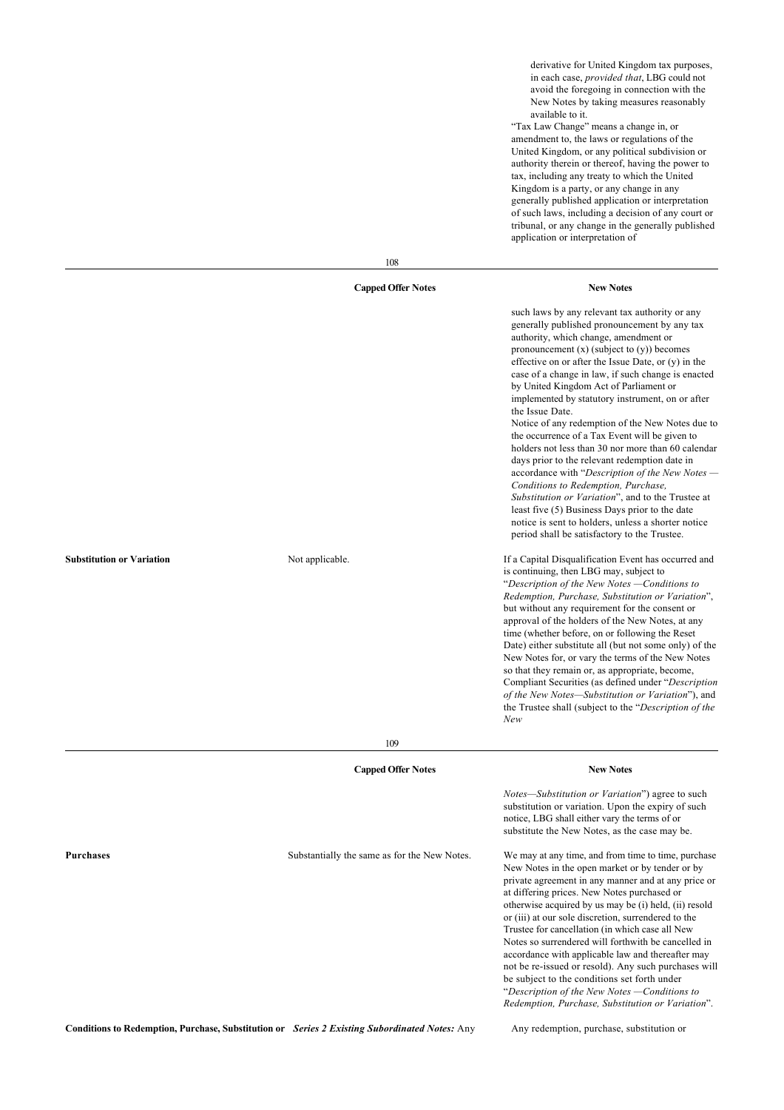derivative for United Kingdom tax purposes, in each case, *provided that*, LBG could not avoid the foregoing in connection with the New Notes by taking measures reasonably available to it.

"Tax Law Change" means a change in, or amendment to, the laws or regulations of the United Kingdom, or any political subdivision or authority therein or thereof, having the power to tax, including any treaty to which the United Kingdom is a party, or any change in any generally published application or interpretation of such laws, including a decision of any court or tribunal, or any change in the generally published application or interpretation of

|                                  | 108                                                                                                  |                                                                                                                                                                                                                                                                                                                                                                                                                                                                                                                                                                                                                                                                                                                                                                                                                                                                                                                                              |
|----------------------------------|------------------------------------------------------------------------------------------------------|----------------------------------------------------------------------------------------------------------------------------------------------------------------------------------------------------------------------------------------------------------------------------------------------------------------------------------------------------------------------------------------------------------------------------------------------------------------------------------------------------------------------------------------------------------------------------------------------------------------------------------------------------------------------------------------------------------------------------------------------------------------------------------------------------------------------------------------------------------------------------------------------------------------------------------------------|
|                                  | <b>Capped Offer Notes</b>                                                                            | <b>New Notes</b>                                                                                                                                                                                                                                                                                                                                                                                                                                                                                                                                                                                                                                                                                                                                                                                                                                                                                                                             |
|                                  |                                                                                                      | such laws by any relevant tax authority or any<br>generally published pronouncement by any tax<br>authority, which change, amendment or<br>pronouncement $(x)$ (subject to $(y)$ ) becomes<br>effective on or after the Issue Date, or (y) in the<br>case of a change in law, if such change is enacted<br>by United Kingdom Act of Parliament or<br>implemented by statutory instrument, on or after<br>the Issue Date.<br>Notice of any redemption of the New Notes due to<br>the occurrence of a Tax Event will be given to<br>holders not less than 30 nor more than 60 calendar<br>days prior to the relevant redemption date in<br>accordance with "Description of the New Notes -<br>Conditions to Redemption, Purchase,<br>Substitution or Variation", and to the Trustee at<br>least five (5) Business Days prior to the date<br>notice is sent to holders, unless a shorter notice<br>period shall be satisfactory to the Trustee. |
| <b>Substitution or Variation</b> | Not applicable.                                                                                      | If a Capital Disqualification Event has occurred and<br>is continuing, then LBG may, subject to<br>"Description of the New Notes -Conditions to<br>Redemption, Purchase, Substitution or Variation",<br>but without any requirement for the consent or<br>approval of the holders of the New Notes, at any<br>time (whether before, on or following the Reset<br>Date) either substitute all (but not some only) of the<br>New Notes for, or vary the terms of the New Notes<br>so that they remain or, as appropriate, become,<br>Compliant Securities (as defined under "Description<br>of the New Notes-Substitution or Variation"), and<br>the Trustee shall (subject to the "Description of the<br>New                                                                                                                                                                                                                                  |
|                                  | 109                                                                                                  |                                                                                                                                                                                                                                                                                                                                                                                                                                                                                                                                                                                                                                                                                                                                                                                                                                                                                                                                              |
|                                  | <b>Capped Offer Notes</b>                                                                            | <b>New Notes</b>                                                                                                                                                                                                                                                                                                                                                                                                                                                                                                                                                                                                                                                                                                                                                                                                                                                                                                                             |
|                                  |                                                                                                      | Notes—Substitution or Variation") agree to such<br>substitution or variation. Upon the expiry of such<br>notice, LBG shall either vary the terms of or<br>substitute the New Notes, as the case may be.                                                                                                                                                                                                                                                                                                                                                                                                                                                                                                                                                                                                                                                                                                                                      |
| <b>Purchases</b>                 | Substantially the same as for the New Notes.                                                         | We may at any time, and from time to time, purchase<br>New Notes in the open market or by tender or by<br>private agreement in any manner and at any price or<br>at differing prices. New Notes purchased or<br>otherwise acquired by us may be (i) held, (ii) resold<br>or (iii) at our sole discretion, surrendered to the<br>Trustee for cancellation (in which case all New<br>Notes so surrendered will forthwith be cancelled in<br>accordance with applicable law and thereafter may<br>not be re-issued or resold). Any such purchases will<br>be subject to the conditions set forth under<br>"Description of the New Notes -Conditions to<br>Redemption, Purchase, Substitution or Variation".                                                                                                                                                                                                                                     |
|                                  | <b>Conditions to Redemption, Purchase, Substitution or</b> Series 2 Existing Subordinated Notes: Any | Any redemption, purchase, substitution or                                                                                                                                                                                                                                                                                                                                                                                                                                                                                                                                                                                                                                                                                                                                                                                                                                                                                                    |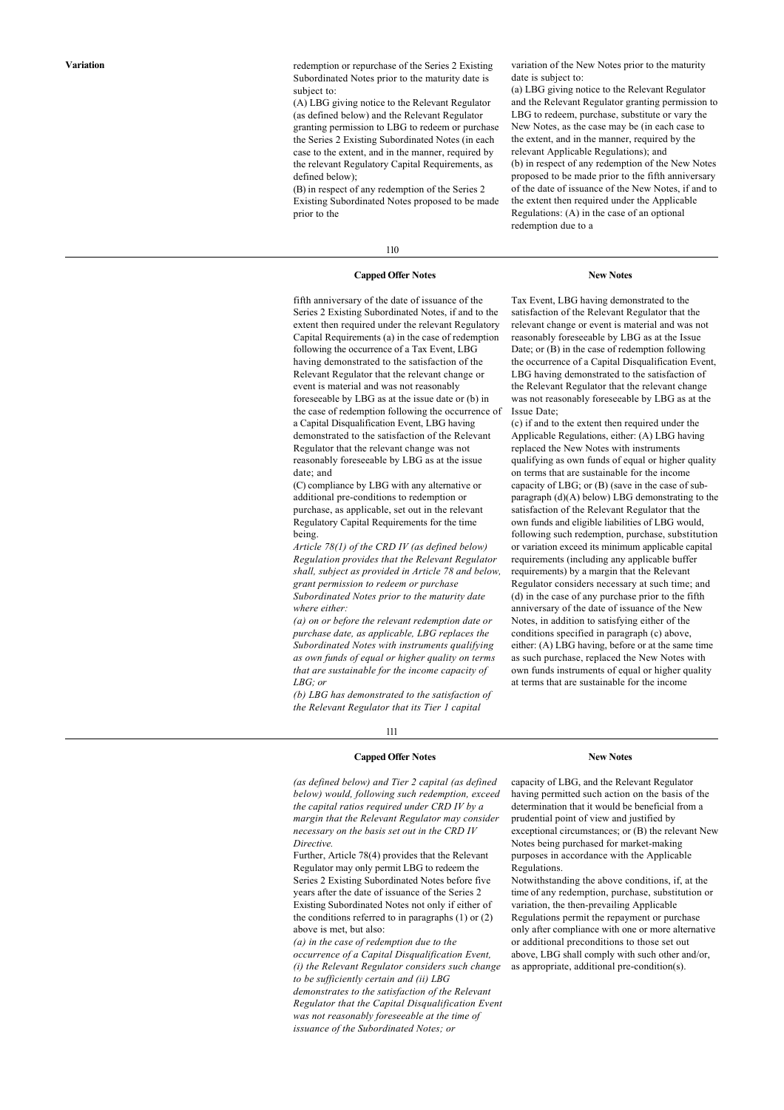**Variation** redemption or repurchase of the Series 2 Existing Subordinated Notes prior to the maturity date is subject to:

> (A) LBG giving notice to the Relevant Regulator (as defined below) and the Relevant Regulator granting permission to LBG to redeem or purchase the Series 2 Existing Subordinated Notes (in each case to the extent, and in the manner, required by the relevant Regulatory Capital Requirements, as defined below);

> (B) in respect of any redemption of the Series 2 Existing Subordinated Notes proposed to be made prior to the

variation of the New Notes prior to the maturity date is subject to:

(a) LBG giving notice to the Relevant Regulator and the Relevant Regulator granting permission to LBG to redeem, purchase, substitute or vary the New Notes, as the case may be (in each case to the extent, and in the manner, required by the relevant Applicable Regulations); and (b) in respect of any redemption of the New Notes proposed to be made prior to the fifth anniversary of the date of issuance of the New Notes, if and to the extent then required under the Applicable Regulations: (A) in the case of an optional redemption due to a

## 110

#### **Capped Offer Notes New Notes**

fifth anniversary of the date of issuance of the Series 2 Existing Subordinated Notes, if and to the extent then required under the relevant Regulatory Capital Requirements (a) in the case of redemption following the occurrence of a Tax Event, LBG having demonstrated to the satisfaction of the Relevant Regulator that the relevant change or event is material and was not reasonably foreseeable by LBG as at the issue date or (b) in the case of redemption following the occurrence of a Capital Disqualification Event, LBG having demonstrated to the satisfaction of the Relevant Regulator that the relevant change was not reasonably foreseeable by LBG as at the issue date; and

(C) compliance by LBG with any alternative or additional pre-conditions to redemption or purchase, as applicable, set out in the relevant Regulatory Capital Requirements for the time being.

*Article 78(1) of the CRD IV (as defined below) Regulation provides that the Relevant Regulator shall, subject as provided in Article 78 and below, grant permission to redeem or purchase Subordinated Notes prior to the maturity date where either:*

*(a) on or before the relevant redemption date or purchase date, as applicable, LBG replaces the Subordinated Notes with instruments qualifying as own funds of equal or higher quality on terms that are sustainable for the income capacity of LBG; or*

*(b) LBG has demonstrated to the satisfaction of the Relevant Regulator that its Tier 1 capital*

111

## **Capped Offer Notes New Notes**

*(as defined below) and Tier 2 capital (as defined below) would, following such redemption, exceed the capital ratios required under CRD IV by a margin that the Relevant Regulator may consider necessary on the basis set out in the CRD IV Directive.*

Further, Article 78(4) provides that the Relevant Regulator may only permit LBG to redeem the Series 2 Existing Subordinated Notes before five years after the date of issuance of the Series 2 Existing Subordinated Notes not only if either of the conditions referred to in paragraphs (1) or (2) above is met, but also:

*(a) in the case of redemption due to the occurrence of a Capital Disqualification Event, (i) the Relevant Regulator considers such change to be sufficiently certain and (ii) LBG demonstrates to the satisfaction of the Relevant Regulator that the Capital Disqualification Event was not reasonably foreseeable at the time of issuance of the Subordinated Notes; or*

capacity of LBG, and the Relevant Regulator having permitted such action on the basis of the determination that it would be beneficial from a prudential point of view and justified by exceptional circumstances; or (B) the relevant New Notes being purchased for market-making purposes in accordance with the Applicable Regulations.

Notwithstanding the above conditions, if, at the time of any redemption, purchase, substitution or variation, the then-prevailing Applicable Regulations permit the repayment or purchase only after compliance with one or more alternative or additional preconditions to those set out above, LBG shall comply with such other and/or, as appropriate, additional pre-condition(s).

Tax Event, LBG having demonstrated to the satisfaction of the Relevant Regulator that the relevant change or event is material and was not reasonably foreseeable by LBG as at the Issue Date; or (B) in the case of redemption following the occurrence of a Capital Disqualification Event, LBG having demonstrated to the satisfaction of the Relevant Regulator that the relevant change was not reasonably foreseeable by LBG as at the

(c) if and to the extent then required under the Applicable Regulations, either: (A) LBG having replaced the New Notes with instruments qualifying as own funds of equal or higher quality on terms that are sustainable for the income capacity of LBG; or (B) (save in the case of subparagraph (d)(A) below) LBG demonstrating to the satisfaction of the Relevant Regulator that the own funds and eligible liabilities of LBG would, following such redemption, purchase, substitution or variation exceed its minimum applicable capital requirements (including any applicable buffer requirements) by a margin that the Relevant Regulator considers necessary at such time; and (d) in the case of any purchase prior to the fifth anniversary of the date of issuance of the New Notes, in addition to satisfying either of the conditions specified in paragraph (c) above, either: (A) LBG having, before or at the same time as such purchase, replaced the New Notes with own funds instruments of equal or higher quality at terms that are sustainable for the income

Issue Date;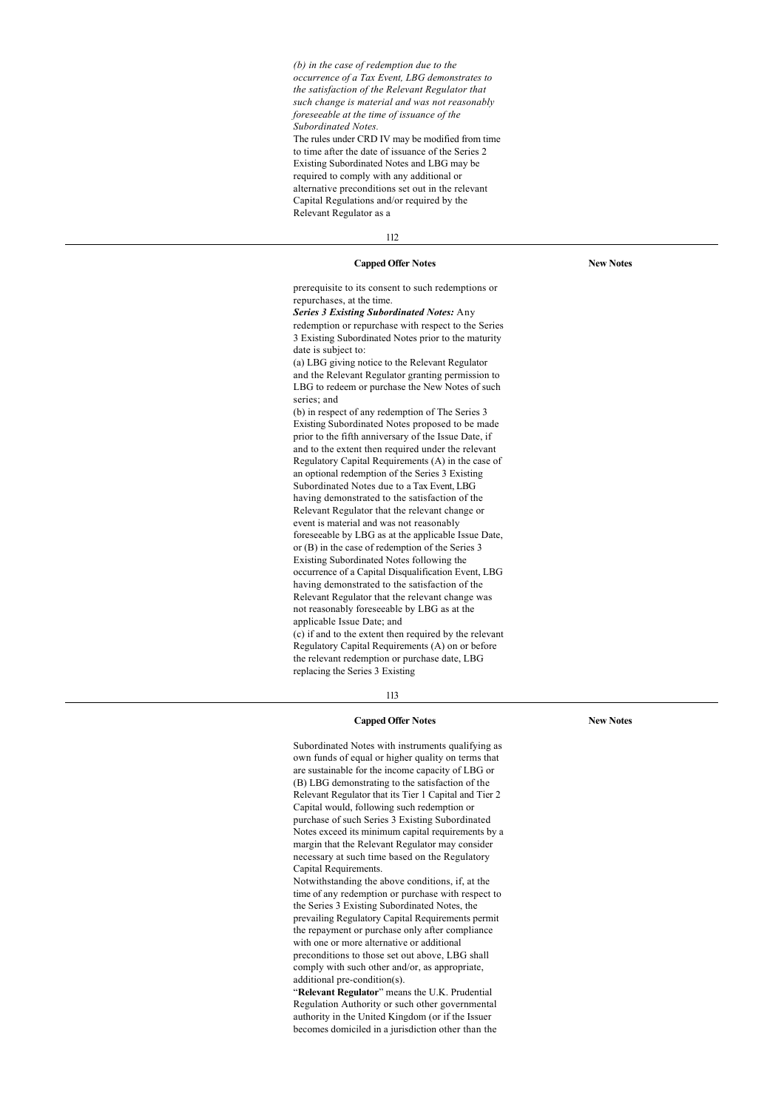*(b) in the case of redemption due to the occurrence of a Tax Event, LBG demonstrates to the satisfaction of the Relevant Regulator that such change is material and was not reasonably foreseeable at the time of issuance of the Subordinated Notes.* The rules under CRD IV may be modified from time to time after the date of issuance of the Series 2 Existing Subordinated Notes and LBG may be required to comply with any additional or alternative preconditions set out in the relevant Capital Regulations and/or required by the

112

Relevant Regulator as a

**Capped Offer Notes New Notes**

prerequisite to its consent to such redemptions or repurchases, at the time. *Series 3 Existing Subordinated Notes:* Any redemption or repurchase with respect to the Series 3 Existing Subordinated Notes prior to the maturity date is subject to: (a) LBG giving notice to the Relevant Regulator and the Relevant Regulator granting permission to LBG to redeem or purchase the New Notes of such series; and (b) in respect of any redemption of The Series 3 Existing Subordinated Notes proposed to be made prior to the fifth anniversary of the Issue Date, if and to the extent then required under the relevant Regulatory Capital Requirements (A) in the case of an optional redemption of the Series 3 Existing Subordinated Notes due to a Tax Event, LBG having demonstrated to the satisfaction of the Relevant Regulator that the relevant change or event is material and was not reasonably foreseeable by LBG as at the applicable Issue Date, or (B) in the case of redemption of the Series 3 Existing Subordinated Notes following the occurrence of a Capital Disqualification Event, LBG having demonstrated to the satisfaction of the Relevant Regulator that the relevant change was not reasonably foreseeable by LBG as at the applicable Issue Date; and (c) if and to the extent then required by the relevant

Regulatory Capital Requirements (A) on or before the relevant redemption or purchase date, LBG replacing the Series 3 Existing

#### 113

#### **Capped Offer Notes New Notes**

Subordinated Notes with instruments qualifying as own funds of equal or higher quality on terms that are sustainable for the income capacity of LBG or (B) LBG demonstrating to the satisfaction of the Relevant Regulator that its Tier 1 Capital and Tier 2 Capital would, following such redemption or purchase of such Series 3 Existing Subordinated Notes exceed its minimum capital requirements by a margin that the Relevant Regulator may consider necessary at such time based on the Regulatory Capital Requirements.

Notwithstanding the above conditions, if, at the time of any redemption or purchase with respect to the Series 3 Existing Subordinated Notes, the prevailing Regulatory Capital Requirements permit the repayment or purchase only after compliance with one or more alternative or additional preconditions to those set out above, LBG shall comply with such other and/or, as appropriate, additional pre-condition(s).

"**Relevant Regulator**" means the U.K. Prudential Regulation Authority or such other governmental authority in the United Kingdom (or if the Issuer becomes domiciled in a jurisdiction other than the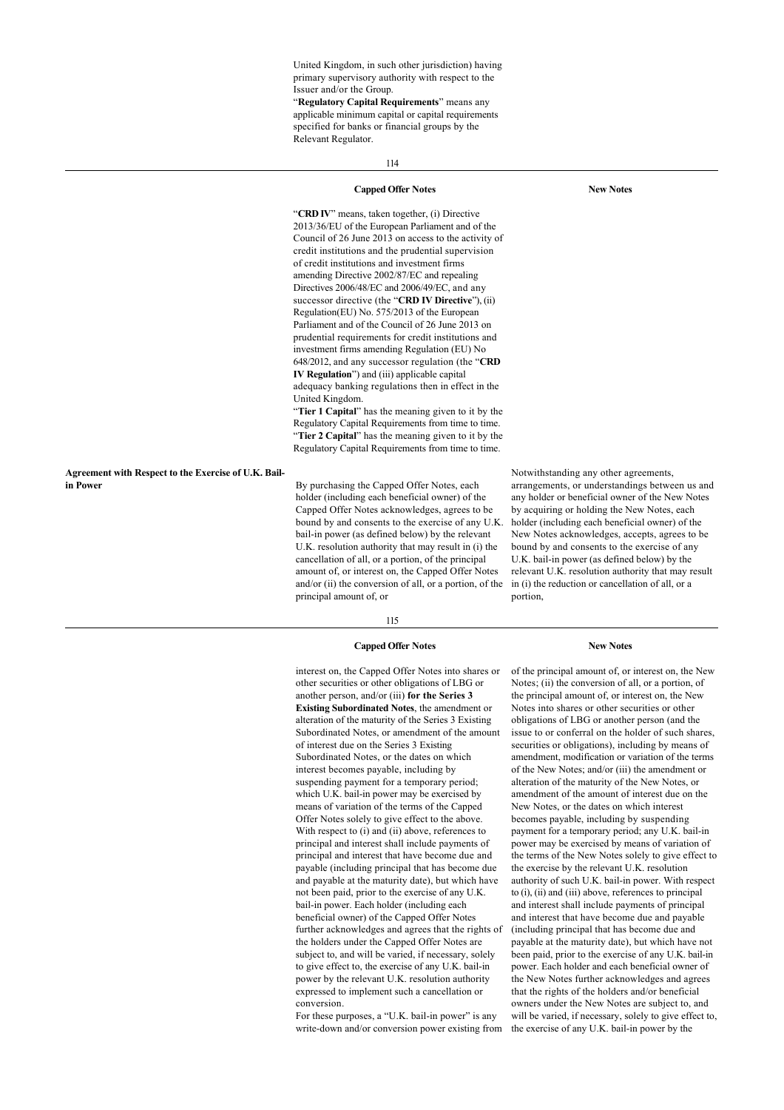United Kingdom, in such other jurisdiction) having primary supervisory authority with respect to the Issuer and/or the Group.

"**Regulatory Capital Requirements**" means any applicable minimum capital or capital requirements specified for banks or financial groups by the Relevant Regulator.

114

#### **Capped Offer Notes New Notes**

"**CRD IV**" means, taken together, (i) Directive 2013/36/EU of the European Parliament and of the Council of 26 June 2013 on access to the activity of credit institutions and the prudential supervision of credit institutions and investment firms amending Directive 2002/87/EC and repealing Directives 2006/48/EC and 2006/49/EC, and any successor directive (the "**CRD IV Directive**"), (ii) Regulation(EU) No. 575/2013 of the European Parliament and of the Council of 26 June 2013 on prudential requirements for credit institutions and investment firms amending Regulation (EU) No 648/2012, and any successor regulation (the "**CRD IV Regulation**") and (iii) applicable capital adequacy banking regulations then in effect in the United Kingdom.

"**Tier 1 Capital**" has the meaning given to it by the Regulatory Capital Requirements from time to time. "**Tier 2 Capital**" has the meaning given to it by the Regulatory Capital Requirements from time to time.

**Agreement with Respect to the Exercise of U.K. Bail-**

By purchasing the Capped Offer Notes, each holder (including each beneficial owner) of the Capped Offer Notes acknowledges, agrees to be bound by and consents to the exercise of any U.K. bail-in power (as defined below) by the relevant U.K. resolution authority that may result in (i) the cancellation of all, or a portion, of the principal amount of, or interest on, the Capped Offer Notes and/or (ii) the conversion of all, or a portion, of the principal amount of, or

115

#### **Capped Offer Notes New Notes**

interest on, the Capped Offer Notes into shares or other securities or other obligations of LBG or another person, and/or (iii) **for the Series 3 Existing Subordinated Notes**, the amendment or alteration of the maturity of the Series 3 Existing Subordinated Notes, or amendment of the amount of interest due on the Series 3 Existing Subordinated Notes, or the dates on which interest becomes payable, including by suspending payment for a temporary period; which U.K. bail-in power may be exercised by means of variation of the terms of the Capped Offer Notes solely to give effect to the above. With respect to (i) and (ii) above, references to principal and interest shall include payments of principal and interest that have become due and payable (including principal that has become due and payable at the maturity date), but which have not been paid, prior to the exercise of any U.K. bail-in power. Each holder (including each beneficial owner) of the Capped Offer Notes further acknowledges and agrees that the rights of the holders under the Capped Offer Notes are subject to, and will be varied, if necessary, solely to give effect to, the exercise of any U.K. bail-in power by the relevant U.K. resolution authority expressed to implement such a cancellation or conversion.

For these purposes, a "U.K. bail-in power" is any write-down and/or conversion power existing from

of the principal amount of, or interest on, the New Notes; (ii) the conversion of all, or a portion, of the principal amount of, or interest on, the New Notes into shares or other securities or other obligations of LBG or another person (and the issue to or conferral on the holder of such shares, securities or obligations), including by means of amendment, modification or variation of the terms of the New Notes; and/or (iii) the amendment or alteration of the maturity of the New Notes, or amendment of the amount of interest due on the New Notes, or the dates on which interest becomes payable, including by suspending payment for a temporary period; any U.K. bail-in power may be exercised by means of variation of the terms of the New Notes solely to give effect to the exercise by the relevant U.K. resolution authority of such U.K. bail-in power. With respect to (i), (ii) and (iii) above, references to principal and interest shall include payments of principal and interest that have become due and payable (including principal that has become due and payable at the maturity date), but which have not been paid, prior to the exercise of any U.K. bail-in power. Each holder and each beneficial owner of the New Notes further acknowledges and agrees that the rights of the holders and/or beneficial owners under the New Notes are subject to, and will be varied, if necessary, solely to give effect to, the exercise of any U.K. bail-in power by the

arrangements, or understandings between us and any holder or beneficial owner of the New Notes by acquiring or holding the New Notes, each holder (including each beneficial owner) of the New Notes acknowledges, accepts, agrees to be bound by and consents to the exercise of any U.K. bail-in power (as defined below) by the relevant U.K. resolution authority that may result in (i) the reduction or cancellation of all, or a portion,

Notwithstanding any other agreements,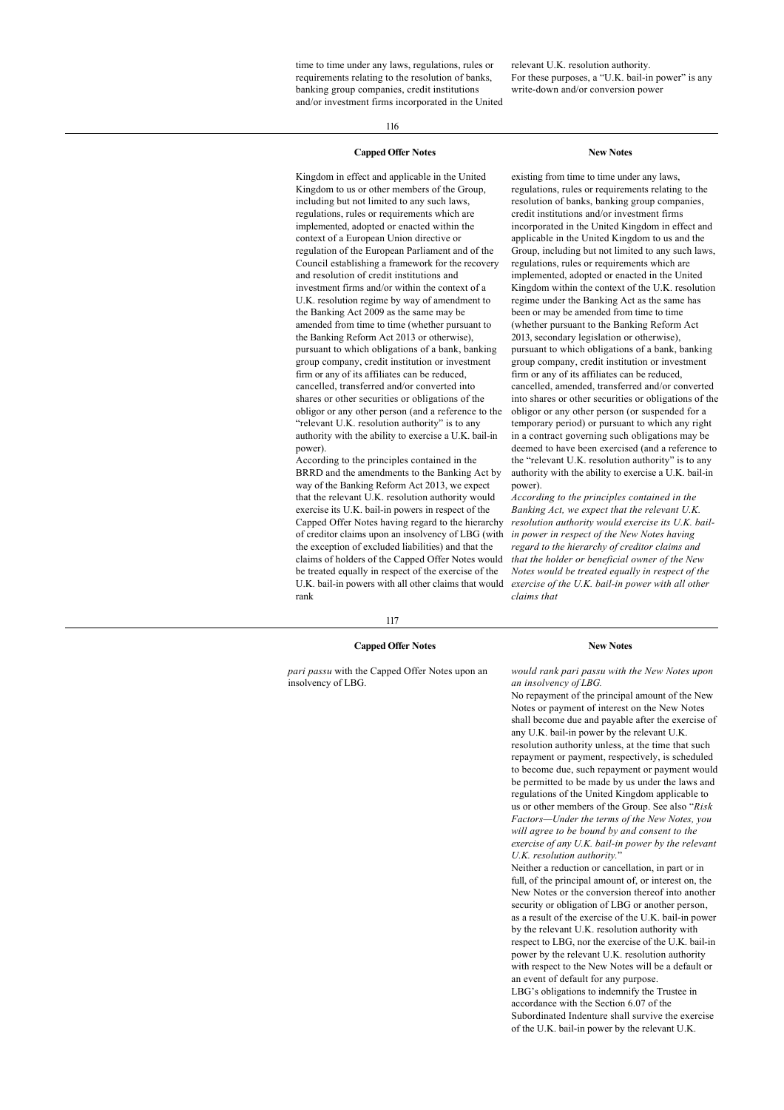time to time under any laws, regulations, rules or requirements relating to the resolution of banks, banking group companies, credit institutions and/or investment firms incorporated in the United relevant U.K. resolution authority. For these purposes, a "U.K. bail-in power" is any write-down and/or conversion power

116

## **Capped Offer Notes New Notes**

Kingdom in effect and applicable in the United Kingdom to us or other members of the Group, including but not limited to any such laws, regulations, rules or requirements which are implemented, adopted or enacted within the context of a European Union directive or regulation of the European Parliament and of the Council establishing a framework for the recovery and resolution of credit institutions and investment firms and/or within the context of a U.K. resolution regime by way of amendment to the Banking Act 2009 as the same may be amended from time to time (whether pursuant to the Banking Reform Act 2013 or otherwise), pursuant to which obligations of a bank, banking group company, credit institution or investment firm or any of its affiliates can be reduced, cancelled, transferred and/or converted into shares or other securities or obligations of the obligor or any other person (and a reference to the "relevant U.K. resolution authority" is to any authority with the ability to exercise a U.K. bail-in power).

According to the principles contained in the BRRD and the amendments to the Banking Act by way of the Banking Reform Act 2013, we expect that the relevant U.K. resolution authority would exercise its U.K. bail-in powers in respect of the Capped Offer Notes having regard to the hierarchy of creditor claims upon an insolvency of LBG (with the exception of excluded liabilities) and that the claims of holders of the Capped Offer Notes would be treated equally in respect of the exercise of the U.K. bail-in powers with all other claims that would rank

existing from time to time under any laws, regulations, rules or requirements relating to the resolution of banks, banking group companies, credit institutions and/or investment firms incorporated in the United Kingdom in effect and applicable in the United Kingdom to us and the Group, including but not limited to any such laws, regulations, rules or requirements which are implemented, adopted or enacted in the United Kingdom within the context of the U.K. resolution regime under the Banking Act as the same has been or may be amended from time to time (whether pursuant to the Banking Reform Act 2013, secondary legislation or otherwise), pursuant to which obligations of a bank, banking group company, credit institution or investment firm or any of its affiliates can be reduced, cancelled, amended, transferred and/or converted into shares or other securities or obligations of the obligor or any other person (or suspended for a temporary period) or pursuant to which any right in a contract governing such obligations may be deemed to have been exercised (and a reference to the "relevant U.K. resolution authority" is to any authority with the ability to exercise a U.K. bail-in power).

*According to the principles contained in the Banking Act, we expect that the relevant U.K. resolution authority would exercise its U.K. bailin power in respect of the New Notes having regard to the hierarchy of creditor claims and that the holder or beneficial owner of the New Notes would be treated equally in respect of the exercise of the U.K. bail-in power with all other claims that*

117

#### **Capped Offer Notes New Notes**

*pari passu* with the Capped Offer Notes upon an insolvency of LBG.

*would rank pari passu with the New Notes upon an insolvency of LBG.*

No repayment of the principal amount of the New Notes or payment of interest on the New Notes shall become due and payable after the exercise of any U.K. bail-in power by the relevant U.K. resolution authority unless, at the time that such repayment or payment, respectively, is scheduled to become due, such repayment or payment would be permitted to be made by us under the laws and regulations of the United Kingdom applicable to us or other members of the Group. See also "*Risk Factors—Under the terms of the New Notes, you will agree to be bound by and consent to the exercise of any U.K. bail-in power by the relevant U.K. resolution authority.*"

Neither a reduction or cancellation, in part or in full, of the principal amount of, or interest on, the New Notes or the conversion thereof into another security or obligation of LBG or another person, as a result of the exercise of the U.K. bail-in power by the relevant U.K. resolution authority with respect to LBG, nor the exercise of the U.K. bail-in power by the relevant U.K. resolution authority with respect to the New Notes will be a default or an event of default for any purpose. LBG's obligations to indemnify the Trustee in accordance with the Section 6.07 of the Subordinated Indenture shall survive the exercise of the U.K. bail-in power by the relevant U.K.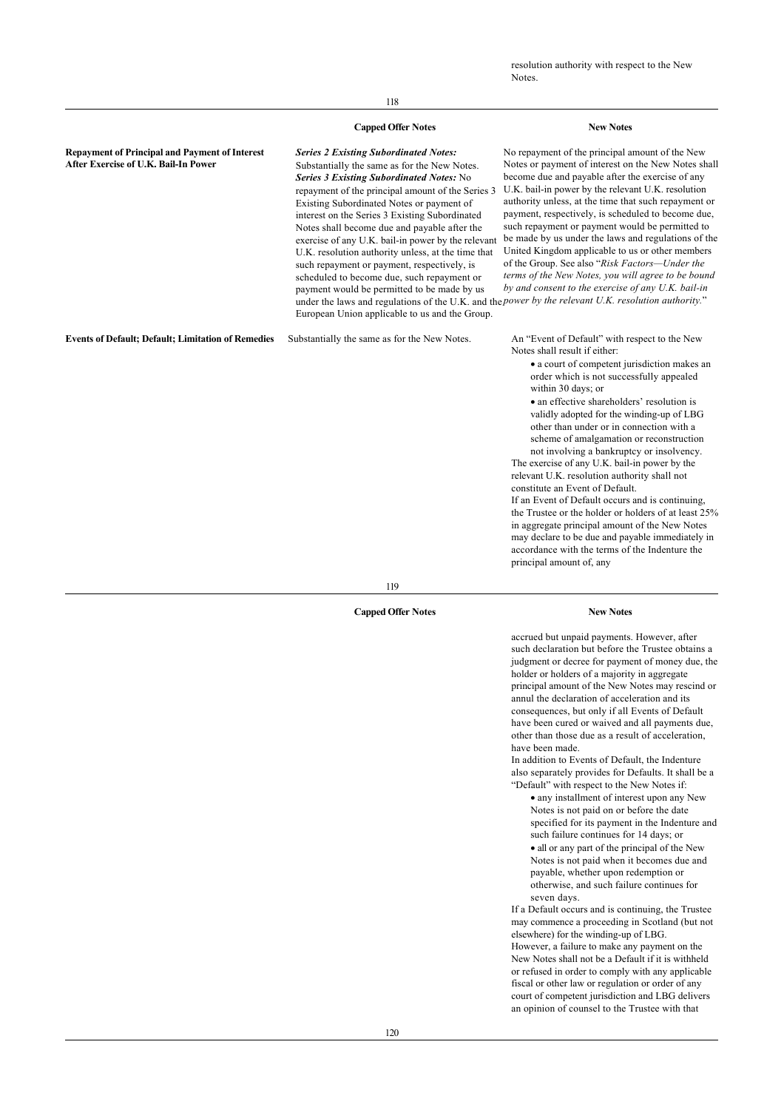## **Capped Offer Notes New Notes**

**Repayment of Principal and Payment of Interest After Exercise of U.K. Bail-In Power**

*Series 2 Existing Subordinated Notes:* Substantially the same as for the New Notes. *Series 3 Existing Subordinated Notes:* No repayment of the principal amount of the Series 3 Existing Subordinated Notes or payment of interest on the Series 3 Existing Subordinated Notes shall become due and payable after the exercise of any U.K. bail-in power by the relevant U.K. resolution authority unless, at the time that such repayment or payment, respectively, is scheduled to become due, such repayment or payment would be permitted to be made by us under the laws and regulations of the U.K. and the *power by the relevant U.K. resolution authority.*" European Union applicable to us and the Group.

**Events of Default; Default; Limitation of Remedies** Substantially the same as for the New Notes. An "Event of Default" with respect to the New

No repayment of the principal amount of the New Notes or payment of interest on the New Notes shall become due and payable after the exercise of any U.K. bail-in power by the relevant U.K. resolution authority unless, at the time that such repayment or payment, respectively, is scheduled to become due, such repayment or payment would be permitted to be made by us under the laws and regulations of the United Kingdom applicable to us or other members of the Group. See also "*Risk Factors—Under the terms of the New Notes, you will agree to be bound by and consent to the exercise of any U.K. bail-in*

Notes shall result if either:

· a court of competent jurisdiction makes an order which is not successfully appealed within 30 days; or

· an effective shareholders' resolution is validly adopted for the winding-up of LBG other than under or in connection with a scheme of amalgamation or reconstruction not involving a bankruptcy or insolvency.

The exercise of any U.K. bail-in power by the relevant U.K. resolution authority shall not constitute an Event of Default.

If an Event of Default occurs and is continuing, the Trustee or the holder or holders of at least 25% in aggregate principal amount of the New Notes may declare to be due and payable immediately in accordance with the terms of the Indenture the principal amount of, any

119

## **Capped Offer Notes New Notes**

accrued but unpaid payments. However, after such declaration but before the Trustee obtains a judgment or decree for payment of money due, the holder or holders of a majority in aggregate principal amount of the New Notes may rescind or annul the declaration of acceleration and its consequences, but only if all Events of Default have been cured or waived and all payments due, other than those due as a result of acceleration, have been made.

In addition to Events of Default, the Indenture also separately provides for Defaults. It shall be a "Default" with respect to the New Notes if:

· any installment of interest upon any New Notes is not paid on or before the date specified for its payment in the Indenture and such failure continues for 14 days; or

· all or any part of the principal of the New Notes is not paid when it becomes due and payable, whether upon redemption or otherwise, and such failure continues for seven days.

If a Default occurs and is continuing, the Trustee may commence a proceeding in Scotland (but not elsewhere) for the winding-up of LBG. However, a failure to make any payment on the New Notes shall not be a Default if it is withheld or refused in order to comply with any applicable fiscal or other law or regulation or order of any court of competent jurisdiction and LBG delivers an opinion of counsel to the Trustee with that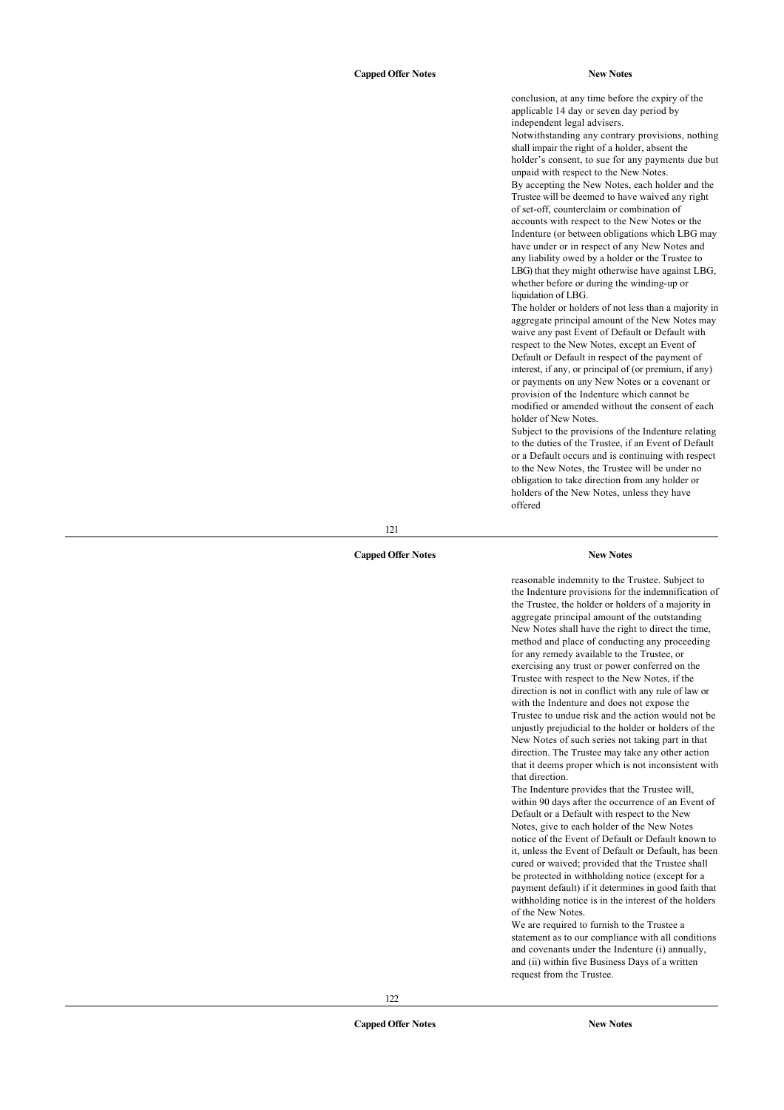conclusion, at any time before the expiry of the applicable 14 day or seven day period by independent legal advisers. Notwithstanding any contrary provisions, nothing shall impair the right of a holder, absent the holder's consent, to sue for any payments due but unpaid with respect to the New Notes. By accepting the New Notes, each holder and the Trustee will be deemed to have waived any right of set-off, counterclaim or combination of accounts with respect to the New Notes or the Indenture (or between obligations which LBG may have under or in respect of any New Notes and any liability owed by a holder or the Trustee to LBG) that they might otherwise have against LBG, whether before or during the winding-up or liquidation of LBG.

The holder or holders of not less than a majority in aggregate principal amount of the New Notes may waive any past Event of Default or Default with respect to the New Notes, except an Event of Default or Default in respect of the payment of interest, if any, or principal of (or premium, if any) or payments on any New Notes or a covenant or provision of the Indenture which cannot be modified or amended without the consent of each holder of New Notes.

Subject to the provisions of the Indenture relating to the duties of the Trustee, if an Event of Default or a Default occurs and is continuing with respect to the New Notes, the Trustee will be under no obligation to take direction from any holder or holders of the New Notes, unless they have offered

121

## **Capped Offer Notes New Notes**

reasonable indemnity to the Trustee. Subject to the Indenture provisions for the indemnification of the Trustee, the holder or holders of a majority in aggregate principal amount of the outstanding New Notes shall have the right to direct the time, method and place of conducting any proceeding for any remedy available to the Trustee, or exercising any trust or power conferred on the Trustee with respect to the New Notes, if the direction is not in conflict with any rule of law or with the Indenture and does not expose the Trustee to undue risk and the action would not be unjustly prejudicial to the holder or holders of the New Notes of such series not taking part in that direction. The Trustee may take any other action that it deems proper which is not inconsistent with that direction.

The Indenture provides that the Trustee will, within 90 days after the occurrence of an Event of Default or a Default with respect to the New Notes, give to each holder of the New Notes notice of the Event of Default or Default known to it, unless the Event of Default or Default, has been cured or waived; provided that the Trustee shall be protected in withholding notice (except for a payment default) if it determines in good faith that withholding notice is in the interest of the holders of the New Notes.

We are required to furnish to the Trustee a statement as to our compliance with all conditions and covenants under the Indenture (i) annually, and (ii) within five Business Days of a written request from the Trustee.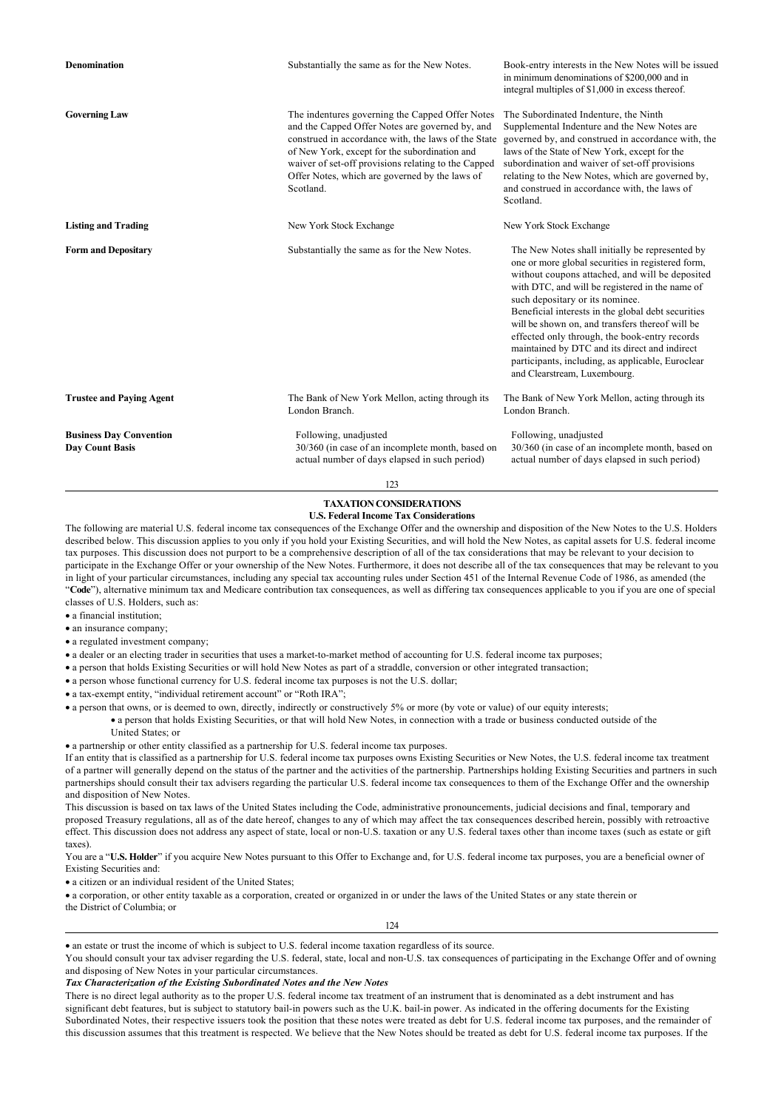| <b>Denomination</b>                                      | Substantially the same as for the New Notes.                                                                                                                                                                                                                                                                                     | Book-entry interests in the New Notes will be issued<br>in minimum denominations of \$200,000 and in<br>integral multiples of \$1,000 in excess thereof.                                                                                                                                                                                                                                                                                                                                                                                      |  |  |  |
|----------------------------------------------------------|----------------------------------------------------------------------------------------------------------------------------------------------------------------------------------------------------------------------------------------------------------------------------------------------------------------------------------|-----------------------------------------------------------------------------------------------------------------------------------------------------------------------------------------------------------------------------------------------------------------------------------------------------------------------------------------------------------------------------------------------------------------------------------------------------------------------------------------------------------------------------------------------|--|--|--|
| <b>Governing Law</b>                                     | The indentures governing the Capped Offer Notes<br>and the Capped Offer Notes are governed by, and<br>construed in accordance with, the laws of the State<br>of New York, except for the subordination and<br>waiver of set-off provisions relating to the Capped<br>Offer Notes, which are governed by the laws of<br>Scotland. | The Subordinated Indenture, the Ninth<br>Supplemental Indenture and the New Notes are<br>governed by, and construed in accordance with, the<br>laws of the State of New York, except for the<br>subordination and waiver of set-off provisions<br>relating to the New Notes, which are governed by,<br>and construed in accordance with, the laws of<br>Scotland.                                                                                                                                                                             |  |  |  |
| <b>Listing and Trading</b>                               | New York Stock Exchange                                                                                                                                                                                                                                                                                                          | New York Stock Exchange                                                                                                                                                                                                                                                                                                                                                                                                                                                                                                                       |  |  |  |
| <b>Form and Depositary</b>                               | Substantially the same as for the New Notes.                                                                                                                                                                                                                                                                                     | The New Notes shall initially be represented by<br>one or more global securities in registered form,<br>without coupons attached, and will be deposited<br>with DTC, and will be registered in the name of<br>such depositary or its nominee.<br>Beneficial interests in the global debt securities<br>will be shown on, and transfers thereof will be<br>effected only through, the book-entry records<br>maintained by DTC and its direct and indirect<br>participants, including, as applicable, Euroclear<br>and Clearstream, Luxembourg. |  |  |  |
| <b>Trustee and Paying Agent</b>                          | The Bank of New York Mellon, acting through its<br>London Branch.                                                                                                                                                                                                                                                                | The Bank of New York Mellon, acting through its<br>London Branch.                                                                                                                                                                                                                                                                                                                                                                                                                                                                             |  |  |  |
| <b>Business Day Convention</b><br><b>Day Count Basis</b> | Following, unadjusted<br>30/360 (in case of an incomplete month, based on<br>actual number of days elapsed in such period)                                                                                                                                                                                                       | Following, unadjusted<br>30/360 (in case of an incomplete month, based on<br>actual number of days elapsed in such period)                                                                                                                                                                                                                                                                                                                                                                                                                    |  |  |  |

123

## **TAXATION CONSIDERATIONS U.S. Federal Income Tax Considerations**

The following are material U.S. federal income tax consequences of the Exchange Offer and the ownership and disposition of the New Notes to the U.S. Holders described below. This discussion applies to you only if you hold your Existing Securities, and will hold the New Notes, as capital assets for U.S. federal income tax purposes. This discussion does not purport to be a comprehensive description of all of the tax considerations that may be relevant to your decision to participate in the Exchange Offer or your ownership of the New Notes. Furthermore, it does not describe all of the tax consequences that may be relevant to you in light of your particular circumstances, including any special tax accounting rules under Section 451 of the Internal Revenue Code of 1986, as amended (the "**Code**"), alternative minimum tax and Medicare contribution tax consequences, as well as differing tax consequences applicable to you if you are one of special classes of U.S. Holders, such as:

- a financial institution:
- · an insurance company;
- a regulated investment company:

· a dealer or an electing trader in securities that uses a market-to-market method of accounting for U.S. federal income tax purposes;

- · a person that holds Existing Securities or will hold New Notes as part of a straddle, conversion or other integrated transaction;
- · a person whose functional currency for U.S. federal income tax purposes is not the U.S. dollar;
- · a tax-exempt entity, "individual retirement account" or "Roth IRA";

· a person that owns, or is deemed to own, directly, indirectly or constructively 5% or more (by vote or value) of our equity interests;

· a person that holds Existing Securities, or that will hold New Notes, in connection with a trade or business conducted outside of the United States; or

· a partnership or other entity classified as a partnership for U.S. federal income tax purposes.

If an entity that is classified as a partnership for U.S. federal income tax purposes owns Existing Securities or New Notes, the U.S. federal income tax treatment of a partner will generally depend on the status of the partner and the activities of the partnership. Partnerships holding Existing Securities and partners in such partnerships should consult their tax advisers regarding the particular U.S. federal income tax consequences to them of the Exchange Offer and the ownership and disposition of New Notes.

This discussion is based on tax laws of the United States including the Code, administrative pronouncements, judicial decisions and final, temporary and proposed Treasury regulations, all as of the date hereof, changes to any of which may affect the tax consequences described herein, possibly with retroactive effect. This discussion does not address any aspect of state, local or non-U.S. taxation or any U.S. federal taxes other than income taxes (such as estate or gift taxes).

You are a "U.S. Holder" if you acquire New Notes pursuant to this Offer to Exchange and, for U.S. federal income tax purposes, you are a beneficial owner of Existing Securities and:

• a citizen or an individual resident of the United States;

· a corporation, or other entity taxable as a corporation, created or organized in or under the laws of the United States or any state therein or the District of Columbia; or

## 124

## · an estate or trust the income of which is subject to U.S. federal income taxation regardless of its source.

You should consult your tax adviser regarding the U.S. federal, state, local and non-U.S. tax consequences of participating in the Exchange Offer and of owning and disposing of New Notes in your particular circumstances.

#### *Tax Characterization of the Existing Subordinated Notes and the New Notes*

There is no direct legal authority as to the proper U.S. federal income tax treatment of an instrument that is denominated as a debt instrument and has significant debt features, but is subject to statutory bail-in powers such as the U.K. bail-in power. As indicated in the offering documents for the Existing Subordinated Notes, their respective issuers took the position that these notes were treated as debt for U.S. federal income tax purposes, and the remainder of this discussion assumes that this treatment is respected. We believe that the New Notes should be treated as debt for U.S. federal income tax purposes. If the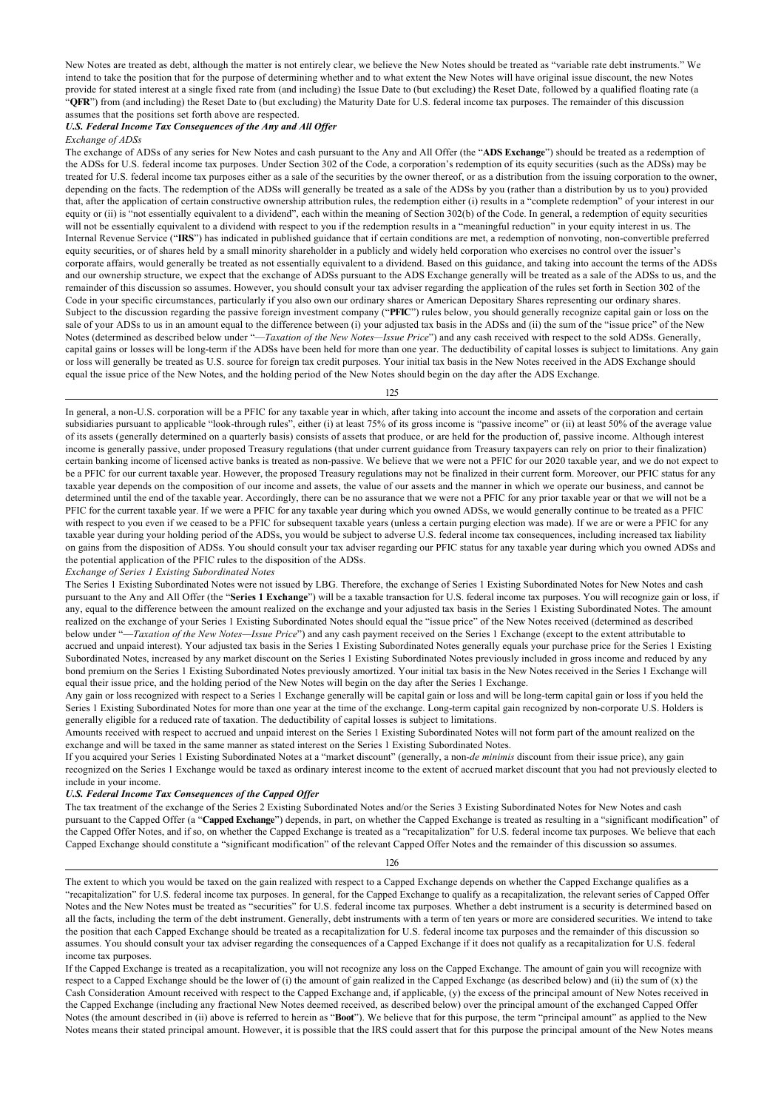New Notes are treated as debt, although the matter is not entirely clear, we believe the New Notes should be treated as "variable rate debt instruments." We intend to take the position that for the purpose of determining whether and to what extent the New Notes will have original issue discount, the new Notes provide for stated interest at a single fixed rate from (and including) the Issue Date to (but excluding) the Reset Date, followed by a qualified floating rate (a "**QFR**") from (and including) the Reset Date to (but excluding) the Maturity Date for U.S. federal income tax purposes. The remainder of this discussion assumes that the positions set forth above are respected.

## *U.S. Federal Income Tax Consequences of the Any and All Offer*

#### *Exchange of ADSs*

The exchange of ADSs of any series for New Notes and cash pursuant to the Any and All Offer (the "**ADS Exchange**") should be treated as a redemption of the ADSs for U.S. federal income tax purposes. Under Section 302 of the Code, a corporation's redemption of its equity securities (such as the ADSs) may be treated for U.S. federal income tax purposes either as a sale of the securities by the owner thereof, or as a distribution from the issuing corporation to the owner, depending on the facts. The redemption of the ADSs will generally be treated as a sale of the ADSs by you (rather than a distribution by us to you) provided that, after the application of certain constructive ownership attribution rules, the redemption either (i) results in a "complete redemption" of your interest in our equity or (ii) is "not essentially equivalent to a dividend", each within the meaning of Section 302(b) of the Code. In general, a redemption of equity securities will not be essentially equivalent to a dividend with respect to you if the redemption results in a "meaningful reduction" in your equity interest in us. The Internal Revenue Service ("**IRS**") has indicated in published guidance that if certain conditions are met, a redemption of nonvoting, non-convertible preferred equity securities, or of shares held by a small minority shareholder in a publicly and widely held corporation who exercises no control over the issuer's corporate affairs, would generally be treated as not essentially equivalent to a dividend. Based on this guidance, and taking into account the terms of the ADSs and our ownership structure, we expect that the exchange of ADSs pursuant to the ADS Exchange generally will be treated as a sale of the ADSs to us, and the remainder of this discussion so assumes. However, you should consult your tax adviser regarding the application of the rules set forth in Section 302 of the Code in your specific circumstances, particularly if you also own our ordinary shares or American Depositary Shares representing our ordinary shares. Subject to the discussion regarding the passive foreign investment company ("**PFIC**") rules below, you should generally recognize capital gain or loss on the sale of your ADSs to us in an amount equal to the difference between (i) your adjusted tax basis in the ADSs and (ii) the sum of the "issue price" of the New Notes (determined as described below under "—*Taxation of the New Notes—Issue Price*") and any cash received with respect to the sold ADSs. Generally, capital gains or losses will be long-term if the ADSs have been held for more than one year. The deductibility of capital losses is subject to limitations. Any gain or loss will generally be treated as U.S. source for foreign tax credit purposes. Your initial tax basis in the New Notes received in the ADS Exchange should equal the issue price of the New Notes, and the holding period of the New Notes should begin on the day after the ADS Exchange.

125

In general, a non-U.S. corporation will be a PFIC for any taxable year in which, after taking into account the income and assets of the corporation and certain subsidiaries pursuant to applicable "look-through rules", either (i) at least 75% of its gross income is "passive income" or (ii) at least 50% of the average value of its assets (generally determined on a quarterly basis) consists of assets that produce, or are held for the production of, passive income. Although interest income is generally passive, under proposed Treasury regulations (that under current guidance from Treasury taxpayers can rely on prior to their finalization) certain banking income of licensed active banks is treated as non-passive. We believe that we were not a PFIC for our 2020 taxable year, and we do not expect to be a PFIC for our current taxable year. However, the proposed Treasury regulations may not be finalized in their current form. Moreover, our PFIC status for any taxable year depends on the composition of our income and assets, the value of our assets and the manner in which we operate our business, and cannot be determined until the end of the taxable year. Accordingly, there can be no assurance that we were not a PFIC for any prior taxable year or that we will not be a PFIC for the current taxable year. If we were a PFIC for any taxable year during which you owned ADSs, we would generally continue to be treated as a PFIC with respect to you even if we ceased to be a PFIC for subsequent taxable years (unless a certain purging election was made). If we are or were a PFIC for any taxable year during your holding period of the ADSs, you would be subject to adverse U.S. federal income tax consequences, including increased tax liability on gains from the disposition of ADSs. You should consult your tax adviser regarding our PFIC status for any taxable year during which you owned ADSs and the potential application of the PFIC rules to the disposition of the ADSs.

#### *Exchange of Series 1 Existing Subordinated Notes*

The Series 1 Existing Subordinated Notes were not issued by LBG. Therefore, the exchange of Series 1 Existing Subordinated Notes for New Notes and cash pursuant to the Any and All Offer (the "**Series 1 Exchange**") will be a taxable transaction for U.S. federal income tax purposes. You will recognize gain or loss, if any, equal to the difference between the amount realized on the exchange and your adjusted tax basis in the Series 1 Existing Subordinated Notes. The amount realized on the exchange of your Series 1 Existing Subordinated Notes should equal the "issue price" of the New Notes received (determined as described below under "—*Taxation of the New Notes—Issue Price*") and any cash payment received on the Series 1 Exchange (except to the extent attributable to accrued and unpaid interest). Your adjusted tax basis in the Series 1 Existing Subordinated Notes generally equals your purchase price for the Series 1 Existing Subordinated Notes, increased by any market discount on the Series 1 Existing Subordinated Notes previously included in gross income and reduced by any bond premium on the Series 1 Existing Subordinated Notes previously amortized. Your initial tax basis in the New Notes received in the Series 1 Exchange will equal their issue price, and the holding period of the New Notes will begin on the day after the Series 1 Exchange.

Any gain or loss recognized with respect to a Series 1 Exchange generally will be capital gain or loss and will be long-term capital gain or loss if you held the Series 1 Existing Subordinated Notes for more than one year at the time of the exchange. Long-term capital gain recognized by non-corporate U.S. Holders is generally eligible for a reduced rate of taxation. The deductibility of capital losses is subject to limitations.

Amounts received with respect to accrued and unpaid interest on the Series 1 Existing Subordinated Notes will not form part of the amount realized on the exchange and will be taxed in the same manner as stated interest on the Series 1 Existing Subordinated Notes.

If you acquired your Series 1 Existing Subordinated Notes at a "market discount" (generally, a non-*de minimis* discount from their issue price), any gain recognized on the Series 1 Exchange would be taxed as ordinary interest income to the extent of accrued market discount that you had not previously elected to include in your income.

### *U.S. Federal Income Tax Consequences of the Capped Offer*

The tax treatment of the exchange of the Series 2 Existing Subordinated Notes and/or the Series 3 Existing Subordinated Notes for New Notes and cash pursuant to the Capped Offer (a "**Capped Exchange**") depends, in part, on whether the Capped Exchange is treated as resulting in a "significant modification" of the Capped Offer Notes, and if so, on whether the Capped Exchange is treated as a "recapitalization" for U.S. federal income tax purposes. We believe that each Capped Exchange should constitute a "significant modification" of the relevant Capped Offer Notes and the remainder of this discussion so assumes.

126

The extent to which you would be taxed on the gain realized with respect to a Capped Exchange depends on whether the Capped Exchange qualifies as a "recapitalization" for U.S. federal income tax purposes. In general, for the Capped Exchange to qualify as a recapitalization, the relevant series of Capped Offer Notes and the New Notes must be treated as "securities" for U.S. federal income tax purposes. Whether a debt instrument is a security is determined based on all the facts, including the term of the debt instrument. Generally, debt instruments with a term of ten years or more are considered securities. We intend to take the position that each Capped Exchange should be treated as a recapitalization for U.S. federal income tax purposes and the remainder of this discussion so assumes. You should consult your tax adviser regarding the consequences of a Capped Exchange if it does not qualify as a recapitalization for U.S. federal income tax purposes.

If the Capped Exchange is treated as a recapitalization, you will not recognize any loss on the Capped Exchange. The amount of gain you will recognize with respect to a Capped Exchange should be the lower of (i) the amount of gain realized in the Capped Exchange (as described below) and (ii) the sum of  $(x)$  the Cash Consideration Amount received with respect to the Capped Exchange and, if applicable, (y) the excess of the principal amount of New Notes received in the Capped Exchange (including any fractional New Notes deemed received, as described below) over the principal amount of the exchanged Capped Offer Notes (the amount described in (ii) above is referred to herein as "**Boot**"). We believe that for this purpose, the term "principal amount" as applied to the New Notes means their stated principal amount. However, it is possible that the IRS could assert that for this purpose the principal amount of the New Notes means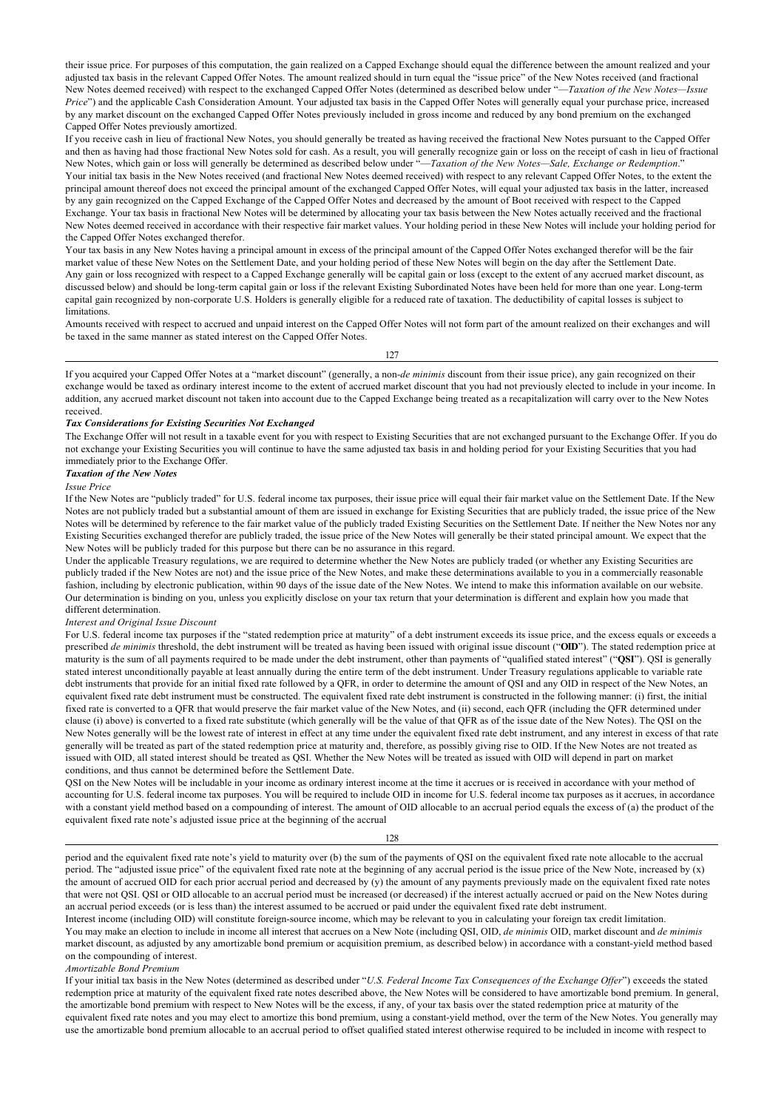their issue price. For purposes of this computation, the gain realized on a Capped Exchange should equal the difference between the amount realized and your adjusted tax basis in the relevant Capped Offer Notes. The amount realized should in turn equal the "issue price" of the New Notes received (and fractional New Notes deemed received) with respect to the exchanged Capped Offer Notes (determined as described below under "—*Taxation of the New Notes—Issue Price*") and the applicable Cash Consideration Amount. Your adjusted tax basis in the Capped Offer Notes will generally equal your purchase price, increased by any market discount on the exchanged Capped Offer Notes previously included in gross income and reduced by any bond premium on the exchanged Capped Offer Notes previously amortized.

If you receive cash in lieu of fractional New Notes, you should generally be treated as having received the fractional New Notes pursuant to the Capped Offer and then as having had those fractional New Notes sold for cash. As a result, you will generally recognize gain or loss on the receipt of cash in lieu of fractional New Notes, which gain or loss will generally be determined as described below under "—*Taxation of the New Notes—Sale, Exchange or Redemption*." Your initial tax basis in the New Notes received (and fractional New Notes deemed received) with respect to any relevant Capped Offer Notes, to the extent the principal amount thereof does not exceed the principal amount of the exchanged Capped Offer Notes, will equal your adjusted tax basis in the latter, increased by any gain recognized on the Capped Exchange of the Capped Offer Notes and decreased by the amount of Boot received with respect to the Capped Exchange. Your tax basis in fractional New Notes will be determined by allocating your tax basis between the New Notes actually received and the fractional New Notes deemed received in accordance with their respective fair market values. Your holding period in these New Notes will include your holding period for the Capped Offer Notes exchanged therefor.

Your tax basis in any New Notes having a principal amount in excess of the principal amount of the Capped Offer Notes exchanged therefor will be the fair market value of these New Notes on the Settlement Date, and your holding period of these New Notes will begin on the day after the Settlement Date. Any gain or loss recognized with respect to a Capped Exchange generally will be capital gain or loss (except to the extent of any accrued market discount, as discussed below) and should be long-term capital gain or loss if the relevant Existing Subordinated Notes have been held for more than one year. Long-term capital gain recognized by non-corporate U.S. Holders is generally eligible for a reduced rate of taxation. The deductibility of capital losses is subject to limitations.

Amounts received with respect to accrued and unpaid interest on the Capped Offer Notes will not form part of the amount realized on their exchanges and will be taxed in the same manner as stated interest on the Capped Offer Notes.

127

If you acquired your Capped Offer Notes at a "market discount" (generally, a non-*de minimis* discount from their issue price), any gain recognized on their exchange would be taxed as ordinary interest income to the extent of accrued market discount that you had not previously elected to include in your income. In addition, any accrued market discount not taken into account due to the Capped Exchange being treated as a recapitalization will carry over to the New Notes received.

## *Tax Considerations for Existing Securities Not Exchanged*

The Exchange Offer will not result in a taxable event for you with respect to Existing Securities that are not exchanged pursuant to the Exchange Offer. If you do not exchange your Existing Securities you will continue to have the same adjusted tax basis in and holding period for your Existing Securities that you had immediately prior to the Exchange Offer.

## *Taxation of the New Notes*

*Issue Price*

If the New Notes are "publicly traded" for U.S. federal income tax purposes, their issue price will equal their fair market value on the Settlement Date. If the New Notes are not publicly traded but a substantial amount of them are issued in exchange for Existing Securities that are publicly traded, the issue price of the New Notes will be determined by reference to the fair market value of the publicly traded Existing Securities on the Settlement Date. If neither the New Notes nor any Existing Securities exchanged therefor are publicly traded, the issue price of the New Notes will generally be their stated principal amount. We expect that the New Notes will be publicly traded for this purpose but there can be no assurance in this regard.

Under the applicable Treasury regulations, we are required to determine whether the New Notes are publicly traded (or whether any Existing Securities are publicly traded if the New Notes are not) and the issue price of the New Notes, and make these determinations available to you in a commercially reasonable fashion, including by electronic publication, within 90 days of the issue date of the New Notes. We intend to make this information available on our website. Our determination is binding on you, unless you explicitly disclose on your tax return that your determination is different and explain how you made that different determination.

#### *Interest and Original Issue Discount*

For U.S. federal income tax purposes if the "stated redemption price at maturity" of a debt instrument exceeds its issue price, and the excess equals or exceeds a prescribed *de minimis* threshold, the debt instrument will be treated as having been issued with original issue discount ("**OID**"). The stated redemption price at maturity is the sum of all payments required to be made under the debt instrument, other than payments of "qualified stated interest" ("**QSI**"). QSI is generally stated interest unconditionally payable at least annually during the entire term of the debt instrument. Under Treasury regulations applicable to variable rate debt instruments that provide for an initial fixed rate followed by a QFR, in order to determine the amount of QSI and any OID in respect of the New Notes, an equivalent fixed rate debt instrument must be constructed. The equivalent fixed rate debt instrument is constructed in the following manner: (i) first, the initial fixed rate is converted to a QFR that would preserve the fair market value of the New Notes, and (ii) second, each QFR (including the QFR determined under clause (i) above) is converted to a fixed rate substitute (which generally will be the value of that QFR as of the issue date of the New Notes). The QSI on the New Notes generally will be the lowest rate of interest in effect at any time under the equivalent fixed rate debt instrument, and any interest in excess of that rate generally will be treated as part of the stated redemption price at maturity and, therefore, as possibly giving rise to OID. If the New Notes are not treated as issued with OID, all stated interest should be treated as QSI. Whether the New Notes will be treated as issued with OID will depend in part on market conditions, and thus cannot be determined before the Settlement Date.

QSI on the New Notes will be includable in your income as ordinary interest income at the time it accrues or is received in accordance with your method of accounting for U.S. federal income tax purposes. You will be required to include OID in income for U.S. federal income tax purposes as it accrues, in accordance with a constant yield method based on a compounding of interest. The amount of OID allocable to an accrual period equals the excess of (a) the product of the equivalent fixed rate note's adjusted issue price at the beginning of the accrual

128

period and the equivalent fixed rate note's yield to maturity over (b) the sum of the payments of QSI on the equivalent fixed rate note allocable to the accrual period. The "adjusted issue price" of the equivalent fixed rate note at the beginning of any accrual period is the issue price of the New Note, increased by (x) the amount of accrued OID for each prior accrual period and decreased by (y) the amount of any payments previously made on the equivalent fixed rate notes that were not QSI. QSI or OID allocable to an accrual period must be increased (or decreased) if the interest actually accrued or paid on the New Notes during an accrual period exceeds (or is less than) the interest assumed to be accrued or paid under the equivalent fixed rate debt instrument.

Interest income (including OID) will constitute foreign-source income, which may be relevant to you in calculating your foreign tax credit limitation. You may make an election to include in income all interest that accrues on a New Note (including QSI, OID, *de minimis* OID, market discount and *de minimis* market discount, as adjusted by any amortizable bond premium or acquisition premium, as described below) in accordance with a constant-yield method based on the compounding of interest.

#### *Amortizable Bond Premium*

If your initial tax basis in the New Notes (determined as described under "*U.S. Federal Income Tax Consequences of the Exchange Offer*") exceeds the stated redemption price at maturity of the equivalent fixed rate notes described above, the New Notes will be considered to have amortizable bond premium. In general, the amortizable bond premium with respect to New Notes will be the excess, if any, of your tax basis over the stated redemption price at maturity of the equivalent fixed rate notes and you may elect to amortize this bond premium, using a constant-yield method, over the term of the New Notes. You generally may use the amortizable bond premium allocable to an accrual period to offset qualified stated interest otherwise required to be included in income with respect to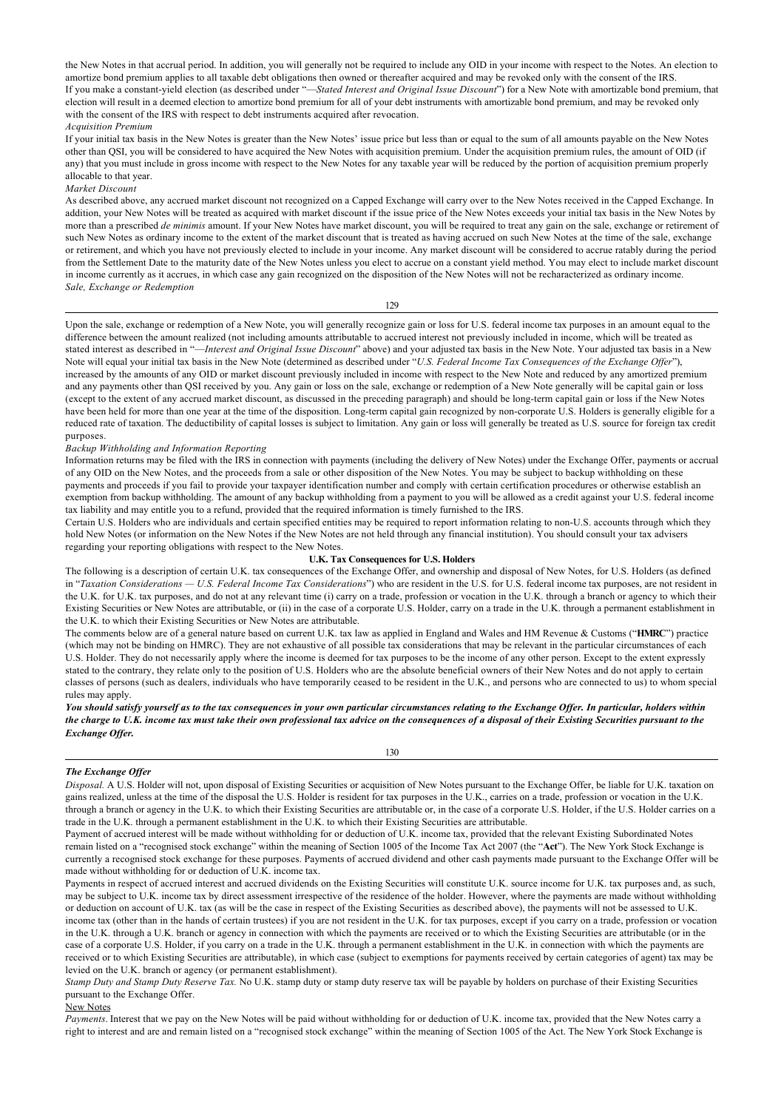the New Notes in that accrual period. In addition, you will generally not be required to include any OID in your income with respect to the Notes. An election to amortize bond premium applies to all taxable debt obligations then owned or thereafter acquired and may be revoked only with the consent of the IRS. If you make a constant-yield election (as described under "—*Stated Interest and Original Issue Discount*") for a New Note with amortizable bond premium, that election will result in a deemed election to amortize bond premium for all of your debt instruments with amortizable bond premium, and may be revoked only with the consent of the IRS with respect to debt instruments acquired after revocation. *Acquisition Premium*

If your initial tax basis in the New Notes is greater than the New Notes' issue price but less than or equal to the sum of all amounts payable on the New Notes other than QSI, you will be considered to have acquired the New Notes with acquisition premium. Under the acquisition premium rules, the amount of OID (if any) that you must include in gross income with respect to the New Notes for any taxable year will be reduced by the portion of acquisition premium properly allocable to that year.

### *Market Discount*

As described above, any accrued market discount not recognized on a Capped Exchange will carry over to the New Notes received in the Capped Exchange. In addition, your New Notes will be treated as acquired with market discount if the issue price of the New Notes exceeds your initial tax basis in the New Notes by more than a prescribed *de minimis* amount. If your New Notes have market discount, you will be required to treat any gain on the sale, exchange or retirement of such New Notes as ordinary income to the extent of the market discount that is treated as having accrued on such New Notes at the time of the sale, exchange or retirement, and which you have not previously elected to include in your income. Any market discount will be considered to accrue ratably during the period from the Settlement Date to the maturity date of the New Notes unless you elect to accrue on a constant yield method. You may elect to include market discount in income currently as it accrues, in which case any gain recognized on the disposition of the New Notes will not be recharacterized as ordinary income. *Sale, Exchange or Redemption*

Upon the sale, exchange or redemption of a New Note, you will generally recognize gain or loss for U.S. federal income tax purposes in an amount equal to the difference between the amount realized (not including amounts attributable to accrued interest not previously included in income, which will be treated as stated interest as described in "—*Interest and Original Issue Discount*" above) and your adjusted tax basis in the New Note. Your adjusted tax basis in a New Note will equal your initial tax basis in the New Note (determined as described under "*U.S. Federal Income Tax Consequences of the Exchange Offer*"), increased by the amounts of any OID or market discount previously included in income with respect to the New Note and reduced by any amortized premium and any payments other than QSI received by you. Any gain or loss on the sale, exchange or redemption of a New Note generally will be capital gain or loss (except to the extent of any accrued market discount, as discussed in the preceding paragraph) and should be long-term capital gain or loss if the New Notes have been held for more than one year at the time of the disposition. Long-term capital gain recognized by non-corporate U.S. Holders is generally eligible for a reduced rate of taxation. The deductibility of capital losses is subject to limitation. Any gain or loss will generally be treated as U.S. source for foreign tax credit purposes.

#### *Backup Withholding and Information Reporting*

Information returns may be filed with the IRS in connection with payments (including the delivery of New Notes) under the Exchange Offer, payments or accrual of any OID on the New Notes, and the proceeds from a sale or other disposition of the New Notes. You may be subject to backup withholding on these payments and proceeds if you fail to provide your taxpayer identification number and comply with certain certification procedures or otherwise establish an exemption from backup withholding. The amount of any backup withholding from a payment to you will be allowed as a credit against your U.S. federal income tax liability and may entitle you to a refund, provided that the required information is timely furnished to the IRS.

Certain U.S. Holders who are individuals and certain specified entities may be required to report information relating to non-U.S. accounts through which they hold New Notes (or information on the New Notes if the New Notes are not held through any financial institution). You should consult your tax advisers regarding your reporting obligations with respect to the New Notes.

### **U.K. Tax Consequences for U.S. Holders**

The following is a description of certain U.K. tax consequences of the Exchange Offer, and ownership and disposal of New Notes, for U.S. Holders (as defined in "*Taxation Considerations — U.S. Federal Income Tax Considerations*") who are resident in the U.S. for U.S. federal income tax purposes, are not resident in the U.K. for U.K. tax purposes, and do not at any relevant time (i) carry on a trade, profession or vocation in the U.K. through a branch or agency to which their Existing Securities or New Notes are attributable, or (ii) in the case of a corporate U.S. Holder, carry on a trade in the U.K. through a permanent establishment in the U.K. to which their Existing Securities or New Notes are attributable.

The comments below are of a general nature based on current U.K. tax law as applied in England and Wales and HM Revenue & Customs ("**HMRC**") practice (which may not be binding on HMRC). They are not exhaustive of all possible tax considerations that may be relevant in the particular circumstances of each U.S. Holder. They do not necessarily apply where the income is deemed for tax purposes to be the income of any other person. Except to the extent expressly stated to the contrary, they relate only to the position of U.S. Holders who are the absolute beneficial owners of their New Notes and do not apply to certain classes of persons (such as dealers, individuals who have temporarily ceased to be resident in the U.K., and persons who are connected to us) to whom special rules may apply.

## *You should satisfy yourself as to the tax consequences in your own particular circumstances relating to the Exchange Offer. In particular, holders within the charge to U.K. income tax must take their own professional tax advice on the consequences of a disposal of their Existing Securities pursuant to the Exchange Offer.*

#### *The Exchange Offer*

#### 130

*Disposal.* A U.S. Holder will not, upon disposal of Existing Securities or acquisition of New Notes pursuant to the Exchange Offer, be liable for U.K. taxation on gains realized, unless at the time of the disposal the U.S. Holder is resident for tax purposes in the U.K., carries on a trade, profession or vocation in the U.K. through a branch or agency in the U.K. to which their Existing Securities are attributable or, in the case of a corporate U.S. Holder, if the U.S. Holder carries on a trade in the U.K. through a permanent establishment in the U.K. to which their Existing Securities are attributable.

Payment of accrued interest will be made without withholding for or deduction of U.K. income tax, provided that the relevant Existing Subordinated Notes remain listed on a "recognised stock exchange" within the meaning of Section 1005 of the Income Tax Act 2007 (the "**Act**"). The New York Stock Exchange is currently a recognised stock exchange for these purposes. Payments of accrued dividend and other cash payments made pursuant to the Exchange Offer will be made without withholding for or deduction of U.K. income tax.

Payments in respect of accrued interest and accrued dividends on the Existing Securities will constitute U.K. source income for U.K. tax purposes and, as such, may be subject to U.K. income tax by direct assessment irrespective of the residence of the holder. However, where the payments are made without withholding or deduction on account of U.K. tax (as will be the case in respect of the Existing Securities as described above), the payments will not be assessed to U.K. income tax (other than in the hands of certain trustees) if you are not resident in the U.K. for tax purposes, except if you carry on a trade, profession or vocation in the U.K. through a U.K. branch or agency in connection with which the payments are received or to which the Existing Securities are attributable (or in the case of a corporate U.S. Holder, if you carry on a trade in the U.K. through a permanent establishment in the U.K. in connection with which the payments are received or to which Existing Securities are attributable), in which case (subject to exemptions for payments received by certain categories of agent) tax may be levied on the U.K. branch or agency (or permanent establishment).

*Stamp Duty and Stamp Duty Reserve Tax.* No U.K. stamp duty or stamp duty reserve tax will be payable by holders on purchase of their Existing Securities pursuant to the Exchange Offer.

#### New Notes

*Payments*. Interest that we pay on the New Notes will be paid without withholding for or deduction of U.K. income tax, provided that the New Notes carry a right to interest and are and remain listed on a "recognised stock exchange" within the meaning of Section 1005 of the Act. The New York Stock Exchange is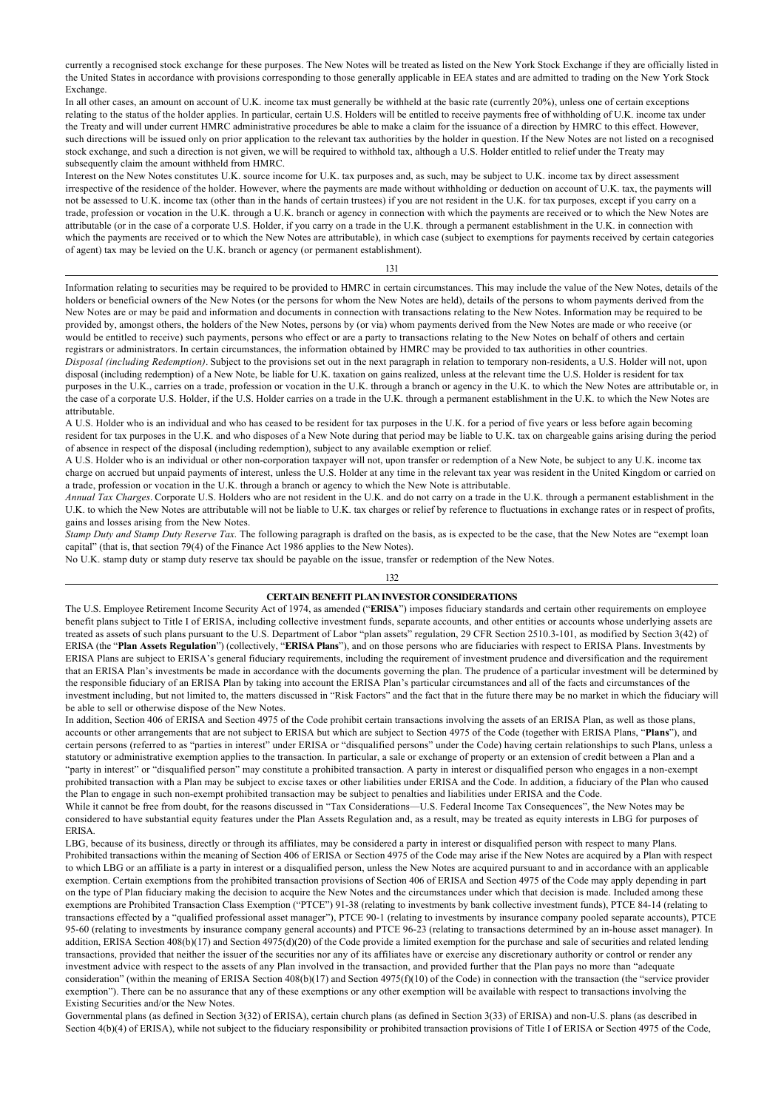currently a recognised stock exchange for these purposes. The New Notes will be treated as listed on the New York Stock Exchange if they are officially listed in the United States in accordance with provisions corresponding to those generally applicable in EEA states and are admitted to trading on the New York Stock Exchange.

In all other cases, an amount on account of U.K. income tax must generally be withheld at the basic rate (currently 20%), unless one of certain exceptions relating to the status of the holder applies. In particular, certain U.S. Holders will be entitled to receive payments free of withholding of U.K. income tax under the Treaty and will under current HMRC administrative procedures be able to make a claim for the issuance of a direction by HMRC to this effect. However, such directions will be issued only on prior application to the relevant tax authorities by the holder in question. If the New Notes are not listed on a recognised stock exchange, and such a direction is not given, we will be required to withhold tax, although a U.S. Holder entitled to relief under the Treaty may subsequently claim the amount withheld from HMRC.

Interest on the New Notes constitutes U.K. source income for U.K. tax purposes and, as such, may be subject to U.K. income tax by direct assessment irrespective of the residence of the holder. However, where the payments are made without withholding or deduction on account of U.K. tax, the payments will not be assessed to U.K. income tax (other than in the hands of certain trustees) if you are not resident in the U.K. for tax purposes, except if you carry on a trade, profession or vocation in the U.K. through a U.K. branch or agency in connection with which the payments are received or to which the New Notes are attributable (or in the case of a corporate U.S. Holder, if you carry on a trade in the U.K. through a permanent establishment in the U.K. in connection with which the payments are received or to which the New Notes are attributable), in which case (subject to exemptions for payments received by certain categories of agent) tax may be levied on the U.K. branch or agency (or permanent establishment).

131

Information relating to securities may be required to be provided to HMRC in certain circumstances. This may include the value of the New Notes, details of the holders or beneficial owners of the New Notes (or the persons for whom the New Notes are held), details of the persons to whom payments derived from the New Notes are or may be paid and information and documents in connection with transactions relating to the New Notes. Information may be required to be provided by, amongst others, the holders of the New Notes, persons by (or via) whom payments derived from the New Notes are made or who receive (or would be entitled to receive) such payments, persons who effect or are a party to transactions relating to the New Notes on behalf of others and certain registrars or administrators. In certain circumstances, the information obtained by HMRC may be provided to tax authorities in other countries. *Disposal (including Redemption)*. Subject to the provisions set out in the next paragraph in relation to temporary non-residents, a U.S. Holder will not, upon disposal (including redemption) of a New Note, be liable for U.K. taxation on gains realized, unless at the relevant time the U.S. Holder is resident for tax purposes in the U.K., carries on a trade, profession or vocation in the U.K. through a branch or agency in the U.K. to which the New Notes are attributable or, in the case of a corporate U.S. Holder, if the U.S. Holder carries on a trade in the U.K. through a permanent establishment in the U.K. to which the New Notes are attributable.

A U.S. Holder who is an individual and who has ceased to be resident for tax purposes in the U.K. for a period of five years or less before again becoming resident for tax purposes in the U.K. and who disposes of a New Note during that period may be liable to U.K. tax on chargeable gains arising during the period of absence in respect of the disposal (including redemption), subject to any available exemption or relief.

A U.S. Holder who is an individual or other non-corporation taxpayer will not, upon transfer or redemption of a New Note, be subject to any U.K. income tax charge on accrued but unpaid payments of interest, unless the U.S. Holder at any time in the relevant tax year was resident in the United Kingdom or carried on a trade, profession or vocation in the U.K. through a branch or agency to which the New Note is attributable.

*Annual Tax Charges*. Corporate U.S. Holders who are not resident in the U.K. and do not carry on a trade in the U.K. through a permanent establishment in the U.K. to which the New Notes are attributable will not be liable to U.K. tax charges or relief by reference to fluctuations in exchange rates or in respect of profits, gains and losses arising from the New Notes.

*Stamp Duty and Stamp Duty Reserve Tax.* The following paragraph is drafted on the basis, as is expected to be the case, that the New Notes are "exempt loan capital" (that is, that section 79(4) of the Finance Act 1986 applies to the New Notes).

No U.K. stamp duty or stamp duty reserve tax should be payable on the issue, transfer or redemption of the New Notes.

#### 132

## **CERTAIN BENEFIT PLAN INVESTOR CONSIDERATIONS**

The U.S. Employee Retirement Income Security Act of 1974, as amended ("**ERISA**") imposes fiduciary standards and certain other requirements on employee benefit plans subject to Title I of ERISA, including collective investment funds, separate accounts, and other entities or accounts whose underlying assets are treated as assets of such plans pursuant to the U.S. Department of Labor "plan assets" regulation, 29 CFR Section 2510.3-101, as modified by Section 3(42) of ERISA (the "**Plan Assets Regulation**") (collectively, "**ERISA Plans**"), and on those persons who are fiduciaries with respect to ERISA Plans. Investments by ERISA Plans are subject to ERISA's general fiduciary requirements, including the requirement of investment prudence and diversification and the requirement that an ERISA Plan's investments be made in accordance with the documents governing the plan. The prudence of a particular investment will be determined by the responsible fiduciary of an ERISA Plan by taking into account the ERISA Plan's particular circumstances and all of the facts and circumstances of the investment including, but not limited to, the matters discussed in "Risk Factors" and the fact that in the future there may be no market in which the fiduciary will be able to sell or otherwise dispose of the New Notes.

In addition, Section 406 of ERISA and Section 4975 of the Code prohibit certain transactions involving the assets of an ERISA Plan, as well as those plans, accounts or other arrangements that are not subject to ERISA but which are subject to Section 4975 of the Code (together with ERISA Plans, "**Plans**"), and certain persons (referred to as "parties in interest" under ERISA or "disqualified persons" under the Code) having certain relationships to such Plans, unless a statutory or administrative exemption applies to the transaction. In particular, a sale or exchange of property or an extension of credit between a Plan and a "party in interest" or "disqualified person" may constitute a prohibited transaction. A party in interest or disqualified person who engages in a non-exempt prohibited transaction with a Plan may be subject to excise taxes or other liabilities under ERISA and the Code. In addition, a fiduciary of the Plan who caused the Plan to engage in such non-exempt prohibited transaction may be subject to penalties and liabilities under ERISA and the Code.

While it cannot be free from doubt, for the reasons discussed in "Tax Considerations—U.S. Federal Income Tax Consequences", the New Notes may be considered to have substantial equity features under the Plan Assets Regulation and, as a result, may be treated as equity interests in LBG for purposes of ERISA.

LBG, because of its business, directly or through its affiliates, may be considered a party in interest or disqualified person with respect to many Plans. Prohibited transactions within the meaning of Section 406 of ERISA or Section 4975 of the Code may arise if the New Notes are acquired by a Plan with respect to which LBG or an affiliate is a party in interest or a disqualified person, unless the New Notes are acquired pursuant to and in accordance with an applicable exemption. Certain exemptions from the prohibited transaction provisions of Section 406 of ERISA and Section 4975 of the Code may apply depending in part on the type of Plan fiduciary making the decision to acquire the New Notes and the circumstances under which that decision is made. Included among these exemptions are Prohibited Transaction Class Exemption ("PTCE") 91-38 (relating to investments by bank collective investment funds), PTCE 84-14 (relating to transactions effected by a "qualified professional asset manager"), PTCE 90-1 (relating to investments by insurance company pooled separate accounts), PTCE 95-60 (relating to investments by insurance company general accounts) and PTCE 96-23 (relating to transactions determined by an in-house asset manager). In addition, ERISA Section 408(b)(17) and Section 4975(d)(20) of the Code provide a limited exemption for the purchase and sale of securities and related lending transactions, provided that neither the issuer of the securities nor any of its affiliates have or exercise any discretionary authority or control or render any investment advice with respect to the assets of any Plan involved in the transaction, and provided further that the Plan pays no more than "adequate consideration" (within the meaning of ERISA Section 408(b)(17) and Section 4975(f)(10) of the Code) in connection with the transaction (the "service provider exemption"). There can be no assurance that any of these exemptions or any other exemption will be available with respect to transactions involving the Existing Securities and/or the New Notes.

Governmental plans (as defined in Section 3(32) of ERISA), certain church plans (as defined in Section 3(33) of ERISA) and non-U.S. plans (as described in Section 4(b)(4) of ERISA), while not subject to the fiduciary responsibility or prohibited transaction provisions of Title I of ERISA or Section 4975 of the Code,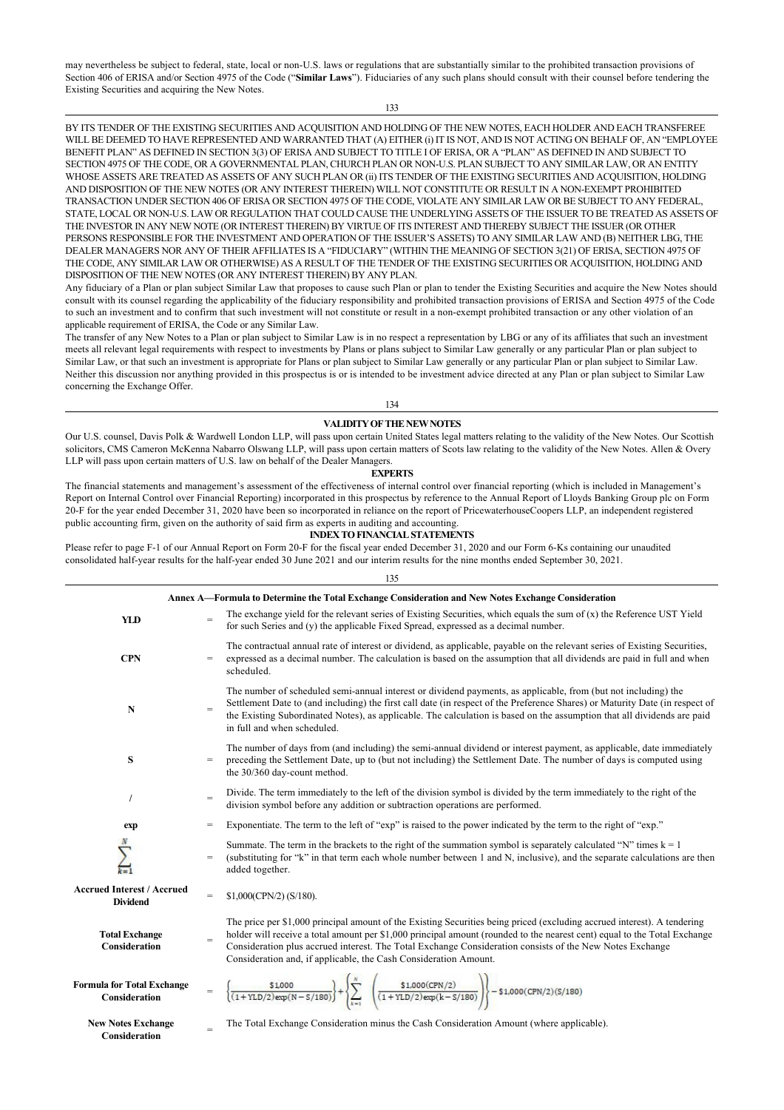may nevertheless be subject to federal, state, local or non-U.S. laws or regulations that are substantially similar to the prohibited transaction provisions of Section 406 of ERISA and/or Section 4975 of the Code ("**Similar Laws**"). Fiduciaries of any such plans should consult with their counsel before tendering the Existing Securities and acquiring the New Notes.

133

BY ITS TENDER OF THE EXISTING SECURITIES AND ACQUISITION AND HOLDING OF THE NEW NOTES, EACH HOLDER AND EACH TRANSFEREE WILL BE DEEMED TO HAVE REPRESENTED AND WARRANTED THAT (A) EITHER (i) IT IS NOT, AND IS NOT ACTING ON BEHALF OF, AN "EMPLOYEE BENEFIT PLAN" AS DEFINED IN SECTION 3(3) OF ERISA AND SUBJECT TO TITLE I OF ERISA, OR A "PLAN" AS DEFINED IN AND SUBJECT TO SECTION 4975 OF THE CODE, OR A GOVERNMENTAL PLAN, CHURCH PLAN OR NON-U.S. PLAN SUBJECT TO ANY SIMILAR LAW, OR AN ENTITY WHOSE ASSETS ARE TREATED AS ASSETS OF ANY SUCH PLAN OR (ii) ITS TENDER OF THE EXISTING SECURITIES AND ACQUISITION, HOLDING AND DISPOSITION OF THE NEW NOTES (OR ANY INTEREST THEREIN) WILL NOT CONSTITUTE OR RESULT IN A NON-EXEMPT PROHIBITED TRANSACTION UNDER SECTION 406 OF ERISA OR SECTION 4975 OF THE CODE, VIOLATE ANY SIMILAR LAW OR BE SUBJECT TO ANY FEDERAL, STATE, LOCAL OR NON-U.S. LAW OR REGULATION THAT COULD CAUSE THE UNDERLYING ASSETS OF THE ISSUER TO BE TREATED AS ASSETS OF THE INVESTOR IN ANY NEW NOTE (OR INTEREST THEREIN) BY VIRTUE OF ITS INTEREST AND THEREBY SUBJECT THE ISSUER (OR OTHER PERSONS RESPONSIBLE FOR THE INVESTMENT AND OPERATION OF THE ISSUER'S ASSETS) TO ANY SIMILAR LAW AND (B) NEITHER LBG, THE DEALER MANAGERS NOR ANY OF THEIR AFFILIATES IS A "FIDUCIARY" (WITHIN THE MEANING OF SECTION 3(21) OF ERISA, SECTION 4975 OF THE CODE, ANY SIMILAR LAW OR OTHERWISE) AS A RESULT OF THE TENDER OF THE EXISTING SECURITIES OR ACQUISITION, HOLDING AND DISPOSITION OF THE NEW NOTES (OR ANY INTEREST THEREIN) BY ANY PLAN.

Any fiduciary of a Plan or plan subject Similar Law that proposes to cause such Plan or plan to tender the Existing Securities and acquire the New Notes should consult with its counsel regarding the applicability of the fiduciary responsibility and prohibited transaction provisions of ERISA and Section 4975 of the Code to such an investment and to confirm that such investment will not constitute or result in a non-exempt prohibited transaction or any other violation of an applicable requirement of ERISA, the Code or any Similar Law.

The transfer of any New Notes to a Plan or plan subject to Similar Law is in no respect a representation by LBG or any of its affiliates that such an investment meets all relevant legal requirements with respect to investments by Plans or plans subject to Similar Law generally or any particular Plan or plan subject to Similar Law, or that such an investment is appropriate for Plans or plan subject to Similar Law generally or any particular Plan or plan subject to Similar Law. Neither this discussion nor anything provided in this prospectus is or is intended to be investment advice directed at any Plan or plan subject to Similar Law concerning the Exchange Offer.

134

## **VALIDITY OF THE NEW NOTES**

Our U.S. counsel, Davis Polk & Wardwell London LLP, will pass upon certain United States legal matters relating to the validity of the New Notes. Our Scottish solicitors, CMS Cameron McKenna Nabarro Olswang LLP, will pass upon certain matters of Scots law relating to the validity of the New Notes. Allen & Overy LLP will pass upon certain matters of U.S. law on behalf of the Dealer Managers.

#### **EXPERTS**

The financial statements and management's assessment of the effectiveness of internal control over financial reporting (which is included in Management's Report on Internal Control over Financial Reporting) incorporated in this prospectus by reference to the Annual Report of Lloyds Banking Group plc on Form 20-F for the year ended December 31, 2020 have been so incorporated in reliance on the report of PricewaterhouseCoopers LLP, an independent registered public accounting firm, given on the authority of said firm as experts in auditing and accounting.

### **INDEX TO FINANCIAL STATEMENTS**

135

Please refer to page F-1 of our Annual Report on Form 20-F for the fiscal year ended December 31, 2020 and our Form 6-Ks containing our unaudited consolidated half-year results for the half-year ended 30 June 2021 and our interim results for the nine months ended September 30, 2021.

| Annex A—Formula to Determine the Total Exchange Consideration and New Notes Exchange Consideration |                   |                                                                                                                                                                                                                                                                                                                                                                                                                                       |  |  |  |  |
|----------------------------------------------------------------------------------------------------|-------------------|---------------------------------------------------------------------------------------------------------------------------------------------------------------------------------------------------------------------------------------------------------------------------------------------------------------------------------------------------------------------------------------------------------------------------------------|--|--|--|--|
| <b>YLD</b>                                                                                         | $=$               | The exchange yield for the relevant series of Existing Securities, which equals the sum of $(x)$ the Reference UST Yield<br>for such Series and (y) the applicable Fixed Spread, expressed as a decimal number.                                                                                                                                                                                                                       |  |  |  |  |
| <b>CPN</b>                                                                                         | $=$               | The contractual annual rate of interest or dividend, as applicable, payable on the relevant series of Existing Securities,<br>expressed as a decimal number. The calculation is based on the assumption that all dividends are paid in full and when<br>scheduled.                                                                                                                                                                    |  |  |  |  |
| N                                                                                                  | $=$               | The number of scheduled semi-annual interest or dividend payments, as applicable, from (but not including) the<br>Settlement Date to (and including) the first call date (in respect of the Preference Shares) or Maturity Date (in respect of<br>the Existing Subordinated Notes), as applicable. The calculation is based on the assumption that all dividends are paid<br>in full and when scheduled.                              |  |  |  |  |
| S                                                                                                  | $\qquad \qquad =$ | The number of days from (and including) the semi-annual dividend or interest payment, as applicable, date immediately<br>preceding the Settlement Date, up to (but not including) the Settlement Date. The number of days is computed using<br>the 30/360 day-count method.                                                                                                                                                           |  |  |  |  |
| $\prime$                                                                                           | $=$               | Divide. The term immediately to the left of the division symbol is divided by the term immediately to the right of the<br>division symbol before any addition or subtraction operations are performed.                                                                                                                                                                                                                                |  |  |  |  |
| exp                                                                                                | $\qquad \qquad =$ | Exponentiate. The term to the left of "exp" is raised to the power indicated by the term to the right of "exp."                                                                                                                                                                                                                                                                                                                       |  |  |  |  |
|                                                                                                    | $=$               | Summate. The term in the brackets to the right of the summation symbol is separately calculated "N" times $k = 1$<br>(substituting for "k" in that term each whole number between 1 and N, inclusive), and the separate calculations are then<br>added together.                                                                                                                                                                      |  |  |  |  |
| <b>Accrued Interest / Accrued</b><br><b>Dividend</b>                                               | $=$               | \$1,000(CPN/2)(S/180).                                                                                                                                                                                                                                                                                                                                                                                                                |  |  |  |  |
| <b>Total Exchange</b><br>Consideration                                                             | $\qquad \qquad =$ | The price per \$1,000 principal amount of the Existing Securities being priced (excluding accrued interest). A tendering<br>holder will receive a total amount per \$1,000 principal amount (rounded to the nearest cent) equal to the Total Exchange<br>Consideration plus accrued interest. The Total Exchange Consideration consists of the New Notes Exchange<br>Consideration and, if applicable, the Cash Consideration Amount. |  |  |  |  |
| <b>Formula for Total Exchange</b><br>Consideration                                                 |                   | $\left\{\frac{\$1,000}{(1+YLD/2)\exp(N-S/180)}\right\}+\left\{\sum_{k=1}^{N}\left.\begin{array}{cc}\$1,000(CPN/2)\\(1+YLD/2)\exp(k-S/180)\end{array}\right)\right\}-\$1,000(CPN/2)(S/180)$                                                                                                                                                                                                                                            |  |  |  |  |
| <b>New Notes Exchange</b><br>Consideration                                                         | $=$               | The Total Exchange Consideration minus the Cash Consideration Amount (where applicable).                                                                                                                                                                                                                                                                                                                                              |  |  |  |  |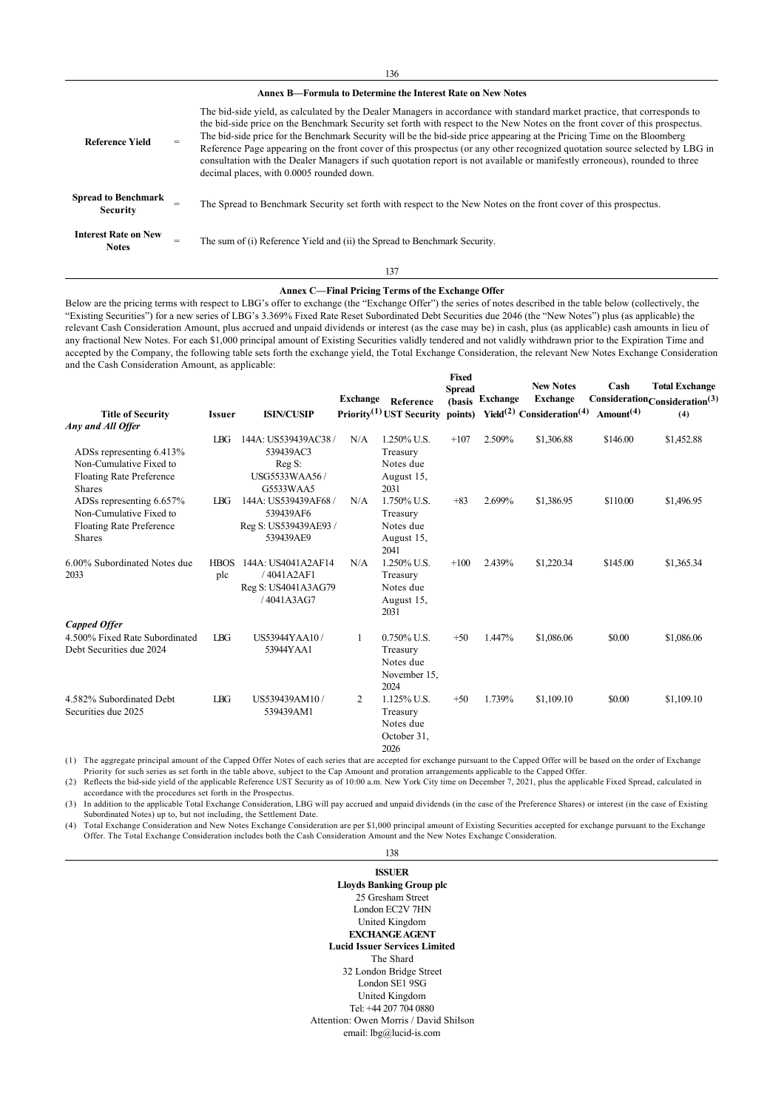136

## **Annex B—Formula to Determine the Interest Rate on New Notes**

| <b>Reference Yield</b>                        |     | The bid-side yield, as calculated by the Dealer Managers in accordance with standard market practice, that corresponds to<br>the bid-side price on the Benchmark Security set forth with respect to the New Notes on the front cover of this prospectus.<br>The bid-side price for the Benchmark Security will be the bid-side price appearing at the Pricing Time on the Bloomberg<br>Reference Page appearing on the front cover of this prospectus (or any other recognized quotation source selected by LBG in<br>consultation with the Dealer Managers if such quotation report is not available or manifestly erroneous), rounded to three<br>decimal places, with 0.0005 rounded down. |
|-----------------------------------------------|-----|-----------------------------------------------------------------------------------------------------------------------------------------------------------------------------------------------------------------------------------------------------------------------------------------------------------------------------------------------------------------------------------------------------------------------------------------------------------------------------------------------------------------------------------------------------------------------------------------------------------------------------------------------------------------------------------------------|
| <b>Spread to Benchmark</b><br><b>Security</b> | $=$ | The Spread to Benchmark Security set forth with respect to the New Notes on the front cover of this prospectus.                                                                                                                                                                                                                                                                                                                                                                                                                                                                                                                                                                               |
| <b>Interest Rate on New</b><br><b>Notes</b>   | $=$ | The sum of (i) Reference Yield and (ii) the Spread to Benchmark Security.                                                                                                                                                                                                                                                                                                                                                                                                                                                                                                                                                                                                                     |

#### 137

#### **Annex C—Final Pricing Terms of the Exchange Offer**

Below are the pricing terms with respect to LBG's offer to exchange (the "Exchange Offer") the series of notes described in the table below (collectively, the "Existing Securities") for a new series of LBG's 3.369% Fixed Rate Reset Subordinated Debt Securities due 2046 (the "New Notes") plus (as applicable) the relevant Cash Consideration Amount, plus accrued and unpaid dividends or interest (as the case may be) in cash, plus (as applicable) cash amounts in lieu of any fractional New Notes. For each \$1,000 principal amount of Existing Securities validly tendered and not validly withdrawn prior to the Expiration Time and accepted by the Company, the following table sets forth the exchange yield, the Total Exchange Consideration, the relevant New Notes Exchange Consideration and the Cash Consideration Amount, as applicable:

| <b>Title of Security</b><br>Any and All Offer                                                    | <b>Issuer</b>      | <b>ISIN/CUSIP</b>                                                       | <b>Exchange</b> | Reference<br>Priority <sup>(1)</sup> UST Security points)       | Fixed<br><b>Spread</b> | (basis Exchange | <b>New Notes</b><br><b>Exchange</b><br>Yield <sup>(2)</sup> Consideration <sup>(4)</sup> Amount <sup>(4)</sup> | Cash     | <b>Total Exchange</b><br>$Consideration Consideration(3)$<br>(4) |
|--------------------------------------------------------------------------------------------------|--------------------|-------------------------------------------------------------------------|-----------------|-----------------------------------------------------------------|------------------------|-----------------|----------------------------------------------------------------------------------------------------------------|----------|------------------------------------------------------------------|
| ADSs representing 6.413%<br>Non-Cumulative Fixed to<br><b>Floating Rate Preference</b><br>Shares | <b>IBG</b>         | 144A: US539439AC38<br>539439AC3<br>Reg S:<br>USG5533WAA56/<br>G5533WAA5 | N/A             | 1.250% U.S.<br>Treasury<br>Notes due<br>August 15,<br>2031      | $+107$                 | 2.509%          | \$1,306.88                                                                                                     | \$146.00 | \$1,452.88                                                       |
| ADSs representing 6.657%<br>Non-Cumulative Fixed to<br><b>Floating Rate Preference</b><br>Shares | <b>IBG</b>         | 144A: US539439AF68/<br>539439AF6<br>Reg S: US539439AE93/<br>539439AE9   | N/A             | 1.750% U.S.<br>Treasury<br>Notes due<br>August 15,<br>2041      | $+83$                  | 2.699%          | \$1,386.95                                                                                                     | \$110.00 | \$1,496.95                                                       |
| 6.00% Subordinated Notes due<br>2033                                                             | <b>HBOS</b><br>plc | 144A: US4041A2AF14<br>/4041A2AF1<br>Reg S: US4041A3AG79<br>/4041A3AG7   | N/A             | 1.250% U.S.<br>Treasury<br>Notes due<br>August 15,<br>2031      | $+100$                 | 2.439%          | \$1,220.34                                                                                                     | \$145.00 | \$1,365.34                                                       |
| <b>Capped Offer</b>                                                                              |                    |                                                                         |                 |                                                                 |                        |                 |                                                                                                                |          |                                                                  |
| 4.500% Fixed Rate Subordinated<br>Debt Securities due 2024                                       | L <sub>BG</sub>    | US53944YAA10/<br>53944YAA1                                              | 1               | $0.750\%$ U.S.<br>Treasury<br>Notes due<br>November 15,<br>2024 | $+50$                  | 1.447%          | \$1,086.06                                                                                                     | \$0.00   | \$1,086.06                                                       |
| 4.582% Subordinated Debt<br>Securities due 2025                                                  | L <sub>BG</sub>    | US539439AM10/<br>539439AM1                                              | 2               | 1.125% U.S.<br>Treasury<br>Notes due<br>October 31,<br>2026     | $+50$                  | 1.739%          | \$1,109.10                                                                                                     | \$0.00   | \$1,109.10                                                       |

(1) The aggregate principal amount of the Capped Offer Notes of each series that are accepted for exchange pursuant to the Capped Offer will be based on the order of Exchange Priority for such series as set forth in the table above, subject to the Cap Amount and proration arrangements applicable to the Capped Offer. (2) Reflects the bid-side yield of the applicable Reference UST Security as of 10:00 a.m. New York City time on December 7, 2021, plus the applicable Fixed Spread, calculated in

accordance with the procedures set forth in the Prospectus. (3) In addition to the applicable Total Exchange Consideration, LBG will pay accrued and unpaid dividends (in the case of the Preference Shares) or interest (in the case of Existing

Subordinated Notes) up to, but not including, the Settlement Date.

(4) Total Exchange Consideration and New Notes Exchange Consideration are per \$1,000 principal amount of Existing Securities accepted for exchange pursuant to the Exchange Offer. The Total Exchange Consideration includes both the Cash Consideration Amount and the New Notes Exchange Consideration.

# 138

**ISSUER Lloyds Banking Group plc** 25 Gresham Street London EC2V 7HN United Kingdom **EXCHANGE AGENT Lucid Issuer Services Limited** The Shard 32 London Bridge Street London SE1 9SG United Kingdom Tel: +44 207 704 0880 Attention: Owen Morris / David Shilson email: lbg@lucid-is.com